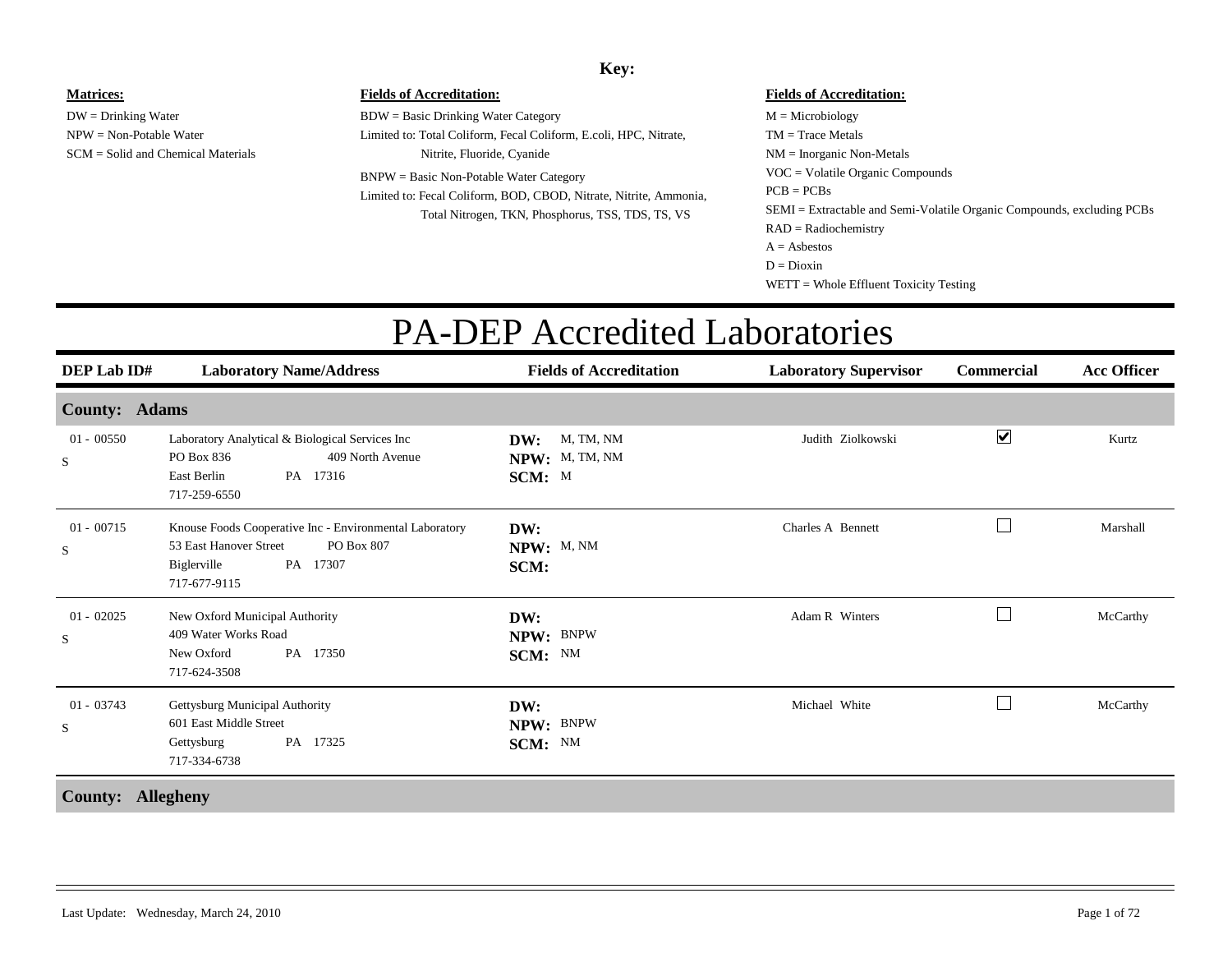#### **Key:**

#### SCM = Solid and Chemical Materials**Fields of Accreditation:**  $M =$ Microbiology TM = Trace MetalsNM = Inorganic Non-Metals **Fields of Accreditation:** BDW = Basic Drinking Water Category Limited to: Total Coliform, Fecal Coliform, E.coli, HPC, Nitrate, Nitrite, Fluoride, Cyanide BNPW = Basic Non-Potable Water Category Limited to: Fecal Coliform, BOD, CBOD, Nitrate, Nitrite, Ammonia, Total Nitrogen, TKN, Phosphorus, TSS, TDS, TS, VS VOC = Volatile Organic Compounds SEMI = Extractable and Semi-Volatile Organic Compounds, excluding PCBs  $PCB = PCBs$ RAD = Radiochemistry  $A =$  Asbestos  $D = Dioxin$

#### WETT = Whole Effluent Toxicity Testing

#### PA-DEP Accredited Laboratories

| <b>DEP Lab ID#</b>              | <b>Laboratory Name/Address</b>                                                                                                             | <b>Fields of Accreditation</b>               | <b>Laboratory Supervisor</b> | <b>Commercial</b>        | <b>Acc Officer</b> |
|---------------------------------|--------------------------------------------------------------------------------------------------------------------------------------------|----------------------------------------------|------------------------------|--------------------------|--------------------|
| <b>County: Adams</b>            |                                                                                                                                            |                                              |                              |                          |                    |
| $01 - 00550$<br>S               | Laboratory Analytical & Biological Services Inc<br>PO Box 836<br>409 North Avenue<br>East Berlin<br>PA 17316<br>717-259-6550               | M, TM, NM<br>DW:<br>NPW: M, TM, NM<br>SCM: M | Judith Ziolkowski            | $\blacktriangledown$     | Kurtz              |
| $01 - 00715$<br>S               | Knouse Foods Cooperative Inc - Environmental Laboratory<br>53 East Hanover Street<br>PO Box 807<br>Biglerville<br>PA 17307<br>717-677-9115 | DW:<br>NPW: M, NM<br>SCM:                    | Charles A Bennett            |                          | Marshall           |
| $01 - 02025$<br>S               | New Oxford Municipal Authority<br>409 Water Works Road<br>New Oxford<br>PA 17350<br>717-624-3508                                           | DW:<br>NPW: BNPW<br>SCM: NM                  | Adam R Winters               | $\overline{\phantom{0}}$ | McCarthy           |
| $01 - 03743$<br>S               | Gettysburg Municipal Authority<br>601 East Middle Street<br>PA 17325<br>Gettysburg<br>717-334-6738                                         | DW:<br>NPW: BNPW<br>SCM: NM                  | Michael White                |                          | McCarthy           |
| $C_1, \ldots, C_n, \ldots, C_n$ |                                                                                                                                            |                                              |                              |                          |                    |

**Matrices:**

DW = Drinking Water NPW = Non-Potable Water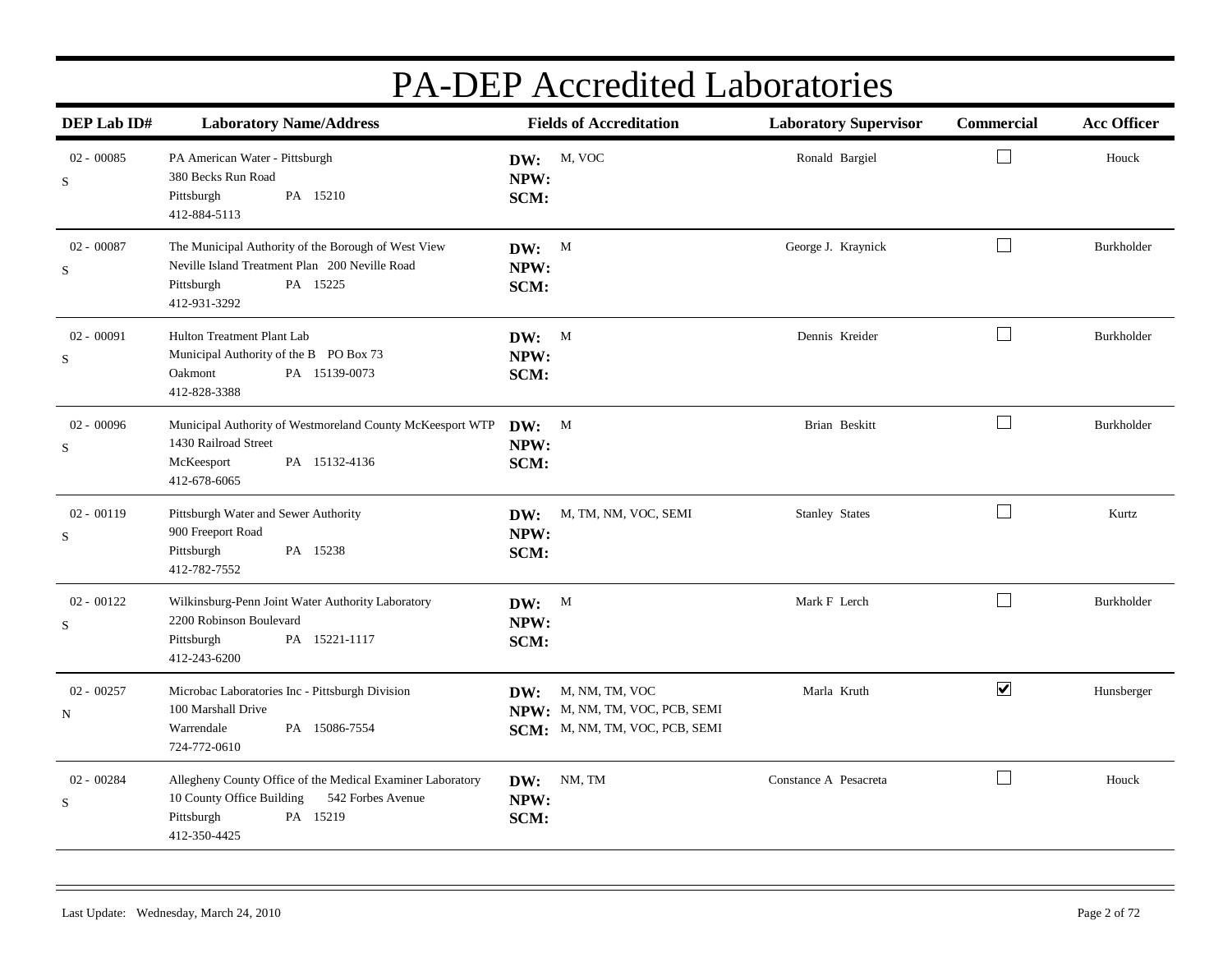| DEP Lab ID#                 | <b>Laboratory Name/Address</b>                                                                                                                         | <b>Fields of Accreditation</b>                                                         | <b>Laboratory Supervisor</b> | Commercial           | <b>Acc Officer</b> |
|-----------------------------|--------------------------------------------------------------------------------------------------------------------------------------------------------|----------------------------------------------------------------------------------------|------------------------------|----------------------|--------------------|
| $02 - 00085$<br>S           | PA American Water - Pittsburgh<br>380 Becks Run Road<br>Pittsburgh<br>PA 15210<br>412-884-5113                                                         | DW: M, VOC<br>NPW:<br>SCM:                                                             | Ronald Bargiel               | $\Box$               | Houck              |
| $02 - 00087$<br>S           | The Municipal Authority of the Borough of West View<br>Neville Island Treatment Plan 200 Neville Road<br>PA 15225<br>Pittsburgh<br>412-931-3292        | DW: M<br>NPW:<br>SCM:                                                                  | George J. Kraynick           | $\Box$               | Burkholder         |
| $02 - 00091$<br>$\mathbf S$ | Hulton Treatment Plant Lab<br>Municipal Authority of the B PO Box 73<br>PA 15139-0073<br>Oakmont<br>412-828-3388                                       | DW: M<br>NPW:<br>SCM:                                                                  | Dennis Kreider               | $\Box$               | Burkholder         |
| $02 - 00096$<br>$\mathbf S$ | Municipal Authority of Westmoreland County McKeesport WTP<br>1430 Railroad Street<br>PA 15132-4136<br>McKeesport<br>412-678-6065                       | $DW:$ M<br>NPW:<br>SCM:                                                                | Brian Beskitt                | $\vert \ \ \vert$    | Burkholder         |
| $02 - 00119$<br>S           | Pittsburgh Water and Sewer Authority<br>900 Freeport Road<br>Pittsburgh<br>PA 15238<br>412-782-7552                                                    | M, TM, NM, VOC, SEMI<br>DW:<br>NPW:<br>SCM:                                            | <b>Stanley States</b>        | $\Box$               | Kurtz              |
| $02 - 00122$<br>$\mathbf S$ | Wilkinsburg-Penn Joint Water Authority Laboratory<br>2200 Robinson Boulevard<br>PA 15221-1117<br>Pittsburgh<br>412-243-6200                            | DW: M<br>NPW:<br>SCM:                                                                  | Mark F Lerch                 | $\vert \ \ \vert$    | Burkholder         |
| $02 - 00257$<br>N           | Microbac Laboratories Inc - Pittsburgh Division<br>100 Marshall Drive<br>Warrendale<br>PA 15086-7554<br>724-772-0610                                   | DW: M, NM, TM, VOC<br>NPW: M, NM, TM, VOC, PCB, SEMI<br>SCM: M, NM, TM, VOC, PCB, SEMI | Marla Kruth                  | $\blacktriangledown$ | Hunsberger         |
| 02 - 00284<br>$\mathbf S$   | Allegheny County Office of the Medical Examiner Laboratory<br>10 County Office Building<br>542 Forbes Avenue<br>PA 15219<br>Pittsburgh<br>412-350-4425 | NM, TM<br>DW:<br>NPW:<br>SCM:                                                          | Constance A Pesacreta        | $\Box$               | Houck              |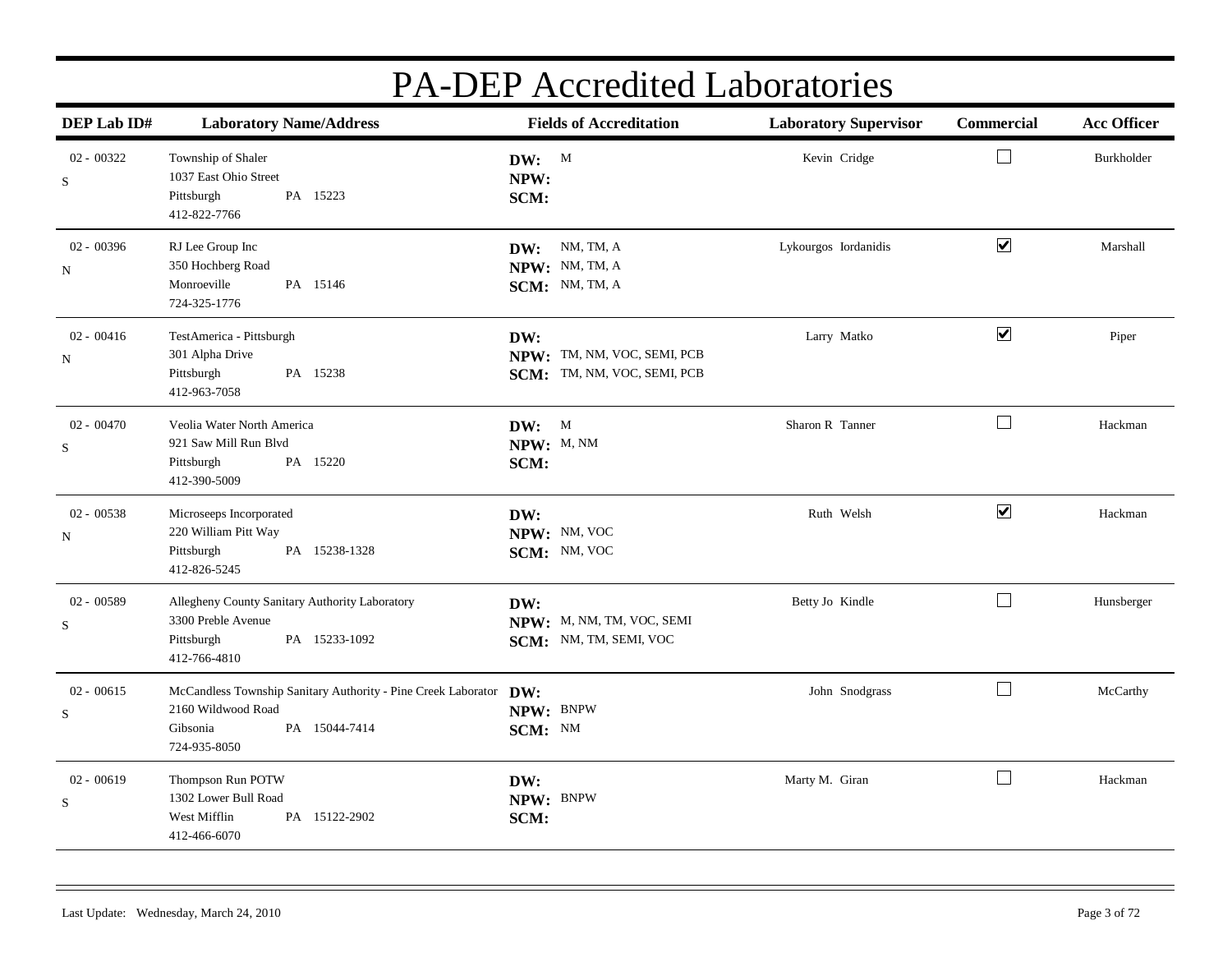| DEP Lab ID#                 | <b>Laboratory Name/Address</b>                                                                                                       | <b>Fields of Accreditation</b>                                    | <b>Laboratory Supervisor</b> | Commercial                   | <b>Acc Officer</b> |
|-----------------------------|--------------------------------------------------------------------------------------------------------------------------------------|-------------------------------------------------------------------|------------------------------|------------------------------|--------------------|
| $02 - 00322$<br>S           | Township of Shaler<br>1037 East Ohio Street<br>PA 15223<br>Pittsburgh<br>412-822-7766                                                | DW: M<br>NPW:<br>SCM:                                             | Kevin Cridge                 | $\Box$                       | Burkholder         |
| $02 - 00396$<br>N           | RJ Lee Group Inc<br>350 Hochberg Road<br>Monroeville<br>PA 15146<br>724-325-1776                                                     | DW: NM, TM, A<br>NPW: NM, TM, A<br>SCM: NM, TM, A                 | Lykourgos Iordanidis         | $\blacktriangledown$         | Marshall           |
| $02 - 00416$<br>N           | TestAmerica - Pittsburgh<br>301 Alpha Drive<br>Pittsburgh<br>PA 15238<br>412-963-7058                                                | DW:<br>NPW: TM, NM, VOC, SEMI, PCB<br>SCM: TM, NM, VOC, SEMI, PCB | Larry Matko                  | $\boxed{\blacktriangledown}$ | Piper              |
| $02 - 00470$<br>S           | Veolia Water North America<br>921 Saw Mill Run Blvd<br>PA 15220<br>Pittsburgh<br>412-390-5009                                        | DW: M<br>NPW: M, NM<br>SCM:                                       | Sharon R Tanner              | $\Box$                       | Hackman            |
| $02 - 00538$<br>N           | Microseeps Incorporated<br>220 William Pitt Way<br>PA 15238-1328<br>Pittsburgh<br>412-826-5245                                       | DW:<br>NPW: NM, VOC<br>SCM: NM, VOC                               | Ruth Welsh                   | $\overline{\mathbf{v}}$      | Hackman            |
| $02 - 00589$<br>$\mathbf S$ | Allegheny County Sanitary Authority Laboratory<br>3300 Preble Avenue<br>PA 15233-1092<br>Pittsburgh<br>412-766-4810                  | DW:<br>NPW: M, NM, TM, VOC, SEMI<br>SCM: NM, TM, SEMI, VOC        | Betty Jo Kindle              | $\Box$                       | Hunsberger         |
| $02 - 00615$<br>$\mathbf S$ | McCandless Township Sanitary Authority - Pine Creek Laborator DW:<br>2160 Wildwood Road<br>PA 15044-7414<br>Gibsonia<br>724-935-8050 | NPW: BNPW<br>SCM: NM                                              | John Snodgrass               | $\Box$                       | McCarthy           |
| $02 - 00619$<br>$\mathbf S$ | Thompson Run POTW<br>1302 Lower Bull Road<br>West Mifflin<br>PA 15122-2902<br>412-466-6070                                           | DW:<br>NPW: BNPW<br>SCM:                                          | Marty M. Giran               | $\vert \ \ \vert$            | Hackman            |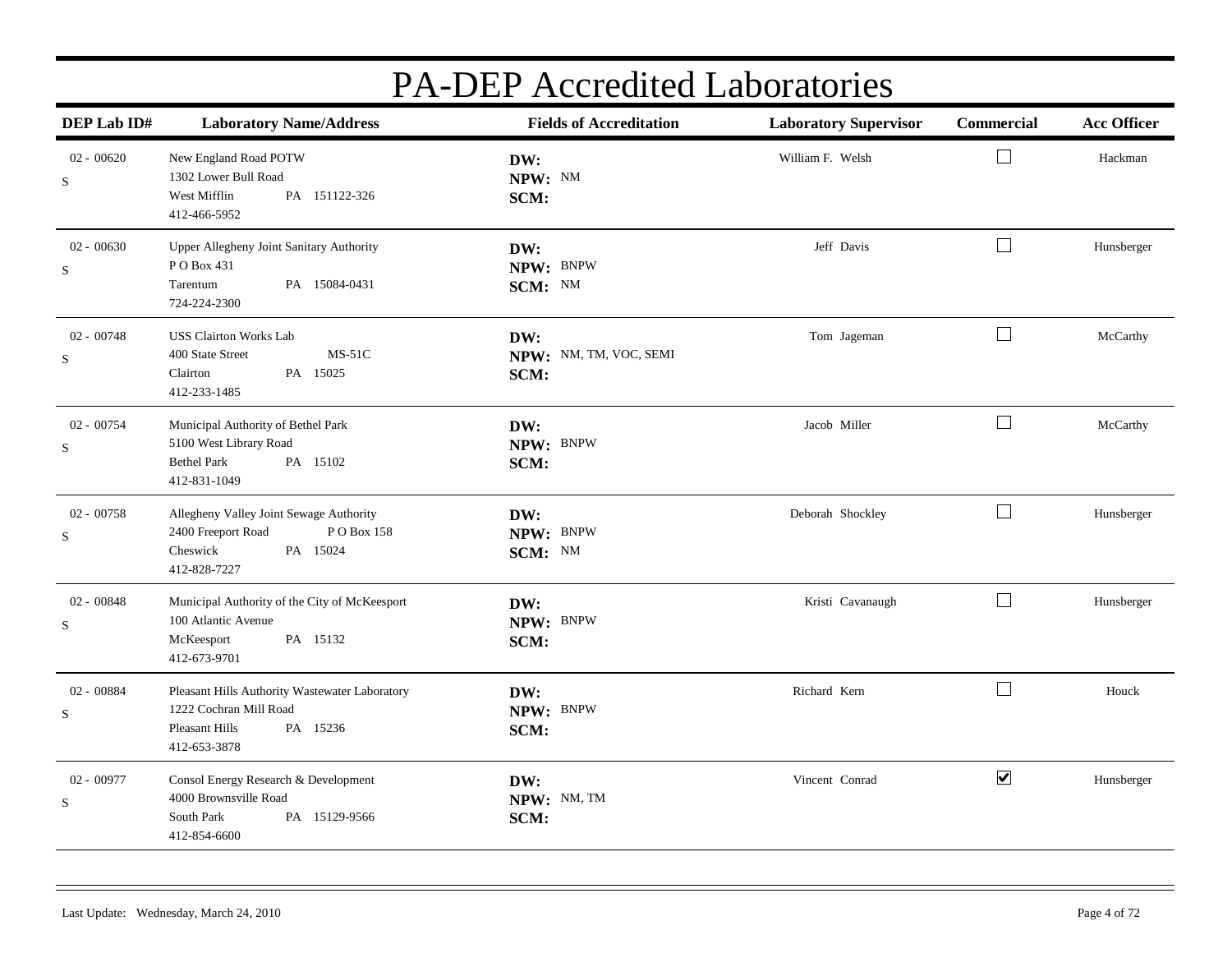| DEP Lab ID#                 | <b>Laboratory Name/Address</b>                                                                                         | <b>Fields of Accreditation</b>        | <b>Laboratory Supervisor</b> | Commercial           | <b>Acc Officer</b> |
|-----------------------------|------------------------------------------------------------------------------------------------------------------------|---------------------------------------|------------------------------|----------------------|--------------------|
| $02 - 00620$<br>S           | New England Road POTW<br>1302 Lower Bull Road<br>West Mifflin<br>PA 151122-326<br>412-466-5952                         | DW:<br>NPW: NM<br>SCM:                | William F. Welsh             | $\Box$               | Hackman            |
| $02 - 00630$<br>$\mathbf S$ | Upper Allegheny Joint Sanitary Authority<br>PO Box 431<br>Tarentum<br>PA 15084-0431<br>724-224-2300                    | DW:<br>NPW: BNPW<br>SCM: NM           | Jeff Davis                   | $\Box$               | Hunsberger         |
| $02 - 00748$<br>S           | <b>USS Clairton Works Lab</b><br>$MS-51C$<br>400 State Street<br>PA 15025<br>Clairton<br>412-233-1485                  | DW:<br>NPW: NM, TM, VOC, SEMI<br>SCM: | Tom Jageman                  | $\Box$               | McCarthy           |
| 02 - 00754<br>$\mathbf S$   | Municipal Authority of Bethel Park<br>5100 West Library Road<br>PA 15102<br><b>Bethel Park</b><br>412-831-1049         | DW:<br>NPW: BNPW<br>SCM:              | Jacob Miller                 | $\Box$               | McCarthy           |
| $02 - 00758$<br>S           | Allegheny Valley Joint Sewage Authority<br>2400 Freeport Road<br>PO Box 158<br>Cheswick<br>PA 15024<br>412-828-7227    | DW:<br>NPW: BNPW<br>SCM: NM           | Deborah Shockley             | $\Box$               | Hunsberger         |
| $02 - 00848$<br>$\mathbf S$ | Municipal Authority of the City of McKeesport<br>100 Atlantic Avenue<br>PA 15132<br>McKeesport<br>412-673-9701         | DW:<br>NPW: BNPW<br>SCM:              | Kristi Cavanaugh             | $\Box$               | Hunsberger         |
| 02 - 00884<br>$\mathbf S$   | Pleasant Hills Authority Wastewater Laboratory<br>1222 Cochran Mill Road<br>Pleasant Hills<br>PA 15236<br>412-653-3878 | DW:<br>NPW: BNPW<br>SCM:              | Richard Kern                 | $\Box$               | Houck              |
| $02 - 00977$<br>$\mathbf S$ | Consol Energy Research & Development<br>4000 Brownsville Road<br>South Park<br>PA 15129-9566<br>412-854-6600           | DW:<br>NPW: NM, TM<br>SCM:            | Vincent Conrad               | $\blacktriangledown$ | Hunsberger         |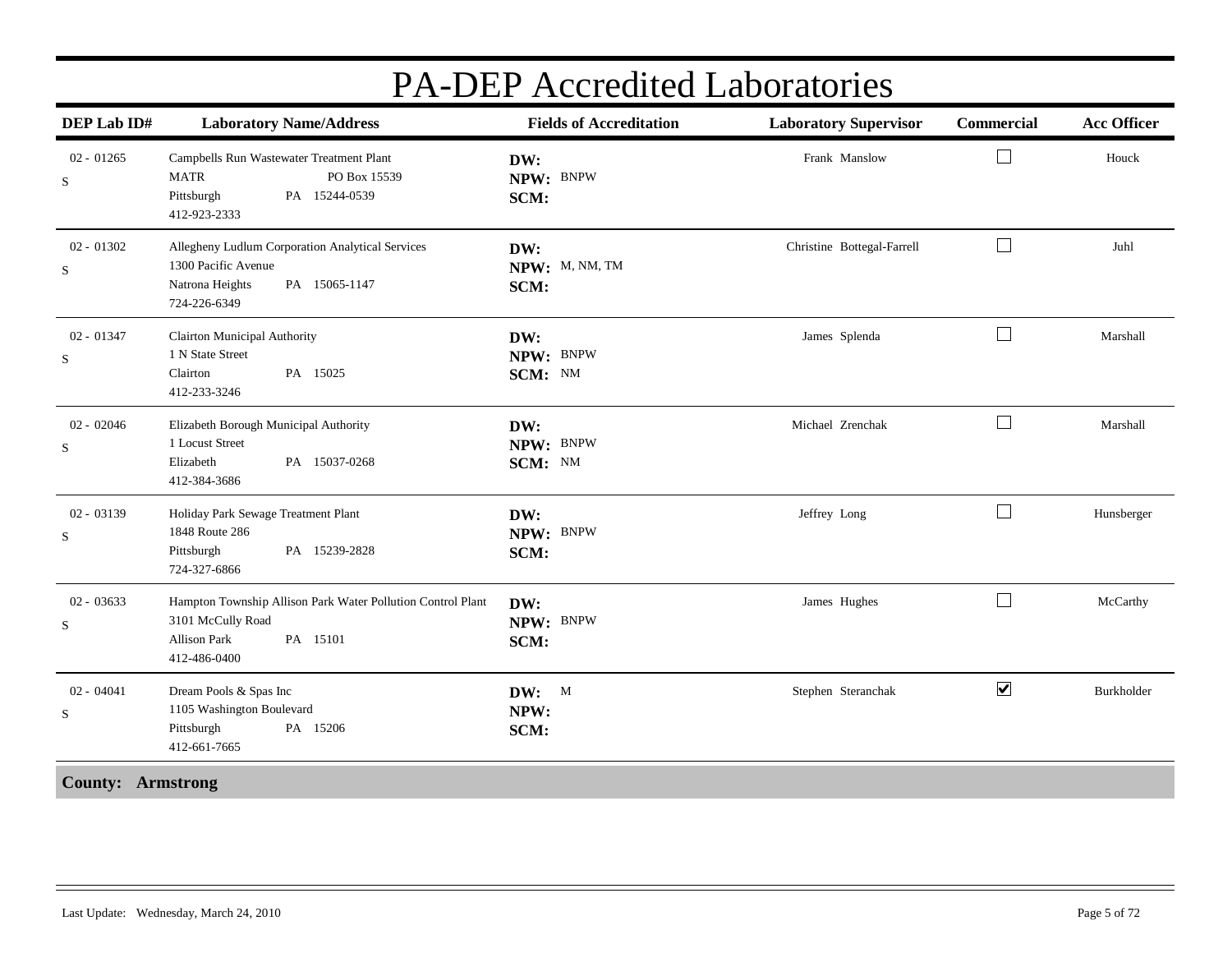| DEP Lab ID#                 | <b>Laboratory Name/Address</b>                                                                                                      | <b>Fields of Accreditation</b> | <b>Laboratory Supervisor</b> | Commercial           | <b>Acc Officer</b> |
|-----------------------------|-------------------------------------------------------------------------------------------------------------------------------------|--------------------------------|------------------------------|----------------------|--------------------|
| $02 - 01265$<br>${\bf S}$   | Campbells Run Wastewater Treatment Plant<br>PO Box 15539<br><b>MATR</b><br>Pittsburgh<br>PA 15244-0539<br>412-923-2333              | DW:<br>NPW: BNPW<br>SCM:       | Frank Manslow                | $\Box$               | Houck              |
| $02 - 01302$<br>$\mathbf S$ | Allegheny Ludlum Corporation Analytical Services<br>1300 Pacific Avenue<br>Natrona Heights<br>PA 15065-1147<br>724-226-6349         | DW:<br>NPW: M, NM, TM<br>SCM:  | Christine Bottegal-Farrell   | $\Box$               | Juhl               |
| $02 - 01347$<br>S           | <b>Clairton Municipal Authority</b><br>1 N State Street<br>Clairton<br>PA 15025<br>412-233-3246                                     | DW:<br>NPW: BNPW<br>SCM: NM    | James Splenda                | $\Box$               | Marshall           |
| $02 - 02046$<br>$\mathbf S$ | Elizabeth Borough Municipal Authority<br>1 Locust Street<br>Elizabeth<br>PA 15037-0268<br>412-384-3686                              | DW:<br>NPW: BNPW<br>SCM: NM    | Michael Zrenchak             | $\Box$               | Marshall           |
| $02 - 03139$<br>S           | Holiday Park Sewage Treatment Plant<br>1848 Route 286<br>PA 15239-2828<br>Pittsburgh<br>724-327-6866                                | DW:<br>NPW: BNPW<br>SCM:       | Jeffrey Long                 | $\Box$               | Hunsberger         |
| $02 - 03633$<br>S           | Hampton Township Allison Park Water Pollution Control Plant<br>3101 McCully Road<br>PA 15101<br><b>Allison Park</b><br>412-486-0400 | DW:<br>NPW: BNPW<br>SCM:       | James Hughes                 | $\Box$               | McCarthy           |
| $02 - 04041$<br>S           | Dream Pools & Spas Inc<br>1105 Washington Boulevard<br>Pittsburgh<br>PA 15206<br>412-661-7665                                       | DW: M<br>NPW:<br>SCM:          | Stephen Steranchak           | $\blacktriangledown$ | Burkholder         |
| <b>County: Armstrong</b>    |                                                                                                                                     |                                |                              |                      |                    |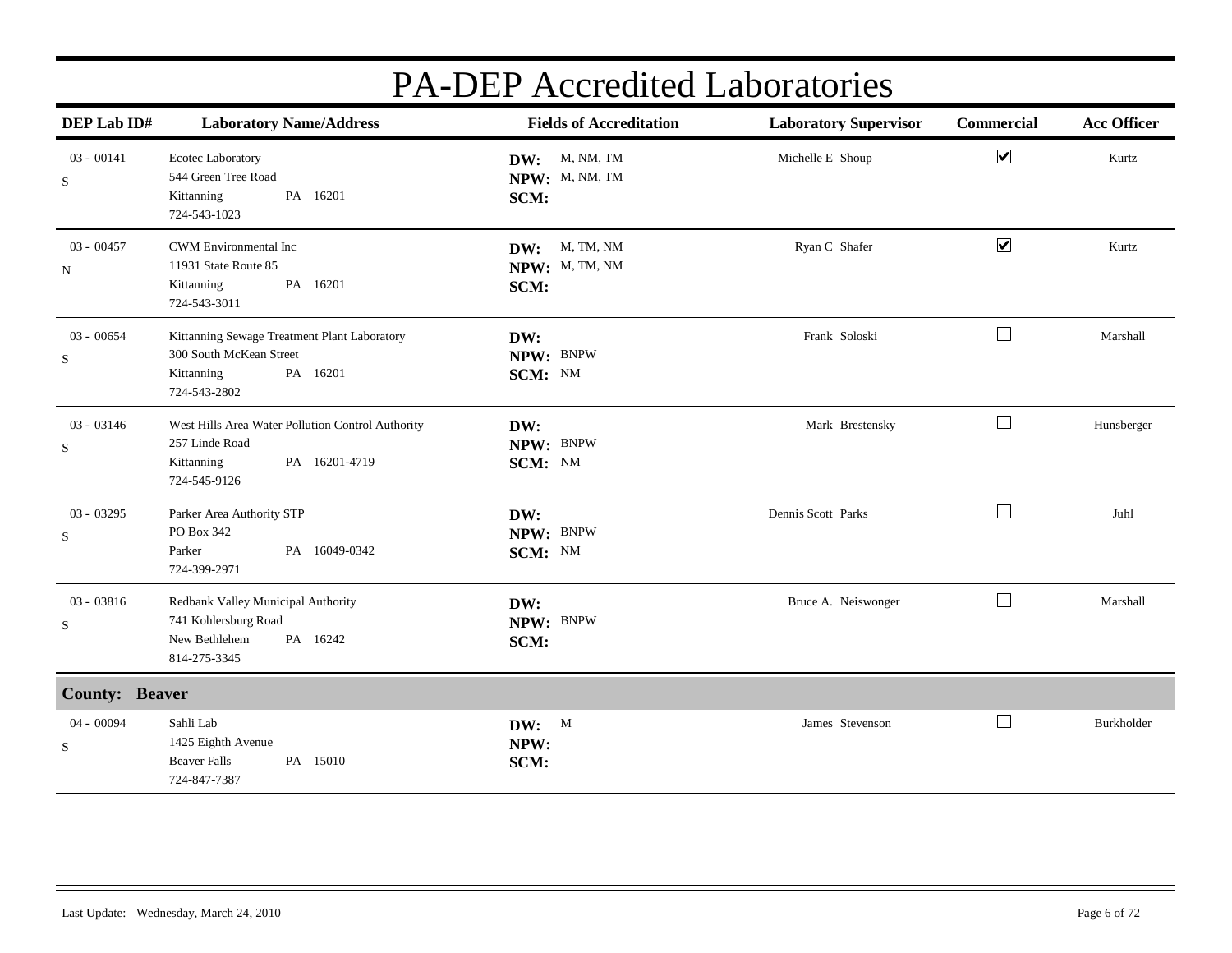| DEP Lab ID#                 | <b>Laboratory Name/Address</b>                                                                                     | <b>Fields of Accreditation</b>             | <b>Laboratory Supervisor</b> | <b>Commercial</b>    | <b>Acc Officer</b> |
|-----------------------------|--------------------------------------------------------------------------------------------------------------------|--------------------------------------------|------------------------------|----------------------|--------------------|
| $03 - 00141$<br>${\bf S}$   | Ecotec Laboratory<br>544 Green Tree Road<br>Kittanning<br>PA 16201<br>724-543-1023                                 | DW: M, NM, TM<br>NPW: M, NM, TM<br>SCM:    | Michelle E Shoup             | $\blacktriangledown$ | Kurtz              |
| $03 - 00457$<br>${\bf N}$   | CWM Environmental Inc<br>11931 State Route 85<br>PA 16201<br>Kittanning<br>724-543-3011                            | M, TM, NM<br>DW:<br>NPW: M, TM, NM<br>SCM: | Ryan C Shafer                | $\blacktriangledown$ | Kurtz              |
| $03 - 00654$<br>S           | Kittanning Sewage Treatment Plant Laboratory<br>300 South McKean Street<br>Kittanning<br>PA 16201<br>724-543-2802  | DW:<br>NPW: BNPW<br>SCM: NM                | Frank Soloski                | $\Box$               | Marshall           |
| $03 - 03146$<br>$\mathbf S$ | West Hills Area Water Pollution Control Authority<br>257 Linde Road<br>PA 16201-4719<br>Kittanning<br>724-545-9126 | DW:<br>NPW: BNPW<br>SCM: NM                | Mark Brestensky              | $\Box$               | Hunsberger         |
| $03 - 03295$<br>S           | Parker Area Authority STP<br>PO Box 342<br>Parker<br>PA 16049-0342<br>724-399-2971                                 | DW:<br>NPW: BNPW<br>SCM: NM                | Dennis Scott Parks           | $\Box$               | Juhl               |
| 03 - 03816<br>$\mathbf S$   | Redbank Valley Municipal Authority<br>741 Kohlersburg Road<br>New Bethlehem<br>PA 16242<br>814-275-3345            | DW:<br>NPW: BNPW<br>SCM:                   | Bruce A. Neiswonger          | $\Box$               | Marshall           |
| <b>County: Beaver</b>       |                                                                                                                    |                                            |                              |                      |                    |
| 04 - 00094<br>$\mathbf S$   | Sahli Lab<br>1425 Eighth Avenue<br><b>Beaver Falls</b><br>PA 15010<br>724-847-7387                                 | DW: M<br>NPW:<br>SCM:                      | James Stevenson              | $\vert \ \ \vert$    | Burkholder         |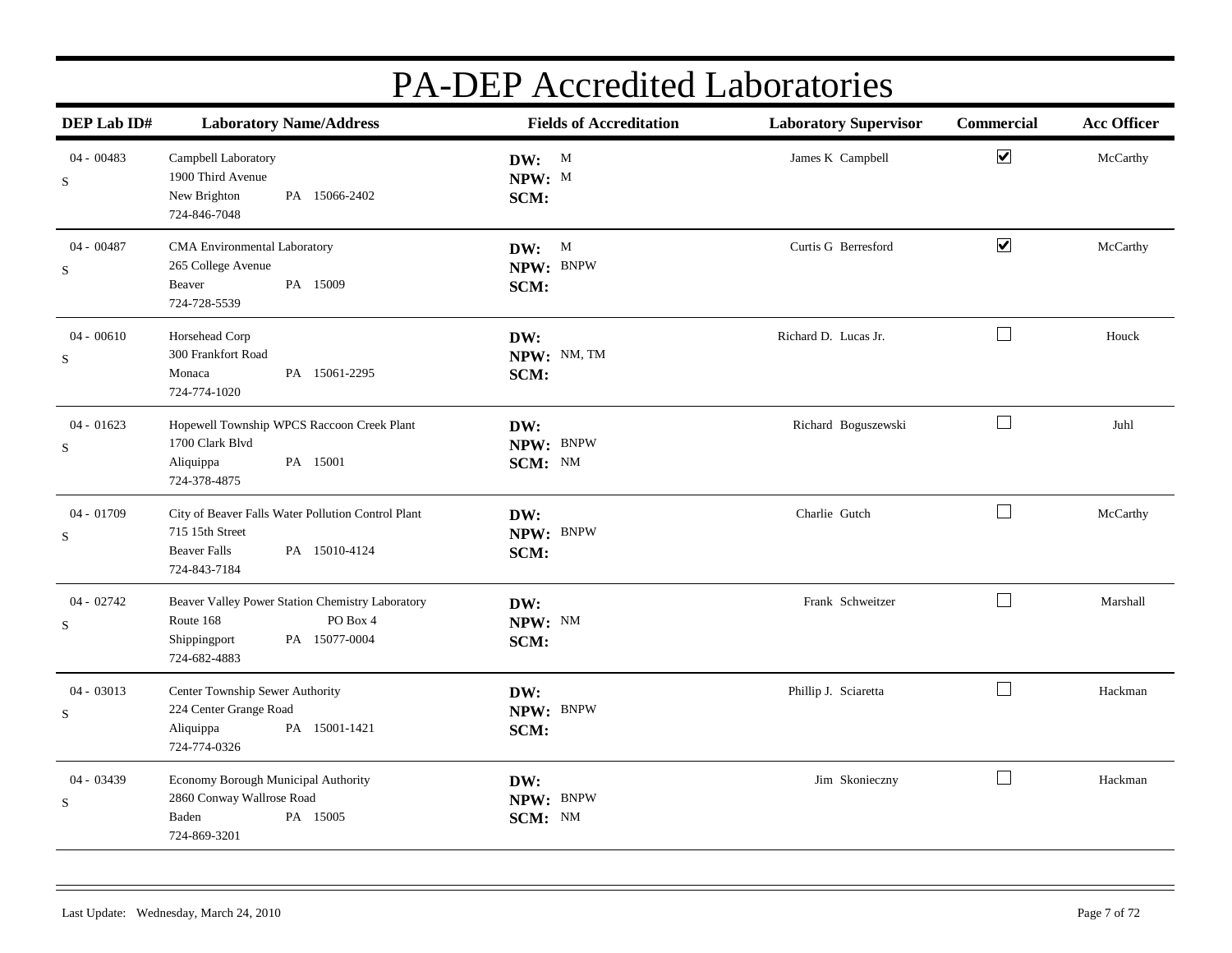| DEP Lab ID#                 | <b>Laboratory Name/Address</b>                                                                                                | <b>Fields of Accreditation</b> | <b>Laboratory Supervisor</b> | Commercial           | <b>Acc Officer</b> |
|-----------------------------|-------------------------------------------------------------------------------------------------------------------------------|--------------------------------|------------------------------|----------------------|--------------------|
| $04 - 00483$<br>S           | Campbell Laboratory<br>1900 Third Avenue<br>PA 15066-2402<br>New Brighton<br>724-846-7048                                     | DW: M<br>NPW: M<br>SCM:        | James K Campbell             | $\blacktriangledown$ | McCarthy           |
| 04 - 00487<br>S             | CMA Environmental Laboratory<br>265 College Avenue<br>PA 15009<br>Beaver<br>724-728-5539                                      | DW: M<br>NPW: BNPW<br>SCM:     | Curtis G Berresford          | $\blacktriangledown$ | McCarthy           |
| $04 - 00610$<br>S           | Horsehead Corp<br>300 Frankfort Road<br>PA 15061-2295<br>Monaca<br>724-774-1020                                               | DW:<br>NPW: NM, TM<br>SCM:     | Richard D. Lucas Jr.         | $\Box$               | Houck              |
| $04 - 01623$<br>S           | Hopewell Township WPCS Raccoon Creek Plant<br>1700 Clark Blvd<br>Aliquippa<br>PA 15001<br>724-378-4875                        | DW:<br>NPW: BNPW<br>SCM: NM    | Richard Boguszewski          | $\Box$               | Juhl               |
| $04 - 01709$<br>S           | City of Beaver Falls Water Pollution Control Plant<br>715 15th Street<br><b>Beaver Falls</b><br>PA 15010-4124<br>724-843-7184 | DW:<br>NPW: BNPW<br>SCM:       | Charlie Gutch                | $\Box$               | McCarthy           |
| $04 - 02742$<br>S           | Beaver Valley Power Station Chemistry Laboratory<br>PO Box 4<br>Route 168<br>Shippingport<br>PA 15077-0004<br>724-682-4883    | DW:<br>NPW: NM<br>SCM:         | Frank Schweitzer             | $\Box$               | Marshall           |
| $04 - 03013$<br>$\mathbf S$ | Center Township Sewer Authority<br>224 Center Grange Road<br>PA 15001-1421<br>Aliquippa<br>724-774-0326                       | DW:<br>NPW: BNPW<br>SCM:       | Phillip J. Sciaretta         | $\Box$               | Hackman            |
| $04 - 03439$<br>S           | Economy Borough Municipal Authority<br>2860 Conway Wallrose Road<br>Baden<br>PA 15005<br>724-869-3201                         | DW:<br>NPW: BNPW<br>SCM: NM    | Jim Skonieczny               | $\Box$               | Hackman            |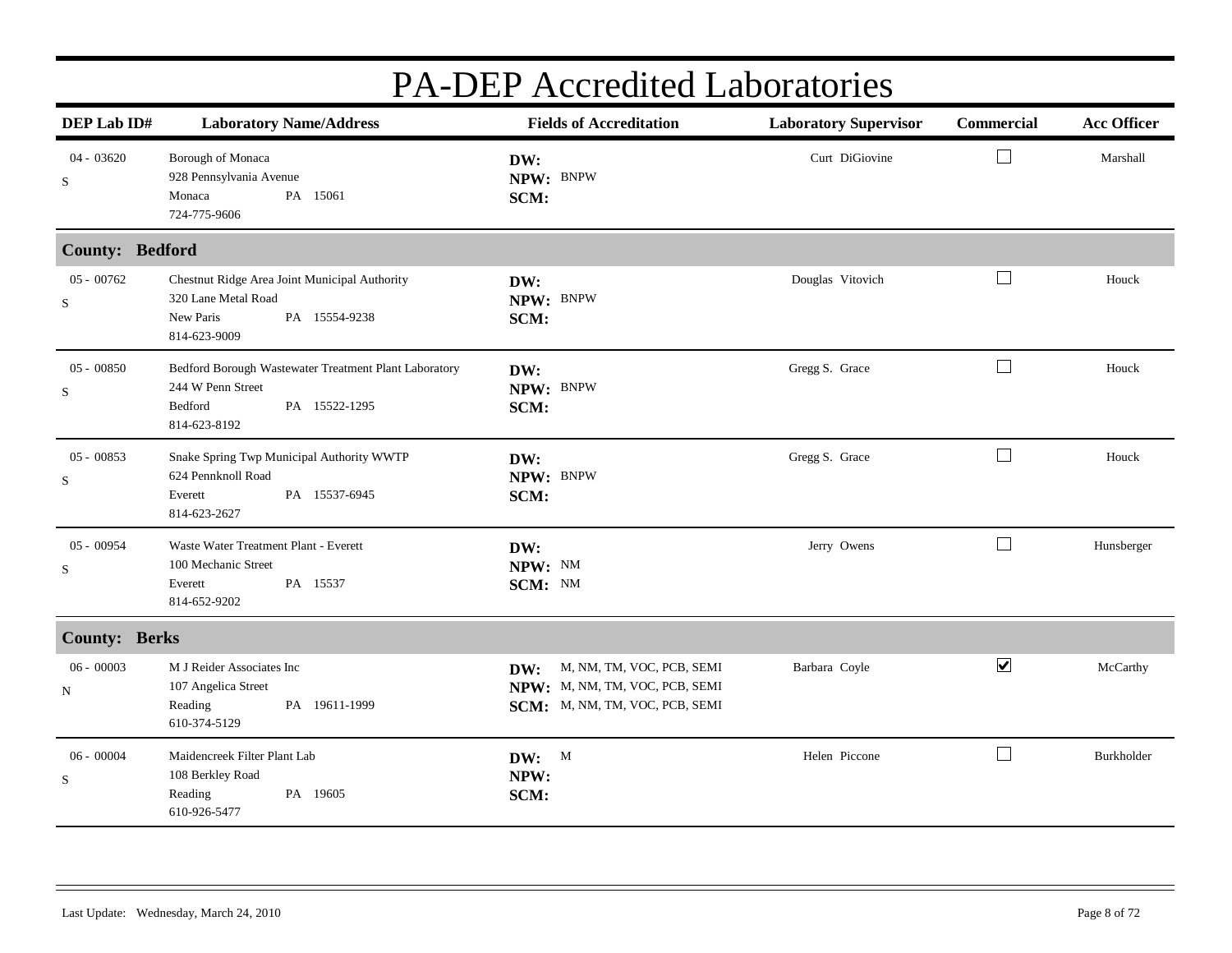| DEP Lab ID#          | <b>Laboratory Name/Address</b>                                                                                         | <b>Fields of Accreditation</b>                                                                       | <b>Laboratory Supervisor</b> | Commercial           | <b>Acc Officer</b> |
|----------------------|------------------------------------------------------------------------------------------------------------------------|------------------------------------------------------------------------------------------------------|------------------------------|----------------------|--------------------|
| $04 - 03620$<br>S    | Borough of Monaca<br>928 Pennsylvania Avenue<br>Monaca<br>PA 15061<br>724-775-9606                                     | DW:<br>NPW: BNPW<br>SCM:                                                                             | Curt DiGiovine               | $\Box$               | Marshall           |
| County: Bedford      |                                                                                                                        |                                                                                                      |                              |                      |                    |
| $05 - 00762$<br>S    | Chestnut Ridge Area Joint Municipal Authority<br>320 Lane Metal Road<br>New Paris<br>PA 15554-9238<br>814-623-9009     | DW:<br>NPW: BNPW<br>SCM:                                                                             | Douglas Vitovich             | ப                    | Houck              |
| $05 - 00850$<br>S    | Bedford Borough Wastewater Treatment Plant Laboratory<br>244 W Penn Street<br>Bedford<br>PA 15522-1295<br>814-623-8192 | DW:<br>NPW: BNPW<br>SCM:                                                                             | Gregg S. Grace               | $\perp$              | Houck              |
| $05 - 00853$<br>S    | Snake Spring Twp Municipal Authority WWTP<br>624 Pennknoll Road<br>PA 15537-6945<br>Everett<br>814-623-2627            | DW:<br>NPW: BNPW<br>SCM:                                                                             | Gregg S. Grace               | Ш                    | Houck              |
| 05 - 00954<br>S      | Waste Water Treatment Plant - Everett<br>100 Mechanic Street<br>PA 15537<br>Everett<br>814-652-9202                    | DW:<br>NPW: NM<br>SCM: NM                                                                            | Jerry Owens                  | $\Box$               | Hunsberger         |
| <b>County: Berks</b> |                                                                                                                        |                                                                                                      |                              |                      |                    |
| $06 - 00003$<br>N    | M J Reider Associates Inc<br>107 Angelica Street<br>Reading<br>PA 19611-1999<br>610-374-5129                           | M, NM, TM, VOC, PCB, SEMI<br>DW:<br>NPW: M, NM, TM, VOC, PCB, SEMI<br>SCM: M, NM, TM, VOC, PCB, SEMI | Barbara Coyle                | $\blacktriangledown$ | McCarthy           |
| $06 - 00004$<br>S    | Maidencreek Filter Plant Lab<br>108 Berkley Road<br>PA 19605<br>Reading<br>610-926-5477                                | DW: M<br>NPW:<br>SCM:                                                                                | Helen Piccone                | $\Box$               | Burkholder         |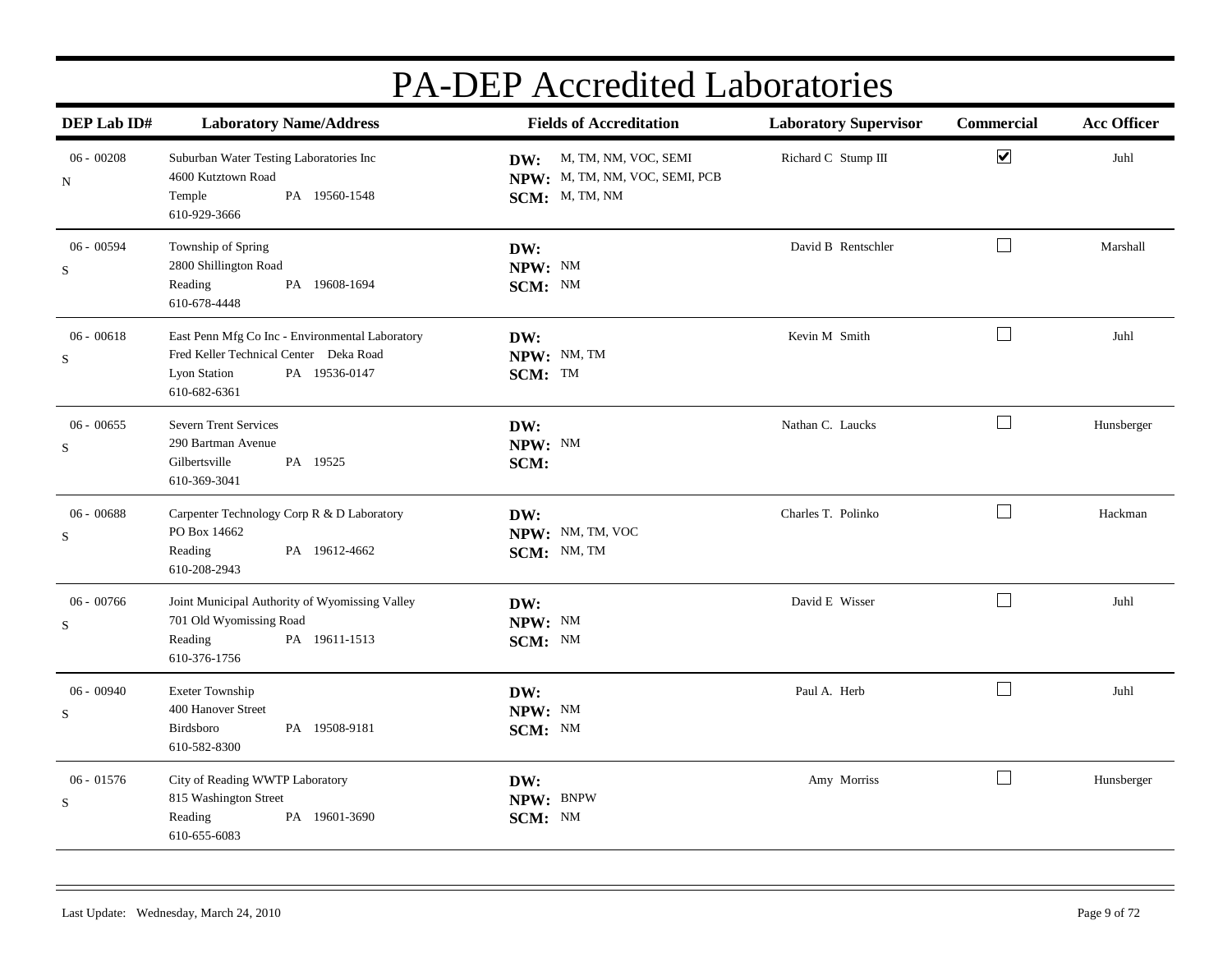| DEP Lab ID#                 | <b>Laboratory Name/Address</b>                                                                                                             | <b>Fields of Accreditation</b>                                               | <b>Laboratory Supervisor</b> | Commercial           | <b>Acc Officer</b> |
|-----------------------------|--------------------------------------------------------------------------------------------------------------------------------------------|------------------------------------------------------------------------------|------------------------------|----------------------|--------------------|
| $06 - 00208$<br>N           | Suburban Water Testing Laboratories Inc<br>4600 Kutztown Road<br>PA 19560-1548<br>Temple<br>610-929-3666                                   | DW: M, TM, NM, VOC, SEMI<br>NPW: M, TM, NM, VOC, SEMI, PCB<br>SCM: M, TM, NM | Richard C Stump III          | $\blacktriangledown$ | Juhl               |
| $06 - 00594$<br>$\mathbf S$ | Township of Spring<br>2800 Shillington Road<br>PA 19608-1694<br>Reading<br>610-678-4448                                                    | DW:<br>NPW: NM<br>SCM: NM                                                    | David B Rentschler           | $\Box$               | Marshall           |
| $06 - 00618$<br>S           | East Penn Mfg Co Inc - Environmental Laboratory<br>Fred Keller Technical Center Deka Road<br>PA 19536-0147<br>Lyon Station<br>610-682-6361 | DW:<br>NPW: NM, TM<br>SCM: TM                                                | Kevin M Smith                | $\Box$               | Juhl               |
| $06 - 00655$<br>$\mathbf S$ | <b>Severn Trent Services</b><br>290 Bartman Avenue<br>Gilbertsville<br>PA 19525<br>610-369-3041                                            | DW:<br>NPW: NM<br>SCM:                                                       | Nathan C. Laucks             | $\Box$               | Hunsberger         |
| $06 - 00688$<br>$\mathbf S$ | Carpenter Technology Corp R & D Laboratory<br>PO Box 14662<br>PA 19612-4662<br>Reading<br>610-208-2943                                     | DW:<br>NPW: NM, TM, VOC<br>SCM: NM, TM                                       | Charles T. Polinko           | $\mathsf{L}$         | Hackman            |
| $06 - 00766$<br>S           | Joint Municipal Authority of Wyomissing Valley<br>701 Old Wyomissing Road<br>Reading<br>PA 19611-1513<br>610-376-1756                      | DW:<br>NPW: NM<br>SCM: NM                                                    | David E Wisser               | $\Box$               | Juhl               |
| $06 - 00940$<br>S           | Exeter Township<br>400 Hanover Street<br>PA 19508-9181<br>Birdsboro<br>610-582-8300                                                        | DW:<br>NPW: NM<br>SCM: NM                                                    | Paul A. Herb                 | $\Box$               | Juhl               |
| $06 - 01576$<br>$\mathbf S$ | City of Reading WWTP Laboratory<br>815 Washington Street<br>PA 19601-3690<br>Reading<br>610-655-6083                                       | DW:<br>NPW: BNPW<br>SCM: NM                                                  | Amy Morriss                  | $\Box$               | Hunsberger         |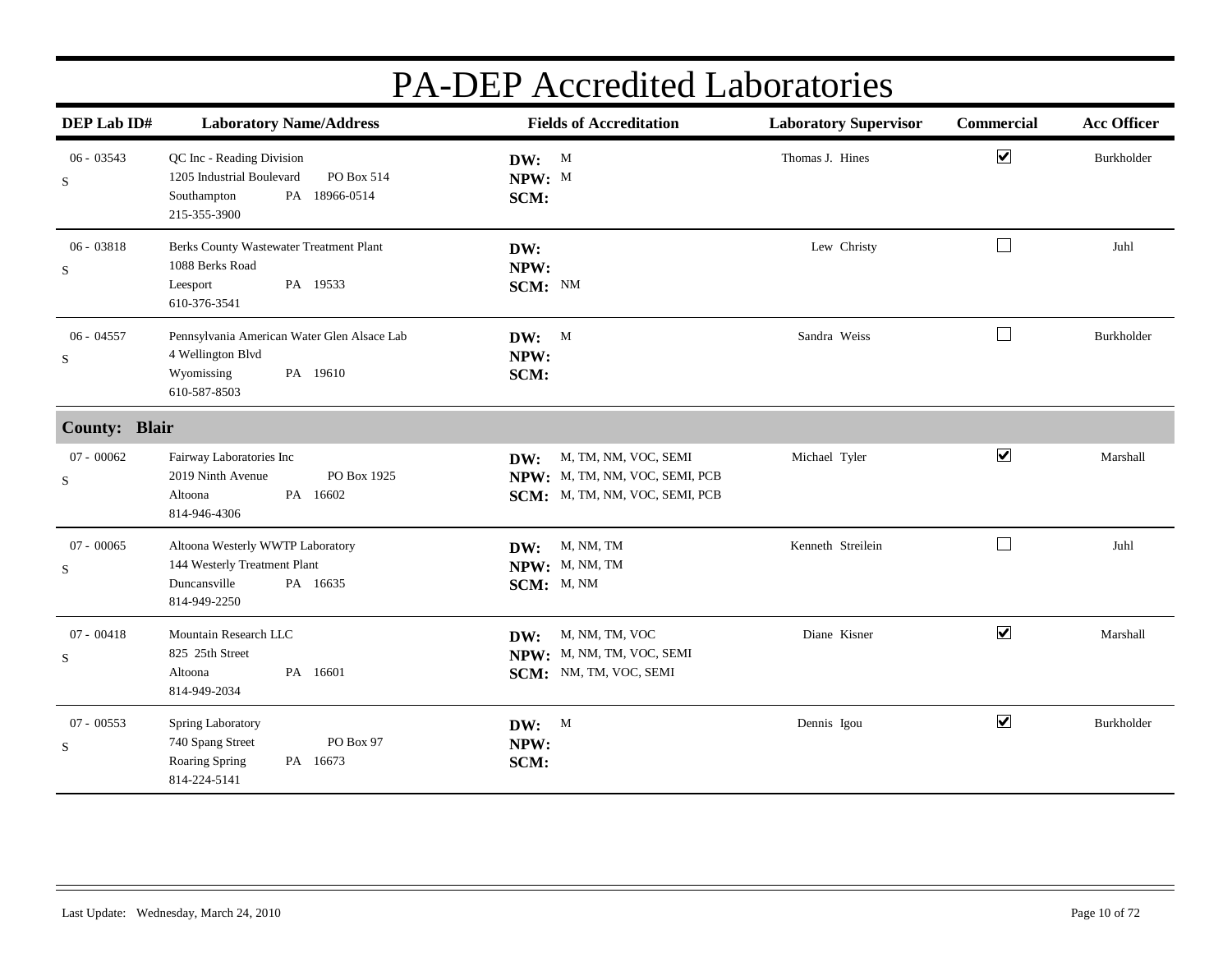| DEP Lab ID#                 | <b>Laboratory Name/Address</b>                                                                                          | <b>Fields of Accreditation</b>                                                                  | <b>Laboratory Supervisor</b> | Commercial              | <b>Acc Officer</b> |
|-----------------------------|-------------------------------------------------------------------------------------------------------------------------|-------------------------------------------------------------------------------------------------|------------------------------|-------------------------|--------------------|
| $06 - 03543$<br>${\bf S}$   | QC Inc - Reading Division<br>1205 Industrial Boulevard<br>PO Box 514<br>18966-0514<br>Southampton<br>PA<br>215-355-3900 | DW: M<br>NPW: M<br>SCM:                                                                         | Thomas J. Hines              | $\blacktriangledown$    | Burkholder         |
| $06 - 03818$<br>$\mathbf S$ | Berks County Wastewater Treatment Plant<br>1088 Berks Road<br>PA 19533<br>Leesport<br>610-376-3541                      | DW:<br>NPW:<br>SCM: NM                                                                          | Lew Christy                  | $\Box$                  | Juhl               |
| $06 - 04557$<br>S           | Pennsylvania American Water Glen Alsace Lab<br>4 Wellington Blvd<br>Wyomissing<br>PA 19610<br>610-587-8503              | DW: M<br>NPW:<br>SCM:                                                                           | Sandra Weiss                 | $\Box$                  | Burkholder         |
| <b>County: Blair</b>        |                                                                                                                         |                                                                                                 |                              |                         |                    |
| $07 - 00062$<br>S           | Fairway Laboratories Inc<br>PO Box 1925<br>2019 Ninth Avenue<br>PA 16602<br>Altoona<br>814-946-4306                     | M, TM, NM, VOC, SEMI<br>DW:<br>NPW: M, TM, NM, VOC, SEMI, PCB<br>SCM: M, TM, NM, VOC, SEMI, PCB | Michael Tyler                | $\overline{\mathbf{v}}$ | Marshall           |
| $07 - 00065$<br>S           | Altoona Westerly WWTP Laboratory<br>144 Westerly Treatment Plant<br>Duncansville<br>PA 16635<br>814-949-2250            | <b>DW:</b> M, NM, TM<br>NPW: M, NM, TM<br>SCM: M, NM                                            | Kenneth Streilein            | $\Box$                  | Juhl               |
| $07 - 00418$<br>S           | Mountain Research LLC<br>825 25th Street<br>PA 16601<br>Altoona<br>814-949-2034                                         | M, NM, TM, VOC<br>DW:<br>NPW: M, NM, TM, VOC, SEMI<br>SCM: NM, TM, VOC, SEMI                    | Diane Kisner                 | $\blacktriangledown$    | Marshall           |
| $07 - 00553$<br>$\mathbf S$ | Spring Laboratory<br>PO Box 97<br>740 Spang Street<br>Roaring Spring<br>PA 16673<br>814-224-5141                        | DW: M<br>NPW:<br>SCM:                                                                           | Dennis Igou                  | $\overline{\mathbf{v}}$ | Burkholder         |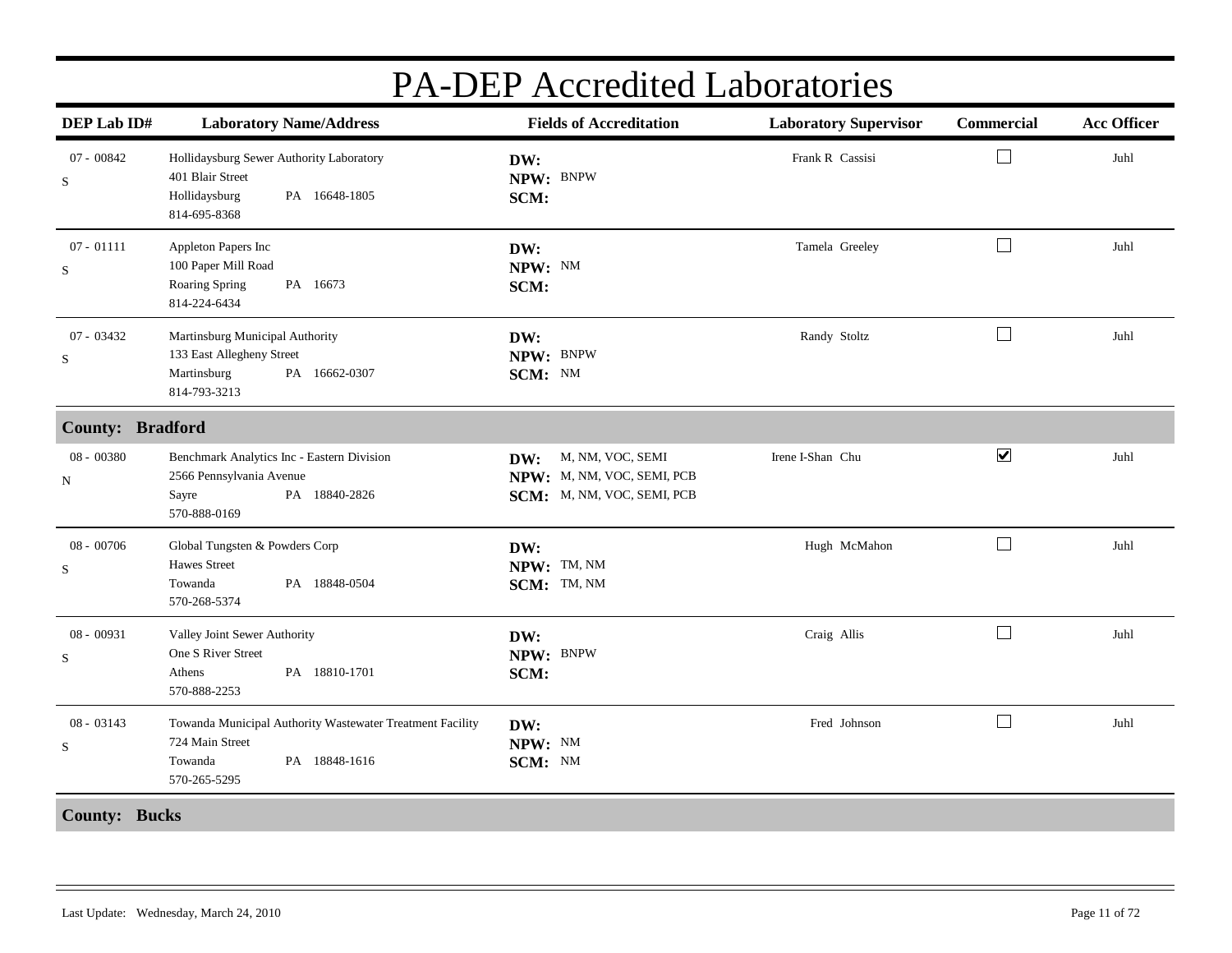| DEP Lab ID#                 | <b>Laboratory Name/Address</b>                                                                                           | <b>Fields of Accreditation</b>                                                      | <b>Laboratory Supervisor</b> | Commercial           | <b>Acc Officer</b> |
|-----------------------------|--------------------------------------------------------------------------------------------------------------------------|-------------------------------------------------------------------------------------|------------------------------|----------------------|--------------------|
| $07 - 00842$<br>S           | Hollidaysburg Sewer Authority Laboratory<br>401 Blair Street<br>Hollidaysburg<br>PA 16648-1805<br>814-695-8368           | DW:<br>NPW: BNPW<br>SCM:                                                            | Frank R Cassisi              | $\perp$              | Juhl               |
| $07 - 01111$<br>${\bf S}$   | Appleton Papers Inc<br>100 Paper Mill Road<br>Roaring Spring<br>PA 16673<br>814-224-6434                                 | DW:<br>NPW: NM<br>SCM:                                                              | Tamela Greeley               | $\Box$               | Juhl               |
| $07 - 03432$<br>S           | Martinsburg Municipal Authority<br>133 East Allegheny Street<br>Martinsburg<br>PA 16662-0307<br>814-793-3213             | DW:<br>NPW: BNPW<br>SCM: NM                                                         | Randy Stoltz                 | $\Box$               | Juhl               |
| <b>County: Bradford</b>     |                                                                                                                          |                                                                                     |                              |                      |                    |
| 08 - 00380<br>${\bf N}$     | Benchmark Analytics Inc - Eastern Division<br>2566 Pennsylvania Avenue<br>PA 18840-2826<br>Sayre<br>570-888-0169         | M, NM, VOC, SEMI<br>DW:<br>NPW: M, NM, VOC, SEMI, PCB<br>SCM: M, NM, VOC, SEMI, PCB | Irene I-Shan Chu             | $\blacktriangledown$ | Juhl               |
| 08 - 00706<br>S             | Global Tungsten & Powders Corp<br><b>Hawes Street</b><br>Towanda<br>PA 18848-0504<br>570-268-5374                        | DW:<br>NPW: TM, NM<br>SCM: TM, NM                                                   | Hugh McMahon                 | $\Box$               | Juhl               |
| $08 - 00931$<br>$\rm S$     | Valley Joint Sewer Authority<br>One S River Street<br>PA 18810-1701<br>Athens<br>570-888-2253                            | DW:<br>NPW: BNPW<br>SCM:                                                            | Craig Allis                  | $\Box$               | Juhl               |
| $08 - 03143$<br>$\mathbf S$ | Towanda Municipal Authority Wastewater Treatment Facility<br>724 Main Street<br>PA 18848-1616<br>Towanda<br>570-265-5295 | DW:<br>NPW: NM<br>SCM: NM                                                           | Fred Johnson                 | $\mathbf{L}$         | Juhl               |
| <b>County: Bucks</b>        |                                                                                                                          |                                                                                     |                              |                      |                    |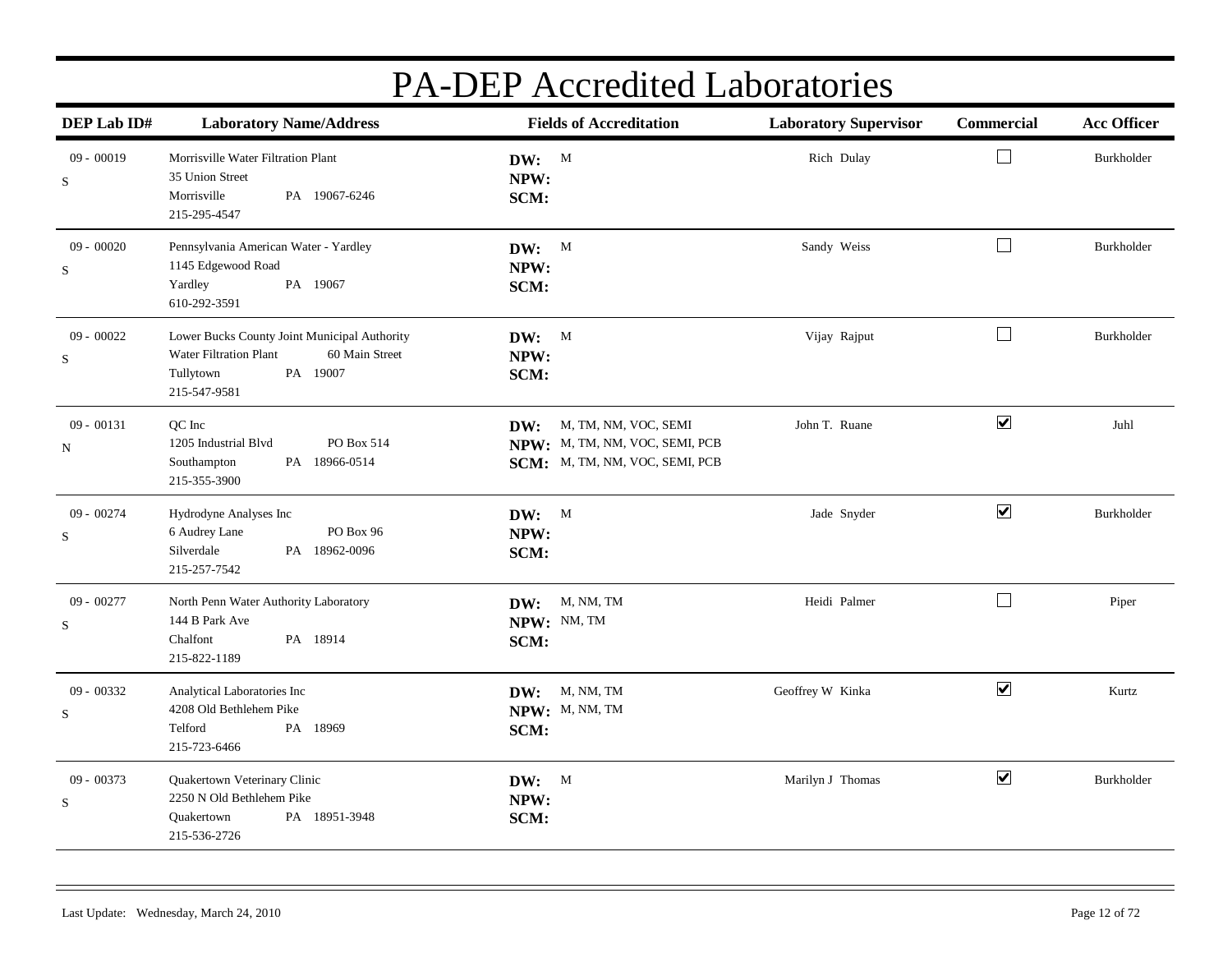| DEP Lab ID#                 | <b>Laboratory Name/Address</b>                                                                                                    | <b>Fields of Accreditation</b>                                                                  | <b>Laboratory Supervisor</b> | Commercial           | <b>Acc Officer</b> |
|-----------------------------|-----------------------------------------------------------------------------------------------------------------------------------|-------------------------------------------------------------------------------------------------|------------------------------|----------------------|--------------------|
| $09 - 00019$<br>$\mathbf S$ | Morrisville Water Filtration Plant<br>35 Union Street<br>Morrisville<br>PA 19067-6246<br>215-295-4547                             | DW: M<br>NPW:<br>SCM:                                                                           | Rich Dulay                   | $\Box$               | Burkholder         |
| $09 - 00020$<br>$\mathbf S$ | Pennsylvania American Water - Yardley<br>1145 Edgewood Road<br>Yardley<br>PA 19067<br>610-292-3591                                | DW: M<br>NPW:<br>SCM:                                                                           | Sandy Weiss                  | $\Box$               | Burkholder         |
| $09 - 00022$<br>$\mathbf S$ | Lower Bucks County Joint Municipal Authority<br>Water Filtration Plant<br>60 Main Street<br>PA 19007<br>Tullytown<br>215-547-9581 | DW: M<br>NPW:<br>SCM:                                                                           | Vijay Rajput                 | $\Box$               | Burkholder         |
| $09 - 00131$<br>N           | QC Inc<br>1205 Industrial Blvd<br>PO Box 514<br>PA 18966-0514<br>Southampton<br>215-355-3900                                      | M, TM, NM, VOC, SEMI<br>DW:<br>NPW: M, TM, NM, VOC, SEMI, PCB<br>SCM: M, TM, NM, VOC, SEMI, PCB | John T. Ruane                | $\blacktriangledown$ | Juhl               |
| $09 - 00274$<br>$\mathbf S$ | Hydrodyne Analyses Inc<br>PO Box 96<br>6 Audrey Lane<br>Silverdale<br>PA 18962-0096<br>215-257-7542                               | DW: M<br>NPW:<br>SCM:                                                                           | Jade Snyder                  | $\blacktriangledown$ | Burkholder         |
| 09 - 00277<br>S             | North Penn Water Authority Laboratory<br>144 B Park Ave<br>Chalfont<br>PA 18914<br>215-822-1189                                   | M, NM, TM<br>DW:<br>NPW: NM, TM<br>SCM:                                                         | Heidi Palmer                 | $\Box$               | Piper              |
| $09 - 00332$<br>S           | Analytical Laboratories Inc<br>4208 Old Bethlehem Pike<br>Telford<br>PA 18969<br>215-723-6466                                     | M, NM, TM<br>DW:<br>NPW: M, NM, TM<br>SCM:                                                      | Geoffrey W Kinka             | $\blacktriangledown$ | Kurtz              |
| $09 - 00373$<br>$\mathbf S$ | Quakertown Veterinary Clinic<br>2250 N Old Bethlehem Pike<br>PA 18951-3948<br>Quakertown<br>215-536-2726                          | DW: M<br>NPW:<br>SCM:                                                                           | Marilyn J Thomas             | $\blacktriangledown$ | Burkholder         |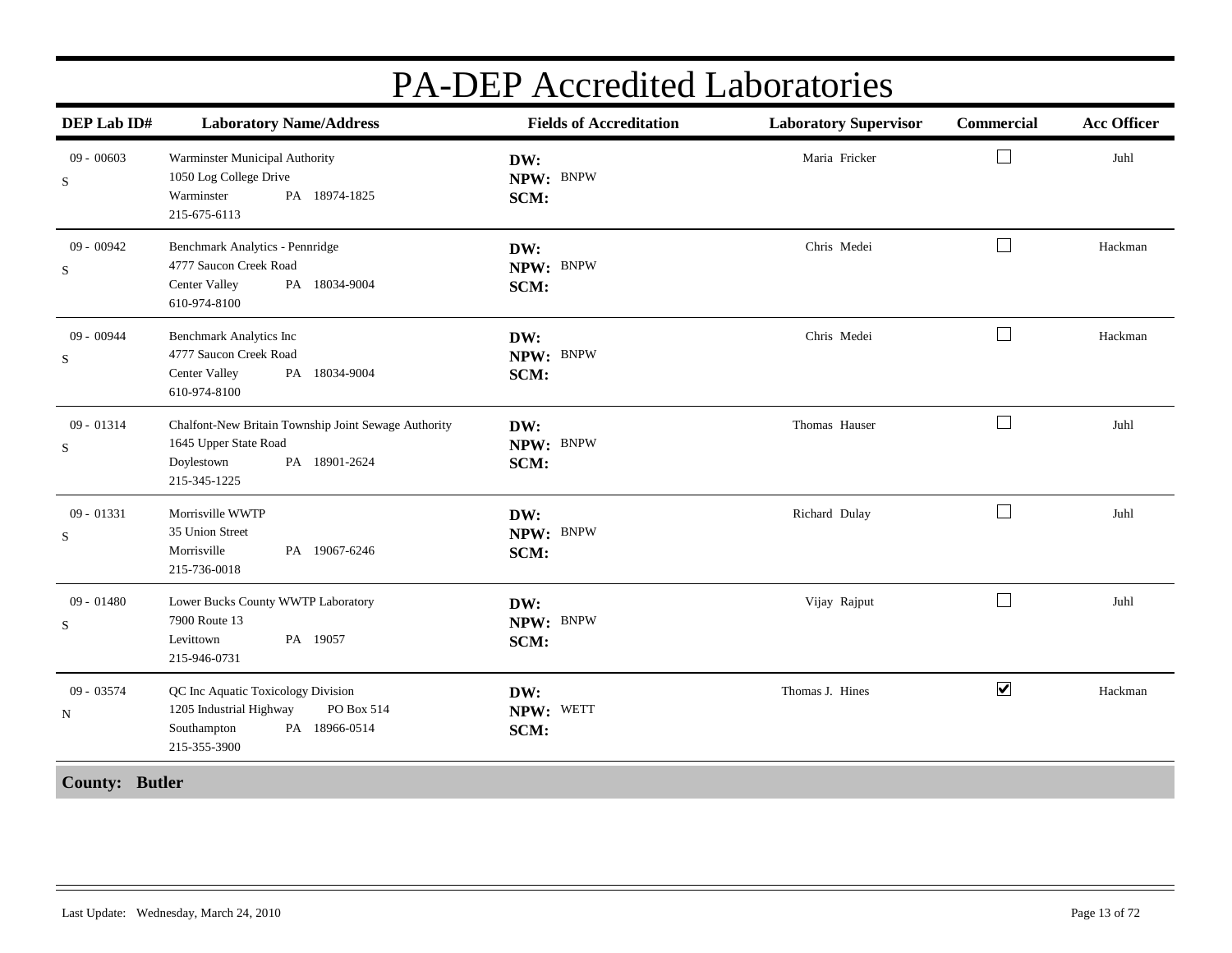| DEP Lab ID#                 | <b>Laboratory Name/Address</b>                                                                                               | <b>Fields of Accreditation</b> | <b>Laboratory Supervisor</b> | Commercial           | <b>Acc Officer</b> |
|-----------------------------|------------------------------------------------------------------------------------------------------------------------------|--------------------------------|------------------------------|----------------------|--------------------|
| $09 - 00603$<br>$\mathbf S$ | Warminster Municipal Authority<br>1050 Log College Drive<br>Warminster<br>PA 18974-1825<br>215-675-6113                      | DW:<br>NPW: BNPW<br>SCM:       | Maria Fricker                | $\sqcup$             | Juhl               |
| 09 - 00942<br>$\mathbf S$   | Benchmark Analytics - Pennridge<br>4777 Saucon Creek Road<br>PA 18034-9004<br>Center Valley<br>610-974-8100                  | DW:<br>NPW: BNPW<br>SCM:       | Chris Medei                  | $\Box$               | Hackman            |
| $09 - 00944$<br>S           | <b>Benchmark Analytics Inc</b><br>4777 Saucon Creek Road<br>PA 18034-9004<br>Center Valley<br>610-974-8100                   | DW:<br>NPW: BNPW<br>SCM:       | Chris Medei                  | $\Box$               | Hackman            |
| $09 - 01314$<br>S           | Chalfont-New Britain Township Joint Sewage Authority<br>1645 Upper State Road<br>PA 18901-2624<br>Doylestown<br>215-345-1225 | DW:<br>NPW: BNPW<br>SCM:       | Thomas Hauser                | $\Box$               | Juhl               |
| $09 - 01331$<br>$\mathbf S$ | Morrisville WWTP<br>35 Union Street<br>Morrisville<br>PA 19067-6246<br>215-736-0018                                          | DW:<br>NPW: BNPW<br>SCM:       | Richard Dulay                | $\Box$               | Juhl               |
| $09 - 01480$<br>$\mathbf S$ | Lower Bucks County WWTP Laboratory<br>7900 Route 13<br>PA 19057<br>Levittown<br>215-946-0731                                 | DW:<br>NPW: BNPW<br>SCM:       | Vijay Rajput                 | $\Box$               | Juhl               |
| 09 - 03574<br>N             | QC Inc Aquatic Toxicology Division<br>1205 Industrial Highway<br>PO Box 514<br>Southampton<br>PA 18966-0514<br>215-355-3900  | DW:<br>NPW: WETT<br>SCM:       | Thomas J. Hines              | $\blacktriangledown$ | Hackman            |
| <b>County: Butler</b>       |                                                                                                                              |                                |                              |                      |                    |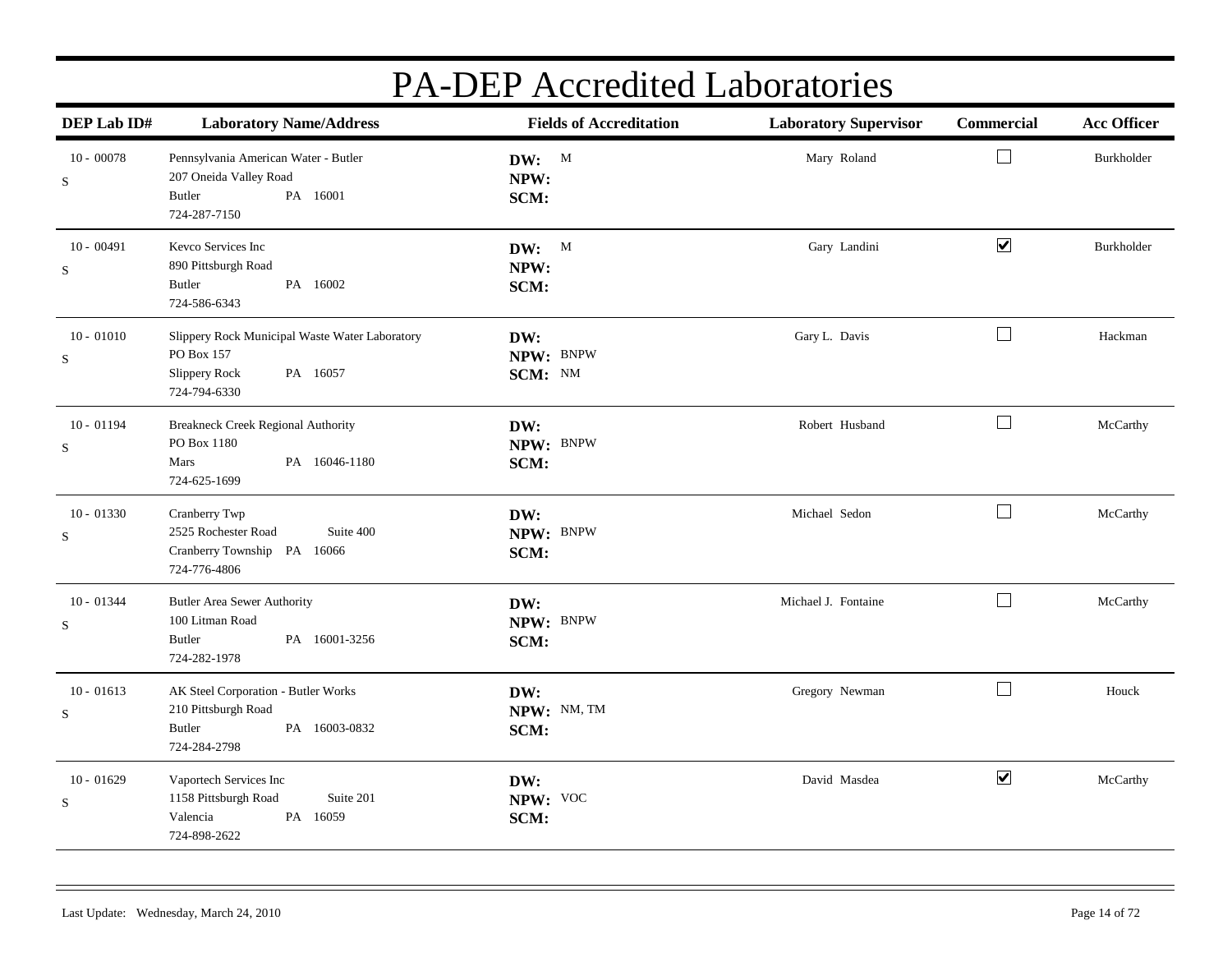| DEP Lab ID#                 | <b>Laboratory Name/Address</b>                                                                                   | <b>Fields of Accreditation</b> | <b>Laboratory Supervisor</b> | Commercial           | <b>Acc Officer</b> |
|-----------------------------|------------------------------------------------------------------------------------------------------------------|--------------------------------|------------------------------|----------------------|--------------------|
| $10 - 00078$<br>S           | Pennsylvania American Water - Butler<br>207 Oneida Valley Road<br>Butler<br>PA 16001<br>724-287-7150             | DW: M<br>NPW:<br>SCM:          | Mary Roland                  | $\Box$               | Burkholder         |
| $10 - 00491$<br>$\mathbf S$ | Kevco Services Inc<br>890 Pittsburgh Road<br>Butler<br>PA 16002<br>724-586-6343                                  | DW: M<br>NPW:<br>SCM:          | Gary Landini                 | $\blacktriangledown$ | Burkholder         |
| $10 - 01010$<br>S           | Slippery Rock Municipal Waste Water Laboratory<br>PO Box 157<br><b>Slippery Rock</b><br>PA 16057<br>724-794-6330 | DW:<br>NPW: BNPW<br>SCM: NM    | Gary L. Davis                | $\Box$               | Hackman            |
| $10 - 01194$<br>S           | Breakneck Creek Regional Authority<br>PO Box 1180<br>Mars<br>PA 16046-1180<br>724-625-1699                       | DW:<br>NPW: BNPW<br>SCM:       | Robert Husband               | $\Box$               | McCarthy           |
| $10 - 01330$<br>S           | Cranberry Twp<br>2525 Rochester Road<br>Suite 400<br>Cranberry Township PA 16066<br>724-776-4806                 | DW:<br>NPW: BNPW<br>SCM:       | Michael Sedon                | $\Box$               | McCarthy           |
| $10 - 01344$<br>S           | Butler Area Sewer Authority<br>100 Litman Road<br><b>Butler</b><br>PA 16001-3256<br>724-282-1978                 | DW:<br>NPW: BNPW<br>SCM:       | Michael J. Fontaine          | $\Box$               | McCarthy           |
| $10 - 01613$<br>S           | AK Steel Corporation - Butler Works<br>210 Pittsburgh Road<br>PA 16003-0832<br><b>Butler</b><br>724-284-2798     | DW:<br>NPW: NM, TM<br>SCM:     | Gregory Newman               | $\Box$               | Houck              |
| $10 - 01629$<br>S           | Vaportech Services Inc<br>1158 Pittsburgh Road<br>Suite 201<br>PA 16059<br>Valencia<br>724-898-2622              | DW:<br>NPW: VOC<br>SCM:        | David Masdea                 | $\blacktriangledown$ | McCarthy           |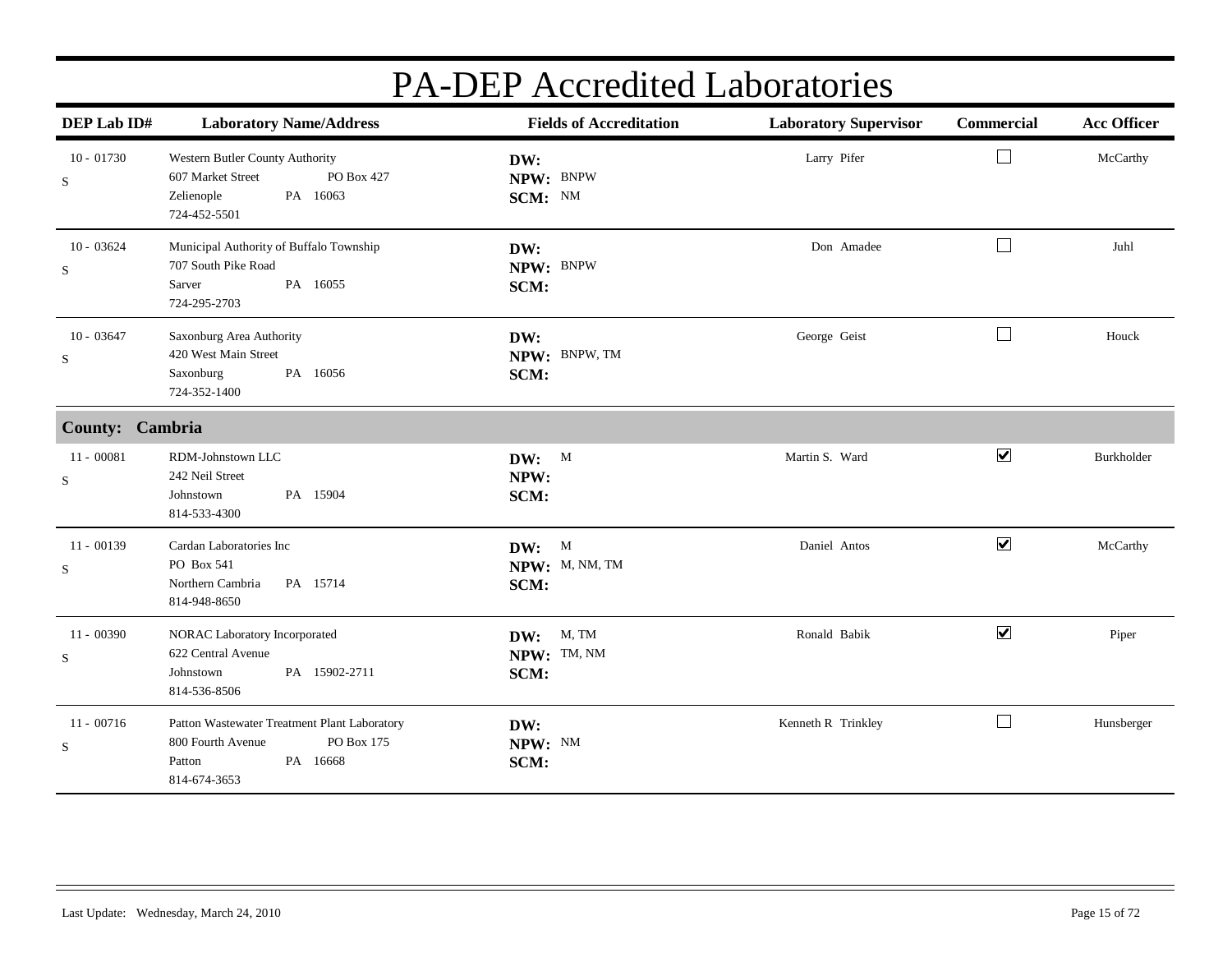| DEP Lab ID#                 | <b>Laboratory Name/Address</b>                                                                                        | <b>Fields of Accreditation</b>          | <b>Laboratory Supervisor</b> | Commercial                  | <b>Acc Officer</b> |
|-----------------------------|-----------------------------------------------------------------------------------------------------------------------|-----------------------------------------|------------------------------|-----------------------------|--------------------|
| $10 - 01730$<br>${\bf S}$   | Western Butler County Authority<br>PO Box 427<br>607 Market Street<br>PA 16063<br>Zelienople<br>724-452-5501          | DW:<br>NPW: BNPW<br>SCM: NM             | Larry Pifer                  | $\mathcal{L}_{\mathcal{A}}$ | McCarthy           |
| $10 - 03624$<br>S           | Municipal Authority of Buffalo Township<br>707 South Pike Road<br>PA 16055<br>Sarver<br>724-295-2703                  | DW:<br>NPW: BNPW<br>SCM:                | Don Amadee                   | $\overline{\phantom{a}}$    | Juhl               |
| $10 - 03647$<br>$\mathbf S$ | Saxonburg Area Authority<br>420 West Main Street<br>PA 16056<br>Saxonburg<br>724-352-1400                             | DW:<br>NPW: BNPW, TM<br>SCM:            | George Geist                 | $\Box$                      | Houck              |
| County: Cambria             |                                                                                                                       |                                         |                              |                             |                    |
| $11 - 00081$<br>S           | RDM-Johnstown LLC<br>242 Neil Street<br>PA 15904<br>Johnstown<br>814-533-4300                                         | DW: M<br>NPW:<br>SCM:                   | Martin S. Ward               | $\blacktriangledown$        | Burkholder         |
| $11 - 00139$<br>S           | Cardan Laboratories Inc<br>PO Box 541<br>Northern Cambria<br>PA 15714<br>814-948-8650                                 | DW: M<br>NPW: M, NM, TM<br>SCM:         | Daniel Antos                 | $\blacktriangledown$        | McCarthy           |
| $11 - 00390$<br>S           | NORAC Laboratory Incorporated<br>622 Central Avenue<br>PA 15902-2711<br>Johnstown<br>814-536-8506                     | <b>DW:</b> M, TM<br>NPW: TM, NM<br>SCM: | Ronald Babik                 | $\blacktriangledown$        | Piper              |
| $11 - 00716$<br>$\mathbf S$ | Patton Wastewater Treatment Plant Laboratory<br>PO Box 175<br>800 Fourth Avenue<br>PA 16668<br>Patton<br>814-674-3653 | DW:<br>NPW: NM<br>SCM:                  | Kenneth R Trinkley           | $\overline{\phantom{a}}$    | Hunsberger         |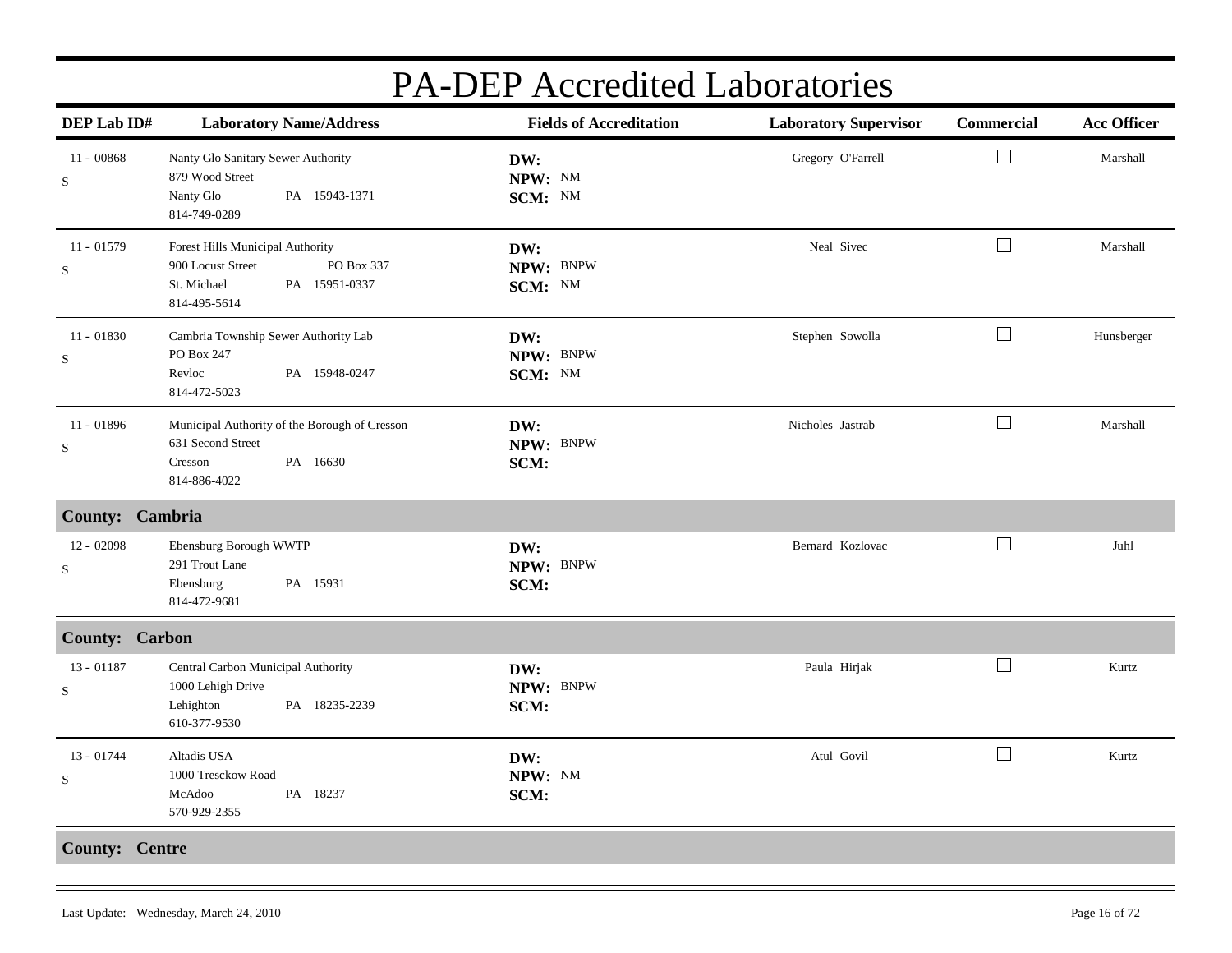| DEP Lab ID#                 | <b>Laboratory Name/Address</b>                                                                                      | <b>Fields of Accreditation</b> | <b>Laboratory Supervisor</b> | Commercial               | <b>Acc Officer</b> |
|-----------------------------|---------------------------------------------------------------------------------------------------------------------|--------------------------------|------------------------------|--------------------------|--------------------|
| $11 - 00868$<br>$\mathbf S$ | Nanty Glo Sanitary Sewer Authority<br>879 Wood Street<br>Nanty Glo<br>PA 15943-1371<br>814-749-0289                 | DW:<br>NPW: NM<br>SCM: NM      | Gregory O'Farrell            | $\overline{\phantom{a}}$ | Marshall           |
| $11 - 01579$<br>${\bf S}$   | Forest Hills Municipal Authority<br>900 Locust Street<br>PO Box 337<br>PA 15951-0337<br>St. Michael<br>814-495-5614 | DW:<br>NPW: BNPW<br>SCM: NM    | Neal Sivec                   | $\Box$                   | Marshall           |
| $11 - 01830$<br>S           | Cambria Township Sewer Authority Lab<br>PO Box 247<br>Revloc<br>PA 15948-0247<br>814-472-5023                       | DW:<br>NPW: BNPW<br>SCM: NM    | Stephen Sowolla              | ⊔                        | Hunsberger         |
| $11 - 01896$<br>$\mathbf S$ | Municipal Authority of the Borough of Cresson<br>631 Second Street<br>PA 16630<br>Cresson<br>814-886-4022           | DW:<br>NPW: BNPW<br>SCM:       | Nicholes Jastrab             | $\Box$                   | Marshall           |
| County: Cambria             |                                                                                                                     |                                |                              |                          |                    |
| $12 - 02098$<br>${\bf S}$   | Ebensburg Borough WWTP<br>291 Trout Lane<br>PA 15931<br>Ebensburg<br>814-472-9681                                   | DW:<br>NPW: BNPW<br>SCM:       | Bernard Kozlovac             | $\Box$                   | Juhl               |
| <b>County: Carbon</b>       |                                                                                                                     |                                |                              |                          |                    |
| 13 - 01187<br>S             | Central Carbon Municipal Authority<br>1000 Lehigh Drive<br>Lehighton<br>PA 18235-2239<br>610-377-9530               | DW:<br>NPW: BNPW<br>SCM:       | Paula Hirjak                 | $\Box$                   | Kurtz              |
| $13 - 01744$<br>S           | Altadis USA<br>1000 Tresckow Road<br>PA 18237<br>McAdoo<br>570-929-2355                                             | DW:<br>NPW: NM<br>SCM:         | Atul Govil                   | $\Box$                   | Kurtz              |
| <b>County: Centre</b>       |                                                                                                                     |                                |                              |                          |                    |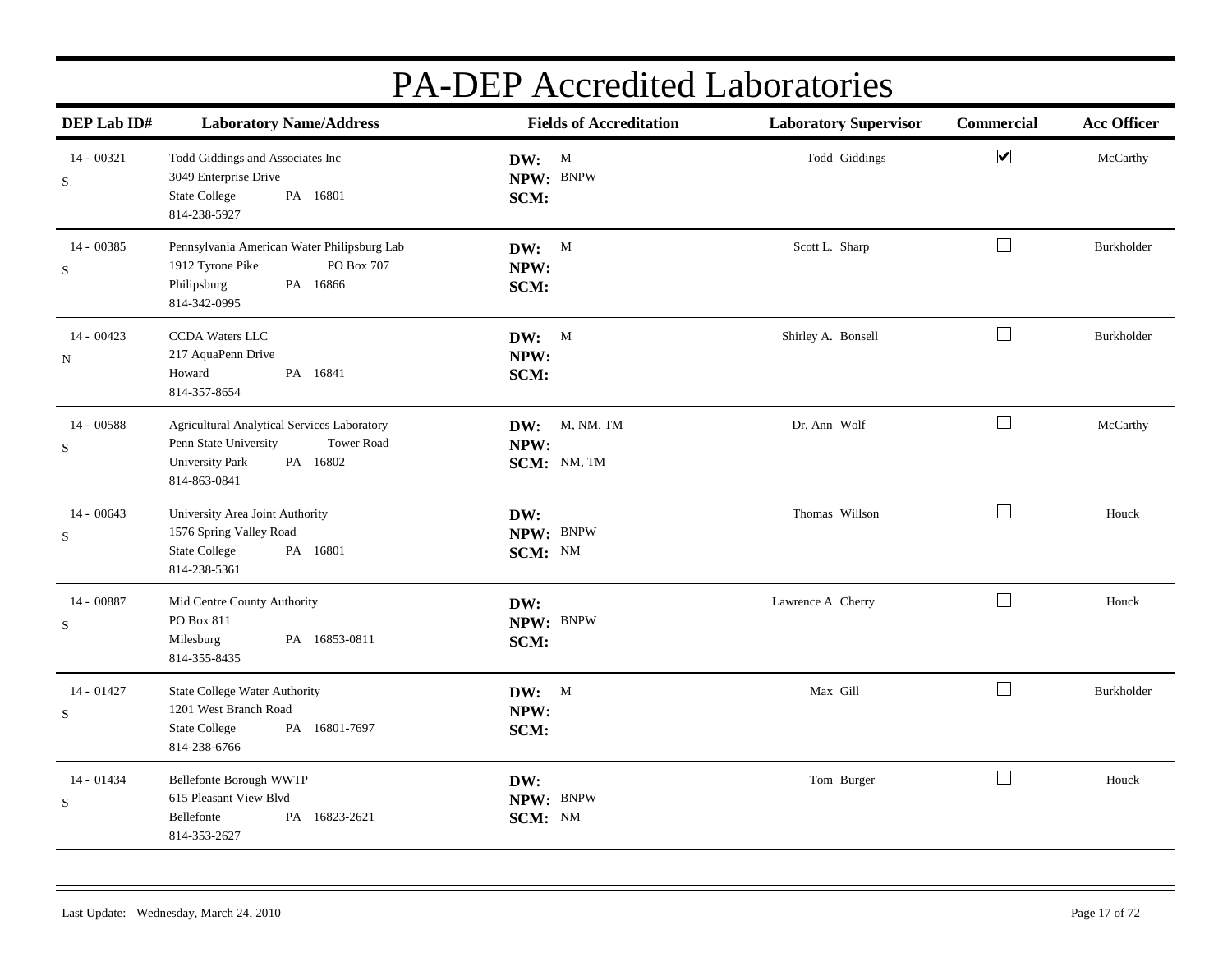| DEP Lab ID#               | <b>Laboratory Name/Address</b>                                                                                                                  | <b>Fields of Accreditation</b>       | <b>Laboratory Supervisor</b> | Commercial           | <b>Acc Officer</b> |
|---------------------------|-------------------------------------------------------------------------------------------------------------------------------------------------|--------------------------------------|------------------------------|----------------------|--------------------|
| 14 - 00321<br>S           | Todd Giddings and Associates Inc<br>3049 Enterprise Drive<br><b>State College</b><br>PA 16801<br>814-238-5927                                   | DW: M<br>NPW: BNPW<br>SCM:           | Todd Giddings                | $\blacktriangledown$ | McCarthy           |
| 14 - 00385<br>$\mathbf S$ | Pennsylvania American Water Philipsburg Lab<br>1912 Tyrone Pike<br>PO Box 707<br>Philipsburg<br>PA 16866<br>814-342-0995                        | DW: M<br>NPW:<br>SCM:                | Scott L. Sharp               | $\Box$               | Burkholder         |
| $14 - 00423$<br>N         | CCDA Waters LLC<br>217 AquaPenn Drive<br>Howard<br>PA 16841<br>814-357-8654                                                                     | DW: M<br>NPW:<br>SCM:                | Shirley A. Bonsell           | $\Box$               | Burkholder         |
| 14 - 00588<br>${\bf S}$   | Agricultural Analytical Services Laboratory<br>Penn State University<br><b>Tower Road</b><br><b>University Park</b><br>PA 16802<br>814-863-0841 | DW: M, NM, TM<br>NPW:<br>SCM: NM, TM | Dr. Ann Wolf                 | $\Box$               | McCarthy           |
| $14 - 00643$<br>${\bf S}$ | University Area Joint Authority<br>1576 Spring Valley Road<br><b>State College</b><br>PA 16801<br>814-238-5361                                  | DW:<br>NPW: BNPW<br>SCM: NM          | Thomas Willson               | $\Box$               | Houck              |
| 14 - 00887<br>${\bf S}$   | Mid Centre County Authority<br>PO Box 811<br>Milesburg<br>PA 16853-0811<br>814-355-8435                                                         | DW:<br>NPW: BNPW<br>SCM:             | Lawrence A Cherry            | $\Box$               | Houck              |
| 14 - 01427<br>S           | <b>State College Water Authority</b><br>1201 West Branch Road<br><b>State College</b><br>PA 16801-7697<br>814-238-6766                          | DW: M<br>NPW:<br>SCM:                | Max Gill                     | $\Box$               | Burkholder         |
| $14 - 01434$<br>${\bf S}$ | Bellefonte Borough WWTP<br>615 Pleasant View Blvd<br>PA 16823-2621<br>Bellefonte<br>814-353-2627                                                | DW:<br>NPW: BNPW<br>SCM: NM          | Tom Burger                   | $\Box$               | Houck              |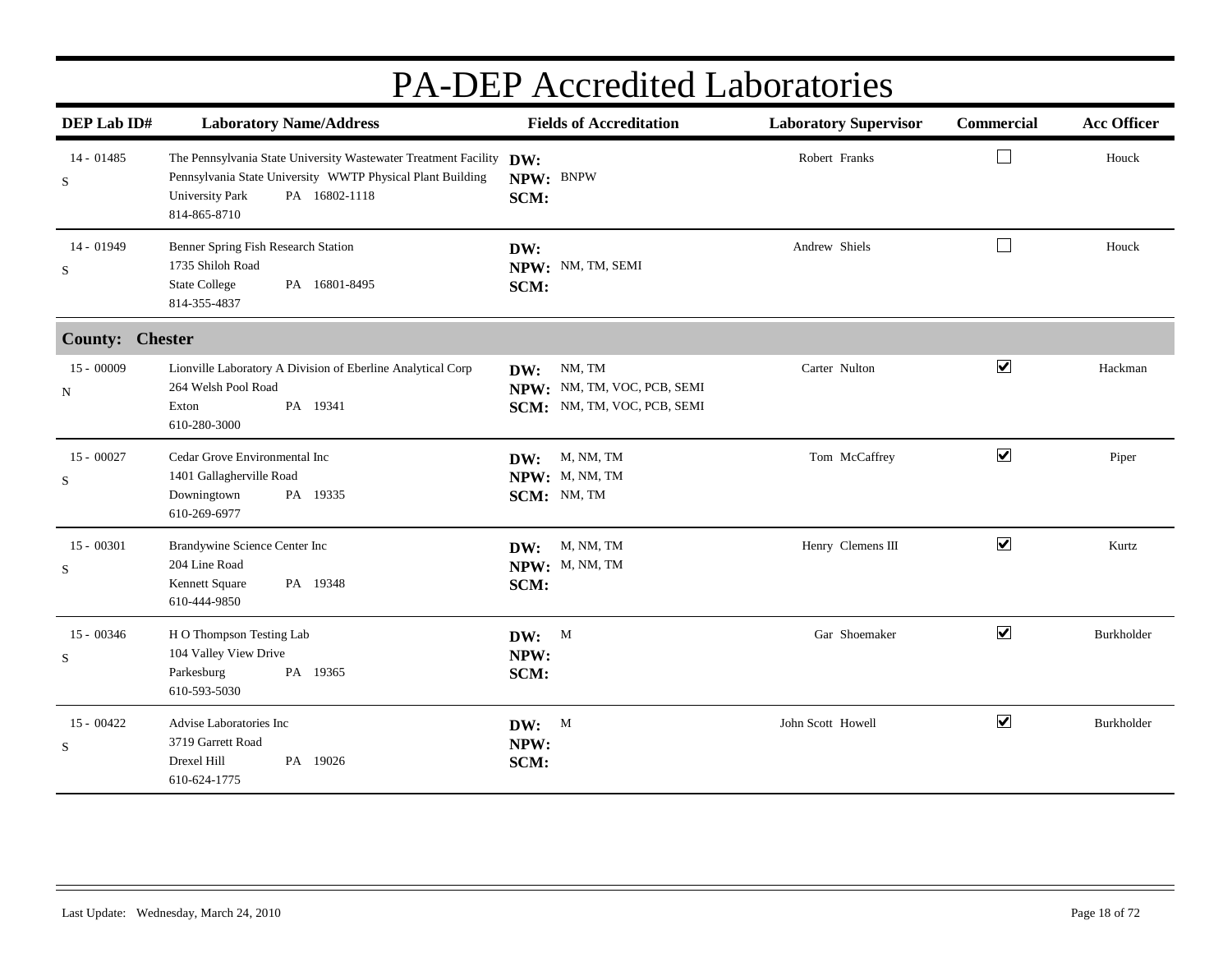| <b>PA-DEP</b> Accredited Laboratories |                                                                                                                                                                                              |                                                                             |                              |                             |                    |  |
|---------------------------------------|----------------------------------------------------------------------------------------------------------------------------------------------------------------------------------------------|-----------------------------------------------------------------------------|------------------------------|-----------------------------|--------------------|--|
| DEP Lab ID#                           | <b>Laboratory Name/Address</b>                                                                                                                                                               | <b>Fields of Accreditation</b>                                              | <b>Laboratory Supervisor</b> | <b>Commercial</b>           | <b>Acc Officer</b> |  |
| 14 - 01485<br>S                       | The Pennsylvania State University Wastewater Treatment Facility DW:<br>Pennsylvania State University WWTP Physical Plant Building<br>PA 16802-1118<br><b>University Park</b><br>814-865-8710 | NPW: BNPW<br>SCM:                                                           | Robert Franks                | $\mathcal{L}_{\mathcal{A}}$ | Houck              |  |
| 14 - 01949<br>S                       | Benner Spring Fish Research Station<br>1735 Shiloh Road<br>PA 16801-8495<br><b>State College</b><br>814-355-4837                                                                             | DW:<br>NPW: NM, TM, SEMI<br>SCM:                                            | Andrew Shiels                | $\Box$                      | Houck              |  |
| <b>County: Chester</b>                |                                                                                                                                                                                              |                                                                             |                              |                             |                    |  |
| $15 - 00009$<br>N                     | Lionville Laboratory A Division of Eberline Analytical Corp<br>264 Welsh Pool Road<br>PA 19341<br>Exton<br>610-280-3000                                                                      | NM, TM<br>DW:<br>NPW: NM, TM, VOC, PCB, SEMI<br>SCM: NM, TM, VOC, PCB, SEMI | Carter Nulton                | $\overline{\mathbf{v}}$     | Hackman            |  |
| $15 - 00027$<br>S                     | Cedar Grove Environmental Inc<br>1401 Gallagherville Road<br>Downingtown<br>PA 19335<br>610-269-6977                                                                                         | M, NM, TM<br>DW:<br>NPW: M, NM, TM<br>SCM: NM, TM                           | Tom McCaffrey                | $\blacktriangledown$        | Piper              |  |
| $15 - 00301$<br>S                     | Brandywine Science Center Inc<br>204 Line Road<br>Kennett Square<br>PA 19348<br>610-444-9850                                                                                                 | M, NM, TM<br>DW:<br>NPW: M, NM, TM<br>SCM:                                  | Henry Clemens III            | $\blacktriangledown$        | Kurtz              |  |
| $15 - 00346$<br>S                     | H O Thompson Testing Lab<br>104 Valley View Drive<br>Parkesburg<br>PA 19365<br>610-593-5030                                                                                                  | DW: M<br>NPW:<br>SCM:                                                       | Gar Shoemaker                | $\blacktriangledown$        | <b>Burkholder</b>  |  |
| $15 - 00422$<br>S                     | Advise Laboratories Inc<br>3719 Garrett Road<br>Drexel Hill<br>PA 19026<br>610-624-1775                                                                                                      | DW: M<br>NPW:<br>SCM:                                                       | John Scott Howell            | $\blacktriangledown$        | Burkholder         |  |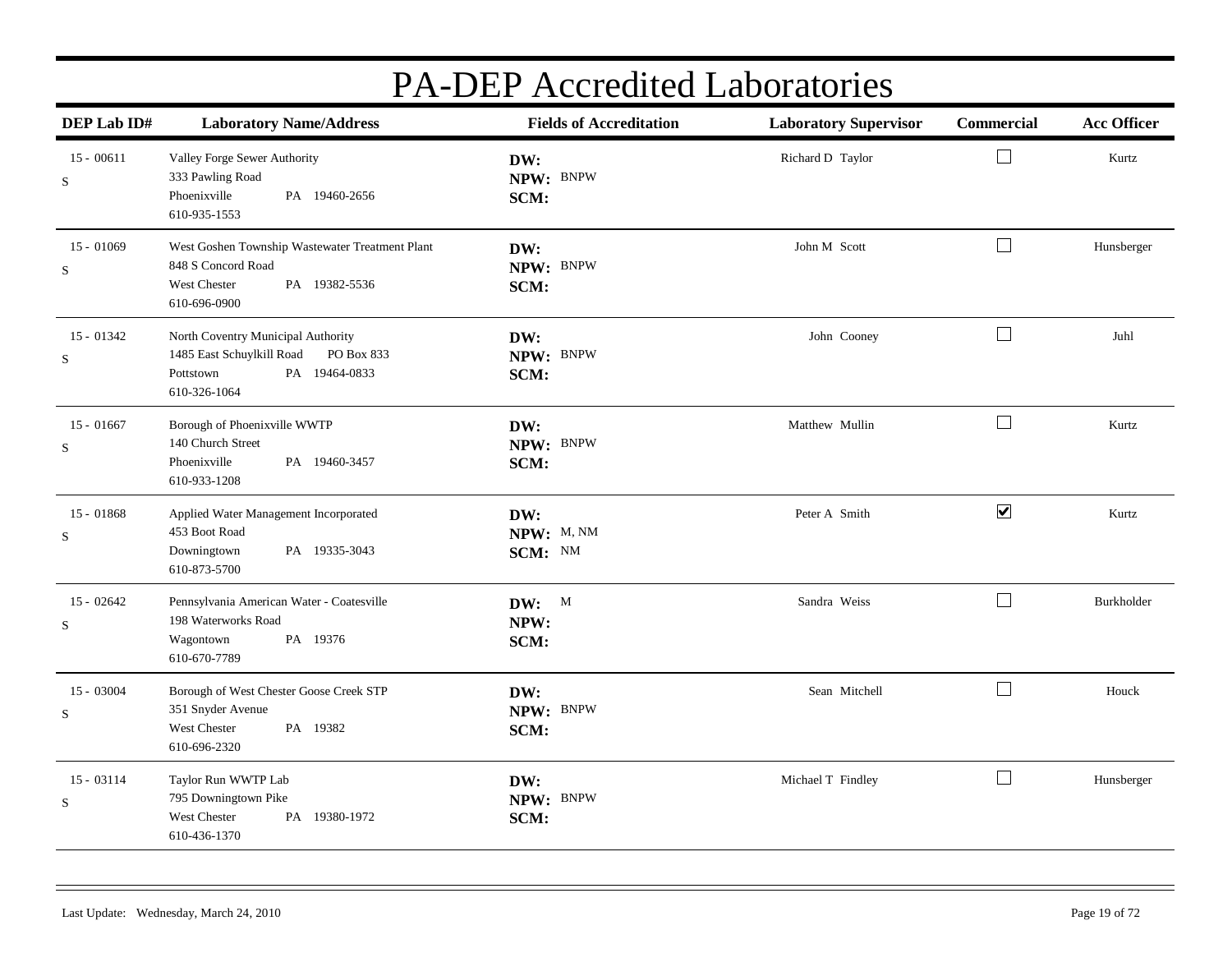| DEP Lab ID#               | <b>Laboratory Name/Address</b>                                                                                              | <b>Fields of Accreditation</b> | <b>Laboratory Supervisor</b> | Commercial           | <b>Acc Officer</b> |
|---------------------------|-----------------------------------------------------------------------------------------------------------------------------|--------------------------------|------------------------------|----------------------|--------------------|
| $15 - 00611$<br>S         | Valley Forge Sewer Authority<br>333 Pawling Road<br>Phoenixville<br>PA 19460-2656<br>610-935-1553                           | DW:<br>NPW: BNPW<br>SCM:       | Richard D Taylor             | $\Box$               | Kurtz              |
| $15 - 01069$<br>S         | West Goshen Township Wastewater Treatment Plant<br>848 S Concord Road<br>West Chester<br>PA 19382-5536<br>610-696-0900      | DW:<br>NPW: BNPW<br>SCM:       | John M Scott                 | $\Box$               | Hunsberger         |
| $15 - 01342$<br>S         | North Coventry Municipal Authority<br>1485 East Schuylkill Road<br>PO Box 833<br>PA 19464-0833<br>Pottstown<br>610-326-1064 | DW:<br>NPW: BNPW<br>SCM:       | John Cooney                  | $\Box$               | Juhl               |
| $15 - 01667$<br>S         | Borough of Phoenixville WWTP<br>140 Church Street<br>Phoenixville<br>PA 19460-3457<br>610-933-1208                          | DW:<br>NPW: BNPW<br>SCM:       | Matthew Mullin               | $\Box$               | Kurtz              |
| $15 - 01868$<br>S         | Applied Water Management Incorporated<br>453 Boot Road<br>PA 19335-3043<br>Downingtown<br>610-873-5700                      | DW:<br>NPW: M, NM<br>SCM: NM   | Peter A Smith                | $\blacktriangledown$ | Kurtz              |
| $15 - 02642$<br>${\bf S}$ | Pennsylvania American Water - Coatesville<br>198 Waterworks Road<br>PA 19376<br>Wagontown<br>610-670-7789                   | DW: M<br>NPW:<br>SCM:          | Sandra Weiss                 | $\Box$               | Burkholder         |
| 15 - 03004<br>S           | Borough of West Chester Goose Creek STP<br>351 Snyder Avenue<br>West Chester<br>PA 19382<br>610-696-2320                    | DW:<br>NPW: BNPW<br>SCM:       | Sean Mitchell                | $\Box$               | Houck              |
| $15 - 03114$<br>${\bf S}$ | Taylor Run WWTP Lab<br>795 Downingtown Pike<br>West Chester<br>PA 19380-1972<br>610-436-1370                                | DW:<br>NPW: BNPW<br>SCM:       | Michael T Findley            | $\Box$               | Hunsberger         |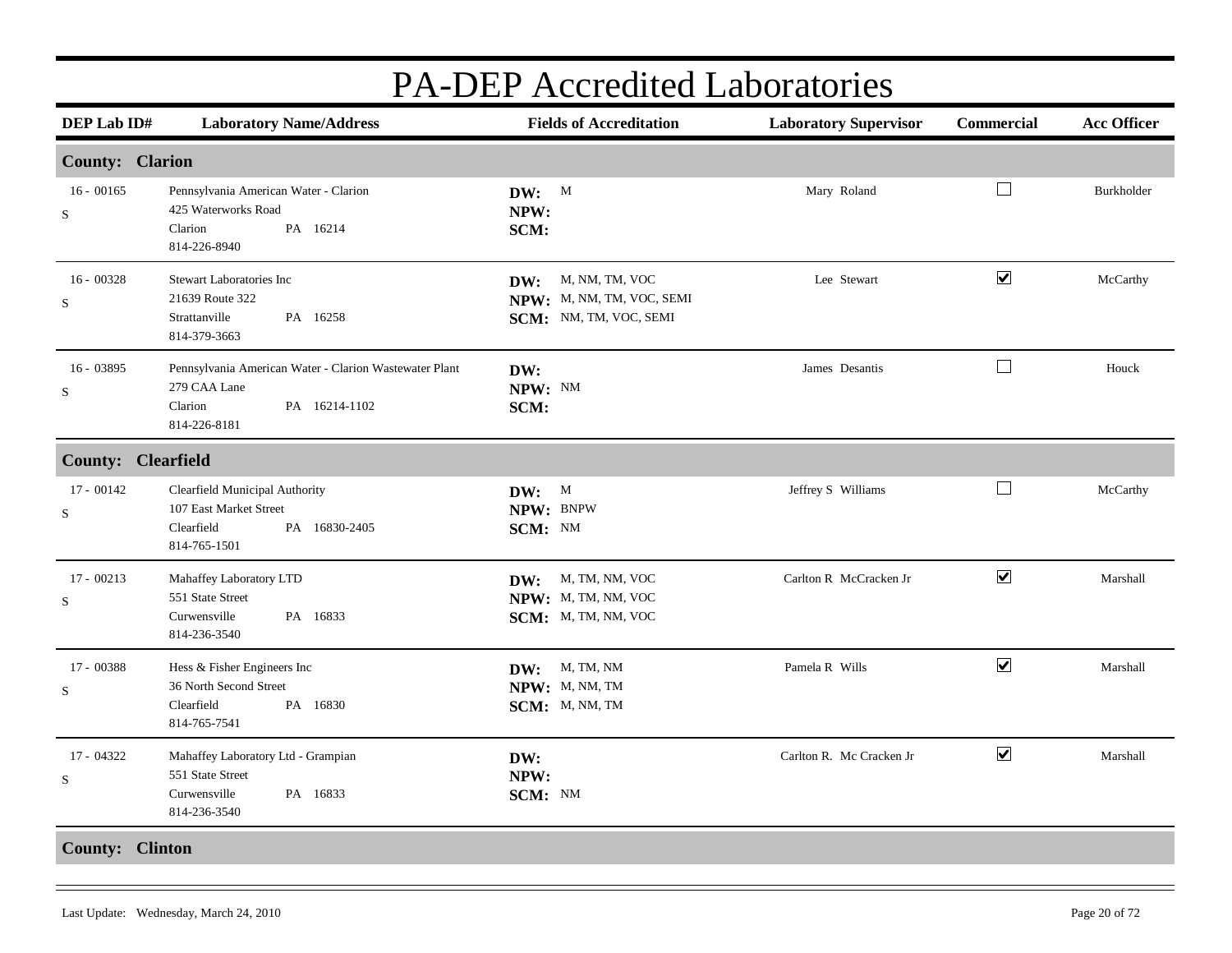| <b>PA-DEP</b> Accredited Laboratories |                                                                                                                    |                                                                           |                              |                             |                    |  |  |  |
|---------------------------------------|--------------------------------------------------------------------------------------------------------------------|---------------------------------------------------------------------------|------------------------------|-----------------------------|--------------------|--|--|--|
| DEP Lab ID#                           | <b>Laboratory Name/Address</b>                                                                                     | <b>Fields of Accreditation</b>                                            | <b>Laboratory Supervisor</b> | Commercial                  | <b>Acc Officer</b> |  |  |  |
| <b>County: Clarion</b>                |                                                                                                                    |                                                                           |                              |                             |                    |  |  |  |
| $16 - 00165$<br>$\mathbf S$           | Pennsylvania American Water - Clarion<br>425 Waterworks Road<br>Clarion<br>PA 16214<br>814-226-8940                | DW: M<br>NPW:<br>SCM:                                                     | Mary Roland                  | $\mathcal{L}_{\mathcal{A}}$ | Burkholder         |  |  |  |
| $16 - 00328$<br>${\bf S}$             | <b>Stewart Laboratories Inc</b><br>21639 Route 322<br>PA 16258<br>Strattanville<br>814-379-3663                    | DW: M, NM, TM, VOC<br>NPW: M, NM, TM, VOC, SEMI<br>SCM: NM, TM, VOC, SEMI | Lee Stewart                  | $\blacktriangledown$        | McCarthy           |  |  |  |
| $16 - 03895$<br>S                     | Pennsylvania American Water - Clarion Wastewater Plant<br>279 CAA Lane<br>Clarion<br>PA 16214-1102<br>814-226-8181 | DW:<br>NPW: NM<br>SCM:                                                    | James Desantis               | $\Box$                      | Houck              |  |  |  |
| <b>County: Clearfield</b>             |                                                                                                                    |                                                                           |                              |                             |                    |  |  |  |
| $17 - 00142$<br>$\rm S$               | Clearfield Municipal Authority<br>107 East Market Street<br>Clearfield<br>PA 16830-2405<br>814-765-1501            | DW: M<br>NPW: BNPW<br>SCM: NM                                             | Jeffrey S Williams           | $\Box$                      | McCarthy           |  |  |  |
| $17 - 00213$<br>S                     | Mahaffey Laboratory LTD<br>551 State Street<br>PA 16833<br>Curwensville<br>814-236-3540                            | DW: M, TM, NM, VOC<br>NPW: M, TM, NM, VOC<br>SCM: M, TM, NM, VOC          | Carlton R McCracken Jr       | $\blacktriangledown$        | Marshall           |  |  |  |
| 17 - 00388<br>$\mathbf S$             | Hess & Fisher Engineers Inc<br>36 North Second Street<br>Clearfield<br>PA 16830<br>814-765-7541                    | DW: M, TM, NM<br>NPW: M, NM, TM<br>SCM: M, NM, TM                         | Pamela R Wills               | $\blacktriangledown$        | Marshall           |  |  |  |
| 17 - 04322<br>S                       | Mahaffey Laboratory Ltd - Grampian<br>551 State Street<br>PA 16833<br>Curwensville<br>814-236-3540                 | DW:<br>NPW:<br>SCM: NM                                                    | Carlton R. Mc Cracken Jr     | $\blacktriangledown$        | Marshall           |  |  |  |
|                                       | <b>County: Clinton</b>                                                                                             |                                                                           |                              |                             |                    |  |  |  |

#### Last Update: Wednesday, March 24, 2010 Page 20 of 72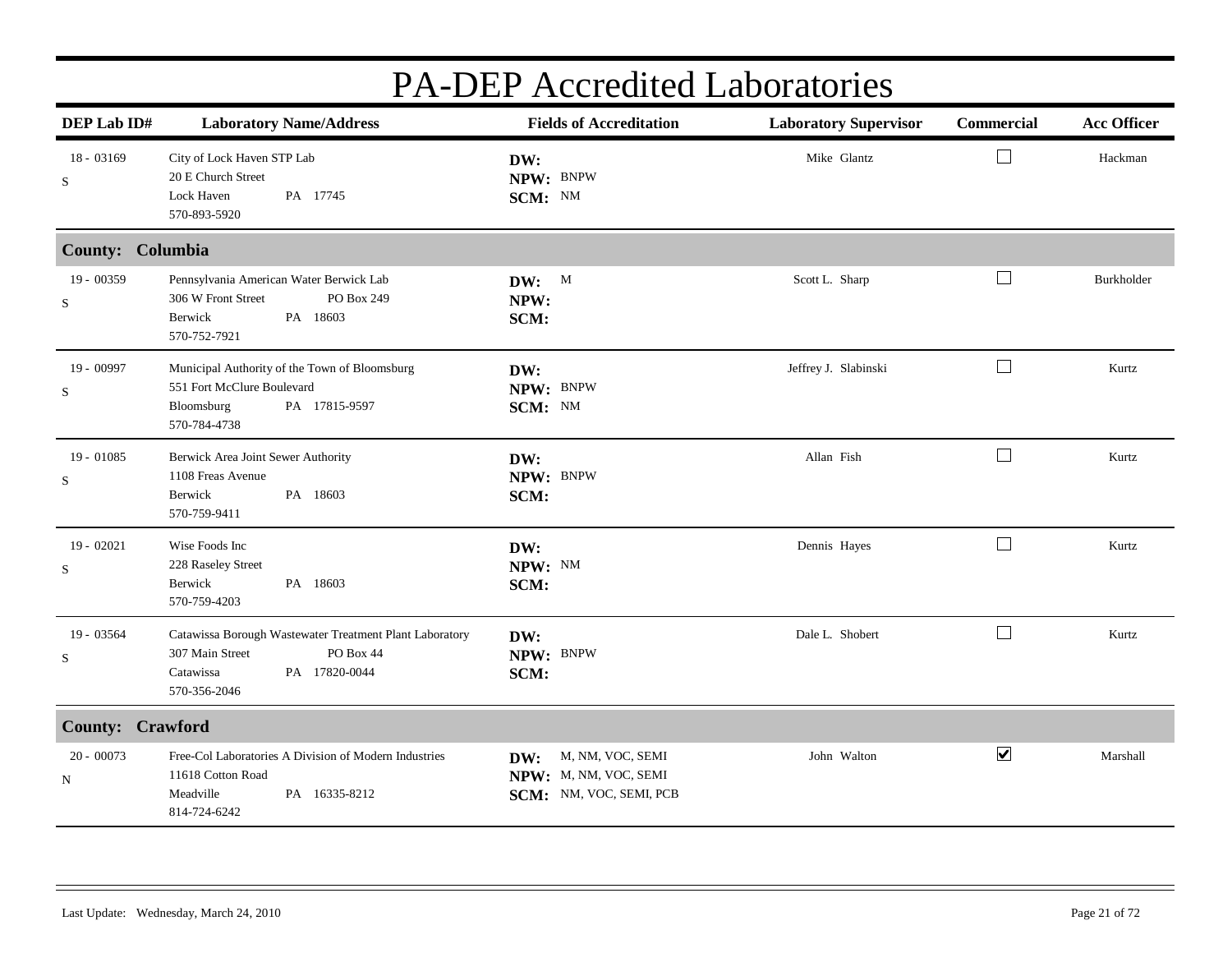| DEP Lab ID#               | <b>Laboratory Name/Address</b>                                                                                                        | <b>Fields of Accreditation</b>                                              | <b>Laboratory Supervisor</b> | <b>Commercial</b>    | <b>Acc Officer</b> |
|---------------------------|---------------------------------------------------------------------------------------------------------------------------------------|-----------------------------------------------------------------------------|------------------------------|----------------------|--------------------|
| 18 - 03169<br>S           | City of Lock Haven STP Lab<br>20 E Church Street<br>Lock Haven<br>PA 17745<br>570-893-5920                                            | DW:<br>NPW: BNPW<br>SCM: NM                                                 | Mike Glantz                  | $\sqcup$             | Hackman            |
| County: Columbia          |                                                                                                                                       |                                                                             |                              |                      |                    |
| 19 - 00359<br>S           | Pennsylvania American Water Berwick Lab<br>306 W Front Street<br>PO Box 249<br>Berwick<br>PA 18603<br>570-752-7921                    | DW: M<br>NPW:<br>SCM:                                                       | Scott L. Sharp               | $\Box$               | Burkholder         |
| 19 - 00997<br>$\mathbf S$ | Municipal Authority of the Town of Bloomsburg<br>551 Fort McClure Boulevard<br>PA 17815-9597<br>Bloomsburg<br>570-784-4738            | DW:<br>NPW: BNPW<br>SCM: NM                                                 | Jeffrey J. Slabinski         | $\Box$               | Kurtz              |
| $19 - 01085$<br>S         | Berwick Area Joint Sewer Authority<br>1108 Freas Avenue<br>PA 18603<br>Berwick<br>570-759-9411                                        | DW:<br>NPW: BNPW<br>SCM:                                                    | Allan Fish                   | $\Box$               | Kurtz              |
| $19 - 02021$<br>S         | Wise Foods Inc<br>228 Raseley Street<br>PA 18603<br>Berwick<br>570-759-4203                                                           | DW:<br>NPW: NM<br>SCM:                                                      | Dennis Hayes                 | $\Box$               | Kurtz              |
| 19 - 03564<br>S           | Catawissa Borough Wastewater Treatment Plant Laboratory<br>307 Main Street<br>PO Box 44<br>Catawissa<br>PA 17820-0044<br>570-356-2046 | DW:<br>NPW: BNPW<br>SCM:                                                    | Dale L. Shobert              | $\Box$               | Kurtz              |
| County: Crawford          |                                                                                                                                       |                                                                             |                              |                      |                    |
| 20 - 00073<br>N           | Free-Col Laboratories A Division of Modern Industries<br>11618 Cotton Road<br>Meadville<br>PA 16335-8212<br>814-724-6242              | M, NM, VOC, SEMI<br>DW:<br>NPW: M, NM, VOC, SEMI<br>SCM: NM, VOC, SEMI, PCB | John Walton                  | $\blacktriangledown$ | Marshall           |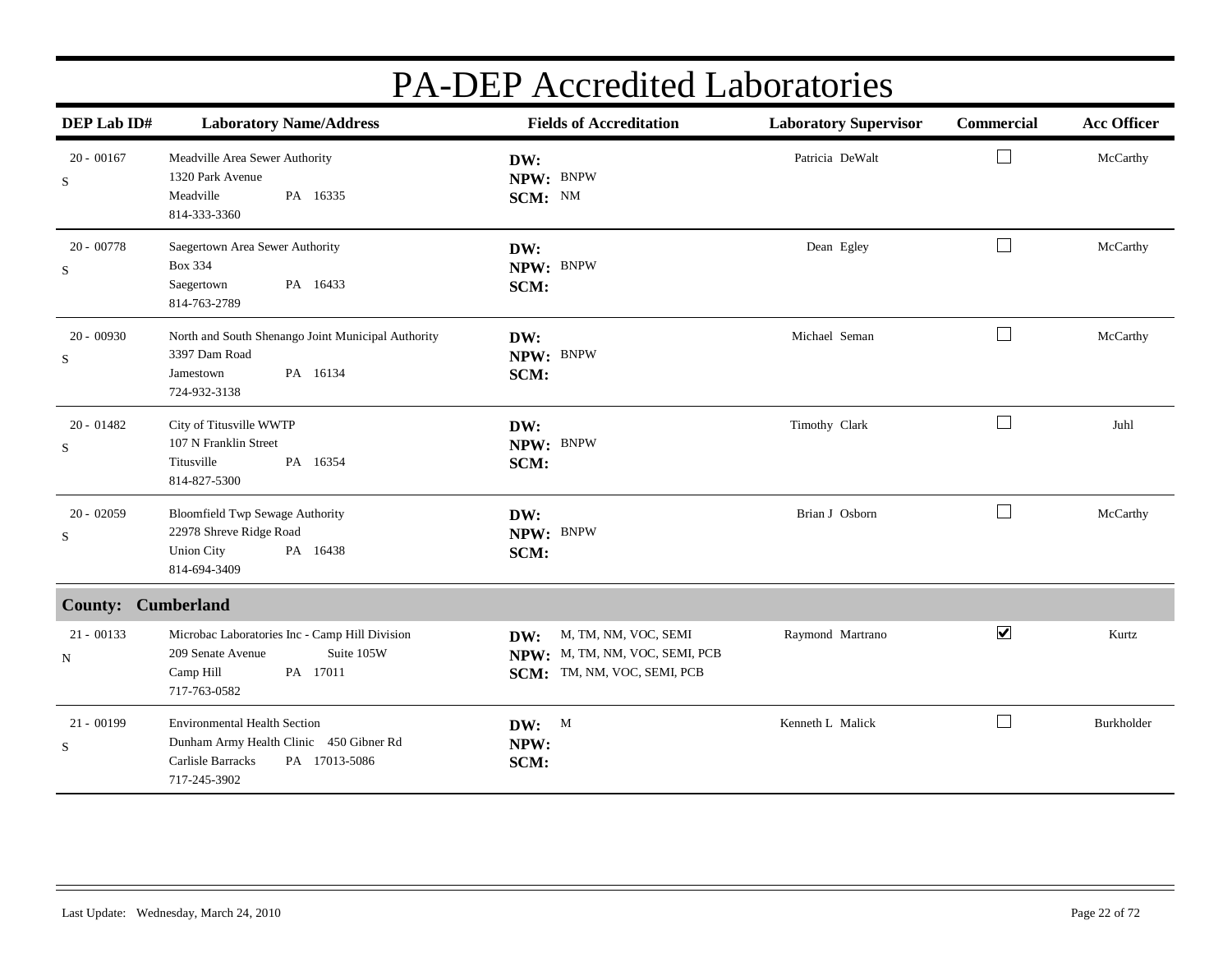| DEP Lab ID#                 | <b>Laboratory Name/Address</b>                                                                                                       | <b>Fields of Accreditation</b>                                                               | <b>Laboratory Supervisor</b> | Commercial           | <b>Acc Officer</b> |
|-----------------------------|--------------------------------------------------------------------------------------------------------------------------------------|----------------------------------------------------------------------------------------------|------------------------------|----------------------|--------------------|
| $20 - 00167$<br>$\mathbf S$ | Meadville Area Sewer Authority<br>1320 Park Avenue<br>Meadville<br>PA 16335<br>814-333-3360                                          | DW:<br>NPW: BNPW<br>SCM: NM                                                                  | Patricia DeWalt              | $\Box$               | McCarthy           |
| $20 - 00778$<br>S           | Saegertown Area Sewer Authority<br><b>Box 334</b><br>PA 16433<br>Saegertown<br>814-763-2789                                          | DW:<br>NPW: BNPW<br>SCM:                                                                     | Dean Egley                   | П                    | McCarthy           |
| $20 - 00930$<br>S           | North and South Shenango Joint Municipal Authority<br>3397 Dam Road<br>PA 16134<br>Jamestown<br>724-932-3138                         | DW:<br>NPW: BNPW<br>SCM:                                                                     | Michael Seman                | $\perp$              | McCarthy           |
| $20 - 01482$<br>S           | City of Titusville WWTP<br>107 N Franklin Street<br>Titusville<br>PA 16354<br>814-827-5300                                           | DW:<br>NPW: BNPW<br>SCM:                                                                     | Timothy Clark                | $\mathbf{L}$         | Juhl               |
| $20 - 02059$<br>S           | <b>Bloomfield Twp Sewage Authority</b><br>22978 Shreve Ridge Road<br><b>Union City</b><br>PA 16438<br>814-694-3409                   | DW:<br>NPW: BNPW<br>SCM:                                                                     | Brian J Osborn               | $\Box$               | McCarthy           |
| <b>County:</b>              | <b>Cumberland</b>                                                                                                                    |                                                                                              |                              |                      |                    |
| $21 - 00133$<br>${\bf N}$   | Microbac Laboratories Inc - Camp Hill Division<br>209 Senate Avenue<br>Suite 105W<br>PA 17011<br>Camp Hill<br>717-763-0582           | M, TM, NM, VOC, SEMI<br>DW:<br>NPW: M, TM, NM, VOC, SEMI, PCB<br>SCM: TM, NM, VOC, SEMI, PCB | Raymond Martrano             | $\blacktriangledown$ | Kurtz              |
| $21 - 00199$<br>$\rm S$     | <b>Environmental Health Section</b><br>Dunham Army Health Clinic 450 Gibner Rd<br>Carlisle Barracks<br>PA 17013-5086<br>717-245-3902 | DW: M<br>NPW:<br>SCM:                                                                        | Kenneth L Malick             | $\mathbf{I}$         | Burkholder         |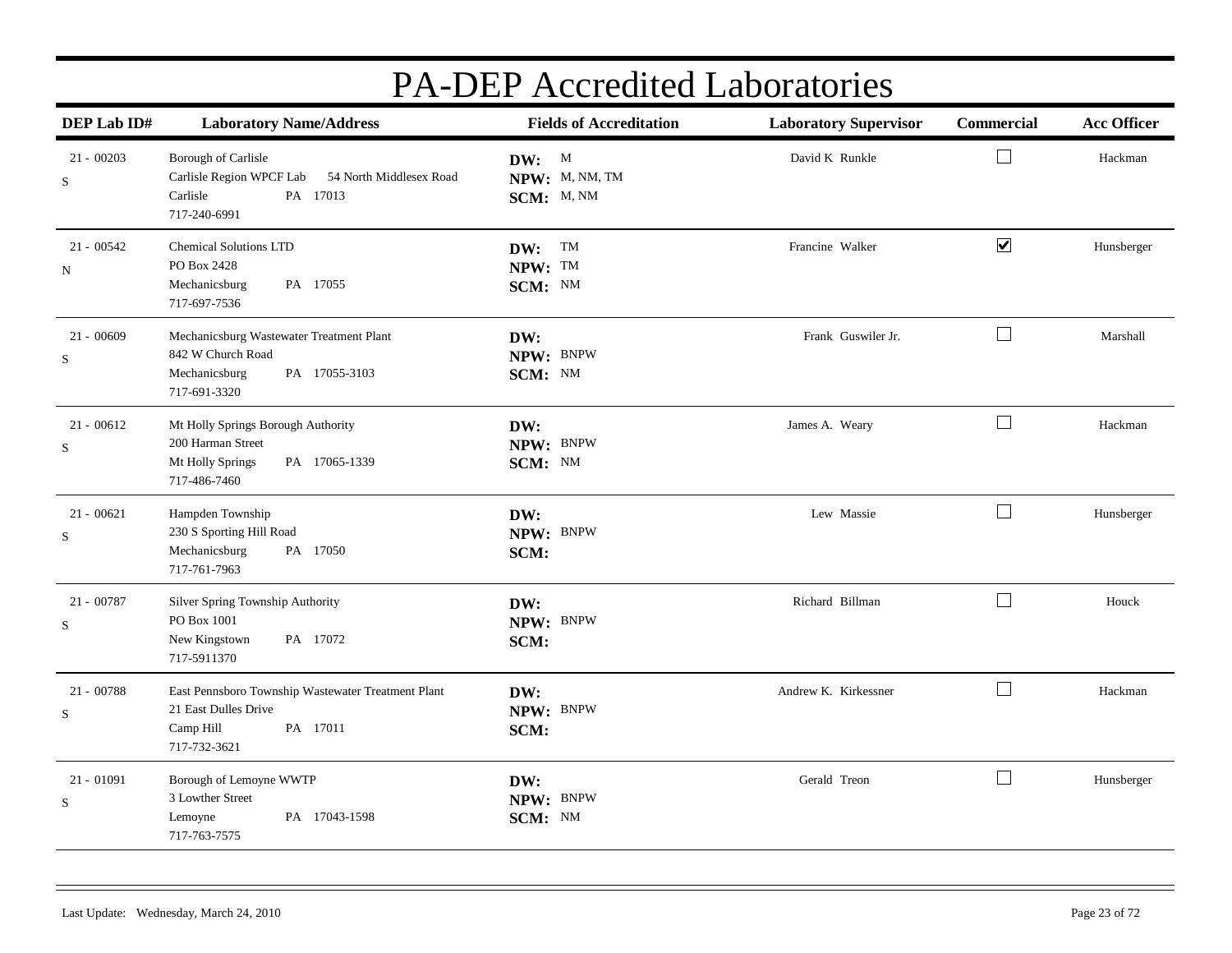| DEP Lab ID#       | <b>Laboratory Name/Address</b>                                                                                      | <b>Fields of Accreditation</b>        | <b>Laboratory Supervisor</b> | Commercial           | <b>Acc Officer</b> |
|-------------------|---------------------------------------------------------------------------------------------------------------------|---------------------------------------|------------------------------|----------------------|--------------------|
| $21 - 00203$<br>S | Borough of Carlisle<br>Carlisle Region WPCF Lab<br>54 North Middlesex Road<br>Carlisle<br>PA 17013<br>717-240-6991  | DW: M<br>NPW: M, NM, TM<br>SCM: M, NM | David K Runkle               | $\vert \ \ \vert$    | Hackman            |
| $21 - 00542$<br>N | <b>Chemical Solutions LTD</b><br>PO Box 2428<br>PA 17055<br>Mechanicsburg<br>717-697-7536                           | DW: TM<br>NPW: TM<br>SCM: NM          | Francine Walker              | $\blacktriangledown$ | Hunsberger         |
| $21 - 00609$<br>S | Mechanicsburg Wastewater Treatment Plant<br>842 W Church Road<br>PA 17055-3103<br>Mechanicsburg<br>717-691-3320     | DW:<br>NPW: BNPW<br>SCM: NM           | Frank Guswiler Jr.           | $\Box$               | Marshall           |
| $21 - 00612$<br>S | Mt Holly Springs Borough Authority<br>200 Harman Street<br>Mt Holly Springs<br>PA 17065-1339<br>717-486-7460        | DW:<br>NPW: BNPW<br>SCM: NM           | James A. Weary               | $\Box$               | Hackman            |
| $21 - 00621$<br>S | Hampden Township<br>230 S Sporting Hill Road<br>Mechanicsburg<br>PA 17050<br>717-761-7963                           | DW:<br>NPW: BNPW<br>SCM:              | Lew Massie                   | $\Box$               | Hunsberger         |
| 21 - 00787<br>S   | Silver Spring Township Authority<br>PO Box 1001<br>New Kingstown<br>PA 17072<br>717-5911370                         | DW:<br>NPW: BNPW<br>SCM:              | Richard Billman              | $\Box$               | Houck              |
| $21 - 00788$<br>S | East Pennsboro Township Wastewater Treatment Plant<br>21 East Dulles Drive<br>PA 17011<br>Camp Hill<br>717-732-3621 | DW:<br>NPW: BNPW<br>SCM:              | Andrew K. Kirkessner         | $\Box$               | Hackman            |
| 21 - 01091<br>S   | Borough of Lemoyne WWTP<br>3 Lowther Street<br>PA 17043-1598<br>Lemoyne<br>717-763-7575                             | DW:<br>NPW: BNPW<br>SCM: NM           | Gerald Treon                 | $\Box$               | Hunsberger         |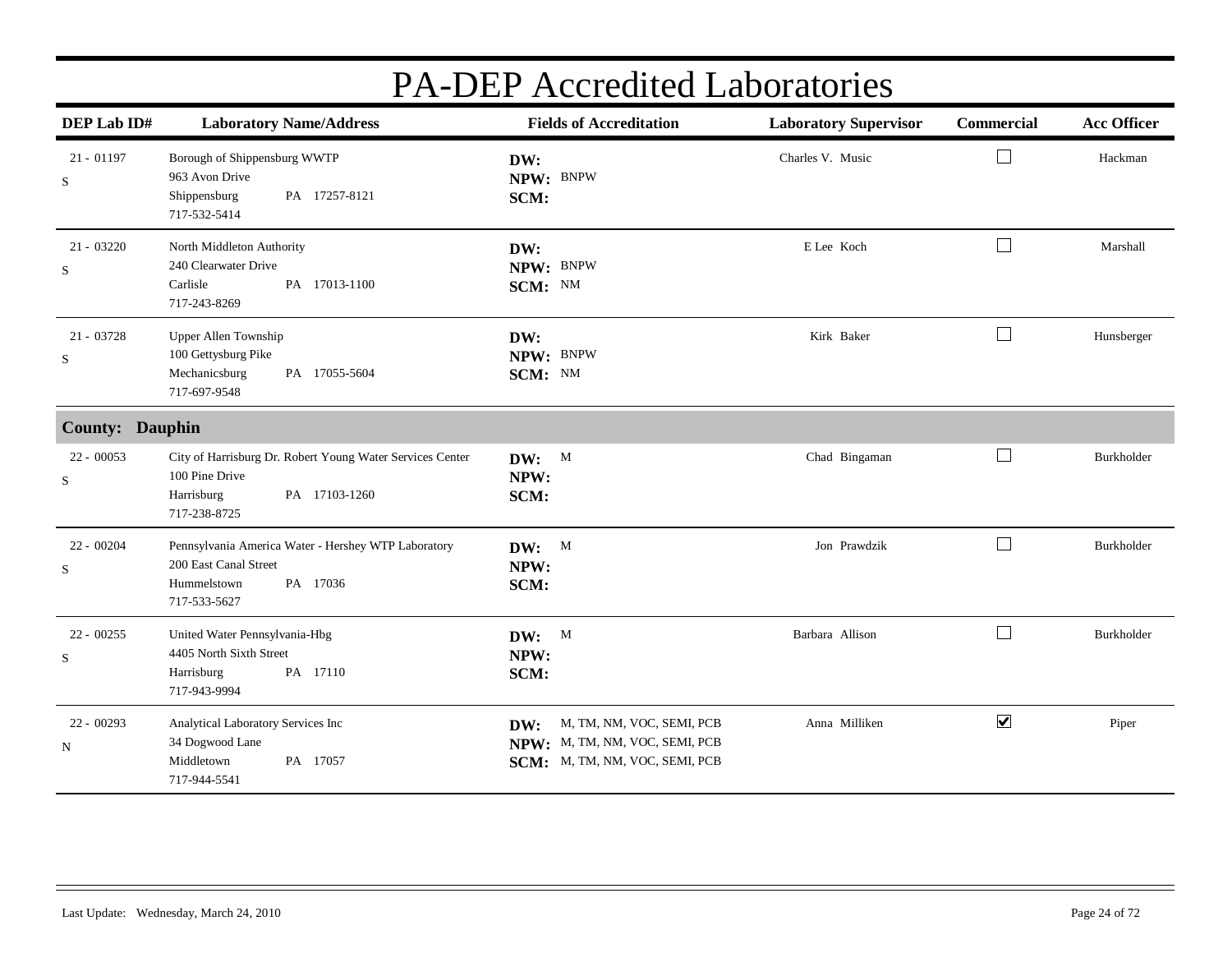| DEP Lab ID#                 | <b>Laboratory Name/Address</b>                                                                                             | <b>Fields of Accreditation</b>                                                                       | <b>Laboratory Supervisor</b> | Commercial           | <b>Acc Officer</b> |
|-----------------------------|----------------------------------------------------------------------------------------------------------------------------|------------------------------------------------------------------------------------------------------|------------------------------|----------------------|--------------------|
| $21 - 01197$<br>${\bf S}$   | Borough of Shippensburg WWTP<br>963 Avon Drive<br>Shippensburg<br>PA 17257-8121<br>717-532-5414                            | DW:<br>NPW: BNPW<br>SCM:                                                                             | Charles V. Music             | $\Box$               | Hackman            |
| $21 - 03220$<br>$\mathbf S$ | North Middleton Authority<br>240 Clearwater Drive<br>Carlisle<br>PA 17013-1100<br>717-243-8269                             | DW:<br>NPW: BNPW<br>SCM: NM                                                                          | E Lee Koch                   | $\Box$               | Marshall           |
| $21 - 03728$<br>$\rm S$     | Upper Allen Township<br>100 Gettysburg Pike<br>Mechanicsburg<br>PA 17055-5604<br>717-697-9548                              | DW:<br>NPW: BNPW<br>SCM: NM                                                                          | Kirk Baker                   | $\Box$               | Hunsberger         |
| <b>County: Dauphin</b>      |                                                                                                                            |                                                                                                      |                              |                      |                    |
| 22 - 00053<br>S             | City of Harrisburg Dr. Robert Young Water Services Center<br>100 Pine Drive<br>PA 17103-1260<br>Harrisburg<br>717-238-8725 | DW:<br>M<br>NPW:<br>SCM:                                                                             | Chad Bingaman                | $\Box$               | Burkholder         |
| $22 - 00204$<br>$\mathbf S$ | Pennsylvania America Water - Hershey WTP Laboratory<br>200 East Canal Street<br>PA 17036<br>Hummelstown<br>717-533-5627    | DW: M<br>NPW:<br>SCM:                                                                                | Jon Prawdzik                 | $\Box$               | Burkholder         |
| $22 - 00255$<br>S           | United Water Pennsylvania-Hbg<br>4405 North Sixth Street<br>Harrisburg<br>PA 17110<br>717-943-9994                         | DW: M<br>NPW:<br>SCM:                                                                                | Barbara Allison              | $\Box$               | Burkholder         |
| $22 - 00293$<br>${\bf N}$   | Analytical Laboratory Services Inc<br>34 Dogwood Lane<br>Middletown<br>PA 17057<br>717-944-5541                            | M, TM, NM, VOC, SEMI, PCB<br>DW:<br>NPW: M, TM, NM, VOC, SEMI, PCB<br>SCM: M, TM, NM, VOC, SEMI, PCB | Anna Milliken                | $\blacktriangledown$ | Piper              |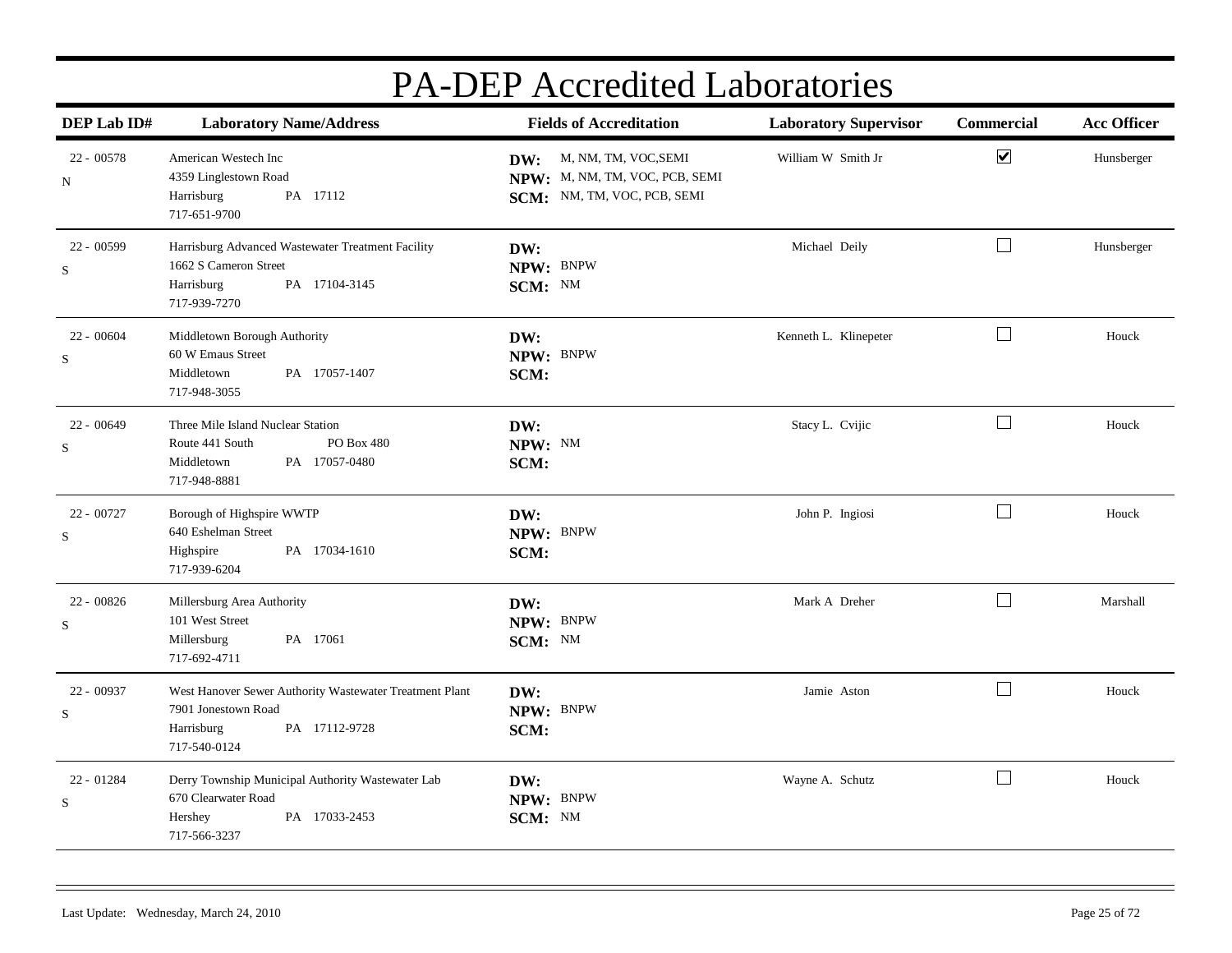| DEP Lab ID#             | <b>Laboratory Name/Address</b>                                                                                                | <b>Fields of Accreditation</b>                                                            | <b>Laboratory Supervisor</b> | <b>Commercial</b>    | <b>Acc Officer</b> |
|-------------------------|-------------------------------------------------------------------------------------------------------------------------------|-------------------------------------------------------------------------------------------|------------------------------|----------------------|--------------------|
| $22 - 00578$<br>N       | American Westech Inc<br>4359 Linglestown Road<br>PA 17112<br>Harrisburg<br>717-651-9700                                       | DW: M, NM, TM, VOC, SEMI<br>NPW: M, NM, TM, VOC, PCB, SEMI<br>SCM: NM, TM, VOC, PCB, SEMI | William W Smith Jr           | $\blacktriangledown$ | Hunsberger         |
| 22 - 00599<br>S         | Harrisburg Advanced Wastewater Treatment Facility<br>1662 S Cameron Street<br>PA 17104-3145<br>Harrisburg<br>717-939-7270     | DW:<br>NPW: BNPW<br>SCM: NM                                                               | Michael Deily                | $\Box$               | Hunsberger         |
| $22 - 00604$<br>S       | Middletown Borough Authority<br>60 W Emaus Street<br>PA 17057-1407<br>Middletown<br>717-948-3055                              | DW:<br>NPW: BNPW<br>SCM:                                                                  | Kenneth L. Klinepeter        | $\Box$               | Houck              |
| $22 - 00649$<br>S       | Three Mile Island Nuclear Station<br>PO Box 480<br>Route 441 South<br>Middletown<br>PA 17057-0480<br>717-948-8881             | DW:<br>NPW: NM<br>SCM:                                                                    | Stacy L. Cvijic              | $\Box$               | Houck              |
| 22 - 00727<br>S         | Borough of Highspire WWTP<br>640 Eshelman Street<br>PA 17034-1610<br>Highspire<br>717-939-6204                                | DW:<br>NPW: BNPW<br>SCM:                                                                  | John P. Ingiosi              | $\Box$               | Houck              |
| 22 - 00826<br>S         | Millersburg Area Authority<br>101 West Street<br>PA 17061<br>Millersburg<br>717-692-4711                                      | DW:<br>NPW: BNPW<br>SCM: NM                                                               | Mark A Dreher                | $\Box$               | Marshall           |
| 22 - 00937<br>S         | West Hanover Sewer Authority Wastewater Treatment Plant<br>7901 Jonestown Road<br>PA 17112-9728<br>Harrisburg<br>717-540-0124 | DW:<br>NPW: BNPW<br>SCM:                                                                  | Jamie Aston                  | $\Box$               | Houck              |
| 22 - 01284<br>${\bf S}$ | Derry Township Municipal Authority Wastewater Lab<br>670 Clearwater Road<br>PA 17033-2453<br>Hershey<br>717-566-3237          | DW:<br>NPW: BNPW<br>SCM: NM                                                               | Wayne A. Schutz              | $\Box$               | Houck              |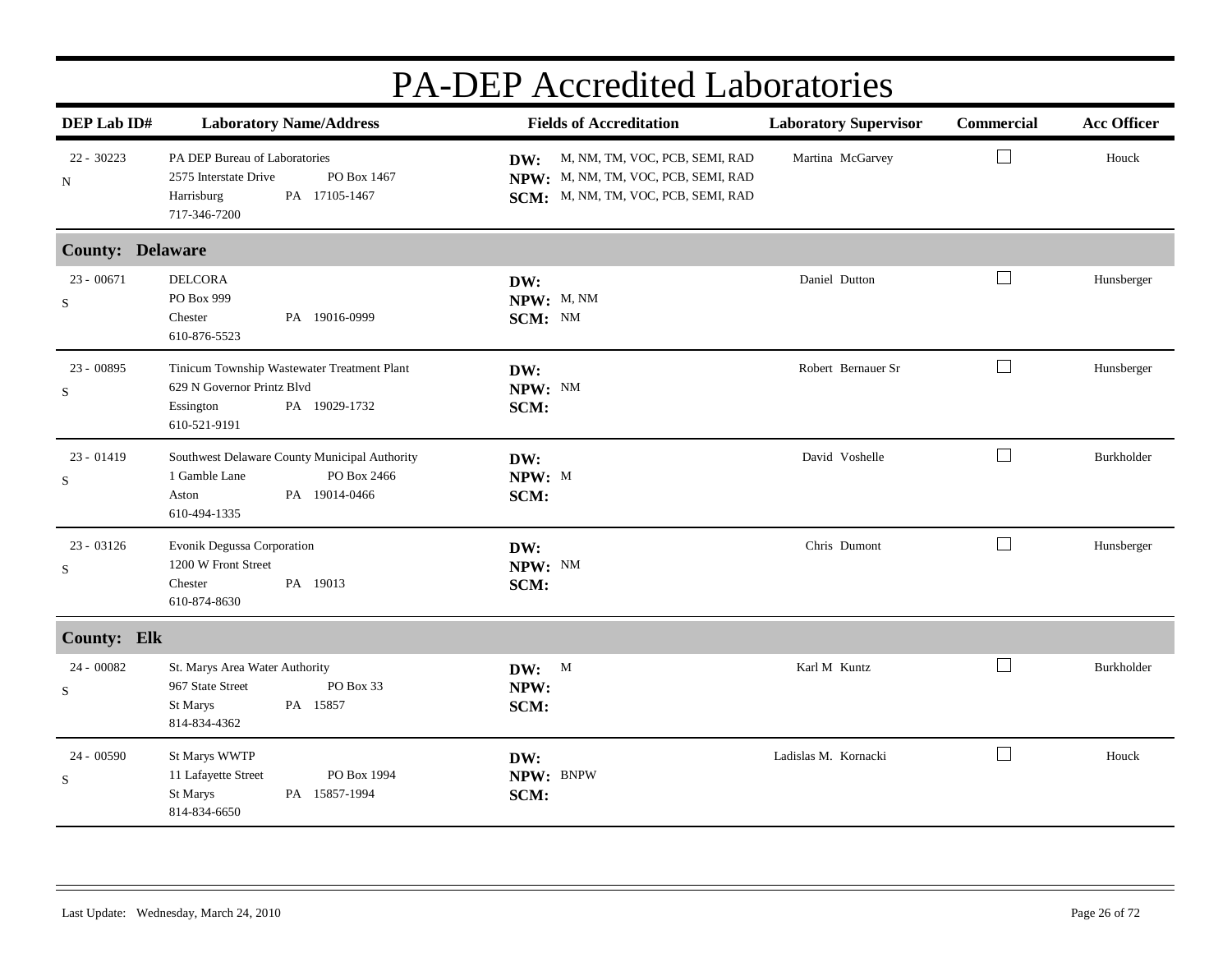| DEP Lab ID#                 | <b>Laboratory Name/Address</b>                                                                                          | <b>Fields of Accreditation</b>                                                                                   | <b>Laboratory Supervisor</b> | <b>Commercial</b> | <b>Acc Officer</b> |
|-----------------------------|-------------------------------------------------------------------------------------------------------------------------|------------------------------------------------------------------------------------------------------------------|------------------------------|-------------------|--------------------|
| $22 - 30223$<br>$\mathbf N$ | PA DEP Bureau of Laboratories<br>2575 Interstate Drive<br>PO Box 1467<br>Harrisburg<br>PA 17105-1467<br>717-346-7200    | DW: M, NM, TM, VOC, PCB, SEMI, RAD<br>NPW: M, NM, TM, VOC, PCB, SEMI, RAD<br>SCM: M, NM, TM, VOC, PCB, SEMI, RAD | Martina McGarvey             | ⊔                 | Houck              |
| <b>County: Delaware</b>     |                                                                                                                         |                                                                                                                  |                              |                   |                    |
| $23 - 00671$<br>S           | <b>DELCORA</b><br>PO Box 999<br>PA 19016-0999<br>Chester<br>610-876-5523                                                | DW:<br>NPW: M, NM<br>SCM: NM                                                                                     | Daniel Dutton                | $\Box$            | Hunsberger         |
| 23 - 00895<br>S             | Tinicum Township Wastewater Treatment Plant<br>629 N Governor Printz Blvd<br>Essington<br>PA 19029-1732<br>610-521-9191 | DW:<br>NPW: NM<br>SCM:                                                                                           | Robert Bernauer Sr           | $\Box$            | Hunsberger         |
| $23 - 01419$<br>S           | Southwest Delaware County Municipal Authority<br>PO Box 2466<br>1 Gamble Lane<br>PA 19014-0466<br>Aston<br>610-494-1335 | DW:<br>NPW: M<br>SCM:                                                                                            | David Voshelle               | $\Box$            | Burkholder         |
| 23 - 03126<br>S             | Evonik Degussa Corporation<br>1200 W Front Street<br>PA 19013<br>Chester<br>610-874-8630                                | DW:<br>NPW: NM<br>SCM:                                                                                           | Chris Dumont                 | $\Box$            | Hunsberger         |
| <b>County: Elk</b>          |                                                                                                                         |                                                                                                                  |                              |                   |                    |
| 24 - 00082<br>S             | St. Marys Area Water Authority<br>967 State Street<br>PO Box 33<br>PA 15857<br>St Marys<br>814-834-4362                 | DW: M<br>NPW:<br>SCM:                                                                                            | Karl M Kuntz                 | $\Box$            | Burkholder         |
| $24 - 00590$<br>S           | St Marys WWTP<br>11 Lafayette Street<br>PO Box 1994<br>PA 15857-1994<br>St Marys<br>814-834-6650                        | DW:<br>NPW: BNPW<br>SCM:                                                                                         | Ladislas M. Kornacki         | $\Box$            | Houck              |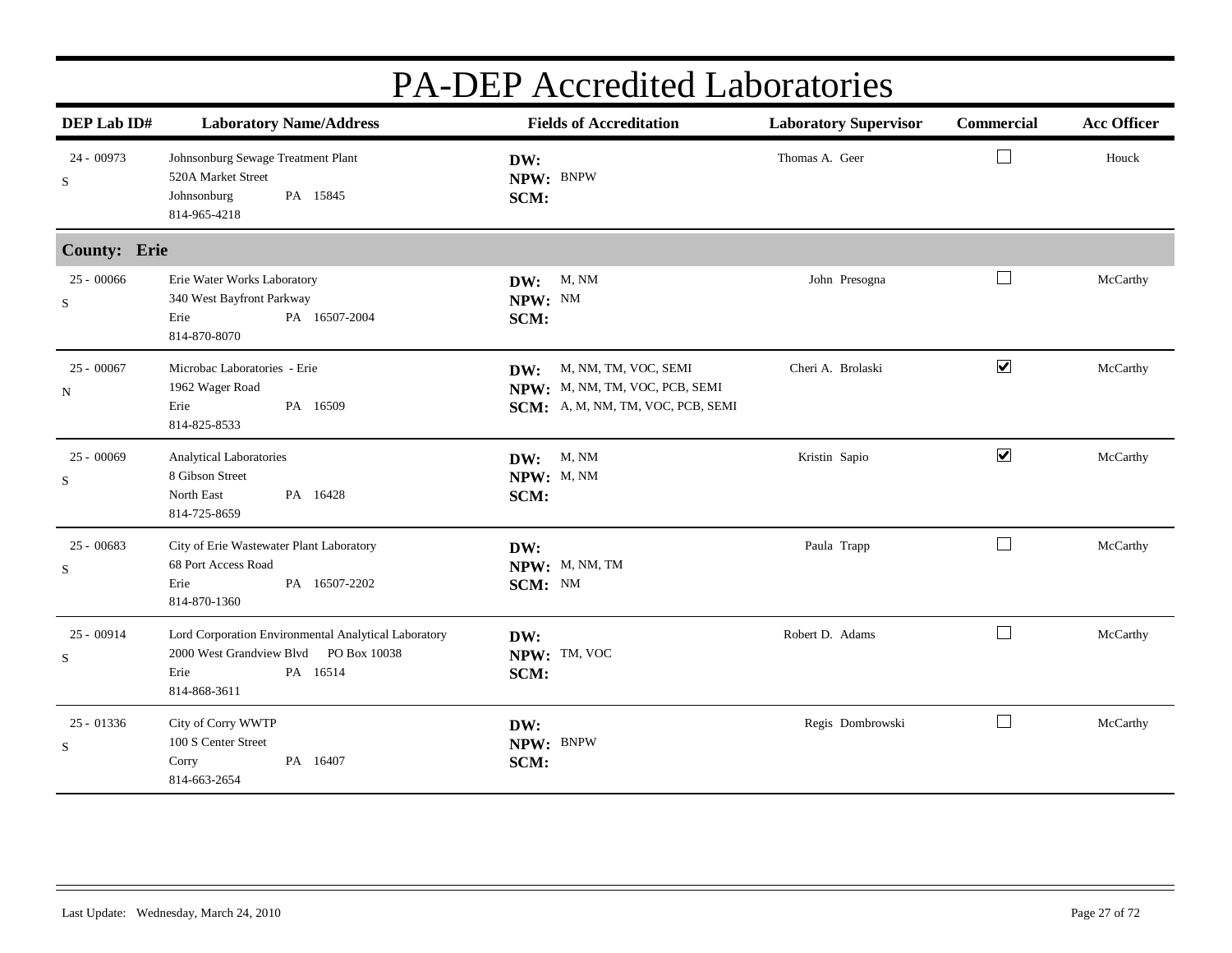| DEP Lab ID#         | <b>Laboratory Name/Address</b>                                                                                                    | <b>Fields of Accreditation</b>                                                                     | <b>Laboratory Supervisor</b> | Commercial           | <b>Acc Officer</b> |
|---------------------|-----------------------------------------------------------------------------------------------------------------------------------|----------------------------------------------------------------------------------------------------|------------------------------|----------------------|--------------------|
| 24 - 00973<br>S     | Johnsonburg Sewage Treatment Plant<br>520A Market Street<br>Johnsonburg<br>PA 15845<br>814-965-4218                               | DW:<br>NPW: BNPW<br>SCM:                                                                           | Thomas A. Geer               | $\Box$               | Houck              |
| <b>County: Erie</b> |                                                                                                                                   |                                                                                                    |                              |                      |                    |
| $25 - 00066$<br>S   | Erie Water Works Laboratory<br>340 West Bayfront Parkway<br>Erie<br>PA 16507-2004<br>814-870-8070                                 | M, NM<br>DW:<br>NPW: NM<br>SCM:                                                                    | John Presogna                | ⊔                    | McCarthy           |
| $25 - 00067$<br>N   | Microbac Laboratories - Erie<br>1962 Wager Road<br>Erie<br>PA 16509<br>814-825-8533                                               | M, NM, TM, VOC, SEMI<br>DW:<br>NPW: M, NM, TM, VOC, PCB, SEMI<br>SCM: A, M, NM, TM, VOC, PCB, SEMI | Cheri A. Brolaski            | $\blacktriangledown$ | McCarthy           |
| $25 - 00069$<br>S   | Analytical Laboratories<br>8 Gibson Street<br>PA 16428<br>North East<br>814-725-8659                                              | DW: M, NM<br>NPW: M, NM<br>SCM:                                                                    | Kristin Sapio                | $\blacktriangledown$ | McCarthy           |
| $25 - 00683$<br>S   | City of Erie Wastewater Plant Laboratory<br>68 Port Access Road<br>Erie<br>PA 16507-2202<br>814-870-1360                          | DW:<br>NPW: M, NM, TM<br>SCM: NM                                                                   | Paula Trapp                  | $\perp$              | McCarthy           |
| $25 - 00914$<br>S   | Lord Corporation Environmental Analytical Laboratory<br>2000 West Grandview Blvd PO Box 10038<br>PA 16514<br>Erie<br>814-868-3611 | DW:<br>NPW: TM, VOC<br>SCM:                                                                        | Robert D. Adams              | $\Box$               | McCarthy           |
| 25 - 01336<br>S     | City of Corry WWTP<br>100 S Center Street<br>PA 16407<br>Corry<br>814-663-2654                                                    | DW:<br>NPW: BNPW<br>SCM:                                                                           | Regis Dombrowski             | $\Box$               | McCarthy           |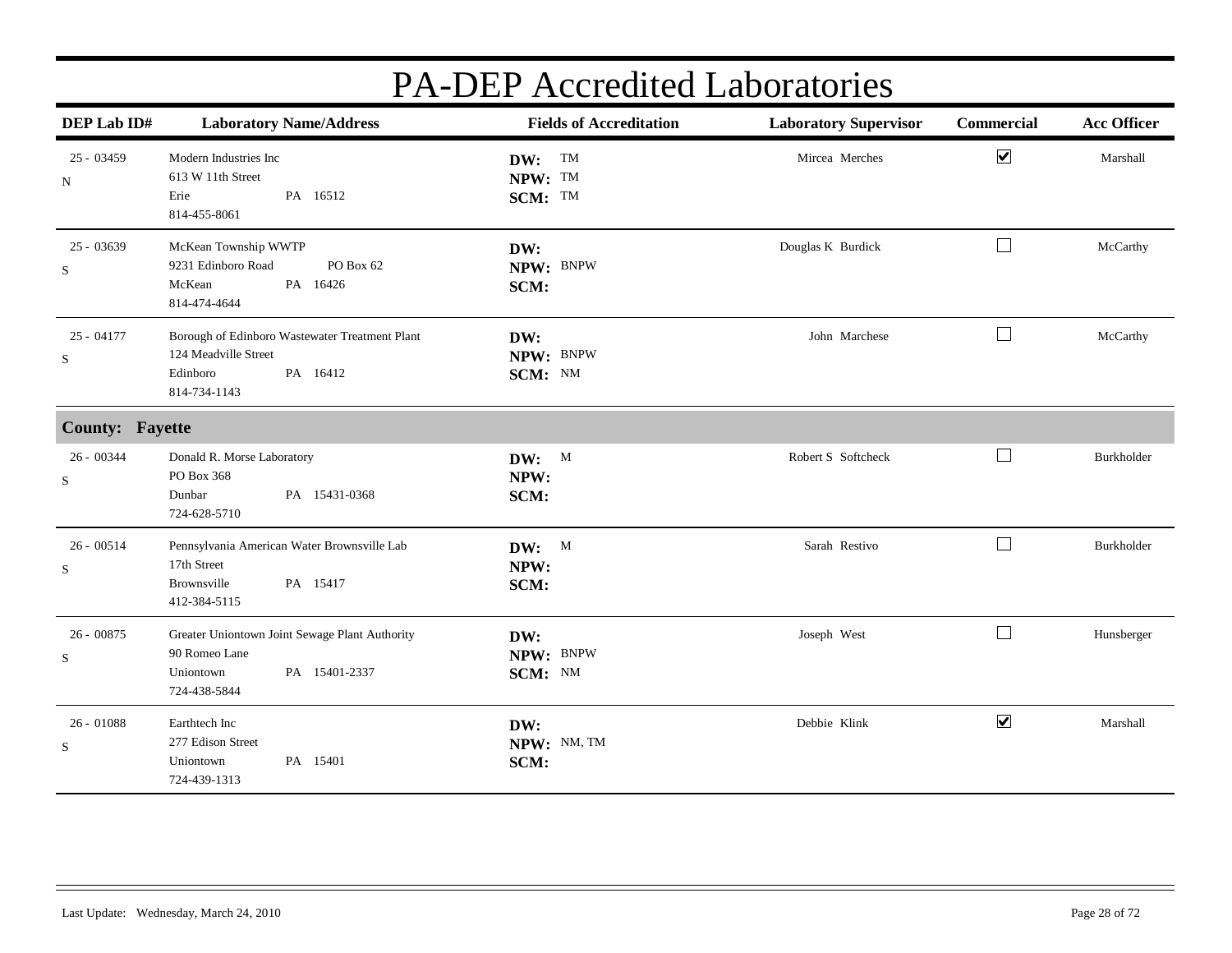| DEP Lab ID#            | <b>Laboratory Name/Address</b>                                                                                 | <b>Fields of Accreditation</b> | <b>Laboratory Supervisor</b> | Commercial                  | <b>Acc Officer</b> |
|------------------------|----------------------------------------------------------------------------------------------------------------|--------------------------------|------------------------------|-----------------------------|--------------------|
| $25 - 03459$<br>N      | Modern Industries Inc<br>613 W 11th Street<br>Erie<br>PA 16512<br>814-455-8061                                 | DW: TM<br>NPW: TM<br>SCM: TM   | Mircea Merches               | $\blacktriangledown$        | Marshall           |
| $25 - 03639$<br>S      | McKean Township WWTP<br>9231 Edinboro Road<br>PO Box 62<br>McKean<br>PA 16426<br>814-474-4644                  | DW:<br>NPW: BNPW<br>SCM:       | Douglas K Burdick            | $\Box$                      | McCarthy           |
| $25 - 04177$<br>S      | Borough of Edinboro Wastewater Treatment Plant<br>124 Meadville Street<br>Edinboro<br>PA 16412<br>814-734-1143 | DW:<br>NPW: BNPW<br>SCM: NM    | John Marchese                | $\Box$                      | McCarthy           |
| <b>County: Fayette</b> |                                                                                                                |                                |                              |                             |                    |
| 26 - 00344<br>S        | Donald R. Morse Laboratory<br>PO Box 368<br>Dunbar<br>PA 15431-0368<br>724-628-5710                            | DW: M<br>NPW:<br>SCM:          | Robert S Softcheck           | $\Box$                      | Burkholder         |
| $26 - 00514$<br>S      | Pennsylvania American Water Brownsville Lab<br>17th Street<br>PA 15417<br>Brownsville<br>412-384-5115          | DW: M<br>NPW:<br>SCM:          | Sarah Restivo                | $\mathcal{L}_{\mathcal{A}}$ | Burkholder         |
| $26 - 00875$<br>S      | Greater Uniontown Joint Sewage Plant Authority<br>90 Romeo Lane<br>PA 15401-2337<br>Uniontown<br>724-438-5844  | DW:<br>NPW: BNPW<br>SCM: NM    | Joseph West                  | $\Box$                      | Hunsberger         |
| $26 - 01088$<br>S      | Earthtech Inc<br>277 Edison Street<br>Uniontown<br>PA 15401<br>724-439-1313                                    | DW:<br>NPW: NM, TM<br>SCM:     | Debbie Klink                 | $\blacktriangleright$       | Marshall           |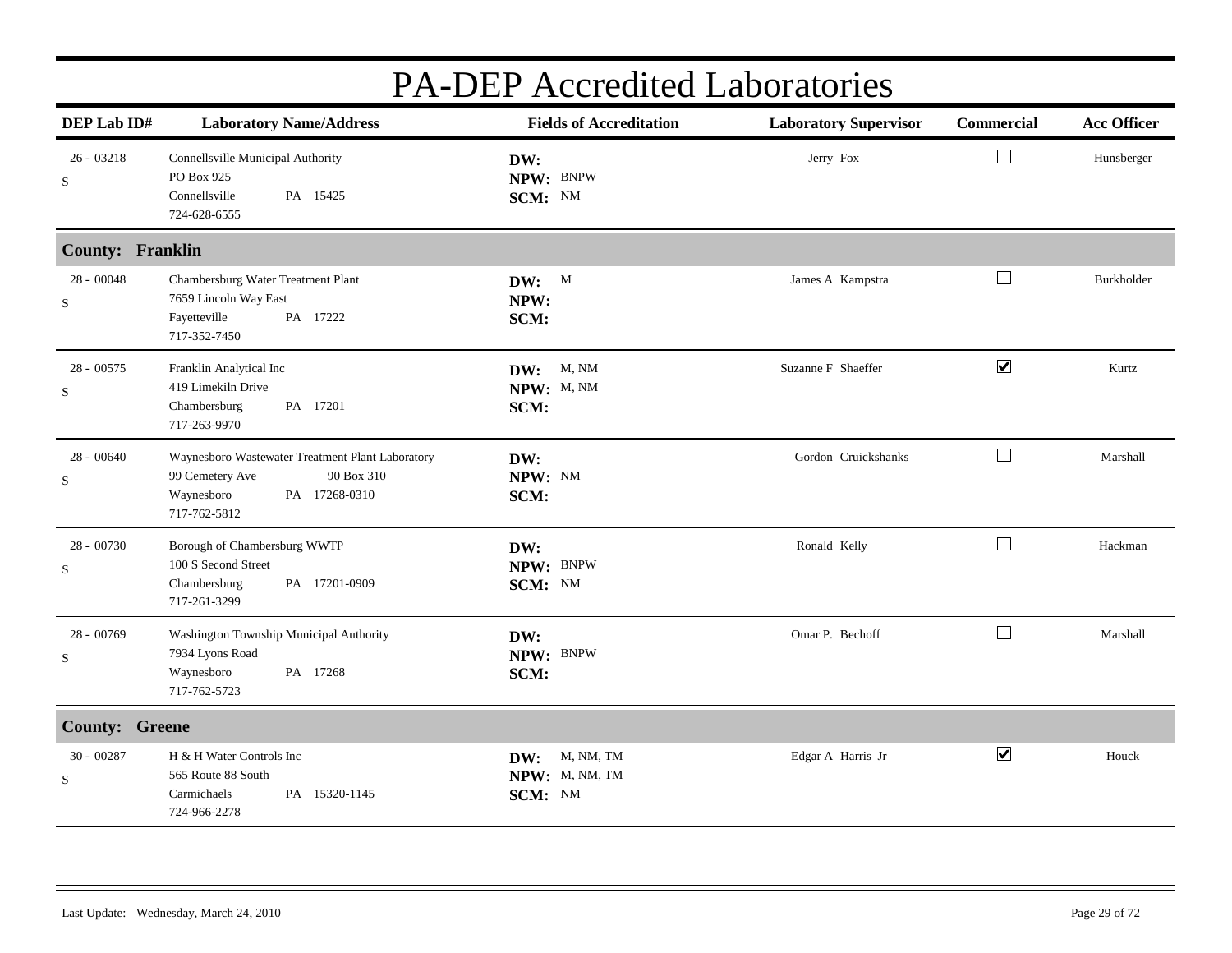| DEP Lab ID#             | <b>Laboratory Name/Address</b>                                                                                                   | <b>Fields of Accreditation</b>                | <b>Laboratory Supervisor</b> | Commercial           | <b>Acc Officer</b> |
|-------------------------|----------------------------------------------------------------------------------------------------------------------------------|-----------------------------------------------|------------------------------|----------------------|--------------------|
| $26 - 03218$<br>S       | Connellsville Municipal Authority<br>PO Box 925<br>Connellsville<br>PA 15425<br>724-628-6555                                     | DW:<br>NPW: BNPW<br>SCM: NM                   | Jerry Fox                    |                      | Hunsberger         |
| <b>County: Franklin</b> |                                                                                                                                  |                                               |                              |                      |                    |
| $28 - 00048$<br>S       | Chambersburg Water Treatment Plant<br>7659 Lincoln Way East<br>Fayetteville<br>PA 17222<br>717-352-7450                          | DW: M<br>NPW:<br>SCM:                         | James A Kampstra             | ∟                    | Burkholder         |
| 28 - 00575<br>S         | Franklin Analytical Inc<br>419 Limekiln Drive<br>Chambersburg<br>PA 17201<br>717-263-9970                                        | <b>DW:</b> M, NM<br>NPW: M, NM<br>SCM:        | Suzanne F Shaeffer           | $\blacktriangledown$ | Kurtz              |
| 28 - 00640<br>S         | Waynesboro Wastewater Treatment Plant Laboratory<br>99 Cemetery Ave<br>90 Box 310<br>Waynesboro<br>PA 17268-0310<br>717-762-5812 | DW:<br>NPW: NM<br>SCM:                        | Gordon Cruickshanks          | $\Box$               | Marshall           |
| 28 - 00730<br>${\bf S}$ | Borough of Chambersburg WWTP<br>100 S Second Street<br>Chambersburg<br>PA 17201-0909<br>717-261-3299                             | DW:<br>NPW: BNPW<br>SCM: NM                   | Ronald Kelly                 | $\Box$               | Hackman            |
| $28 - 00769$<br>S       | Washington Township Municipal Authority<br>7934 Lyons Road<br>PA 17268<br>Waynesboro<br>717-762-5723                             | DW:<br>NPW: BNPW<br>SCM:                      | Omar P. Bechoff              | $\Box$               | Marshall           |
| <b>County: Greene</b>   |                                                                                                                                  |                                               |                              |                      |                    |
| $30 - 00287$<br>S       | H & H Water Controls Inc<br>565 Route 88 South<br>PA 15320-1145<br>Carmichaels<br>724-966-2278                                   | M, NM, TM<br>DW:<br>NPW: M, NM, TM<br>SCM: NM | Edgar A Harris Jr            | $\blacktriangledown$ | Houck              |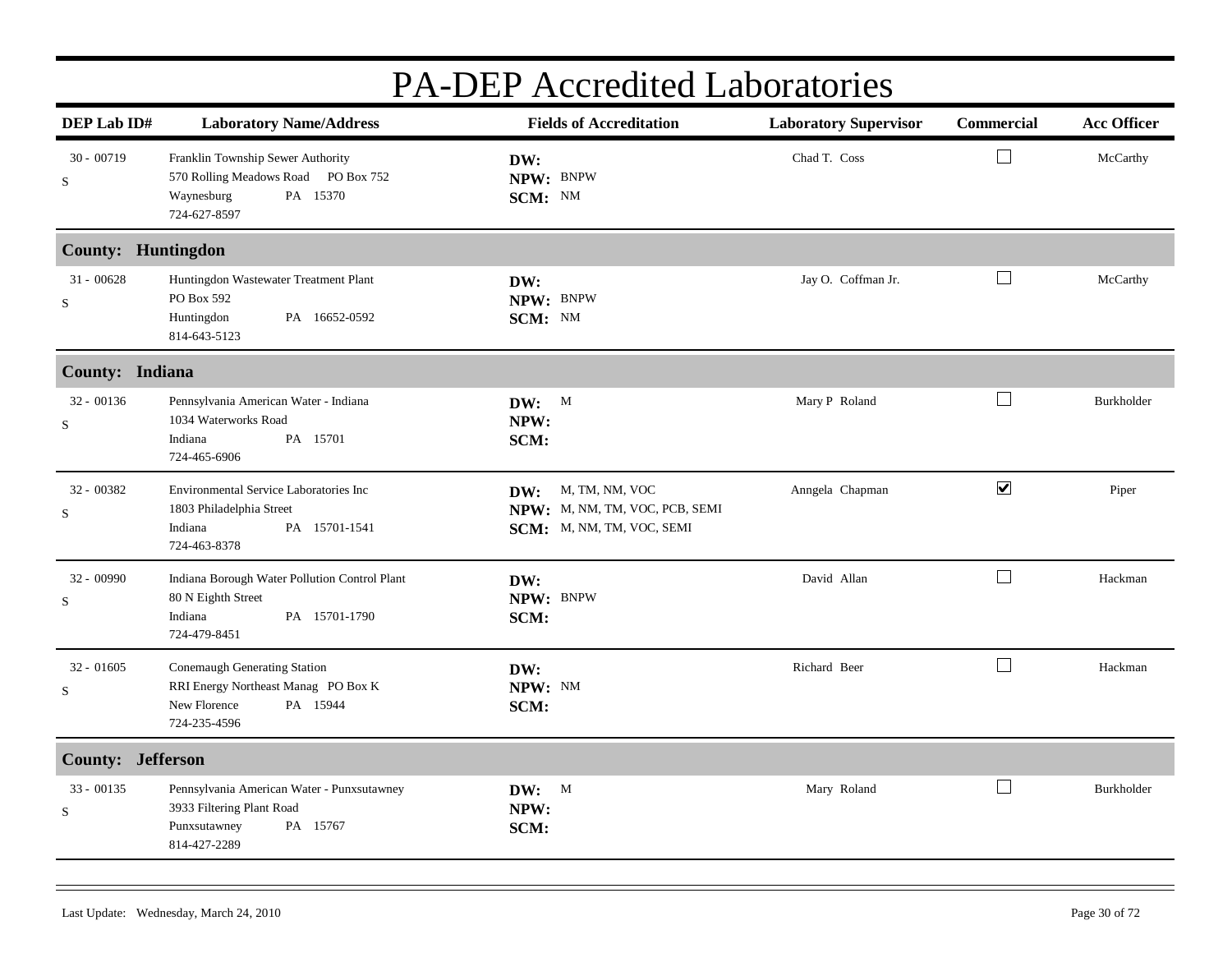|                           | I A-DEI ACCIENTE LADOIAUILES                                                                                        |                                                                                   |                              |                      |                    |  |  |
|---------------------------|---------------------------------------------------------------------------------------------------------------------|-----------------------------------------------------------------------------------|------------------------------|----------------------|--------------------|--|--|
| DEP Lab ID#               | <b>Laboratory Name/Address</b>                                                                                      | <b>Fields of Accreditation</b>                                                    | <b>Laboratory Supervisor</b> | Commercial           | <b>Acc Officer</b> |  |  |
| $30 - 00719$<br>${\bf S}$ | Franklin Township Sewer Authority<br>570 Rolling Meadows Road PO Box 752<br>PA 15370<br>Waynesburg<br>724-627-8597  | DW:<br>NPW: BNPW<br>SCM: NM                                                       | Chad T. Coss                 | $\Box$               | McCarthy           |  |  |
| <b>County: Huntingdon</b> |                                                                                                                     |                                                                                   |                              |                      |                    |  |  |
| $31 - 00628$<br>${\bf S}$ | Huntingdon Wastewater Treatment Plant<br>PO Box 592<br>Huntingdon<br>PA 16652-0592<br>814-643-5123                  | DW:<br>NPW: BNPW<br>SCM: NM                                                       | Jay O. Coffman Jr.           | $\Box$               | McCarthy           |  |  |
| County: Indiana           |                                                                                                                     |                                                                                   |                              |                      |                    |  |  |
| $32 - 00136$<br>S         | Pennsylvania American Water - Indiana<br>1034 Waterworks Road<br>Indiana<br>PA 15701<br>724-465-6906                | DW: M<br>NPW:<br>SCM:                                                             | Mary P Roland                | $\Box$               | Burkholder         |  |  |
| 32 - 00382<br>S           | Environmental Service Laboratories Inc<br>1803 Philadelphia Street<br>PA 15701-1541<br>Indiana<br>724-463-8378      | DW: M, TM, NM, VOC<br>NPW: M, NM, TM, VOC, PCB, SEMI<br>SCM: M, NM, TM, VOC, SEMI | Anngela Chapman              | $\blacktriangledown$ | Piper              |  |  |
| 32 - 00990<br>S           | Indiana Borough Water Pollution Control Plant<br>80 N Eighth Street<br>Indiana<br>PA 15701-1790<br>724-479-8451     | DW:<br>NPW: BNPW<br>SCM:                                                          | David Allan                  | $\Box$               | Hackman            |  |  |
| $32 - 01605$<br>S         | Conemaugh Generating Station<br>RRI Energy Northeast Manag PO Box K<br>New Florence<br>PA 15944<br>724-235-4596     | DW:<br>NPW: NM<br>SCM:                                                            | Richard Beer                 | $\Box$               | Hackman            |  |  |
| County: Jefferson         |                                                                                                                     |                                                                                   |                              |                      |                    |  |  |
| $33 - 00135$<br>S         | Pennsylvania American Water - Punxsutawney<br>3933 Filtering Plant Road<br>PA 15767<br>Punxsutawney<br>814-427-2289 | DW: M<br>NPW:<br>SCM:                                                             | Mary Roland                  | $\Box$               | Burkholder         |  |  |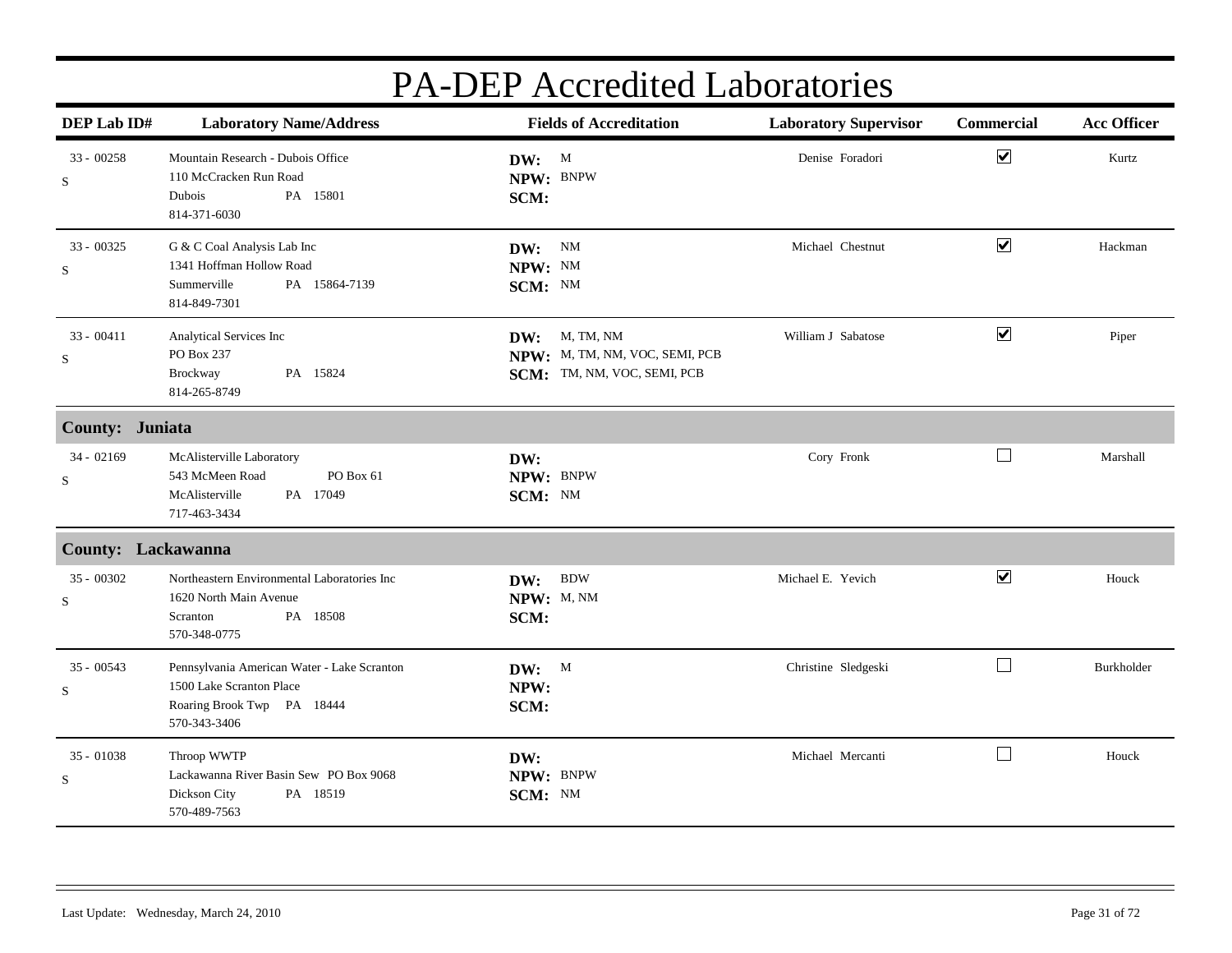| DEP Lab ID#                 | <b>Laboratory Name/Address</b>                                                                                        | <b>Fields of Accreditation</b>                                                 | <b>Laboratory Supervisor</b> | Commercial           | <b>Acc Officer</b> |
|-----------------------------|-----------------------------------------------------------------------------------------------------------------------|--------------------------------------------------------------------------------|------------------------------|----------------------|--------------------|
| $33 - 00258$<br>${\bf S}$   | Mountain Research - Dubois Office<br>110 McCracken Run Road<br>PA 15801<br>Dubois<br>814-371-6030                     | DW: M<br>NPW: BNPW<br>SCM:                                                     | Denise Foradori              | $\blacktriangledown$ | Kurtz              |
| $33 - 00325$<br>${\bf S}$   | G & C Coal Analysis Lab Inc<br>1341 Hoffman Hollow Road<br>Summerville<br>PA 15864-7139<br>814-849-7301               | DW: NM<br>NPW: NM<br>SCM: NM                                                   | Michael Chestnut             | $\blacktriangledown$ | Hackman            |
| $33 - 00411$<br>${\bf S}$   | Analytical Services Inc<br>PO Box 237<br>Brockway<br>PA 15824<br>814-265-8749                                         | DW: M, TM, NM<br>NPW: M, TM, NM, VOC, SEMI, PCB<br>SCM: TM, NM, VOC, SEMI, PCB | William J Sabatose           | $\blacktriangledown$ | Piper              |
| County: Juniata             |                                                                                                                       |                                                                                |                              |                      |                    |
| $34 - 02169$<br>$\mathbf S$ | McAlisterville Laboratory<br>543 McMeen Road<br>PO Box 61<br>McAlisterville<br>PA 17049<br>717-463-3434               | DW:<br>NPW: BNPW<br>SCM: NM                                                    | Cory Fronk                   | $\Box$               | Marshall           |
| <b>County: Lackawanna</b>   |                                                                                                                       |                                                                                |                              |                      |                    |
| $35 - 00302$<br>S           | Northeastern Environmental Laboratories Inc<br>1620 North Main Avenue<br>PA 18508<br>Scranton<br>570-348-0775         | $\operatorname{BDW}$<br>DW:<br>NPW: M, NM<br>SCM:                              | Michael E. Yevich            | $\blacktriangledown$ | Houck              |
| $35 - 00543$<br>S           | Pennsylvania American Water - Lake Scranton<br>1500 Lake Scranton Place<br>Roaring Brook Twp PA 18444<br>570-343-3406 | DW: M<br>NPW:<br>SCM:                                                          | Christine Sledgeski          | $\Box$               | Burkholder         |
| $35 - 01038$<br>${\bf S}$   | Throop WWTP<br>Lackawanna River Basin Sew PO Box 9068<br>Dickson City<br>PA 18519<br>570-489-7563                     | DW:<br>NPW: BNPW<br>SCM: NM                                                    | Michael Mercanti             | $\vert \ \ \vert$    | Houck              |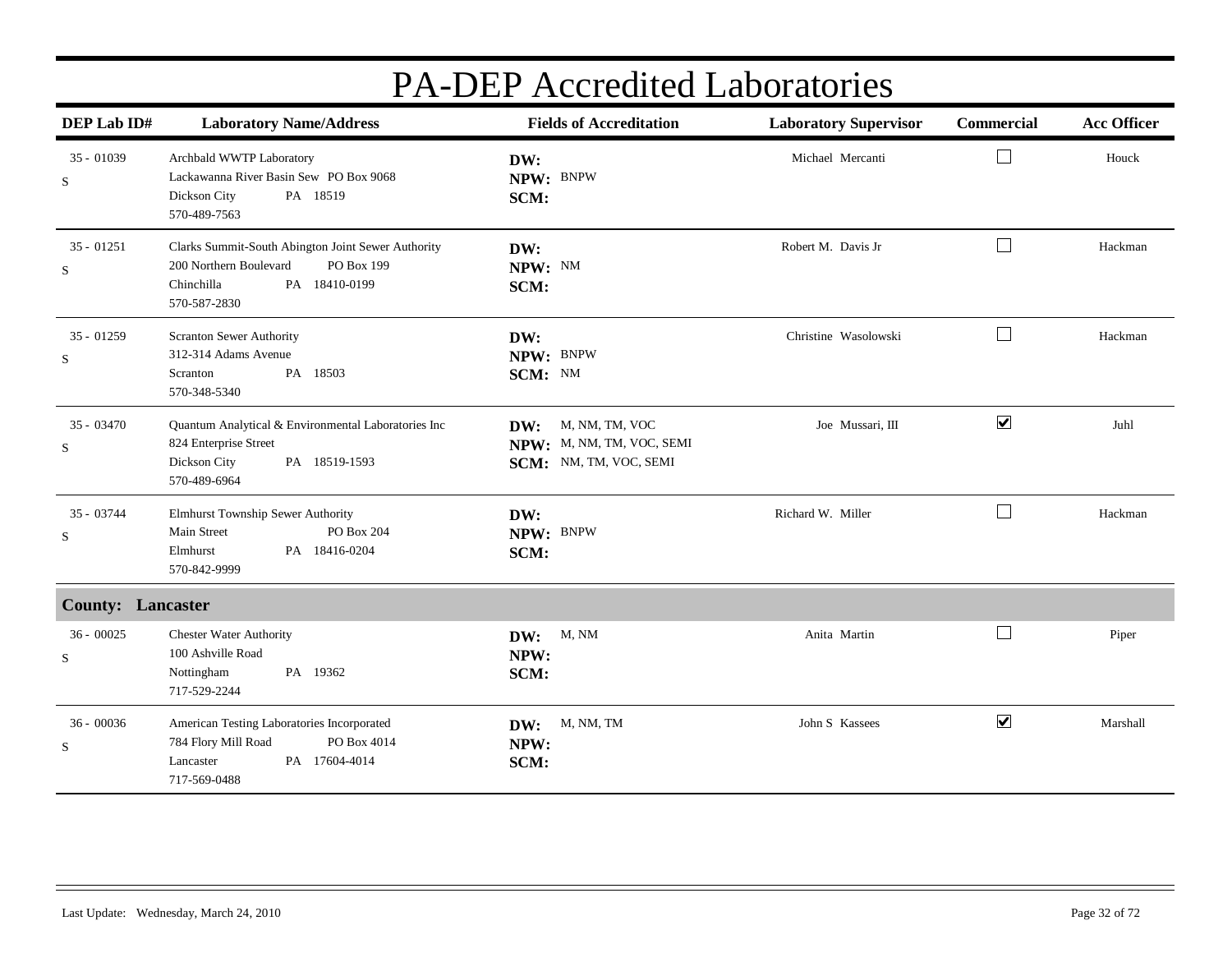| DEP Lab ID#                 | <b>Laboratory Name/Address</b>                                                                                                            | <b>Fields of Accreditation</b>                                               | <b>Laboratory Supervisor</b> | Commercial           | <b>Acc Officer</b> |
|-----------------------------|-------------------------------------------------------------------------------------------------------------------------------------------|------------------------------------------------------------------------------|------------------------------|----------------------|--------------------|
| $35 - 01039$<br>${\bf S}$   | Archbald WWTP Laboratory<br>Lackawanna River Basin Sew PO Box 9068<br>Dickson City<br>PA 18519<br>570-489-7563                            | DW:<br>NPW: BNPW<br>SCM:                                                     | Michael Mercanti             |                      | Houck              |
| $35 - 01251$<br>${\bf S}$   | Clarks Summit-South Abington Joint Sewer Authority<br>200 Northern Boulevard<br>PO Box 199<br>Chinchilla<br>PA 18410-0199<br>570-587-2830 | DW:<br>NPW: NM<br>SCM:                                                       | Robert M. Davis Jr           | $\Box$               | Hackman            |
| $35 - 01259$<br>S           | Scranton Sewer Authority<br>312-314 Adams Avenue<br>PA 18503<br>Scranton<br>570-348-5340                                                  | DW:<br>NPW: BNPW<br>SCM: NM                                                  | Christine Wasolowski         | $\perp$              | Hackman            |
| $35 - 03470$<br>S           | Quantum Analytical & Environmental Laboratories Inc<br>824 Enterprise Street<br>Dickson City<br>PA 18519-1593<br>570-489-6964             | M, NM, TM, VOC<br>DW:<br>NPW: M, NM, TM, VOC, SEMI<br>SCM: NM, TM, VOC, SEMI | Joe Mussari. III             | $\blacktriangledown$ | Juhl               |
| 35 - 03744<br>S             | Elmhurst Township Sewer Authority<br>Main Street<br>PO Box 204<br>PA 18416-0204<br>Elmhurst<br>570-842-9999                               | DW:<br>NPW: BNPW<br>SCM:                                                     | Richard W. Miller            | $\Box$               | Hackman            |
| <b>County: Lancaster</b>    |                                                                                                                                           |                                                                              |                              |                      |                    |
| $36 - 00025$<br>$\mathbf S$ | <b>Chester Water Authority</b><br>100 Ashville Road<br>Nottingham<br>PA 19362<br>717-529-2244                                             | M, NM<br>DW:<br>NPW:<br>SCM:                                                 | Anita Martin                 | $\perp$              | Piper              |
| $36 - 00036$<br>${\bf S}$   | American Testing Laboratories Incorporated<br>784 Flory Mill Road<br>PO Box 4014<br>PA 17604-4014<br>Lancaster<br>717-569-0488            | M, NM, TM<br>DW:<br>NPW:<br>SCM:                                             | John S Kassees               | $\blacktriangledown$ | Marshall           |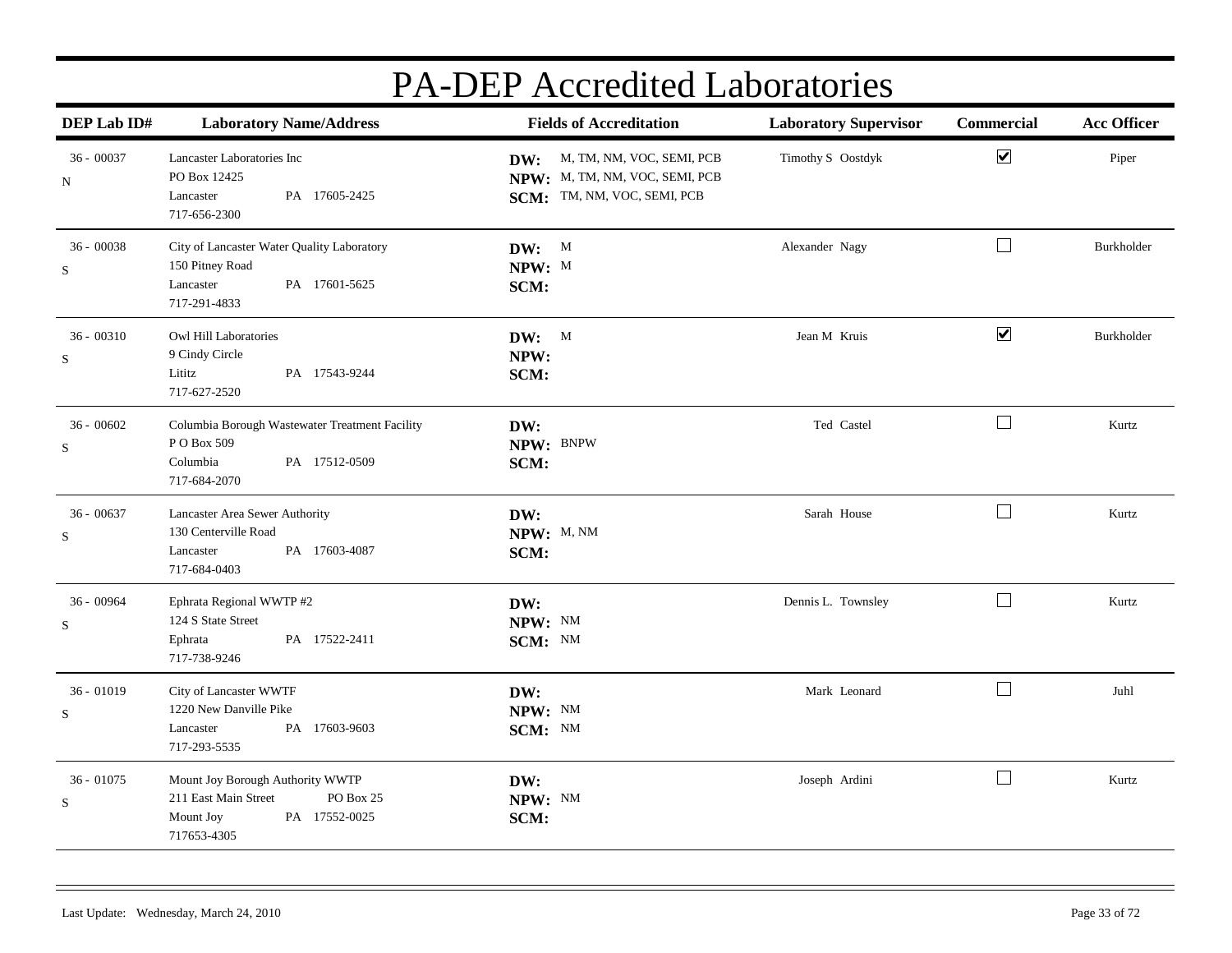| DEP Lab ID#                 | <b>Laboratory Name/Address</b>                                                                                     | <b>Fields of Accreditation</b>                                                                    | <b>Laboratory Supervisor</b> | Commercial                  | <b>Acc Officer</b> |
|-----------------------------|--------------------------------------------------------------------------------------------------------------------|---------------------------------------------------------------------------------------------------|------------------------------|-----------------------------|--------------------|
| $36 - 00037$<br>N           | Lancaster Laboratories Inc<br>PO Box 12425<br>PA 17605-2425<br>Lancaster<br>717-656-2300                           | M, TM, NM, VOC, SEMI, PCB<br>DW:<br>NPW: M, TM, NM, VOC, SEMI, PCB<br>SCM: TM, NM, VOC, SEMI, PCB | Timothy S Oostdyk            | $\blacktriangledown$        | Piper              |
| $36 - 00038$<br>$\mathbf S$ | City of Lancaster Water Quality Laboratory<br>150 Pitney Road<br>PA 17601-5625<br>Lancaster<br>717-291-4833        | DW: M<br>NPW: M<br>SCM:                                                                           | Alexander Nagy               | $\Box$                      | Burkholder         |
| $36 - 00310$<br>S           | Owl Hill Laboratories<br>9 Cindy Circle<br>PA 17543-9244<br>Lititz<br>717-627-2520                                 | DW: M<br>NPW:<br>SCM:                                                                             | Jean M Kruis                 | $\blacktriangledown$        | Burkholder         |
| $36 - 00602$<br>S           | Columbia Borough Wastewater Treatment Facility<br>PO Box 509<br>Columbia<br>PA 17512-0509<br>717-684-2070          | DW:<br>NPW: BNPW<br>SCM:                                                                          | Ted Castel                   | $\Box$                      | Kurtz              |
| $36 - 00637$<br>S           | Lancaster Area Sewer Authority<br>130 Centerville Road<br>PA 17603-4087<br>Lancaster<br>717-684-0403               | DW:<br>NPW: M, NM<br>SCM:                                                                         | Sarah House                  | $\Box$                      | Kurtz              |
| 36 - 00964<br>$\mathbf S$   | Ephrata Regional WWTP #2<br>124 S State Street<br>PA 17522-2411<br>Ephrata<br>717-738-9246                         | DW:<br>NPW: NM<br>SCM: NM                                                                         | Dennis L. Townsley           | $\Box$                      | Kurtz              |
| $36 - 01019$<br>S           | City of Lancaster WWTF<br>1220 New Danville Pike<br>PA 17603-9603<br>Lancaster<br>717-293-5535                     | DW:<br>NPW: NM<br>SCM: NM                                                                         | Mark Leonard                 | $\mathcal{L}^{\mathcal{A}}$ | Juhl               |
| $36 - 01075$<br>S           | Mount Joy Borough Authority WWTP<br>PO Box 25<br>211 East Main Street<br>PA 17552-0025<br>Mount Joy<br>717653-4305 | DW:<br>NPW: NM<br>SCM:                                                                            | Joseph Ardini                | $\Box$                      | Kurtz              |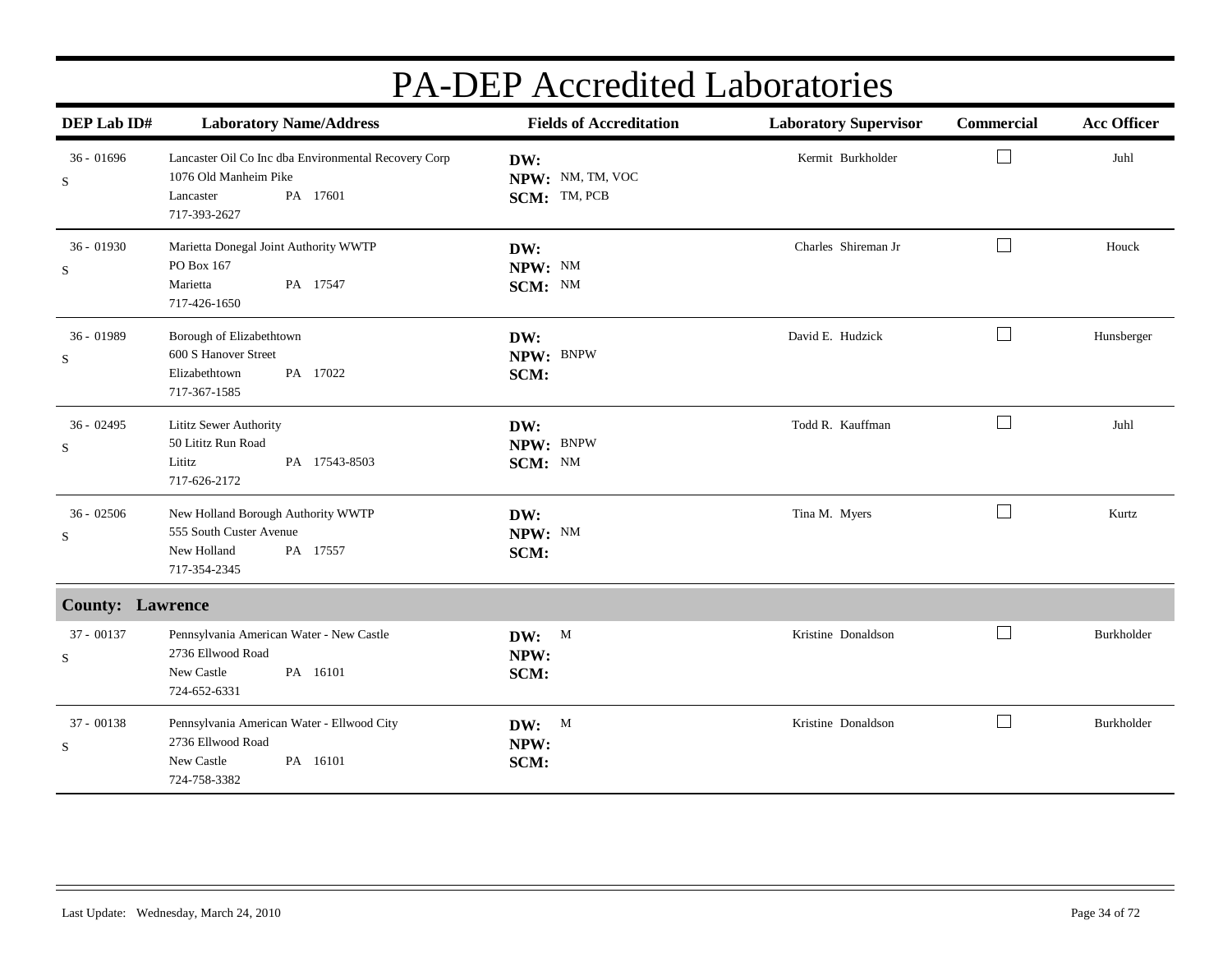| DEP Lab ID#               | <b>Laboratory Name/Address</b>                                                                                         | <b>Fields of Accreditation</b>          | <b>Laboratory Supervisor</b> | Commercial                  | <b>Acc Officer</b> |
|---------------------------|------------------------------------------------------------------------------------------------------------------------|-----------------------------------------|------------------------------|-----------------------------|--------------------|
| $36 - 01696$<br>${\bf S}$ | Lancaster Oil Co Inc dba Environmental Recovery Corp<br>1076 Old Manheim Pike<br>PA 17601<br>Lancaster<br>717-393-2627 | DW:<br>NPW: NM, TM, VOC<br>SCM: TM, PCB | Kermit Burkholder            | $\mathcal{L}_{\mathcal{A}}$ | Juhl               |
| 36 - 01930<br>${\bf S}$   | Marietta Donegal Joint Authority WWTP<br>PO Box 167<br>Marietta<br>PA 17547<br>717-426-1650                            | DW:<br>NPW: NM<br>SCM: NM               | Charles Shireman Jr          | $\mathcal{L}_{\mathcal{A}}$ | Houck              |
| $36 - 01989$<br>S         | Borough of Elizabethtown<br>600 S Hanover Street<br>Elizabethtown<br>PA 17022<br>717-367-1585                          | DW:<br>NPW: BNPW<br>SCM:                | David E. Hudzick             | $\Box$                      | Hunsberger         |
| $36 - 02495$<br>S         | Lititz Sewer Authority<br>50 Lititz Run Road<br>Lititz<br>PA 17543-8503<br>717-626-2172                                | DW:<br>NPW: BNPW<br>SCM: NM             | Todd R. Kauffman             | $\Box$                      | Juhl               |
| $36 - 02506$<br>S         | New Holland Borough Authority WWTP<br>555 South Custer Avenue<br>New Holland<br>PA 17557<br>717-354-2345               | DW:<br>NPW: NM<br>SCM:                  | Tina M. Myers                | $\Box$                      | Kurtz              |
| <b>County: Lawrence</b>   |                                                                                                                        |                                         |                              |                             |                    |
| $37 - 00137$<br>${\bf S}$ | Pennsylvania American Water - New Castle<br>2736 Ellwood Road<br>New Castle<br>PA 16101<br>724-652-6331                | DW: M<br>NPW:<br>SCM:                   | Kristine Donaldson           | $\overline{\phantom{0}}$    | Burkholder         |
| 37 - 00138<br>${\bf S}$   | Pennsylvania American Water - Ellwood City<br>2736 Ellwood Road<br>New Castle<br>PA 16101<br>724-758-3382              | DW: M<br>NPW:<br>SCM:                   | Kristine Donaldson           | $\sim$                      | Burkholder         |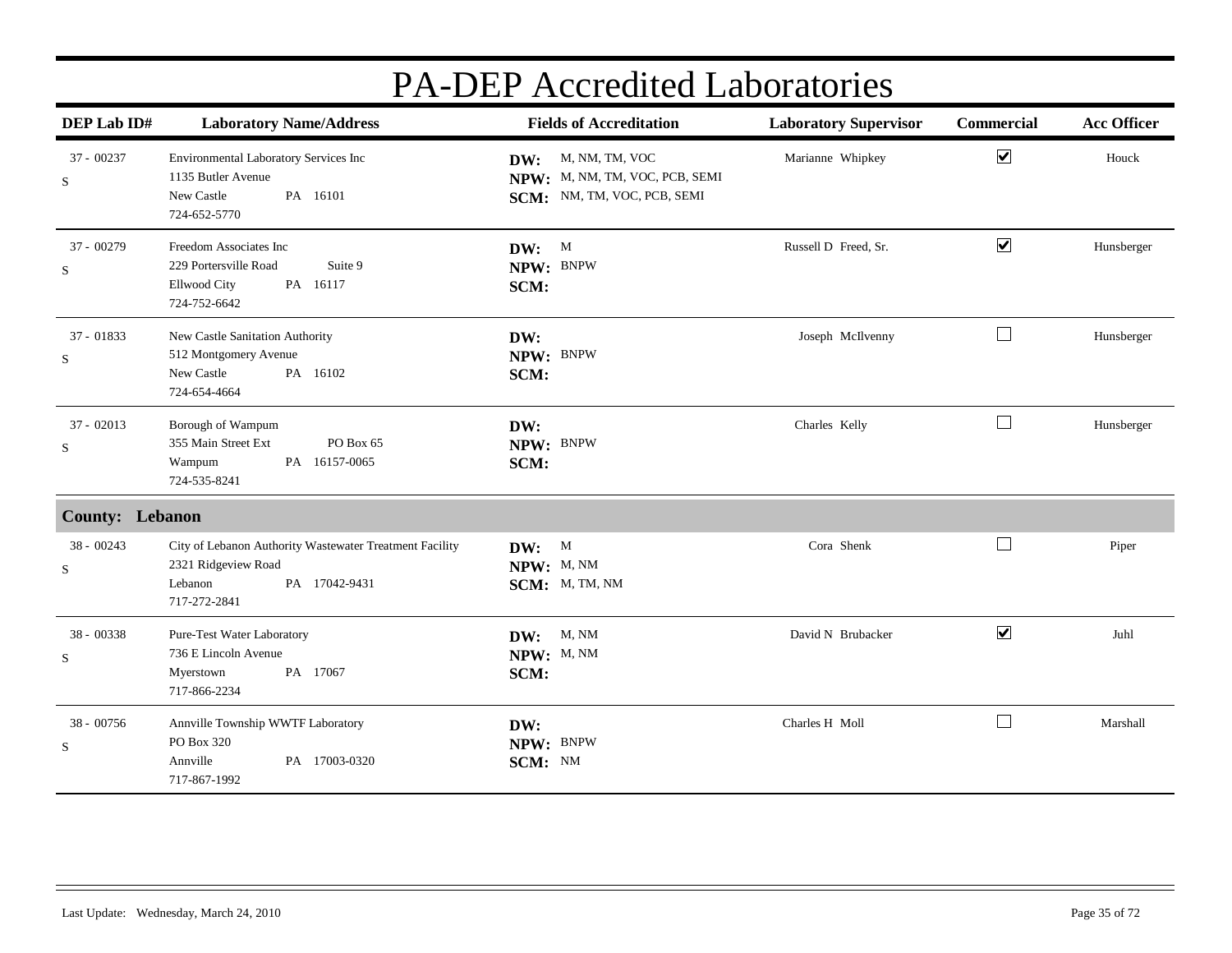| DEP Lab ID#                 | <b>Laboratory Name/Address</b>                                                                                             | <b>Fields of Accreditation</b>                                                      | <b>Laboratory Supervisor</b> | Commercial           | <b>Acc Officer</b> |
|-----------------------------|----------------------------------------------------------------------------------------------------------------------------|-------------------------------------------------------------------------------------|------------------------------|----------------------|--------------------|
| $37 - 00237$<br>$\mathbf S$ | Environmental Laboratory Services Inc<br>1135 Butler Avenue<br>New Castle<br>PA 16101<br>724-652-5770                      | DW: M, NM, TM, VOC<br>NPW: M, NM, TM, VOC, PCB, SEMI<br>SCM: NM, TM, VOC, PCB, SEMI | Marianne Whipkey             | $\blacktriangledown$ | Houck              |
| 37 - 00279<br>$\mathbf S$   | Freedom Associates Inc<br>229 Portersville Road<br>Suite 9<br><b>Ellwood City</b><br>PA 16117<br>724-752-6642              | DW: M<br>NPW: BNPW<br>SCM:                                                          | Russell D Freed, Sr.         | $\blacktriangledown$ | Hunsberger         |
| $37 - 01833$<br>$\mathbf S$ | New Castle Sanitation Authority<br>512 Montgomery Avenue<br>New Castle<br>PA 16102<br>724-654-4664                         | DW:<br>NPW: BNPW<br>SCM:                                                            | Joseph McIlvenny             | $\Box$               | Hunsberger         |
| $37 - 02013$<br>$\mathbf S$ | Borough of Wampum<br>355 Main Street Ext<br>PO Box 65<br>PA 16157-0065<br>Wampum<br>724-535-8241                           | DW:<br>NPW: BNPW<br>SCM:                                                            | Charles Kelly                | $\Box$               | Hunsberger         |
| <b>County: Lebanon</b>      |                                                                                                                            |                                                                                     |                              |                      |                    |
| 38 - 00243<br>$\mathbf S$   | City of Lebanon Authority Wastewater Treatment Facility<br>2321 Ridgeview Road<br>Lebanon<br>PA 17042-9431<br>717-272-2841 | DW: M<br>NPW: M, NM<br>SCM: M, TM, NM                                               | Cora Shenk                   | $\Box$               | Piper              |
| $38 - 00338$<br>$\mathbf S$ | Pure-Test Water Laboratory<br>736 E Lincoln Avenue<br>PA 17067<br>Myerstown<br>717-866-2234                                | <b>DW:</b> M, NM<br>NPW: M, NM<br>SCM:                                              | David N Brubacker            | $\blacktriangledown$ | Juhl               |
| 38 - 00756<br>$\mathbf S$   | Annville Township WWTF Laboratory<br>PO Box 320<br>Annville<br>PA 17003-0320<br>717-867-1992                               | DW:<br>NPW: BNPW<br>SCM: NM                                                         | Charles H Moll               |                      | Marshall           |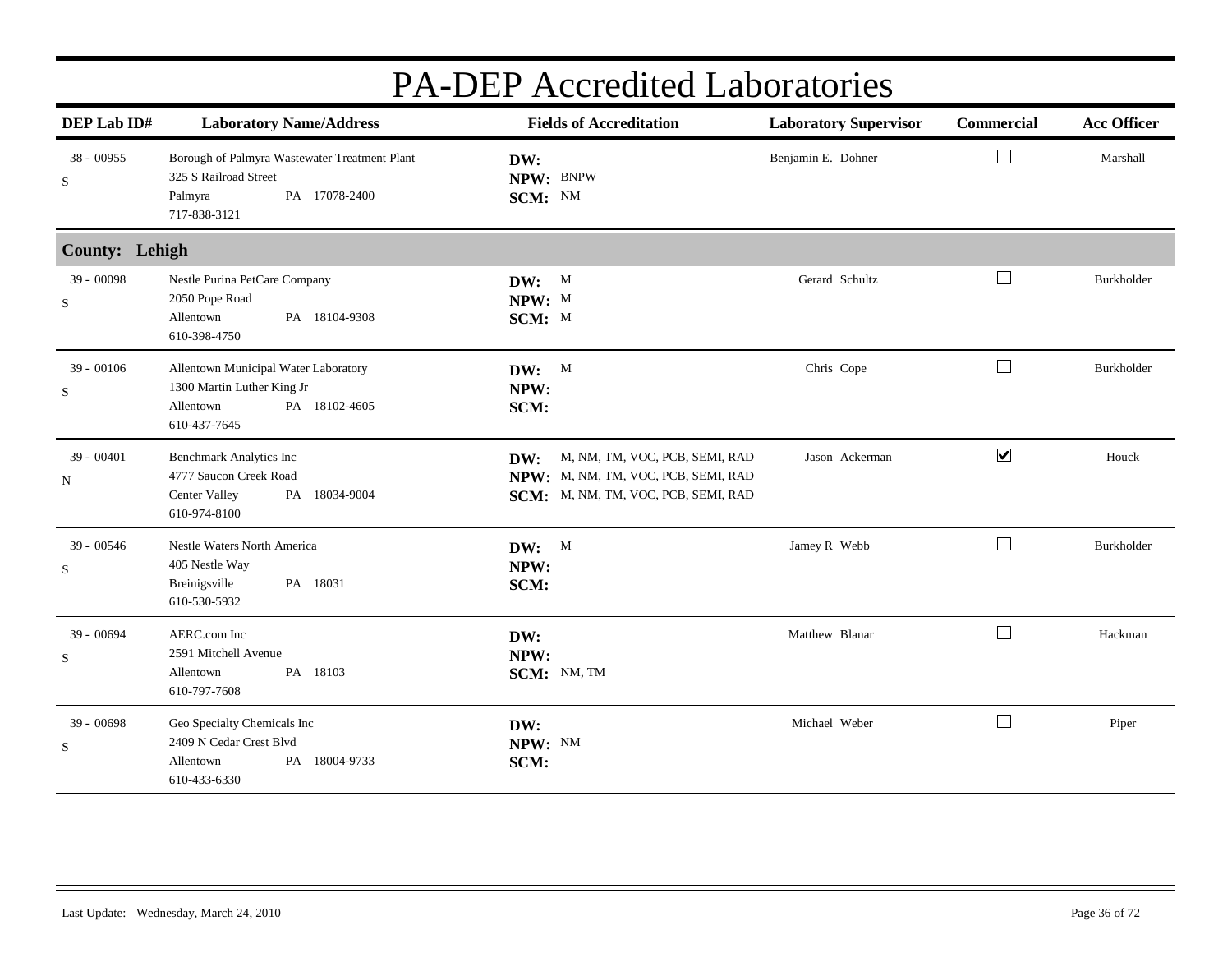| DEP Lab ID#           | <b>Laboratory Name/Address</b>                                                                                     | <b>Fields of Accreditation</b>                                                                                      | <b>Laboratory Supervisor</b> | <b>Commercial</b>    | <b>Acc Officer</b> |
|-----------------------|--------------------------------------------------------------------------------------------------------------------|---------------------------------------------------------------------------------------------------------------------|------------------------------|----------------------|--------------------|
| 38 - 00955<br>S       | Borough of Palmyra Wastewater Treatment Plant<br>325 S Railroad Street<br>PA 17078-2400<br>Palmyra<br>717-838-3121 | DW:<br>NPW: BNPW<br>SCM: NM                                                                                         | Benjamin E. Dohner           | ⊔                    | Marshall           |
| <b>County: Lehigh</b> |                                                                                                                    |                                                                                                                     |                              |                      |                    |
| 39 - 00098<br>S       | Nestle Purina PetCare Company<br>2050 Pope Road<br>PA 18104-9308<br>Allentown<br>610-398-4750                      | DW: M<br>NPW: M<br>SCM: M                                                                                           | Gerard Schultz               |                      | Burkholder         |
| $39 - 00106$<br>S     | Allentown Municipal Water Laboratory<br>1300 Martin Luther King Jr<br>PA 18102-4605<br>Allentown<br>610-437-7645   | DW: M<br>NPW:<br>SCM:                                                                                               | Chris Cope                   | $\Box$               | Burkholder         |
| $39 - 00401$<br>N     | Benchmark Analytics Inc<br>4777 Saucon Creek Road<br><b>Center Valley</b><br>PA 18034-9004<br>610-974-8100         | M, NM, TM, VOC, PCB, SEMI, RAD<br>DW:<br>NPW: M, NM, TM, VOC, PCB, SEMI, RAD<br>SCM: M, NM, TM, VOC, PCB, SEMI, RAD | Jason Ackerman               | $\blacktriangledown$ | Houck              |
| $39 - 00546$<br>S     | Nestle Waters North America<br>405 Nestle Way<br>Breinigsville<br>PA 18031<br>610-530-5932                         | DW: M<br>NPW:<br>SCM:                                                                                               | Jamey R Webb                 | $\Box$               | Burkholder         |
| 39 - 00694<br>S       | AERC.com Inc<br>2591 Mitchell Avenue<br>Allentown<br>PA 18103<br>610-797-7608                                      | DW:<br>NPW:<br>SCM: NM, TM                                                                                          | Matthew Blanar               | $\Box$               | Hackman            |
| 39 - 00698<br>S       | Geo Specialty Chemicals Inc<br>2409 N Cedar Crest Blvd<br>PA 18004-9733<br>Allentown<br>610-433-6330               | DW:<br>NPW: NM<br>SCM:                                                                                              | Michael Weber                | $\Box$               | Piper              |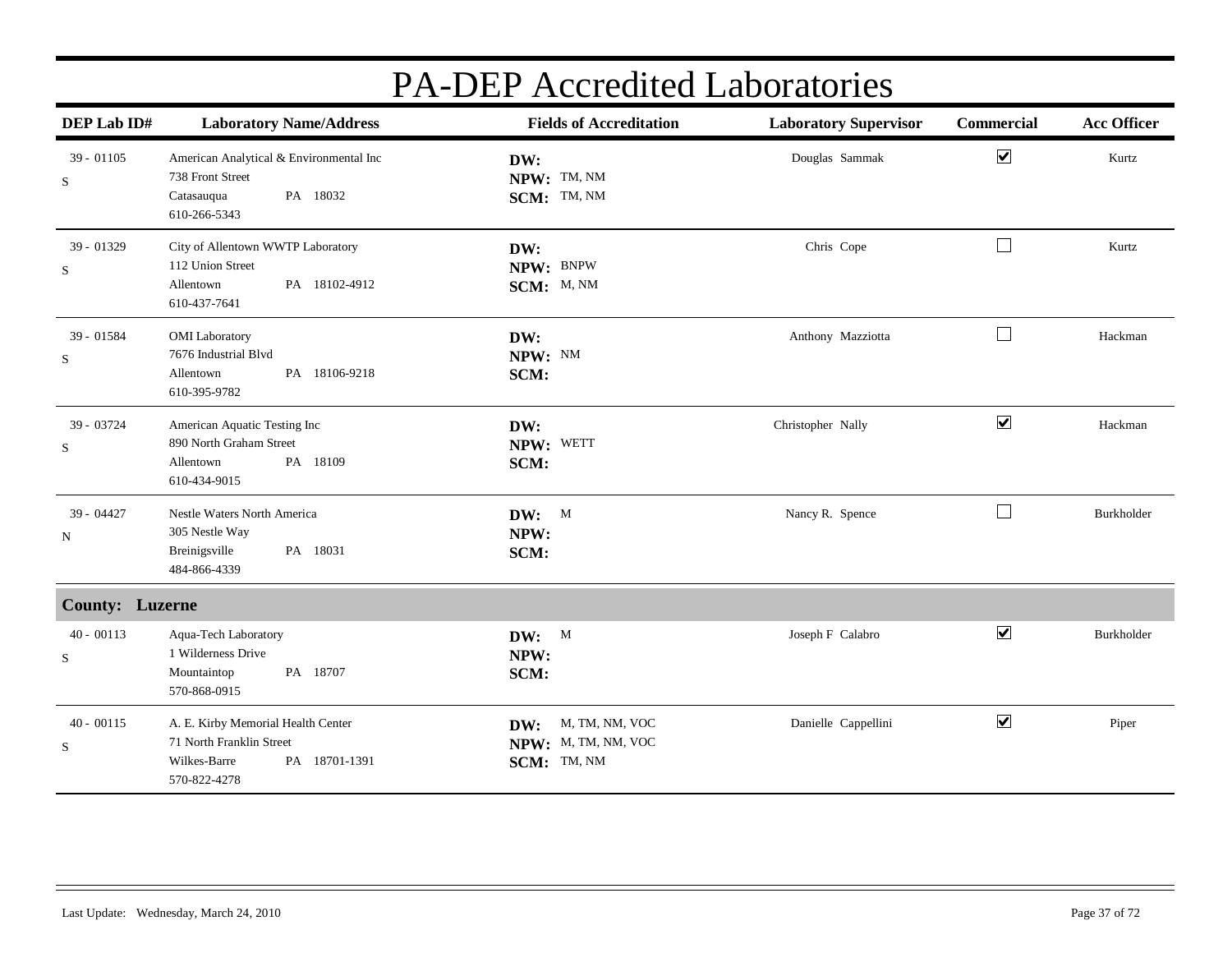| DEP Lab ID#                 | <b>Laboratory Name/Address</b>                                                                                  | <b>Fields of Accreditation</b>                              | <b>Laboratory Supervisor</b> | <b>Commercial</b>    | <b>Acc Officer</b> |
|-----------------------------|-----------------------------------------------------------------------------------------------------------------|-------------------------------------------------------------|------------------------------|----------------------|--------------------|
| $39 - 01105$<br>$\mathbf S$ | American Analytical & Environmental Inc<br>738 Front Street<br>PA 18032<br>Catasauqua<br>610-266-5343           | DW:<br>NPW: TM, NM<br>SCM: TM, NM                           | Douglas Sammak               | $\blacktriangledown$ | Kurtz              |
| 39 - 01329<br>$\mathbf S$   | City of Allentown WWTP Laboratory<br>112 Union Street<br>Allentown<br>PA 18102-4912<br>610-437-7641             | DW:<br>NPW: BNPW<br>SCM: M, NM                              | Chris Cope                   | $\Box$               | Kurtz              |
| 39 - 01584<br>S             | <b>OMI</b> Laboratory<br>7676 Industrial Blvd<br>PA 18106-9218<br>Allentown<br>610-395-9782                     | DW:<br>NPW: NM<br>SCM:                                      | Anthony Mazziotta            | $\Box$               | Hackman            |
| 39 - 03724<br>$\mathbf S$   | American Aquatic Testing Inc<br>890 North Graham Street<br>PA 18109<br>Allentown<br>610-434-9015                | DW:<br>NPW: WETT<br>SCM:                                    | Christopher Nally            | $\blacktriangledown$ | Hackman            |
| 39 - 04427<br>N             | Nestle Waters North America<br>305 Nestle Way<br>Breinigsville<br>PA 18031<br>484-866-4339                      | $DW:$ M<br>NPW:<br>SCM:                                     | Nancy R. Spence              | ⊔                    | Burkholder         |
| <b>County: Luzerne</b>      |                                                                                                                 |                                                             |                              |                      |                    |
| $40 - 00113$<br>$\mathbf S$ | Aqua-Tech Laboratory<br>1 Wilderness Drive<br>Mountaintop<br>PA 18707<br>570-868-0915                           | DW: M<br>NPW:<br>SCM:                                       | Joseph F Calabro             | $\blacktriangledown$ | <b>Burkholder</b>  |
| $40 - 00115$<br>$\mathbf S$ | A. E. Kirby Memorial Health Center<br>71 North Franklin Street<br>Wilkes-Barre<br>PA 18701-1391<br>570-822-4278 | M, TM, NM, VOC<br>DW:<br>NPW: M, TM, NM, VOC<br>SCM: TM, NM | Danielle Cappellini          | $\blacktriangledown$ | Piper              |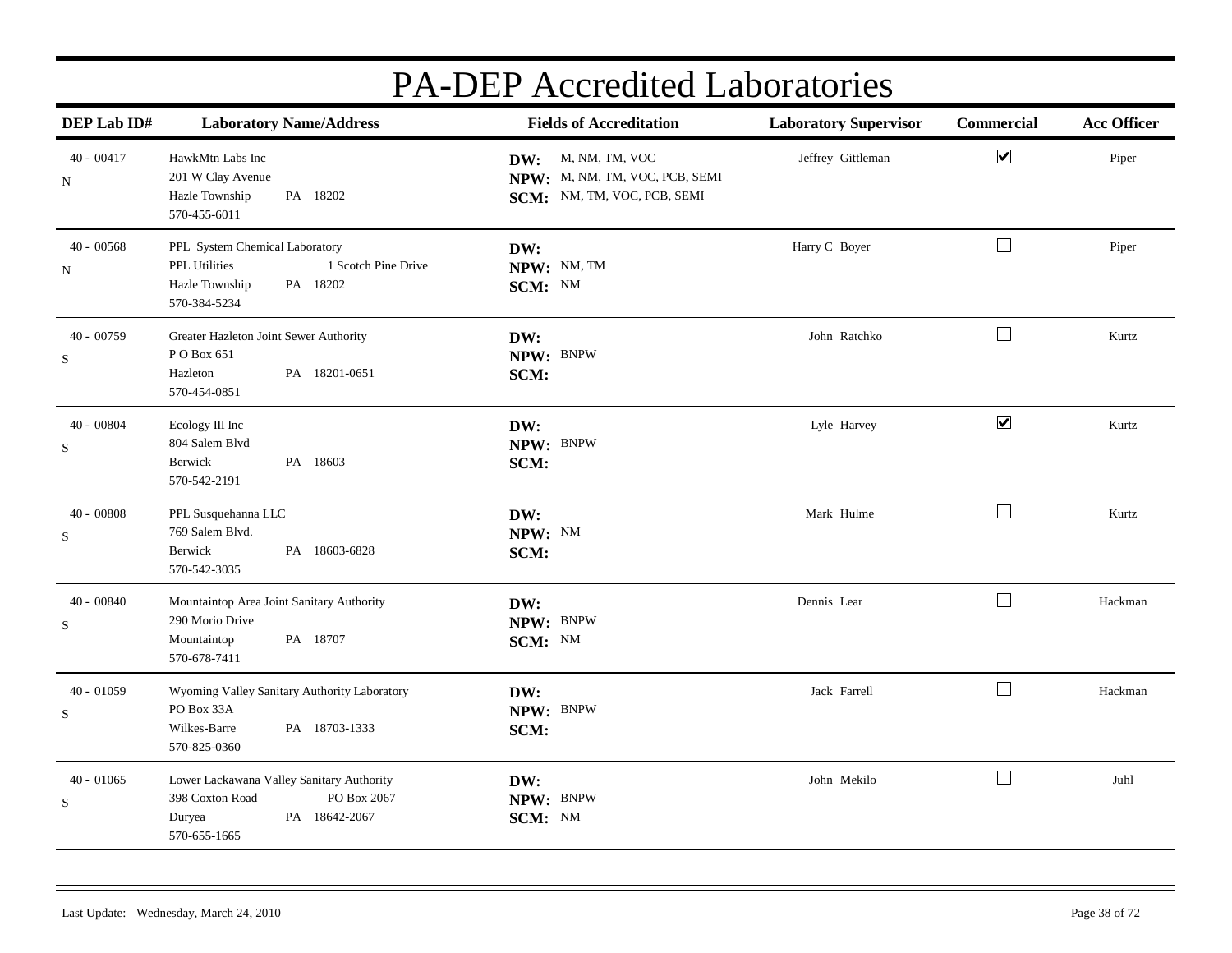| DEP Lab ID#                  | <b>Laboratory Name/Address</b>                                                                                              | <b>Fields of Accreditation</b>                                                      | <b>Laboratory Supervisor</b> | <b>Commercial</b>    | <b>Acc Officer</b> |
|------------------------------|-----------------------------------------------------------------------------------------------------------------------------|-------------------------------------------------------------------------------------|------------------------------|----------------------|--------------------|
| $40 - 00417$<br>N            | HawkMtn Labs Inc<br>201 W Clay Avenue<br>Hazle Township<br>PA 18202<br>570-455-6011                                         | DW: M, NM, TM, VOC<br>NPW: M, NM, TM, VOC, PCB, SEMI<br>SCM: NM, TM, VOC, PCB, SEMI | Jeffrey Gittleman            | $\blacktriangledown$ | Piper              |
| $40 - 00568$<br>$\, {\rm N}$ | PPL System Chemical Laboratory<br><b>PPL Utilities</b><br>1 Scotch Pine Drive<br>Hazle Township<br>PA 18202<br>570-384-5234 | DW:<br>NPW: NM, TM<br>SCM: NM                                                       | Harry C Boyer                | $\Box$               | Piper              |
| $40 - 00759$<br>S            | Greater Hazleton Joint Sewer Authority<br>PO Box 651<br>PA 18201-0651<br>Hazleton<br>570-454-0851                           | DW:<br>NPW: BNPW<br>SCM:                                                            | John Ratchko                 | $\Box$               | Kurtz              |
| $40 - 00804$<br>S            | Ecology III Inc<br>804 Salem Blvd<br>PA 18603<br>Berwick<br>570-542-2191                                                    | DW:<br>NPW: BNPW<br>SCM:                                                            | Lyle Harvey                  | $\blacktriangledown$ | Kurtz              |
| $40 - 00808$<br>S            | PPL Susquehanna LLC<br>769 Salem Blvd.<br>Berwick<br>PA 18603-6828<br>570-542-3035                                          | DW:<br>NPW: NM<br>SCM:                                                              | Mark Hulme                   | $\Box$               | Kurtz              |
| $40 - 00840$<br>S            | Mountaintop Area Joint Sanitary Authority<br>290 Morio Drive<br>PA 18707<br>Mountaintop<br>570-678-7411                     | DW:<br>NPW: BNPW<br>SCM: NM                                                         | Dennis Lear                  | $\Box$               | Hackman            |
| $40 - 01059$<br>${\bf S}$    | Wyoming Valley Sanitary Authority Laboratory<br>PO Box 33A<br>PA 18703-1333<br>Wilkes-Barre<br>570-825-0360                 | DW:<br>NPW: BNPW<br>SCM:                                                            | Jack Farrell                 | $\Box$               | Hackman            |
| $40 - 01065$<br>${\bf S}$    | Lower Lackawana Valley Sanitary Authority<br>398 Coxton Road<br>PO Box 2067<br>PA 18642-2067<br>Duryea<br>570-655-1665      | DW:<br>NPW: BNPW<br>SCM: NM                                                         | John Mekilo                  | $\Box$               | Juhl               |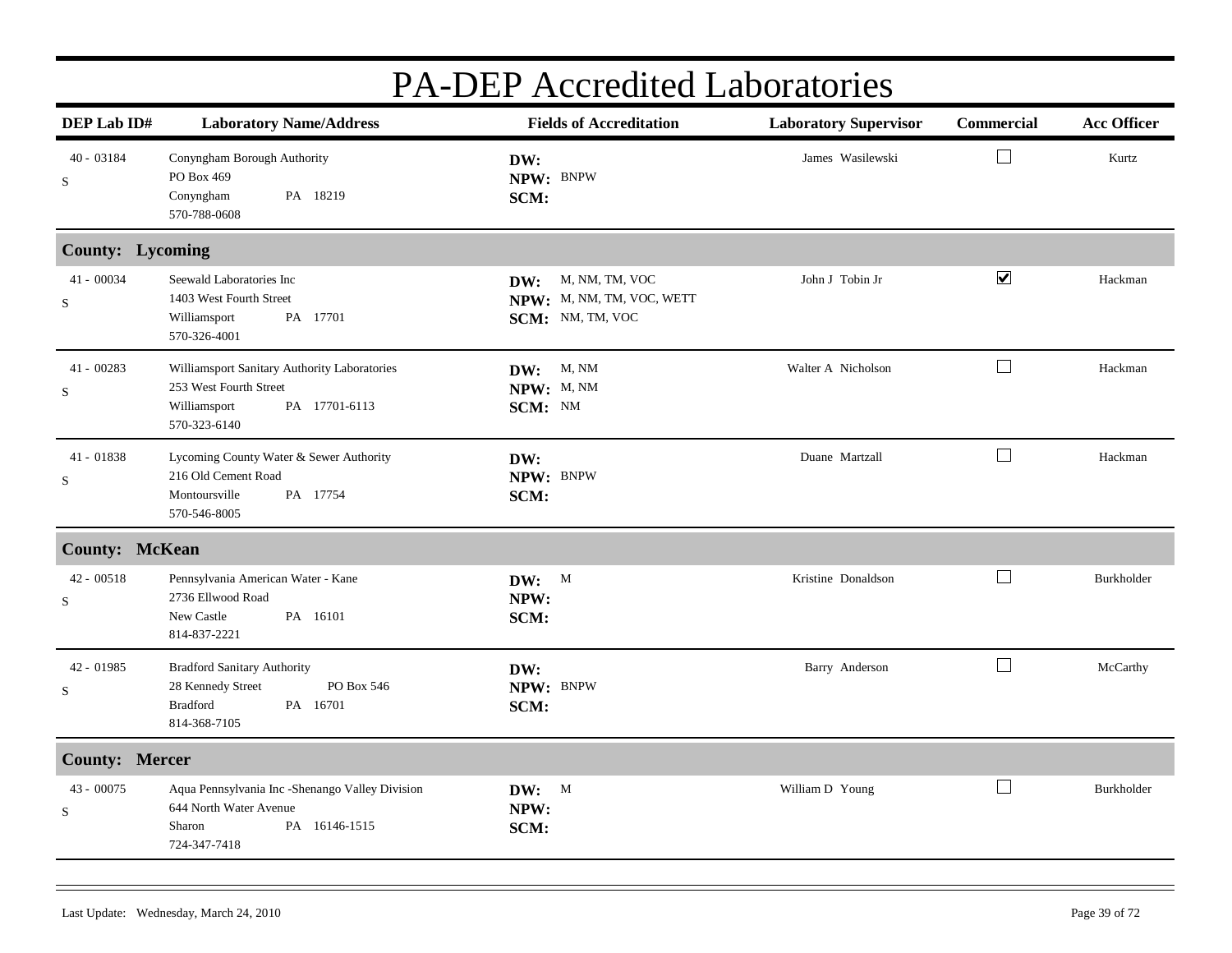| DEP Lab ID#             | <b>Laboratory Name/Address</b>                                                                                          | <b>Fields of Accreditation</b>                                         | <b>Laboratory Supervisor</b> | Commercial           | <b>Acc Officer</b> |
|-------------------------|-------------------------------------------------------------------------------------------------------------------------|------------------------------------------------------------------------|------------------------------|----------------------|--------------------|
| 40 - 03184<br>S         | Conyngham Borough Authority<br>PO Box 469<br>Conyngham<br>PA 18219<br>570-788-0608                                      | DW:<br>NPW: BNPW<br>SCM:                                               | James Wasilewski             |                      | Kurtz              |
| County: Lycoming        |                                                                                                                         |                                                                        |                              |                      |                    |
| 41 - 00034<br>S         | Seewald Laboratories Inc<br>1403 West Fourth Street<br>Williamsport<br>PA 17701<br>570-326-4001                         | M, NM, TM, VOC<br>DW:<br>NPW: M, NM, TM, VOC, WETT<br>SCM: NM, TM, VOC | John J Tobin Jr              | $\blacktriangledown$ | Hackman            |
| 41 - 00283<br>S         | Williamsport Sanitary Authority Laboratories<br>253 West Fourth Street<br>Williamsport<br>PA 17701-6113<br>570-323-6140 | $DW:$ M, NM<br>NPW: M, NM<br>SCM: NM                                   | Walter A Nicholson           | $\Box$               | Hackman            |
| 41 - 01838<br>S         | Lycoming County Water & Sewer Authority<br>216 Old Cement Road<br>Montoursville<br>PA 17754<br>570-546-8005             | DW:<br>NPW: BNPW<br>SCM:                                               | Duane Martzall               | $\Box$               | Hackman            |
| <b>County: McKean</b>   |                                                                                                                         |                                                                        |                              |                      |                    |
| $42 - 00518$<br>S       | Pennsylvania American Water - Kane<br>2736 Ellwood Road<br>New Castle<br>PA 16101<br>814-837-2221                       | DW: M<br>NPW:<br>SCM:                                                  | Kristine Donaldson           | $\vert \ \ \vert$    | Burkholder         |
| 42 - 01985<br>S         | <b>Bradford Sanitary Authority</b><br>28 Kennedy Street<br>PO Box 546<br>PA 16701<br><b>Bradford</b><br>814-368-7105    | DW:<br>NPW: BNPW<br>SCM:                                               | Barry Anderson               | $\Box$               | McCarthy           |
| <b>County: Mercer</b>   |                                                                                                                         |                                                                        |                              |                      |                    |
| 43 - 00075<br>${\bf S}$ | Aqua Pennsylvania Inc -Shenango Valley Division<br>644 North Water Avenue<br>Sharon<br>PA 16146-1515<br>724-347-7418    | DW: M<br>NPW:<br>SCM:                                                  | William D Young              | $\Box$               | Burkholder         |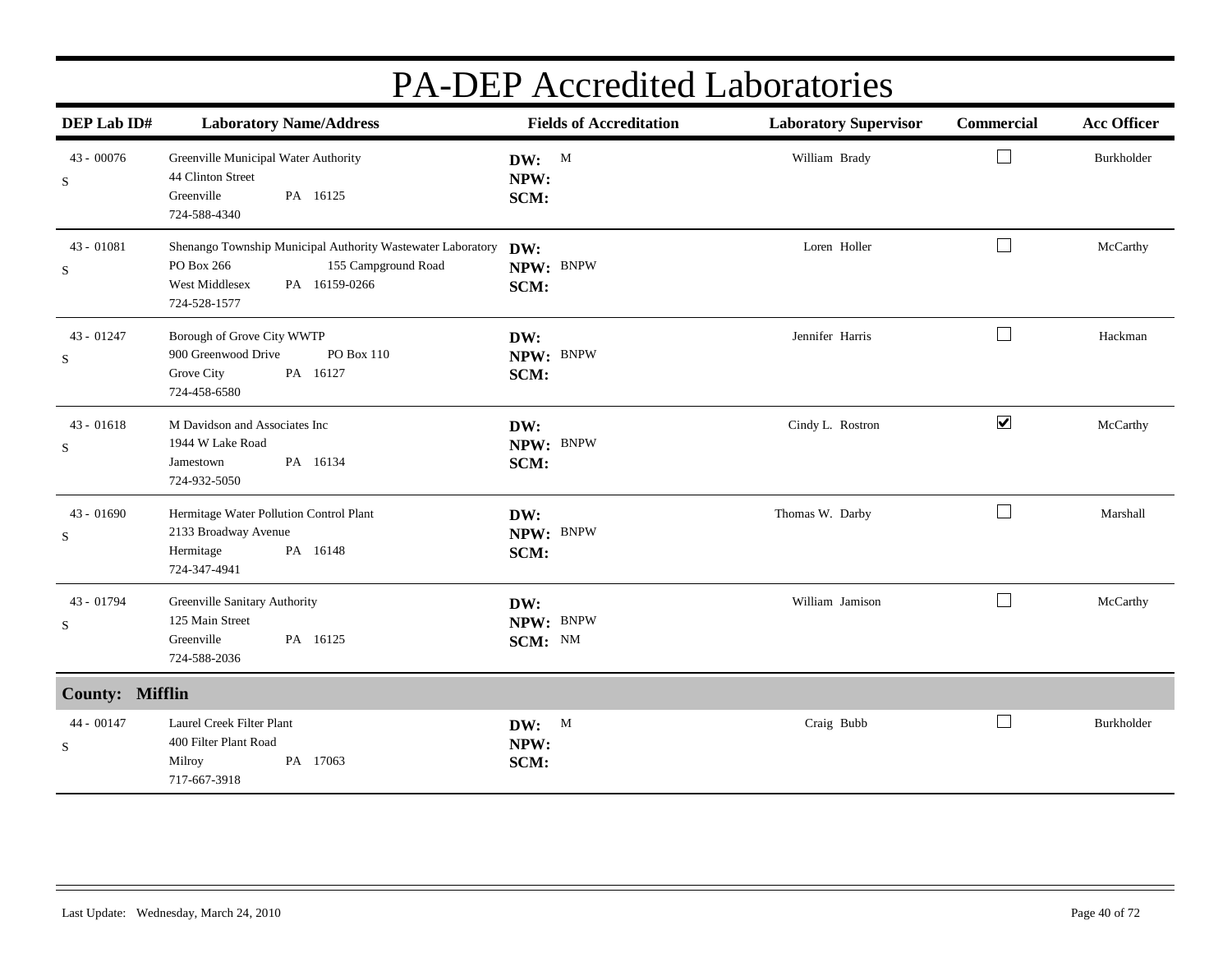| DEP Lab ID#            | <b>Laboratory Name/Address</b>                                                                                                                      | <b>Fields of Accreditation</b> | <b>Laboratory Supervisor</b> | <b>Commercial</b>           | <b>Acc Officer</b> |
|------------------------|-----------------------------------------------------------------------------------------------------------------------------------------------------|--------------------------------|------------------------------|-----------------------------|--------------------|
| 43 - 00076<br>S        | Greenville Municipal Water Authority<br>44 Clinton Street<br>Greenville<br>PA 16125<br>724-588-4340                                                 | DW: M<br>NPW:<br>SCM:          | William Brady                | $\Box$                      | Burkholder         |
| 43 - 01081<br>S        | Shenango Township Municipal Authority Wastewater Laboratory<br>PO Box 266<br>155 Campground Road<br>West Middlesex<br>PA 16159-0266<br>724-528-1577 | DW:<br>NPW: BNPW<br>SCM:       | Loren Holler                 | $\overline{\phantom{a}}$    | McCarthy           |
| 43 - 01247<br>S        | Borough of Grove City WWTP<br>900 Greenwood Drive<br>PO Box 110<br>Grove City<br>PA 16127<br>724-458-6580                                           | DW:<br>NPW: BNPW<br>SCM:       | Jennifer Harris              | $\mathcal{L}_{\mathcal{A}}$ | Hackman            |
| $43 - 01618$<br>S      | M Davidson and Associates Inc<br>1944 W Lake Road<br>PA 16134<br>Jamestown<br>724-932-5050                                                          | DW:<br>NPW: BNPW<br>SCM:       | Cindy L. Rostron             | $\blacktriangledown$        | McCarthy           |
| $43 - 01690$<br>S      | Hermitage Water Pollution Control Plant<br>2133 Broadway Avenue<br>Hermitage<br>PA 16148<br>724-347-4941                                            | DW:<br>NPW: BNPW<br>SCM:       | Thomas W. Darby              | $\Box$                      | Marshall           |
| 43 - 01794<br>S        | Greenville Sanitary Authority<br>125 Main Street<br>Greenville<br>PA 16125<br>724-588-2036                                                          | DW:<br>NPW: BNPW<br>SCM: NM    | William Jamison              | $\Box$                      | McCarthy           |
| <b>County: Mifflin</b> |                                                                                                                                                     |                                |                              |                             |                    |
| 44 - 00147<br>S        | Laurel Creek Filter Plant<br>400 Filter Plant Road<br>Milroy<br>PA 17063<br>717-667-3918                                                            | DW: M<br>NPW:<br>SCM:          | Craig Bubb                   |                             | Burkholder         |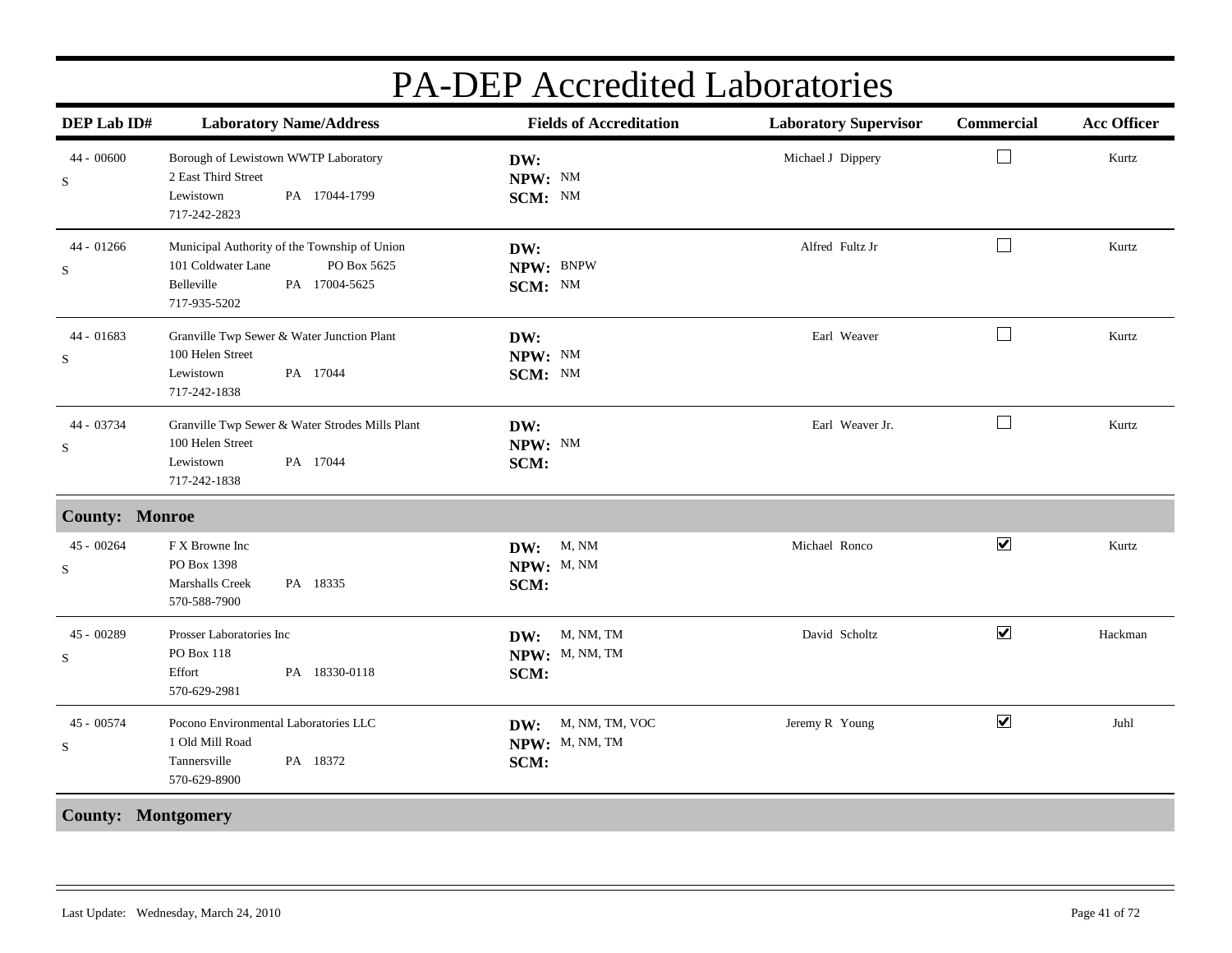| DEP Lab ID#               | <b>Laboratory Name/Address</b>                                                                                                   | <b>Fields of Accreditation</b>               | <b>Laboratory Supervisor</b> | Commercial           | <b>Acc Officer</b> |
|---------------------------|----------------------------------------------------------------------------------------------------------------------------------|----------------------------------------------|------------------------------|----------------------|--------------------|
| 44 - 00600<br>S           | Borough of Lewistown WWTP Laboratory<br>2 East Third Street<br>Lewistown<br>PA 17044-1799<br>717-242-2823                        | DW:<br>NPW: NM<br>SCM: NM                    | Michael J Dippery            | $\perp$              | Kurtz              |
| 44 - 01266<br>$\mathbf S$ | Municipal Authority of the Township of Union<br>101 Coldwater Lane<br>PO Box 5625<br>Belleville<br>PA 17004-5625<br>717-935-5202 | DW:<br>NPW: BNPW<br>SCM: NM                  | Alfred Fultz Jr              | $\Box$               | Kurtz              |
| 44 - 01683<br>${\bf S}$   | Granville Twp Sewer & Water Junction Plant<br>100 Helen Street<br>Lewistown<br>PA 17044<br>717-242-1838                          | DW:<br>NPW: NM<br>SCM: NM                    | Earl Weaver                  | $\Box$               | Kurtz              |
| 44 - 03734<br>S           | Granville Twp Sewer & Water Strodes Mills Plant<br>100 Helen Street<br>Lewistown<br>PA 17044<br>717-242-1838                     | DW:<br>NPW: NM<br>SCM:                       | Earl Weaver Jr.              | $\perp$              | Kurtz              |
| <b>County: Monroe</b>     |                                                                                                                                  |                                              |                              |                      |                    |
| $45 - 00264$<br>$\rm S$   | F X Browne Inc<br>PO Box 1398<br>Marshalls Creek<br>PA 18335<br>570-588-7900                                                     | M, NM<br>DW:<br>NPW: M, NM<br>SCM:           | Michael Ronco                | $\blacktriangledown$ | Kurtz              |
| 45 - 00289<br>$\mathbf S$ | Prosser Laboratories Inc<br>PO Box 118<br>PA 18330-0118<br>Effort<br>570-629-2981                                                | DW: M, NM, TM<br>NPW: M, NM, TM<br>SCM:      | David Scholtz                | $\blacktriangledown$ | Hackman            |
| 45 - 00574<br>S           | Pocono Environmental Laboratories LLC<br>1 Old Mill Road<br>PA 18372<br>Tannersville<br>570-629-8900                             | DW: M, NM, TM, VOC<br>NPW: M, NM, TM<br>SCM: | Jeremy R Young               | $\blacktriangledown$ | Juhl               |
| <b>County: Montgomery</b> |                                                                                                                                  |                                              |                              |                      |                    |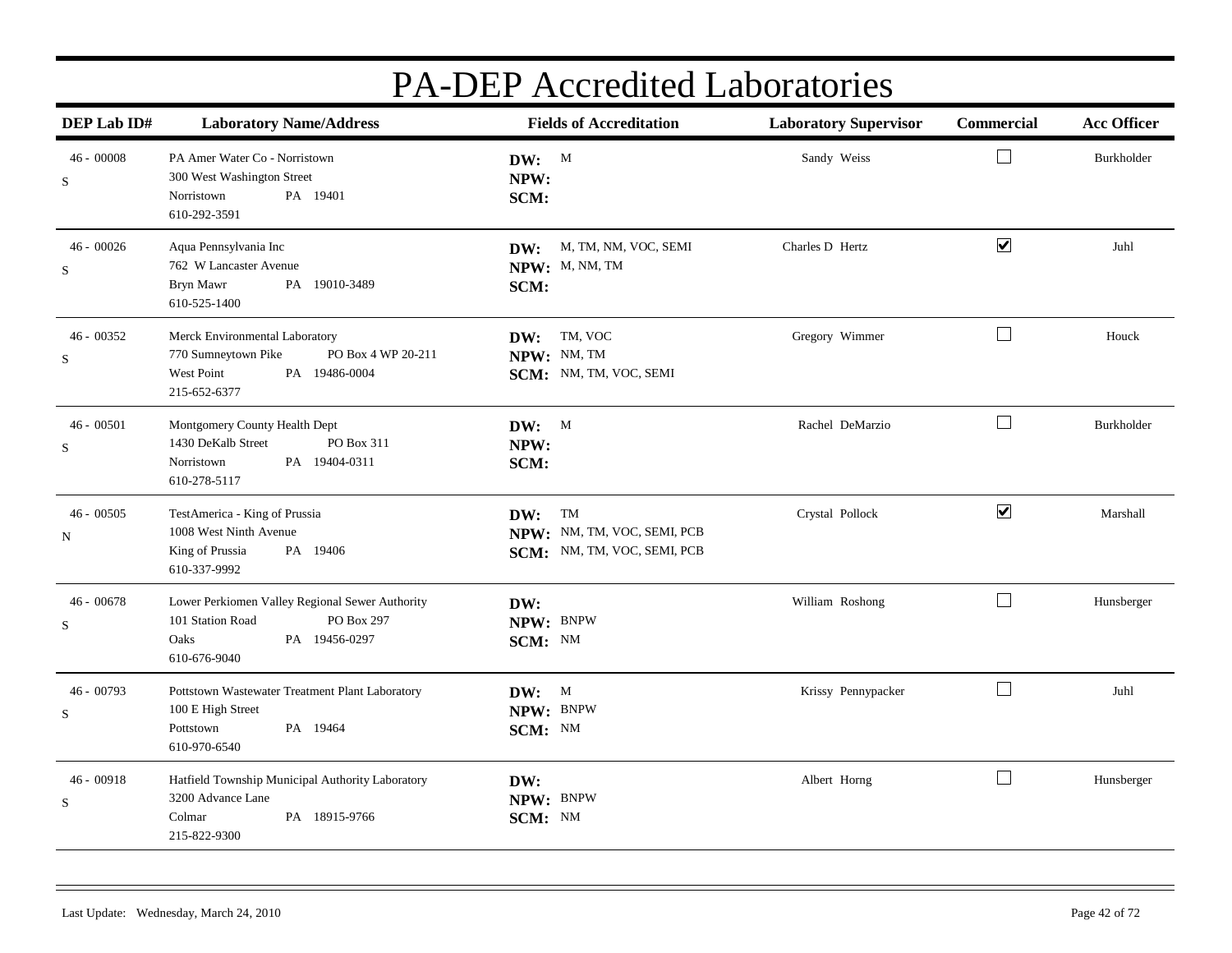| DEP Lab ID#                 | <b>Laboratory Name/Address</b>                                                                                             | <b>Fields of Accreditation</b>                                       | <b>Laboratory Supervisor</b> | Commercial           | <b>Acc Officer</b> |
|-----------------------------|----------------------------------------------------------------------------------------------------------------------------|----------------------------------------------------------------------|------------------------------|----------------------|--------------------|
| $46 - 00008$<br>S           | PA Amer Water Co - Norristown<br>300 West Washington Street<br>Norristown<br>PA 19401<br>610-292-3591                      | DW: M<br>NPW:<br>SCM:                                                | Sandy Weiss                  | $\Box$               | Burkholder         |
| $46 - 00026$<br>S           | Aqua Pennsylvania Inc<br>762 W Lancaster Avenue<br>Bryn Mawr<br>PA 19010-3489<br>610-525-1400                              | DW: M, TM, NM, VOC, SEMI<br>NPW: M, NM, TM<br>SCM:                   | Charles D Hertz              | $\blacktriangledown$ | Juhl               |
| $46 - 00352$<br>S           | Merck Environmental Laboratory<br>770 Sumneytown Pike<br>PO Box 4 WP 20-211<br>West Point<br>PA 19486-0004<br>215-652-6377 | DW: TM, VOC<br>NPW: NM, TM<br>SCM: NM, TM, VOC, SEMI                 | Gregory Wimmer               | $\Box$               | Houck              |
| $46 - 00501$<br>S           | Montgomery County Health Dept<br>1430 DeKalb Street<br>PO Box 311<br>Norristown<br>PA 19404-0311<br>610-278-5117           | DW: M<br>NPW:<br>SCM:                                                | Rachel DeMarzio              | $\Box$               | Burkholder         |
| $46 - 00505$<br>N           | TestAmerica - King of Prussia<br>1008 West Ninth Avenue<br>PA 19406<br>King of Prussia<br>610-337-9992                     | DW: TM<br>NPW: NM, TM, VOC, SEMI, PCB<br>SCM: NM, TM, VOC, SEMI, PCB | Crystal Pollock              | $\blacktriangledown$ | Marshall           |
| $46 - 00678$<br>S           | Lower Perkiomen Valley Regional Sewer Authority<br>PO Box 297<br>101 Station Road<br>PA 19456-0297<br>Oaks<br>610-676-9040 | DW:<br>NPW: BNPW<br>SCM: NM                                          | William Roshong              | $\Box$               | Hunsberger         |
| 46 - 00793<br>S             | Pottstown Wastewater Treatment Plant Laboratory<br>100 E High Street<br>PA 19464<br>Pottstown<br>610-970-6540              | DW: M<br>NPW: BNPW<br>SCM: NM                                        | Krissy Pennypacker           | $\Box$               | Juhl               |
| $46 - 00918$<br>$\mathbf S$ | Hatfield Township Municipal Authority Laboratory<br>3200 Advance Lane<br>PA 18915-9766<br>Colmar<br>215-822-9300           | DW:<br>NPW: BNPW<br>SCM: NM                                          | Albert Horng                 | $\Box$               | Hunsberger         |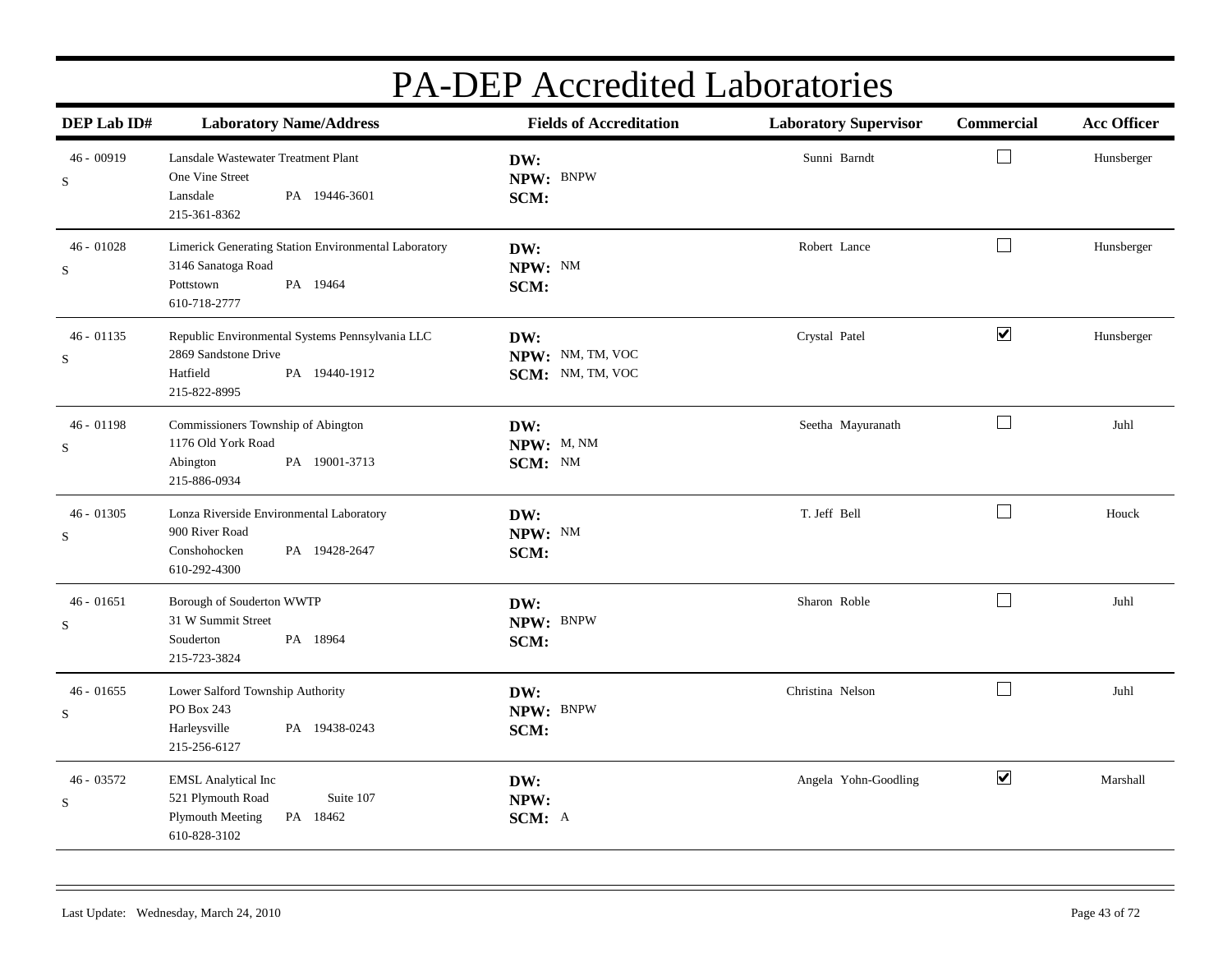| DEP Lab ID#                 | <b>Laboratory Name/Address</b>                                                                                       | <b>Fields of Accreditation</b>              | <b>Laboratory Supervisor</b> | Commercial           | <b>Acc Officer</b> |
|-----------------------------|----------------------------------------------------------------------------------------------------------------------|---------------------------------------------|------------------------------|----------------------|--------------------|
| $46 - 00919$<br>S           | Lansdale Wastewater Treatment Plant<br>One Vine Street<br>Lansdale<br>PA 19446-3601<br>215-361-8362                  | DW:<br>NPW: BNPW<br>SCM:                    | Sunni Barndt                 | $\Box$               | Hunsberger         |
| $46 - 01028$<br>$\mathbf S$ | Limerick Generating Station Environmental Laboratory<br>3146 Sanatoga Road<br>PA 19464<br>Pottstown<br>610-718-2777  | DW:<br>NPW: NM<br>SCM:                      | Robert Lance                 | $\Box$               | Hunsberger         |
| $46 - 01135$<br>$\mathbf S$ | Republic Environmental Systems Pennsylvania LLC<br>2869 Sandstone Drive<br>Hatfield<br>PA 19440-1912<br>215-822-8995 | DW:<br>NPW: NM, TM, VOC<br>SCM: NM, TM, VOC | Crystal Patel                | $\blacktriangledown$ | Hunsberger         |
| $46 - 01198$<br>$\mathbf S$ | Commissioners Township of Abington<br>1176 Old York Road<br>PA 19001-3713<br>Abington<br>215-886-0934                | DW:<br>NPW: M, NM<br>SCM: NM                | Seetha Mayuranath            | $\Box$               | Juhl               |
| $46 - 01305$<br>$\mathbf S$ | Lonza Riverside Environmental Laboratory<br>900 River Road<br>PA 19428-2647<br>Conshohocken<br>610-292-4300          | DW:<br>NPW: NM<br>SCM:                      | T. Jeff Bell                 | $\Box$               | Houck              |
| $46 - 01651$<br>$\mathbf S$ | Borough of Souderton WWTP<br>31 W Summit Street<br>PA 18964<br>Souderton<br>215-723-3824                             | DW:<br>NPW: BNPW<br>SCM:                    | Sharon Roble                 | $\Box$               | Juhl               |
| $46 - 01655$<br>S           | Lower Salford Township Authority<br>PO Box 243<br>Harleysville<br>PA 19438-0243<br>215-256-6127                      | DW:<br>NPW: BNPW<br>SCM:                    | Christina Nelson             | $\Box$               | Juhl               |
| 46 - 03572<br>$\mathbf S$   | <b>EMSL Analytical Inc</b><br>521 Plymouth Road<br>Suite 107<br><b>Plymouth Meeting</b><br>PA 18462<br>610-828-3102  | DW:<br>NPW:<br>SCM: A                       | Angela Yohn-Goodling         | $\blacktriangledown$ | Marshall           |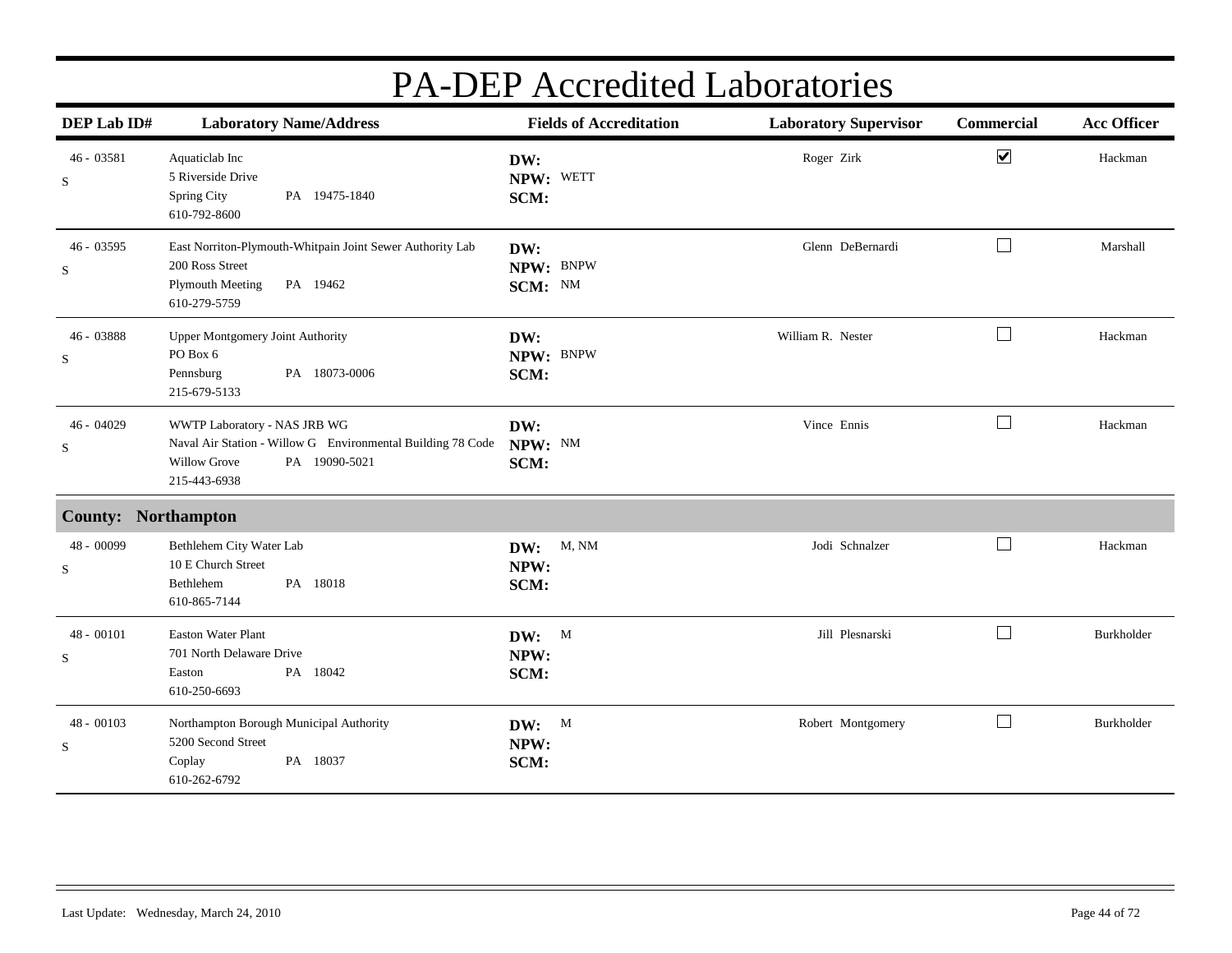| DEP Lab ID#                 | <b>Laboratory Name/Address</b>                                                                                                                      | <b>Fields of Accreditation</b> | <b>Laboratory Supervisor</b> | Commercial                  | <b>Acc Officer</b> |
|-----------------------------|-----------------------------------------------------------------------------------------------------------------------------------------------------|--------------------------------|------------------------------|-----------------------------|--------------------|
| 46 - 03581<br>${\bf S}$     | Aquaticlab Inc<br>5 Riverside Drive<br>Spring City<br>PA 19475-1840<br>610-792-8600                                                                 | DW:<br>NPW: WETT<br>SCM:       | Roger Zirk                   | $\blacktriangledown$        | Hackman            |
| $46 - 03595$<br>S           | East Norriton-Plymouth-Whitpain Joint Sewer Authority Lab<br>200 Ross Street<br>Plymouth Meeting<br>PA 19462<br>610-279-5759                        | DW:<br>NPW: BNPW<br>SCM: NM    | Glenn DeBernardi             | $\mathcal{L}_{\mathcal{A}}$ | Marshall           |
| 46 - 03888<br>S             | Upper Montgomery Joint Authority<br>PO Box 6<br>PA 18073-0006<br>Pennsburg<br>215-679-5133                                                          | DW:<br>NPW: BNPW<br>SCM:       | William R. Nester            | $\Box$                      | Hackman            |
| $46 - 04029$<br>S           | WWTP Laboratory - NAS JRB WG<br>Naval Air Station - Willow G Environmental Building 78 Code<br>PA 19090-5021<br><b>Willow Grove</b><br>215-443-6938 | DW:<br>NPW: NM<br>SCM:         | Vince Ennis                  | $\Box$                      | Hackman            |
| <b>County: Northampton</b>  |                                                                                                                                                     |                                |                              |                             |                    |
| 48 - 00099<br>S             | Bethlehem City Water Lab<br>10 E Church Street<br>Bethlehem<br>PA 18018<br>610-865-7144                                                             | M, NM<br>DW:<br>NPW:<br>SCM:   | Jodi Schnalzer               | $\Box$                      | Hackman            |
| $48 - 00101$<br>S           | <b>Easton Water Plant</b><br>701 North Delaware Drive<br>PA 18042<br>Easton<br>610-250-6693                                                         | DW: M<br>NPW:<br>SCM:          | Jill Plesnarski              | $\overline{\phantom{0}}$    | Burkholder         |
| $48 - 00103$<br>$\mathbf S$ | Northampton Borough Municipal Authority<br>5200 Second Street<br>Coplay<br>PA 18037<br>610-262-6792                                                 | DW: M<br>NPW:<br>SCM:          | Robert Montgomery            | $\sim$                      | Burkholder         |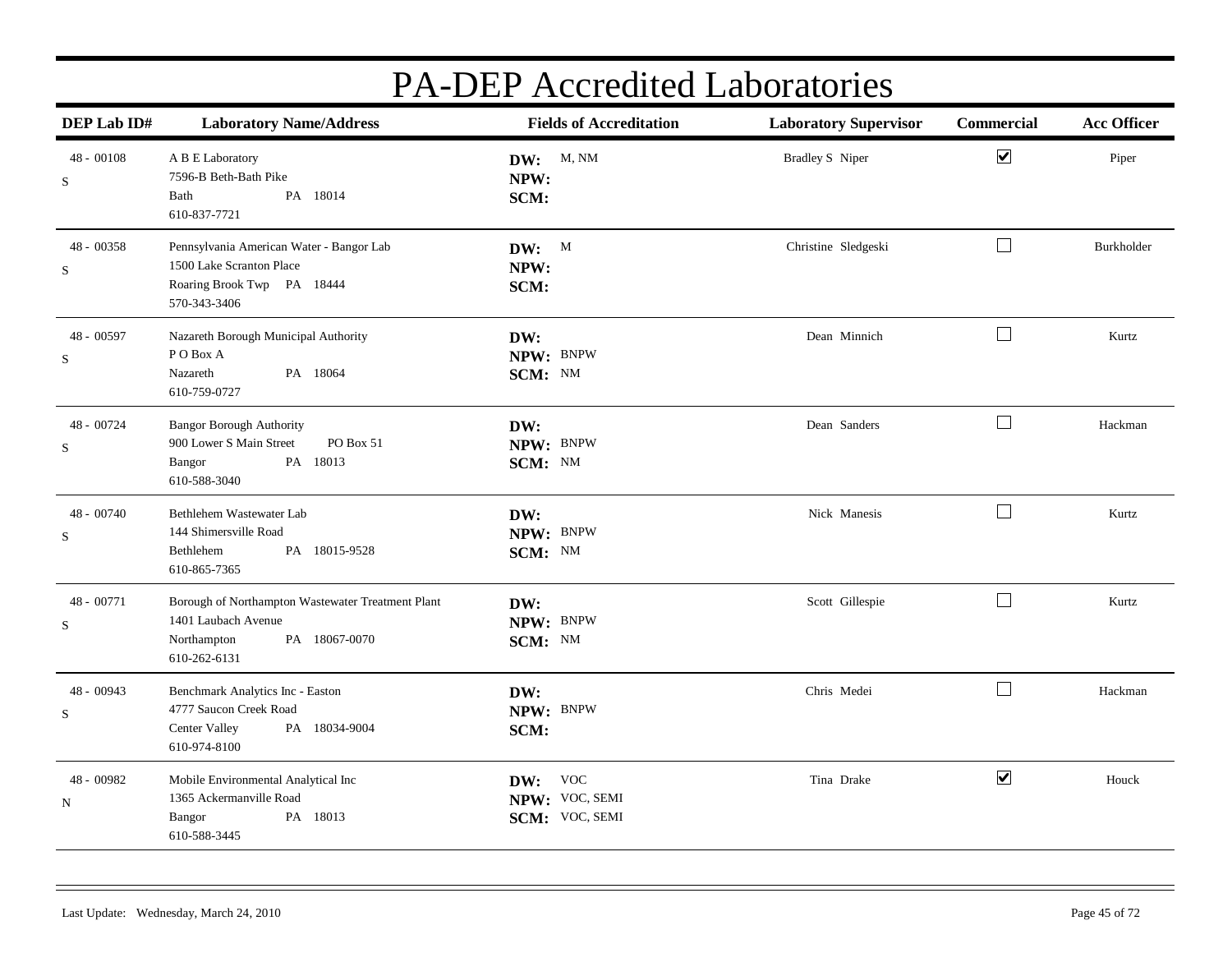| DEP Lab ID#                | <b>Laboratory Name/Address</b>                                                                                           | <b>Fields of Accreditation</b>              | <b>Laboratory Supervisor</b> | Commercial                   | <b>Acc Officer</b> |
|----------------------------|--------------------------------------------------------------------------------------------------------------------------|---------------------------------------------|------------------------------|------------------------------|--------------------|
| $48 - 00108$<br>S          | A B E Laboratory<br>7596-B Beth-Bath Pike<br>PA 18014<br>Bath<br>610-837-7721                                            | DW: M, NM<br>NPW:<br>SCM:                   | <b>Bradley S</b> Niper       | $\boxed{\blacktriangledown}$ | Piper              |
| 48 - 00358<br>$\mathbf S$  | Pennsylvania American Water - Bangor Lab<br>1500 Lake Scranton Place<br>Roaring Brook Twp PA 18444<br>570-343-3406       | DW: M<br>NPW:<br>SCM:                       | Christine Sledgeski          | $\Box$                       | Burkholder         |
| 48 - 00597<br>$\mathbf S$  | Nazareth Borough Municipal Authority<br>PO Box A<br>Nazareth<br>PA 18064<br>610-759-0727                                 | DW:<br>NPW: BNPW<br>SCM: NM                 | Dean Minnich                 | $\Box$                       | Kurtz              |
| 48 - 00724<br>${\bf S}$    | <b>Bangor Borough Authority</b><br>900 Lower S Main Street<br>PO Box 51<br>PA 18013<br>Bangor<br>610-588-3040            | DW:<br>NPW: BNPW<br>SCM: NM                 | Dean Sanders                 | $\Box$                       | Hackman            |
| 48 - 00740<br>S            | Bethlehem Wastewater Lab<br>144 Shimersville Road<br>PA 18015-9528<br>Bethlehem<br>610-865-7365                          | DW:<br>NPW: BNPW<br>SCM: NM                 | Nick Manesis                 | $\Box$                       | Kurtz              |
| 48 - 00771<br>S            | Borough of Northampton Wastewater Treatment Plant<br>1401 Laubach Avenue<br>PA 18067-0070<br>Northampton<br>610-262-6131 | DW:<br>NPW: BNPW<br>SCM: NM                 | Scott Gillespie              | $\Box$                       | Kurtz              |
| $48 - 00943$<br>S          | Benchmark Analytics Inc - Easton<br>4777 Saucon Creek Road<br>PA 18034-9004<br>Center Valley<br>610-974-8100             | DW:<br>NPW: BNPW<br>SCM:                    | Chris Medei                  | $\Box$                       | Hackman            |
| 48 - 00982<br>$\, {\rm N}$ | Mobile Environmental Analytical Inc<br>1365 Ackermanville Road<br>PA 18013<br>Bangor<br>610-588-3445                     | DW: VOC<br>NPW: VOC, SEMI<br>SCM: VOC, SEMI | Tina Drake                   | $\blacktriangledown$         | Houck              |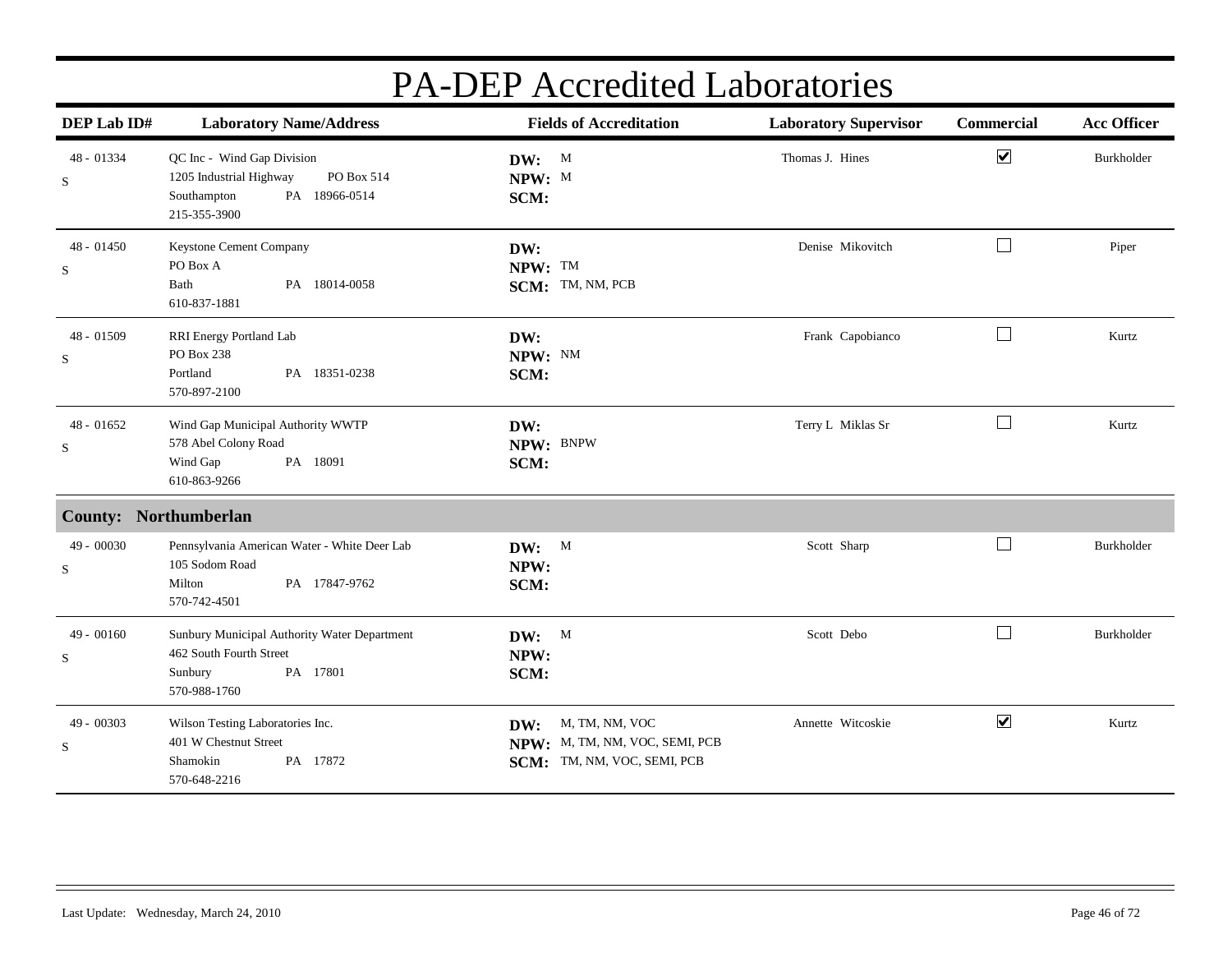| DEP Lab ID#               | <b>Laboratory Name/Address</b>                                                                                      | <b>Fields of Accreditation</b>                                                         | <b>Laboratory Supervisor</b> | Commercial                  | <b>Acc Officer</b> |
|---------------------------|---------------------------------------------------------------------------------------------------------------------|----------------------------------------------------------------------------------------|------------------------------|-----------------------------|--------------------|
| 48 - 01334<br>${\bf S}$   | QC Inc - Wind Gap Division<br>1205 Industrial Highway<br>PO Box 514<br>Southampton<br>PA 18966-0514<br>215-355-3900 | DW: M<br>NPW: M<br>SCM:                                                                | Thomas J. Hines              | $\blacktriangledown$        | Burkholder         |
| $48 - 01450$<br>$\rm S$   | Keystone Cement Company<br>PO Box A<br>Bath<br>PA 18014-0058<br>610-837-1881                                        | DW:<br>NPW: TM<br>SCM: TM, NM, PCB                                                     | Denise Mikovitch             | $\Box$                      | Piper              |
| 48 - 01509<br>S           | RRI Energy Portland Lab<br>PO Box 238<br>Portland<br>PA 18351-0238<br>570-897-2100                                  | DW:<br>NPW: NM<br>SCM:                                                                 | Frank Capobianco             | $\overline{\phantom{a}}$    | Kurtz              |
| $48 - 01652$<br>S         | Wind Gap Municipal Authority WWTP<br>578 Abel Colony Road<br>Wind Gap<br>PA 18091<br>610-863-9266                   | DW:<br>NPW: BNPW<br>SCM:                                                               | Terry L Miklas Sr            | $\Box$                      | Kurtz              |
| County: Northumberlan     |                                                                                                                     |                                                                                        |                              |                             |                    |
| 49 - 00030<br>$\mathbf S$ | Pennsylvania American Water - White Deer Lab<br>105 Sodom Road<br>PA 17847-9762<br>Milton<br>570-742-4501           | DW: M<br>NPW:<br>SCM:                                                                  | Scott Sharp                  | $\mathcal{L}_{\mathcal{A}}$ | Burkholder         |
| 49 - 00160<br>S           | Sunbury Municipal Authority Water Department<br>462 South Fourth Street<br>PA 17801<br>Sunbury<br>570-988-1760      | DW: M<br>NPW:<br>SCM:                                                                  | Scott Debo                   | $\mathcal{L}$               | Burkholder         |
| 49 - 00303<br>$\rm S$     | Wilson Testing Laboratories Inc.<br>401 W Chestnut Street<br>PA 17872<br>Shamokin<br>570-648-2216                   | M, TM, NM, VOC<br>DW:<br>NPW: M, TM, NM, VOC, SEMI, PCB<br>SCM: TM, NM, VOC, SEMI, PCB | Annette Witcoskie            | $\overline{\mathbf{v}}$     | Kurtz              |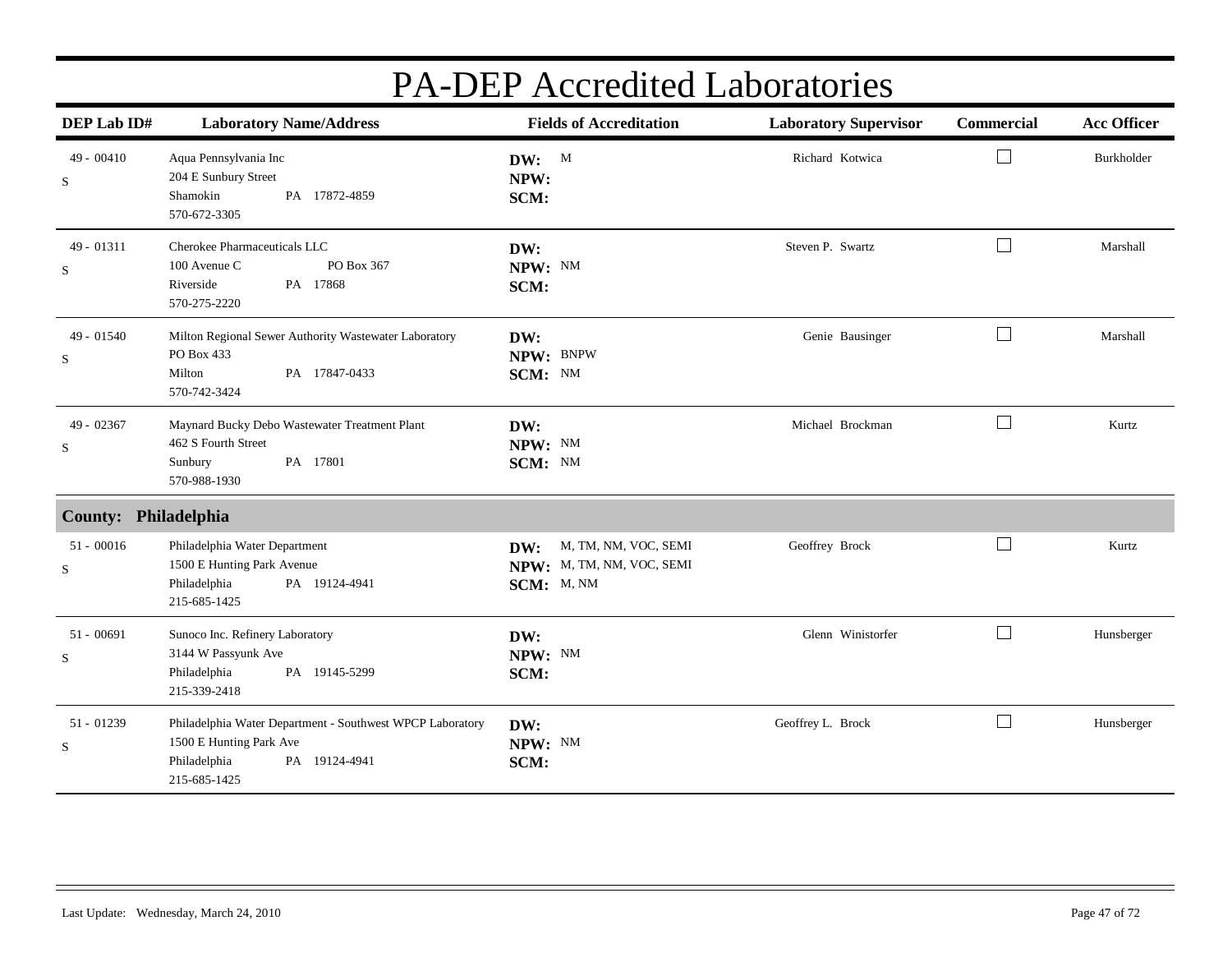| DEP Lab ID#                 | <b>Laboratory Name/Address</b>                                                                                                        | <b>Fields of Accreditation</b>                                         | <b>Laboratory Supervisor</b> | Commercial   | <b>Acc Officer</b> |
|-----------------------------|---------------------------------------------------------------------------------------------------------------------------------------|------------------------------------------------------------------------|------------------------------|--------------|--------------------|
| $49 - 00410$<br>S           | Aqua Pennsylvania Inc<br>204 E Sunbury Street<br>Shamokin<br>PA 17872-4859<br>570-672-3305                                            | DW: M<br>NPW:<br>SCM:                                                  | Richard Kotwica              |              | Burkholder         |
| 49 - 01311<br>S             | Cherokee Pharmaceuticals LLC<br>100 Avenue C<br>PO Box 367<br>Riverside<br>PA 17868<br>570-275-2220                                   | DW:<br>NPW: NM<br>SCM:                                                 | Steven P. Swartz             | $\mathbf{L}$ | Marshall           |
| $49 - 01540$<br>S           | Milton Regional Sewer Authority Wastewater Laboratory<br>PO Box 433<br>PA 17847-0433<br>Milton<br>570-742-3424                        | DW:<br>NPW: BNPW<br>SCM: NM                                            | Genie Bausinger              | $\perp$      | Marshall           |
| 49 - 02367<br>$\mathbf S$   | Maynard Bucky Debo Wastewater Treatment Plant<br>462 S Fourth Street<br>PA 17801<br>Sunbury<br>570-988-1930                           | DW:<br>NPW: NM<br>SCM: NM                                              | Michael Brockman             | $\Box$       | Kurtz              |
| County: Philadelphia        |                                                                                                                                       |                                                                        |                              |              |                    |
| $51 - 00016$<br>$\mathbf S$ | Philadelphia Water Department<br>1500 E Hunting Park Avenue<br>Philadelphia<br>PA 19124-4941<br>215-685-1425                          | M, TM, NM, VOC, SEMI<br>DW:<br>NPW: M, TM, NM, VOC, SEMI<br>SCM: M, NM | Geoffrey Brock               | $\Box$       | Kurtz              |
| $51 - 00691$<br>S           | Sunoco Inc. Refinery Laboratory<br>3144 W Passyunk Ave<br>Philadelphia<br>PA 19145-5299<br>215-339-2418                               | DW:<br>NPW: NM<br>SCM:                                                 | Glenn Winistorfer            | $\mathbf{I}$ | Hunsberger         |
| $51 - 01239$<br>$\mathbf S$ | Philadelphia Water Department - Southwest WPCP Laboratory<br>1500 E Hunting Park Ave<br>Philadelphia<br>PA 19124-4941<br>215-685-1425 | DW:<br>NPW: NM<br>SCM:                                                 | Geoffrey L. Brock            |              | Hunsberger         |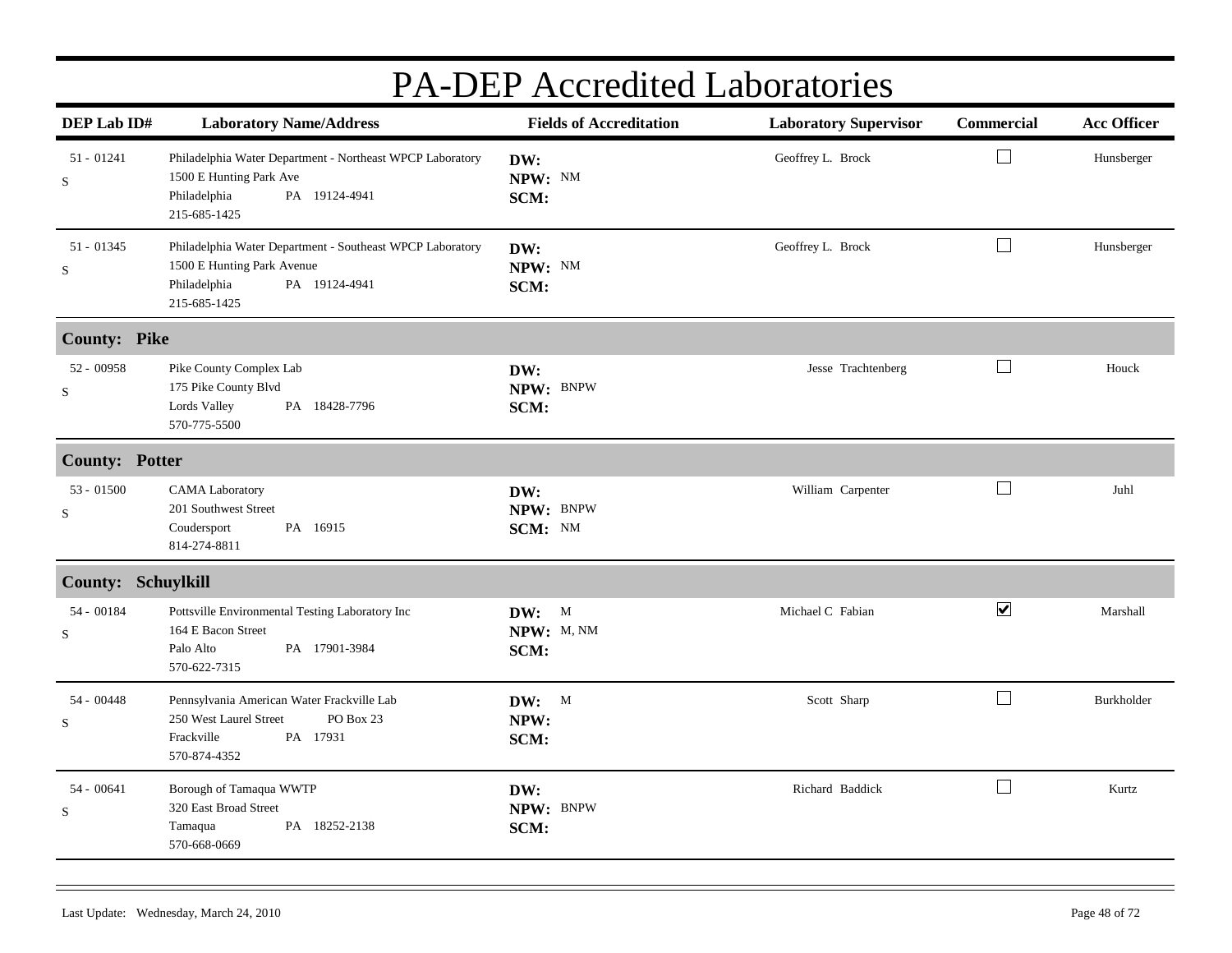|                           | I A-DEI ACCICULCU LADOIALOITES                                                                                                           |                                |                              |                      |                    |  |  |  |
|---------------------------|------------------------------------------------------------------------------------------------------------------------------------------|--------------------------------|------------------------------|----------------------|--------------------|--|--|--|
| DEP Lab ID#               | <b>Laboratory Name/Address</b>                                                                                                           | <b>Fields of Accreditation</b> | <b>Laboratory Supervisor</b> | Commercial           | <b>Acc Officer</b> |  |  |  |
| $51 - 01241$<br>S         | Philadelphia Water Department - Northeast WPCP Laboratory<br>1500 E Hunting Park Ave<br>PA 19124-4941<br>Philadelphia<br>215-685-1425    | DW:<br>NPW: NM<br>SCM:         | Geoffrey L. Brock            | $\Box$               | Hunsberger         |  |  |  |
| $51 - 01345$<br>S         | Philadelphia Water Department - Southeast WPCP Laboratory<br>1500 E Hunting Park Avenue<br>Philadelphia<br>PA 19124-4941<br>215-685-1425 | DW:<br>NPW: NM<br>SCM:         | Geoffrey L. Brock            | $\Box$               | Hunsberger         |  |  |  |
| <b>County: Pike</b>       |                                                                                                                                          |                                |                              |                      |                    |  |  |  |
| 52 - 00958<br>S           | Pike County Complex Lab<br>175 Pike County Blvd<br>PA 18428-7796<br>Lords Valley<br>570-775-5500                                         | DW:<br>NPW: BNPW<br>SCM:       | Jesse Trachtenberg           | $\Box$               | Houck              |  |  |  |
| <b>County: Potter</b>     |                                                                                                                                          |                                |                              |                      |                    |  |  |  |
| $53 - 01500$<br>S         | <b>CAMA</b> Laboratory<br>201 Southwest Street<br>PA 16915<br>Coudersport<br>814-274-8811                                                | DW:<br>NPW: BNPW<br>SCM: NM    | William Carpenter            | $\Box$               | Juhl               |  |  |  |
| <b>County: Schuylkill</b> |                                                                                                                                          |                                |                              |                      |                    |  |  |  |
| 54 - 00184<br>S           | Pottsville Environmental Testing Laboratory Inc<br>164 E Bacon Street<br>Palo Alto<br>PA 17901-3984<br>570-622-7315                      | DW: M<br>NPW: M, NM<br>SCM:    | Michael C Fabian             | $\blacktriangledown$ | Marshall           |  |  |  |
| $54 - 00448$<br>S         | Pennsylvania American Water Frackville Lab<br>250 West Laurel Street<br>PO Box 23<br>PA 17931<br>Frackville<br>570-874-4352              | DW: M<br>NPW:<br>SCM:          | Scott Sharp                  | $\Box$               | Burkholder         |  |  |  |
| 54 - 00641<br>S           | Borough of Tamaqua WWTP<br>320 East Broad Street<br>PA 18252-2138<br>Tamaqua<br>570-668-0669                                             | DW:<br>NPW: BNPW<br>SCM:       | Richard Baddick              | $\Box$               | Kurtz              |  |  |  |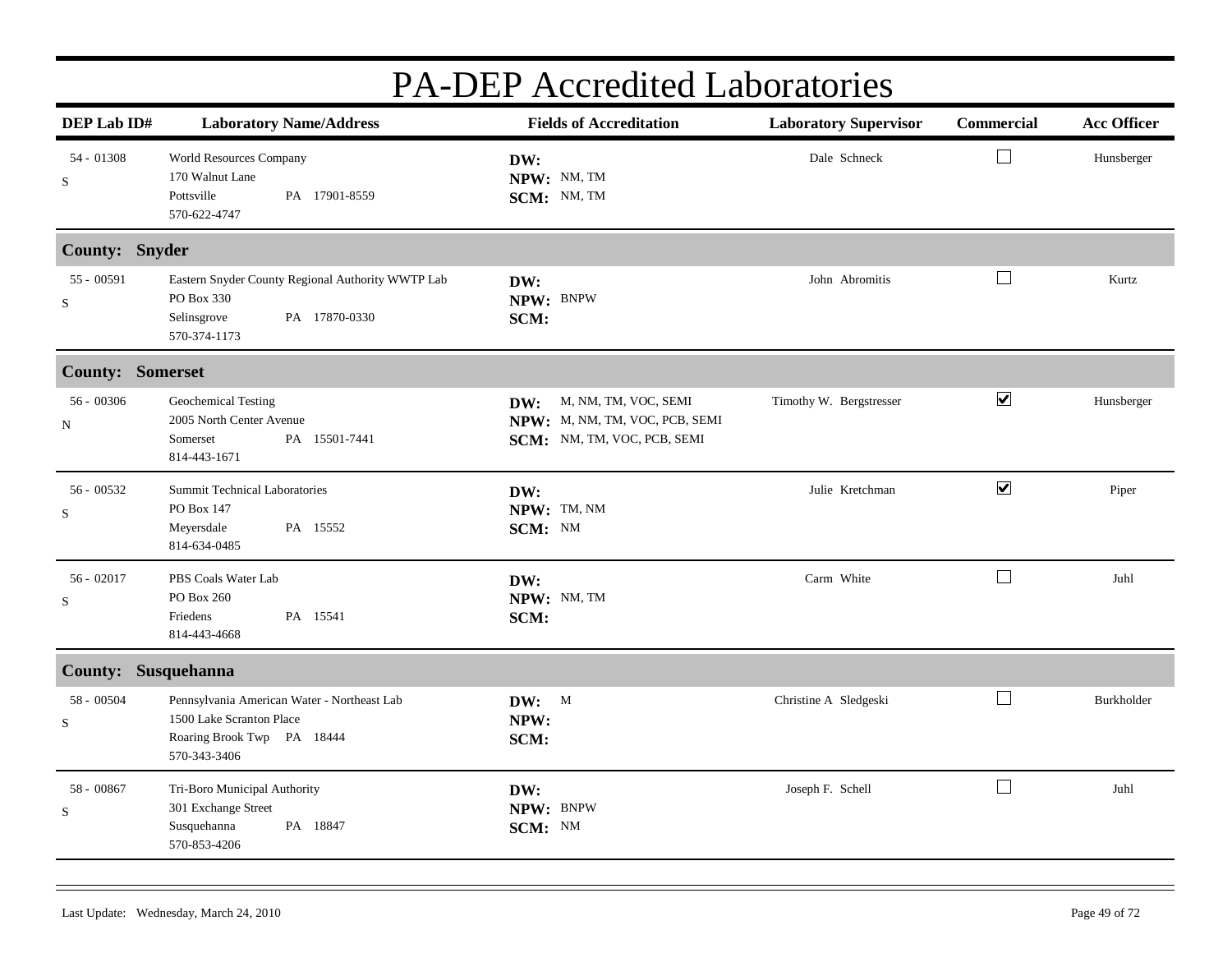| <b>PA-DEP</b> Accredited Laboratories |                                                                                                                       |                                                                                              |                              |                      |                    |  |
|---------------------------------------|-----------------------------------------------------------------------------------------------------------------------|----------------------------------------------------------------------------------------------|------------------------------|----------------------|--------------------|--|
| DEP Lab ID#                           | <b>Laboratory Name/Address</b>                                                                                        | <b>Fields of Accreditation</b>                                                               | <b>Laboratory Supervisor</b> | <b>Commercial</b>    | <b>Acc Officer</b> |  |
| 54 - 01308<br>S                       | <b>World Resources Company</b><br>170 Walnut Lane<br>PA 17901-8559<br>Pottsville<br>570-622-4747                      | DW:<br>NPW: NM, TM<br>SCM: NM, TM                                                            | Dale Schneck                 | $\Box$               | Hunsberger         |  |
| County: Snyder                        |                                                                                                                       |                                                                                              |                              |                      |                    |  |
| 55 - 00591<br>S                       | Eastern Snyder County Regional Authority WWTP Lab<br>PO Box 330<br>Selinsgrove<br>PA 17870-0330<br>570-374-1173       | DW:<br>NPW: BNPW<br>SCM:                                                                     | John Abromitis               | $\Box$               | Kurtz              |  |
| <b>County: Somerset</b>               |                                                                                                                       |                                                                                              |                              |                      |                    |  |
| $56 - 00306$<br>N                     | Geochemical Testing<br>2005 North Center Avenue<br>PA 15501-7441<br>Somerset<br>814-443-1671                          | M, NM, TM, VOC, SEMI<br>DW:<br>NPW: M, NM, TM, VOC, PCB, SEMI<br>SCM: NM, TM, VOC, PCB, SEMI | Timothy W. Bergstresser      | $\blacktriangledown$ | Hunsberger         |  |
| 56 - 00532<br>${\bf S}$               | <b>Summit Technical Laboratories</b><br>PO Box 147<br>Meyersdale<br>PA 15552<br>814-634-0485                          | DW:<br>NPW: TM, NM<br>SCM: NM                                                                | Julie Kretchman              | $\blacktriangledown$ | Piper              |  |
| $56 - 02017$<br>S                     | PBS Coals Water Lab<br>PO Box 260<br>Friedens<br>PA 15541<br>814-443-4668                                             | DW:<br>NPW: NM, TM<br>SCM:                                                                   | Carm White                   | $\Box$               | Juhl               |  |
| County: Susquehanna                   |                                                                                                                       |                                                                                              |                              |                      |                    |  |
| 58 - 00504<br>S                       | Pennsylvania American Water - Northeast Lab<br>1500 Lake Scranton Place<br>Roaring Brook Twp PA 18444<br>570-343-3406 | DW: M<br>NPW:<br>SCM:                                                                        | Christine A Sledgeski        | $\vert \ \ \vert$    | Burkholder         |  |
| 58 - 00867<br>S                       | Tri-Boro Municipal Authority<br>301 Exchange Street<br>PA 18847<br>Susquehanna<br>570-853-4206                        | DW:<br>NPW: BNPW<br>SCM: NM                                                                  | Joseph F. Schell             | $\Box$               | Juhl               |  |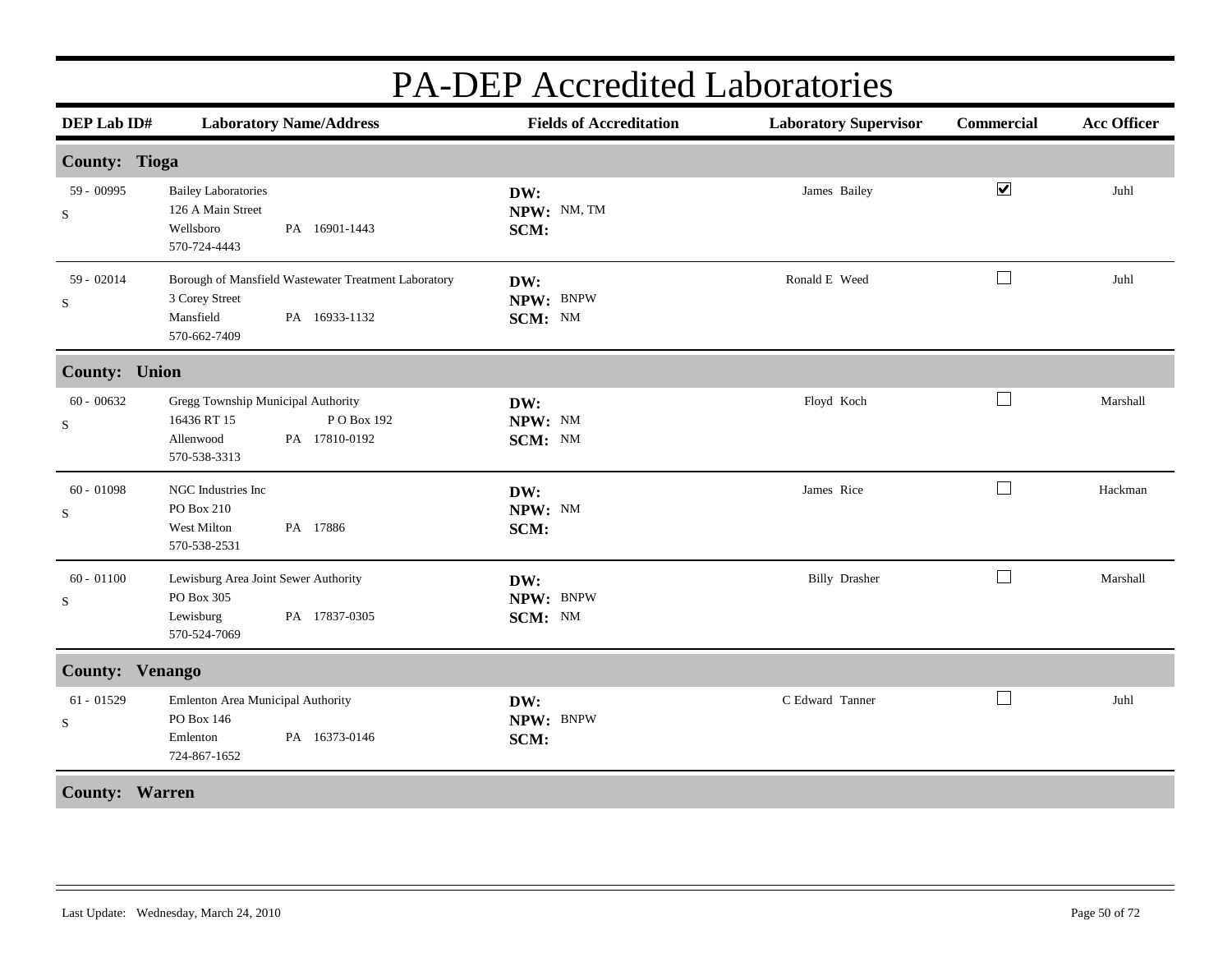| DEP Lab ID#                 |                                                                                 | <b>Laboratory Name/Address</b>                                        | <b>Fields of Accreditation</b> | <b>Laboratory Supervisor</b> | <b>Commercial</b>        | <b>Acc Officer</b> |
|-----------------------------|---------------------------------------------------------------------------------|-----------------------------------------------------------------------|--------------------------------|------------------------------|--------------------------|--------------------|
| <b>County: Tioga</b>        |                                                                                 |                                                                       |                                |                              |                          |                    |
| 59 - 00995<br>S             | <b>Bailey Laboratories</b><br>126 A Main Street<br>Wellsboro<br>570-724-4443    | PA 16901-1443                                                         | DW:<br>NPW: NM, TM<br>SCM:     | James Bailey                 | $\blacktriangledown$     | Juhl               |
| 59 - 02014<br>S             | 3 Corey Street<br>Mansfield<br>570-662-7409                                     | Borough of Mansfield Wastewater Treatment Laboratory<br>PA 16933-1132 | DW:<br>NPW: BNPW<br>SCM: NM    | Ronald E Weed                | $\Box$                   | Juhl               |
| <b>County: Union</b>        |                                                                                 |                                                                       |                                |                              |                          |                    |
| $60 - 00632$<br>${\bf S}$   | Gregg Township Municipal Authority<br>16436 RT 15<br>Allenwood<br>570-538-3313  | PO Box 192<br>PA 17810-0192                                           | DW:<br>NPW: NM<br>SCM: NM      | Floyd Koch                   | $\Box$                   | Marshall           |
| $60 - 01098$<br>$\mathbf S$ | NGC Industries Inc<br>PO Box 210<br>West Milton<br>570-538-2531                 | PA 17886                                                              | DW:<br>NPW: NM<br>SCM:         | James Rice                   | $\overline{\phantom{a}}$ | Hackman            |
| $60 - 01100$<br>S           | Lewisburg Area Joint Sewer Authority<br>PO Box 305<br>Lewisburg<br>570-524-7069 | PA 17837-0305                                                         | DW:<br>NPW: BNPW<br>SCM: NM    | <b>Billy Drasher</b>         | $\Box$                   | Marshall           |
| County: Venango             |                                                                                 |                                                                       |                                |                              |                          |                    |
| $61 - 01529$<br>${\bf S}$   | Emlenton Area Municipal Authority<br>PO Box 146<br>Emlenton<br>724-867-1652     | PA 16373-0146                                                         | DW:<br>NPW: BNPW<br>SCM:       | C Edward Tanner              | $\Box$                   | Juhl               |
| <b>County: Warren</b>       |                                                                                 |                                                                       |                                |                              |                          |                    |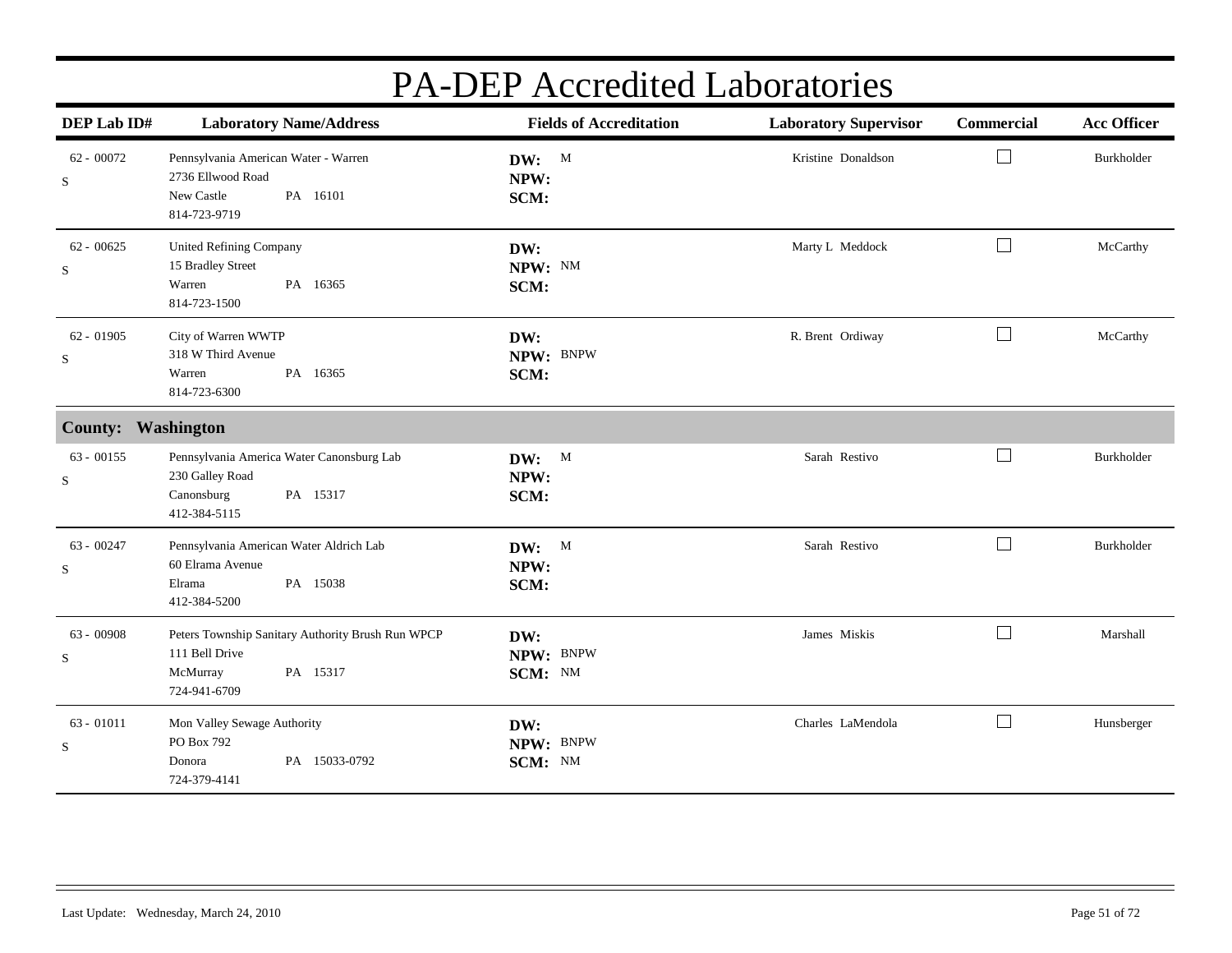| DEP Lab ID#                 | <b>Laboratory Name/Address</b>                                                                              | <b>Fields of Accreditation</b> | <b>Laboratory Supervisor</b> | Commercial                  | <b>Acc Officer</b> |
|-----------------------------|-------------------------------------------------------------------------------------------------------------|--------------------------------|------------------------------|-----------------------------|--------------------|
| $62 - 00072$<br>S           | Pennsylvania American Water - Warren<br>2736 Ellwood Road<br>New Castle<br>PA 16101<br>814-723-9719         | DW: M<br>NPW:<br>SCM:          | Kristine Donaldson           | $\mathcal{L}_{\mathcal{A}}$ | Burkholder         |
| $62 - 00625$<br>S           | <b>United Refining Company</b><br>15 Bradley Street<br>Warren<br>PA 16365<br>814-723-1500                   | DW:<br>NPW: NM<br>SCM:         | Marty L Meddock              | $\Box$                      | McCarthy           |
| $62 - 01905$<br>S           | City of Warren WWTP<br>318 W Third Avenue<br>PA 16365<br>Warren<br>814-723-6300                             | DW:<br>NPW: BNPW<br>SCM:       | R. Brent Ordiway             | $\Box$                      | McCarthy           |
| <b>County: Washington</b>   |                                                                                                             |                                |                              |                             |                    |
| $63 - 00155$<br>S           | Pennsylvania America Water Canonsburg Lab<br>230 Galley Road<br>Canonsburg<br>PA 15317<br>412-384-5115      | DW: M<br>NPW:<br>SCM:          | Sarah Restivo                | $\mathcal{L}_{\mathcal{A}}$ | Burkholder         |
| $63 - 00247$<br>S           | Pennsylvania American Water Aldrich Lab<br>60 Elrama Avenue<br>PA 15038<br>Elrama<br>412-384-5200           | DW: M<br>NPW:<br>SCM:          | Sarah Restivo                | $\mathcal{L}_{\mathcal{A}}$ | Burkholder         |
| 63 - 00908<br>$\mathbf S$   | Peters Township Sanitary Authority Brush Run WPCP<br>111 Bell Drive<br>McMurray<br>PA 15317<br>724-941-6709 | DW:<br>NPW: BNPW<br>SCM: NM    | James Miskis                 | $\Box$                      | Marshall           |
| $63 - 01011$<br>$\mathbf S$ | Mon Valley Sewage Authority<br>PO Box 792<br>PA 15033-0792<br>Donora<br>724-379-4141                        | DW:<br>NPW: BNPW<br>SCM: NM    | Charles LaMendola            | $\sim$                      | Hunsberger         |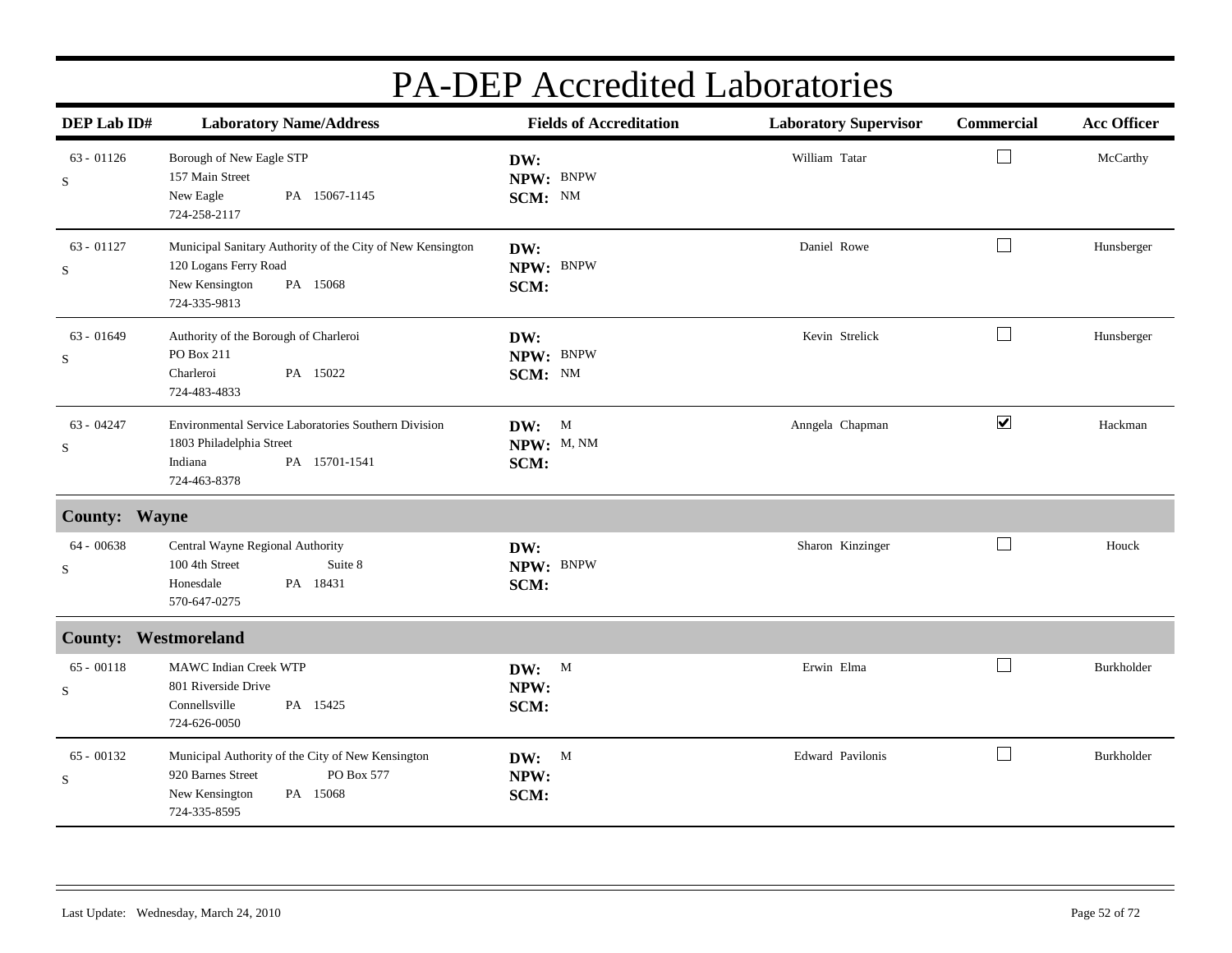| DEP Lab ID#                 | <b>Laboratory Name/Address</b>                                                                                                     | <b>Fields of Accreditation</b> | <b>Laboratory Supervisor</b> | Commercial           | <b>Acc Officer</b> |
|-----------------------------|------------------------------------------------------------------------------------------------------------------------------------|--------------------------------|------------------------------|----------------------|--------------------|
| $63 - 01126$<br>S           | Borough of New Eagle STP<br>157 Main Street<br>New Eagle<br>PA 15067-1145<br>724-258-2117                                          | DW:<br>NPW: BNPW<br>SCM: NM    | William Tatar                | $\Box$               | McCarthy           |
| $63 - 01127$<br>S           | Municipal Sanitary Authority of the City of New Kensington<br>120 Logans Ferry Road<br>New Kensington<br>PA 15068<br>724-335-9813  | DW:<br>NPW: BNPW<br>SCM:       | Daniel Rowe                  | $\Box$               | Hunsberger         |
| $63 - 01649$<br>S           | Authority of the Borough of Charleroi<br>PO Box 211<br>Charleroi<br>PA 15022<br>724-483-4833                                       | DW:<br>NPW: BNPW<br>SCM: NM    | Kevin Strelick               | $\Box$               | Hunsberger         |
| 63 - 04247<br>$\rm S$       | Environmental Service Laboratories Southern Division<br>1803 Philadelphia Street<br>Indiana<br>PA 15701-1541<br>724-463-8378       | DW: M<br>NPW: M, NM<br>SCM:    | Anngela Chapman              | $\blacktriangledown$ | Hackman            |
| <b>County: Wayne</b>        |                                                                                                                                    |                                |                              |                      |                    |
| $64 - 00638$<br>S           | Central Wayne Regional Authority<br>100 4th Street<br>Suite 8<br>PA 18431<br>Honesdale<br>570-647-0275                             | DW:<br>NPW: BNPW<br>SCM:       | Sharon Kinzinger             | $\perp$              | Houck              |
| <b>County: Westmoreland</b> |                                                                                                                                    |                                |                              |                      |                    |
| $65 - 00118$<br>$\rm S$     | MAWC Indian Creek WTP<br>801 Riverside Drive<br>Connellsville<br>PA 15425<br>724-626-0050                                          | DW: M<br>NPW:<br>SCM:          | Erwin Elma                   | $\Box$               | Burkholder         |
| $65 - 00132$<br>S           | Municipal Authority of the City of New Kensington<br>920 Barnes Street<br>PO Box 577<br>New Kensington<br>PA 15068<br>724-335-8595 | DW: M<br>NPW:<br>SCM:          | Edward Pavilonis             | $\vert \ \ \vert$    | Burkholder         |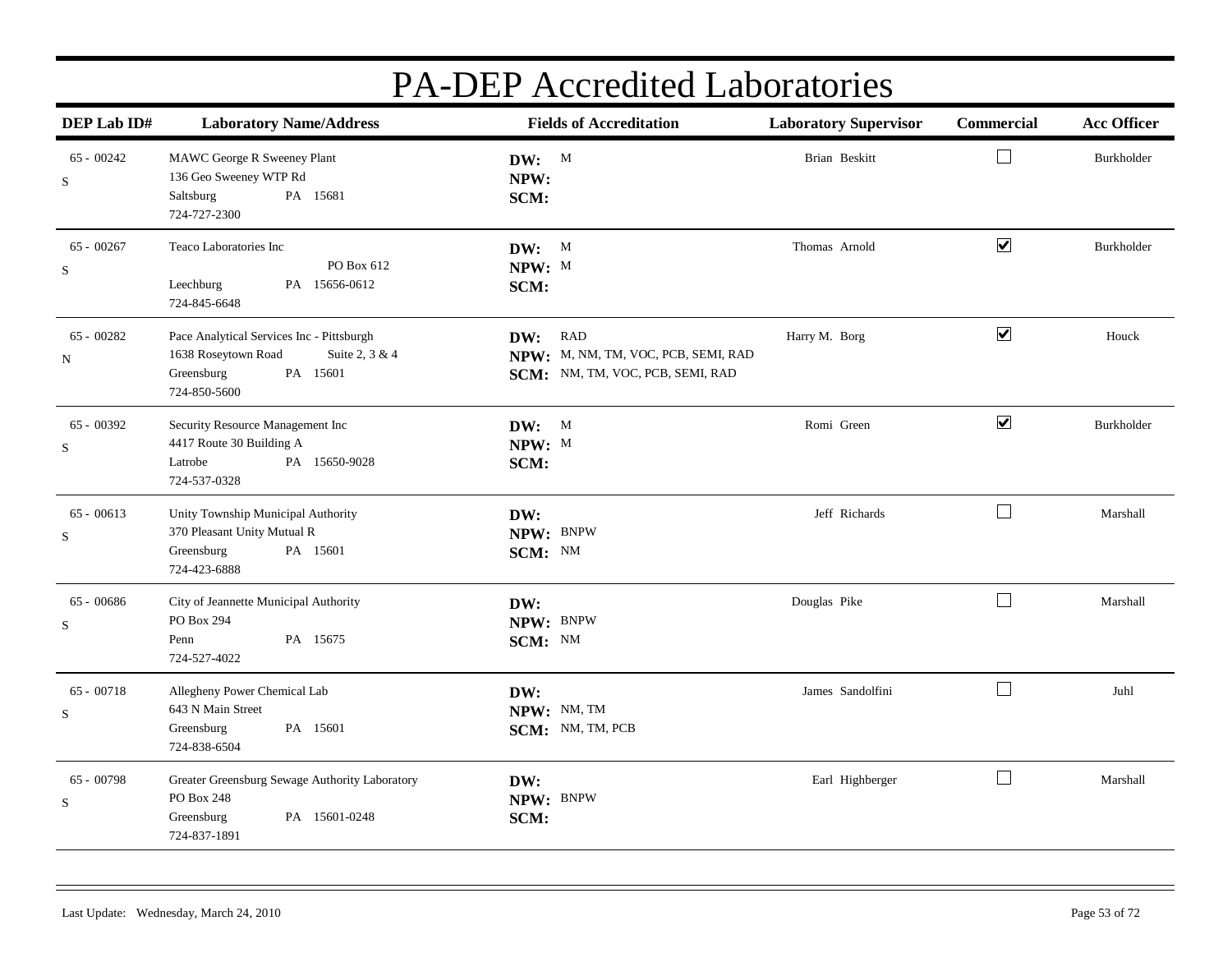| DEP Lab ID#                 | <b>Laboratory Name/Address</b>                                                                                               | <b>Fields of Accreditation</b>                                                     | <b>Laboratory Supervisor</b> | Commercial           | <b>Acc Officer</b> |
|-----------------------------|------------------------------------------------------------------------------------------------------------------------------|------------------------------------------------------------------------------------|------------------------------|----------------------|--------------------|
| $65 - 00242$<br>$\mathbf S$ | MAWC George R Sweeney Plant<br>136 Geo Sweeney WTP Rd<br>PA 15681<br>Saltsburg<br>724-727-2300                               | DW: M<br>NPW:<br>SCM:                                                              | <b>Brian Beskitt</b>         | $\Box$               | Burkholder         |
| $65 - 00267$<br>$\mathbf S$ | Teaco Laboratories Inc<br>PO Box 612<br>PA 15656-0612<br>Leechburg<br>724-845-6648                                           | DW: M<br>NPW: M<br>SCM:                                                            | Thomas Arnold                | $\blacktriangledown$ | Burkholder         |
| $65 - 00282$<br>N           | Pace Analytical Services Inc - Pittsburgh<br>1638 Roseytown Road<br>Suite 2, 3 & 4<br>Greensburg<br>PA 15601<br>724-850-5600 | DW: RAD<br>NPW: M, NM, TM, VOC, PCB, SEMI, RAD<br>SCM: NM, TM, VOC, PCB, SEMI, RAD | Harry M. Borg                | $\blacktriangledown$ | Houck              |
| 65 - 00392<br>S             | Security Resource Management Inc<br>4417 Route 30 Building A<br>PA 15650-9028<br>Latrobe<br>724-537-0328                     | DW: M<br>NPW: M<br>SCM:                                                            | Romi Green                   | $\blacktriangledown$ | Burkholder         |
| $65 - 00613$<br>$\mathbf S$ | Unity Township Municipal Authority<br>370 Pleasant Unity Mutual R<br>PA 15601<br>Greensburg<br>724-423-6888                  | DW:<br>NPW: BNPW<br>SCM: NM                                                        | Jeff Richards                | $\Box$               | Marshall           |
| $65 - 00686$<br>$\mathbf S$ | City of Jeannette Municipal Authority<br>PO Box 294<br>PA 15675<br>Penn<br>724-527-4022                                      | DW:<br>NPW: BNPW<br>SCM: NM                                                        | Douglas Pike                 | $\Box$               | Marshall           |
| $65 - 00718$<br>S           | Allegheny Power Chemical Lab<br>643 N Main Street<br>Greensburg<br>PA 15601<br>724-838-6504                                  | DW:<br>NPW: NM, TM<br>SCM: NM, TM, PCB                                             | James Sandolfini             | $\Box$               | Juhl               |
| $65 - 00798$<br>$\mathbf S$ | Greater Greensburg Sewage Authority Laboratory<br>PO Box 248<br>PA 15601-0248<br>Greensburg<br>724-837-1891                  | DW:<br>NPW: BNPW<br>SCM:                                                           | Earl Highberger              | $\Box$               | Marshall           |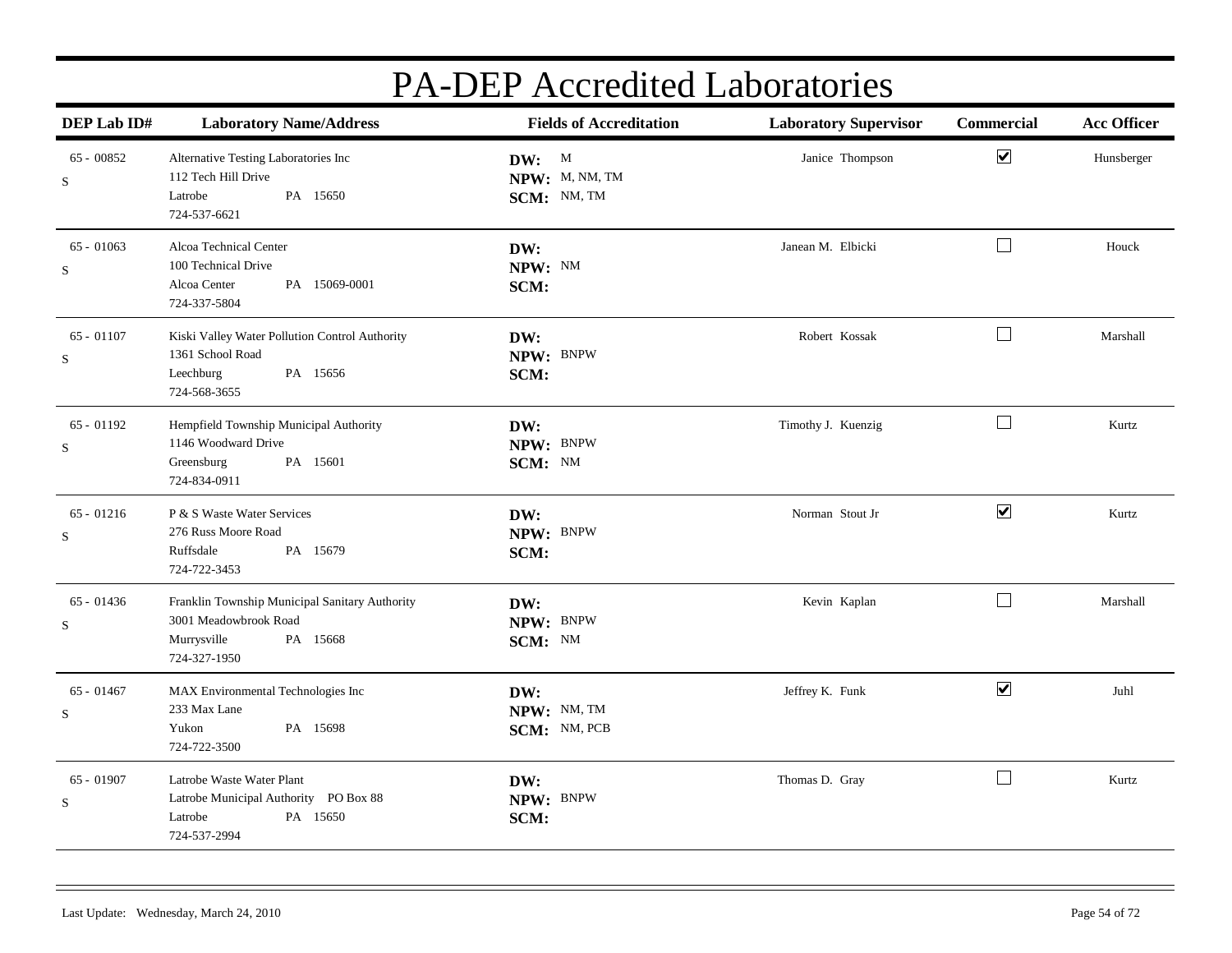| DEP Lab ID#                 | <b>Laboratory Name/Address</b>                                                                                     | <b>Fields of Accreditation</b>         | <b>Laboratory Supervisor</b> | Commercial           | <b>Acc Officer</b> |
|-----------------------------|--------------------------------------------------------------------------------------------------------------------|----------------------------------------|------------------------------|----------------------|--------------------|
| $65 - 00852$<br>$\mathbf S$ | Alternative Testing Laboratories Inc<br>112 Tech Hill Drive<br>PA 15650<br>Latrobe<br>724-537-6621                 | DW: M<br>NPW: M, NM, TM<br>SCM: NM, TM | Janice Thompson              | $\blacktriangledown$ | Hunsberger         |
| $65 - 01063$<br>$\mathbf S$ | Alcoa Technical Center<br>100 Technical Drive<br>PA 15069-0001<br>Alcoa Center<br>724-337-5804                     | DW:<br>NPW: NM<br>SCM:                 | Janean M. Elbicki            | $\Box$               | Houck              |
| $65 - 01107$<br>$\mathbf S$ | Kiski Valley Water Pollution Control Authority<br>1361 School Road<br>PA 15656<br>Leechburg<br>724-568-3655        | DW:<br>NPW: BNPW<br>SCM:               | Robert Kossak                | $\Box$               | Marshall           |
| $65 - 01192$<br>S           | Hempfield Township Municipal Authority<br>1146 Woodward Drive<br>PA 15601<br>Greensburg<br>724-834-0911            | DW:<br>NPW: BNPW<br>SCM: NM            | Timothy J. Kuenzig           | $\Box$               | Kurtz              |
| $65 - 01216$<br>$\mathbf S$ | P & S Waste Water Services<br>276 Russ Moore Road<br>Ruffsdale<br>PA 15679<br>724-722-3453                         | DW:<br>NPW: BNPW<br>SCM:               | Norman Stout Jr              | $\blacktriangledown$ | Kurtz              |
| $65 - 01436$<br>S           | Franklin Township Municipal Sanitary Authority<br>3001 Meadowbrook Road<br>Murrysville<br>PA 15668<br>724-327-1950 | DW:<br>NPW: BNPW<br>SCM: NM            | Kevin Kaplan                 | $\Box$               | Marshall           |
| $65 - 01467$<br>S           | MAX Environmental Technologies Inc<br>233 Max Lane<br>Yukon<br>PA 15698<br>724-722-3500                            | DW:<br>NPW: NM, TM<br>SCM: NM, PCB     | Jeffrey K. Funk              | $\blacktriangledown$ | Juhl               |
| 65 - 01907<br>$\mathbf S$   | Latrobe Waste Water Plant<br>Latrobe Municipal Authority PO Box 88<br>PA 15650<br>Latrobe<br>724-537-2994          | DW:<br>NPW: BNPW<br>SCM:               | Thomas D. Gray               | $\Box$               | Kurtz              |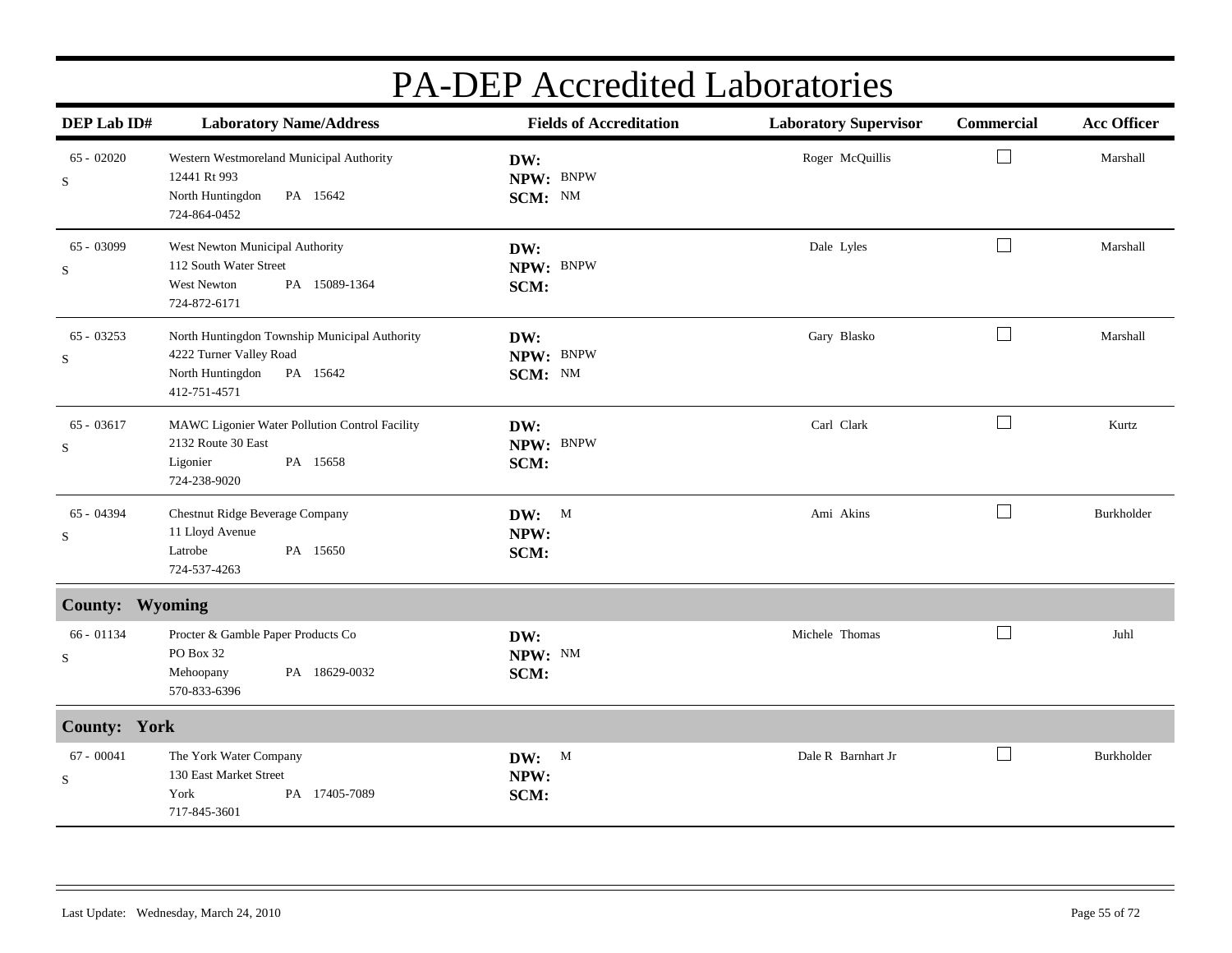| DEP Lab ID#                 | <b>Laboratory Name/Address</b>                                                                                           | <b>Fields of Accreditation</b> | <b>Laboratory Supervisor</b> | Commercial | <b>Acc Officer</b> |
|-----------------------------|--------------------------------------------------------------------------------------------------------------------------|--------------------------------|------------------------------|------------|--------------------|
| $65 - 02020$<br>$\mathbf S$ | Western Westmoreland Municipal Authority<br>12441 Rt 993<br>North Huntingdon<br>PA 15642<br>724-864-0452                 | DW:<br>NPW: BNPW<br>SCM: NM    | Roger McQuillis              | $\Box$     | Marshall           |
| 65 - 03099<br>$\mathbf S$   | West Newton Municipal Authority<br>112 South Water Street<br><b>West Newton</b><br>PA 15089-1364<br>724-872-6171         | DW:<br>NPW: BNPW<br>SCM:       | Dale Lyles                   | $\Box$     | Marshall           |
| $65 - 03253$<br>S           | North Huntingdon Township Municipal Authority<br>4222 Turner Valley Road<br>North Huntingdon<br>PA 15642<br>412-751-4571 | DW:<br>NPW: BNPW<br>SCM: NM    | Gary Blasko                  | L          | Marshall           |
| 65 - 03617<br>S             | MAWC Ligonier Water Pollution Control Facility<br>2132 Route 30 East<br>PA 15658<br>Ligonier<br>724-238-9020             | DW:<br>NPW: BNPW<br>SCM:       | Carl Clark                   | $\Box$     | Kurtz              |
| 65 - 04394<br>$\mathbf S$   | Chestnut Ridge Beverage Company<br>11 Lloyd Avenue<br>Latrobe<br>PA 15650<br>724-537-4263                                | DW: M<br>NPW:<br>SCM:          | Ami Akins                    | $\Box$     | Burkholder         |
| County: Wyoming             |                                                                                                                          |                                |                              |            |                    |
| 66 - 01134<br>$\mathbf S$   | Procter & Gamble Paper Products Co<br>PO Box 32<br>Mehoopany<br>PA 18629-0032<br>570-833-6396                            | DW:<br>NPW: NM<br>SCM:         | Michele Thomas               | $\Box$     | Juhl               |
| <b>County: York</b>         |                                                                                                                          |                                |                              |            |                    |
| $67 - 00041$<br>$\mathbf S$ | The York Water Company<br>130 East Market Street<br>York<br>PA 17405-7089<br>717-845-3601                                | DW: M<br>NPW:<br>SCM:          | Dale R Barnhart Jr           | $\Box$     | Burkholder         |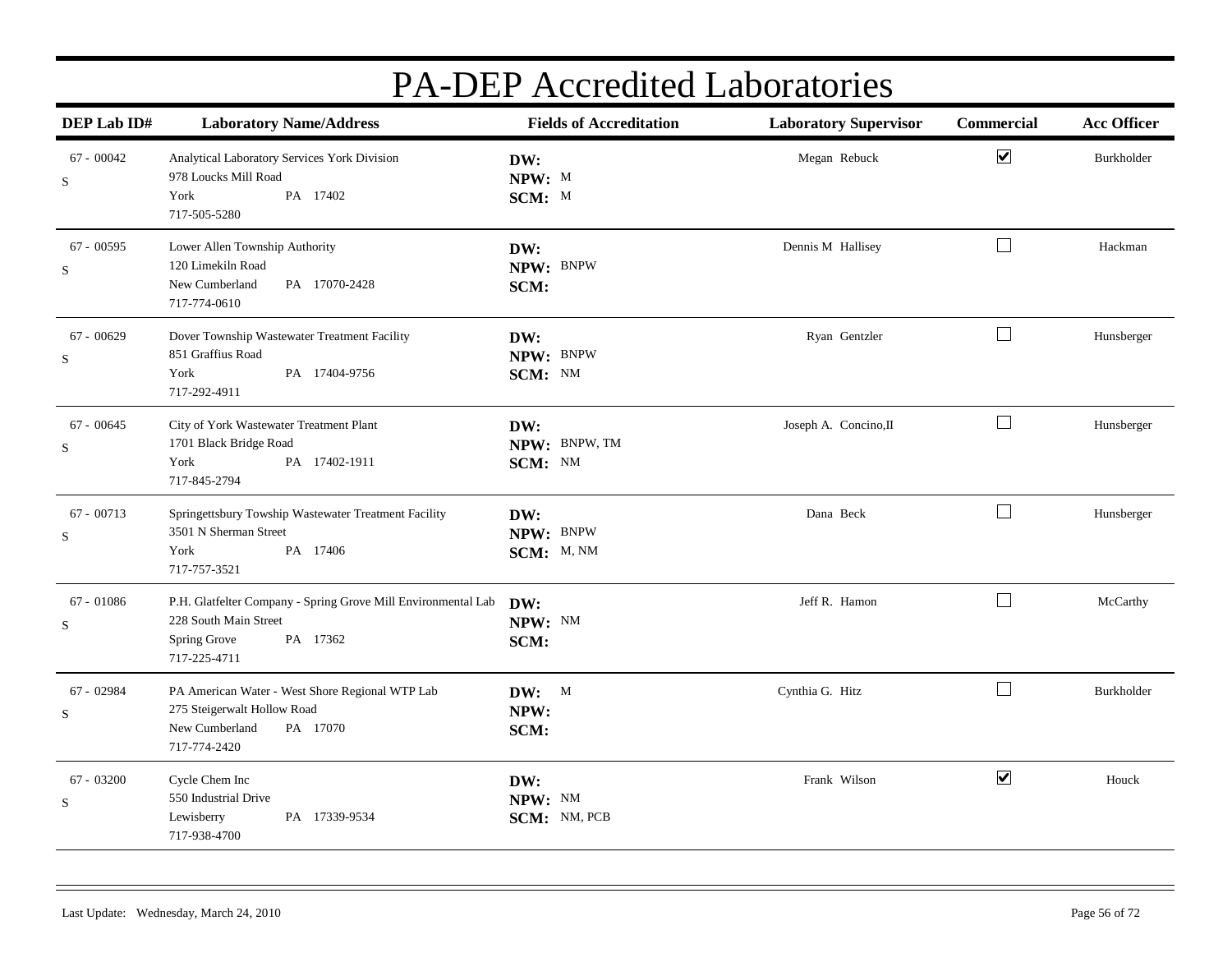| DEP Lab ID#                 | <b>Laboratory Name/Address</b>                                                                                                     | <b>Fields of Accreditation</b>  | <b>Laboratory Supervisor</b> | Commercial           | <b>Acc Officer</b> |
|-----------------------------|------------------------------------------------------------------------------------------------------------------------------------|---------------------------------|------------------------------|----------------------|--------------------|
| $67 - 00042$<br>S           | Analytical Laboratory Services York Division<br>978 Loucks Mill Road<br>York<br>PA 17402<br>717-505-5280                           | DW:<br>NPW: M<br>SCM: M         | Megan Rebuck                 | $\blacktriangledown$ | Burkholder         |
| $67 - 00595$<br>$\mathbf S$ | Lower Allen Township Authority<br>120 Limekiln Road<br>New Cumberland<br>PA 17070-2428<br>717-774-0610                             | DW:<br>NPW: BNPW<br>SCM:        | Dennis M Hallisey            | $\Box$               | Hackman            |
| $67 - 00629$<br>$\mathbf S$ | Dover Township Wastewater Treatment Facility<br>851 Graffius Road<br>York<br>PA 17404-9756<br>717-292-4911                         | DW:<br>NPW: BNPW<br>SCM: NM     | Ryan Gentzler                | $\Box$               | Hunsberger         |
| $67 - 00645$<br>$\mathbf S$ | City of York Wastewater Treatment Plant<br>1701 Black Bridge Road<br>PA 17402-1911<br>York<br>717-845-2794                         | DW:<br>NPW: BNPW, TM<br>SCM: NM | Joseph A. Concino, II        | $\Box$               | Hunsberger         |
| $67 - 00713$<br>S           | Springettsbury Towship Wastewater Treatment Facility<br>3501 N Sherman Street<br>York<br>PA 17406<br>717-757-3521                  | DW:<br>NPW: BNPW<br>SCM: M, NM  | Dana Beck                    | $\Box$               | Hunsberger         |
| $67 - 01086$<br>S           | P.H. Glatfelter Company - Spring Grove Mill Environmental Lab<br>228 South Main Street<br>Spring Grove<br>PA 17362<br>717-225-4711 | DW:<br>NPW: NM<br>SCM:          | Jeff R. Hamon                | $\Box$               | McCarthy           |
| $67 - 02984$<br>S           | PA American Water - West Shore Regional WTP Lab<br>275 Steigerwalt Hollow Road<br>New Cumberland<br>PA 17070<br>717-774-2420       | DW: M<br>NPW:<br>SCM:           | Cynthia G. Hitz              | $\Box$               | Burkholder         |
| $67 - 03200$<br>$\mathbf S$ | Cycle Chem Inc<br>550 Industrial Drive<br>PA 17339-9534<br>Lewisberry<br>717-938-4700                                              | DW:<br>NPW: NM<br>SCM: NM, PCB  | Frank Wilson                 | $\blacktriangledown$ | Houck              |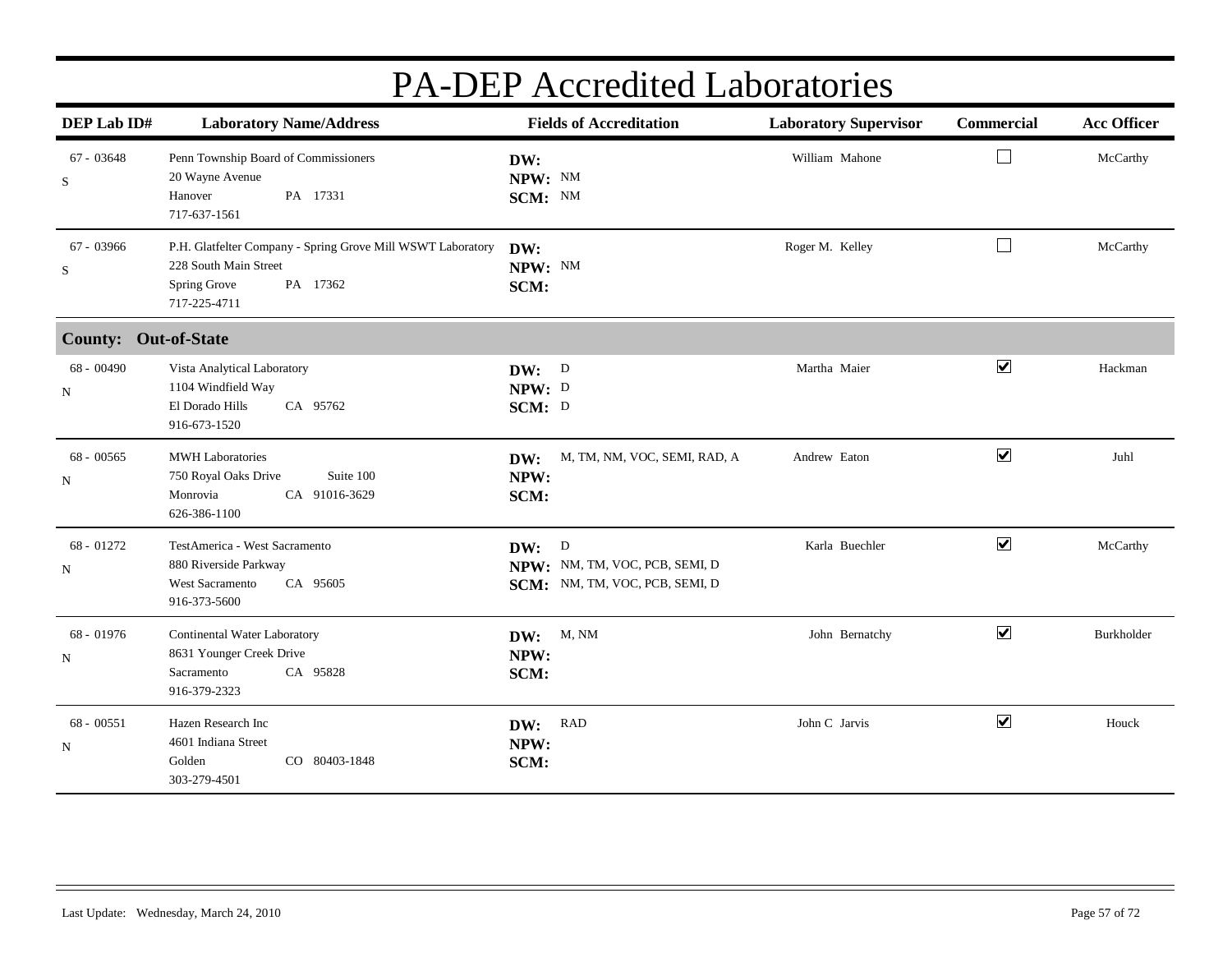| DEP Lab ID#                 | <b>Laboratory Name/Address</b>                                                                                                   | <b>Fields of Accreditation</b>                                            | <b>Laboratory Supervisor</b> | Commercial           | <b>Acc Officer</b> |
|-----------------------------|----------------------------------------------------------------------------------------------------------------------------------|---------------------------------------------------------------------------|------------------------------|----------------------|--------------------|
| 67 - 03648<br>S             | Penn Township Board of Commissioners<br>20 Wayne Avenue<br>PA 17331<br>Hanover<br>717-637-1561                                   | DW:<br>NPW: NM<br>SCM: NM                                                 | William Mahone               | $\sqcup$             | McCarthy           |
| $67 - 03966$<br>S           | P.H. Glatfelter Company - Spring Grove Mill WSWT Laboratory<br>228 South Main Street<br>Spring Grove<br>PA 17362<br>717-225-4711 | DW:<br>NPW: NM<br>SCM:                                                    | Roger M. Kelley              | $\Box$               | McCarthy           |
| <b>County: Out-of-State</b> |                                                                                                                                  |                                                                           |                              |                      |                    |
| $68 - 00490$<br>N           | Vista Analytical Laboratory<br>1104 Windfield Way<br>El Dorado Hills<br>CA 95762<br>916-673-1520                                 | DW: D<br>NPW: D<br>SCM: D                                                 | Martha Maier                 | $\blacktriangledown$ | Hackman            |
| $68 - 00565$<br>N           | <b>MWH</b> Laboratories<br>Suite 100<br>750 Royal Oaks Drive<br>CA 91016-3629<br>Monrovia<br>626-386-1100                        | M, TM, NM, VOC, SEMI, RAD, A<br>DW:<br>NPW:<br>SCM:                       | Andrew Eaton                 | $\blacktriangledown$ | Juhl               |
| 68 - 01272<br>N             | TestAmerica - West Sacramento<br>880 Riverside Parkway<br><b>West Sacramento</b><br>CA 95605<br>916-373-5600                     | DW: D<br>NPW: NM, TM, VOC, PCB, SEMI, D<br>SCM: NM, TM, VOC, PCB, SEMI, D | Karla Buechler               | $\blacktriangledown$ | McCarthy           |
| 68 - 01976<br>N             | Continental Water Laboratory<br>8631 Younger Creek Drive<br>CA 95828<br>Sacramento<br>916-379-2323                               | <b>DW:</b> M, NM<br>NPW:<br>SCM:                                          | John Bernatchy               | $\blacktriangledown$ | Burkholder         |
| $68 - 00551$<br>N           | Hazen Research Inc<br>4601 Indiana Street<br>CO 80403-1848<br>Golden<br>303-279-4501                                             | DW: RAD<br>NPW:<br>SCM:                                                   | John C Jarvis                | $\blacktriangledown$ | Houck              |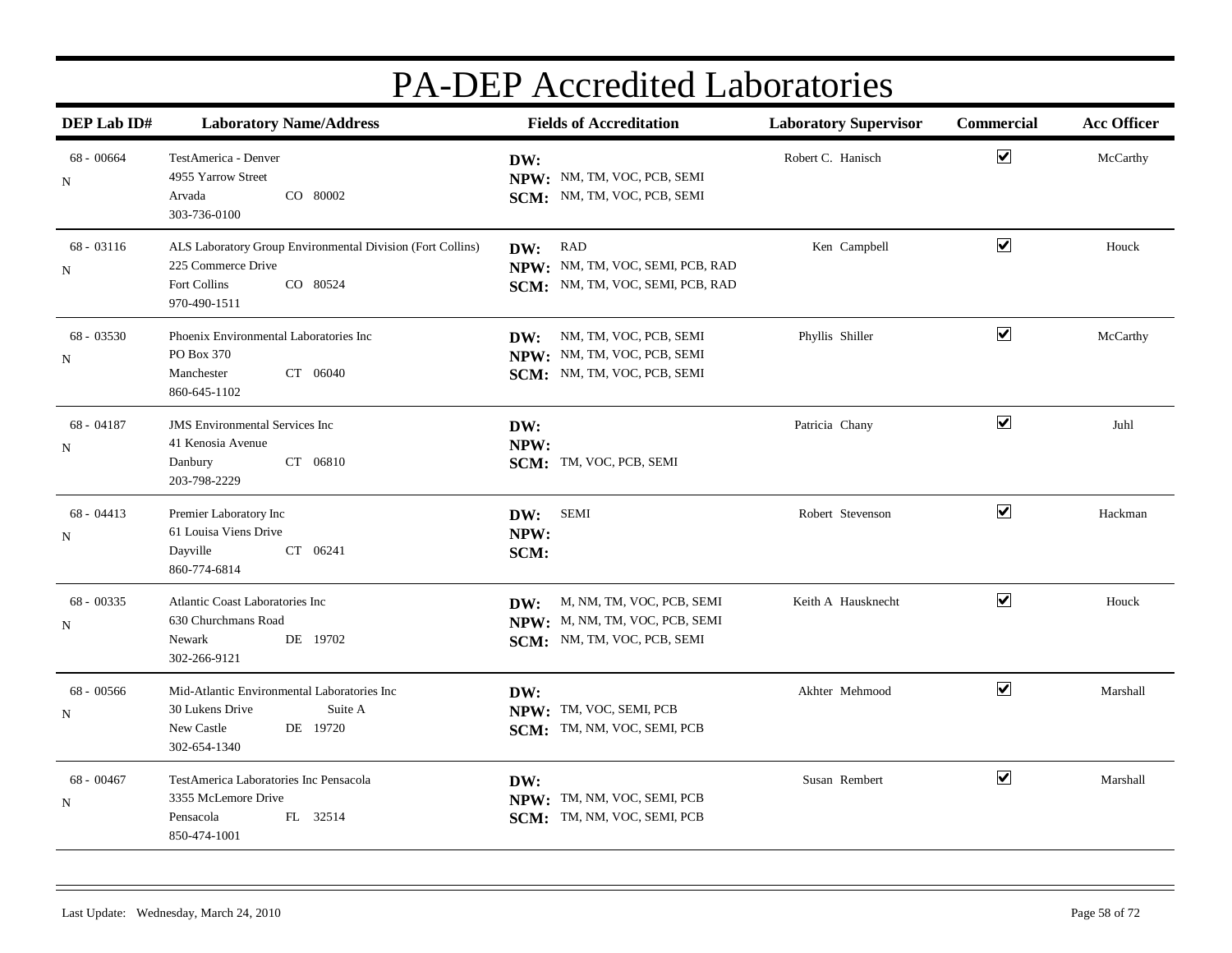| DEP Lab ID#                | <b>Laboratory Name/Address</b>                                                                                               | <b>Fields of Accreditation</b>                                                                    | <b>Laboratory Supervisor</b> | Commercial           | <b>Acc Officer</b> |
|----------------------------|------------------------------------------------------------------------------------------------------------------------------|---------------------------------------------------------------------------------------------------|------------------------------|----------------------|--------------------|
| $68 - 00664$<br>N          | TestAmerica - Denver<br>4955 Yarrow Street<br>CO 80002<br>Arvada<br>303-736-0100                                             | DW:<br>NPW: NM, TM, VOC, PCB, SEMI<br>SCM: NM, TM, VOC, PCB, SEMI                                 | Robert C. Hanisch            | $\blacktriangledown$ | McCarthy           |
| $68 - 03116$<br>N          | ALS Laboratory Group Environmental Division (Fort Collins)<br>225 Commerce Drive<br>CO 80524<br>Fort Collins<br>970-490-1511 | DW: RAD<br>NPW: NM, TM, VOC, SEMI, PCB, RAD<br>SCM: NM, TM, VOC, SEMI, PCB, RAD                   | Ken Campbell                 | $\blacktriangledown$ | Houck              |
| $68 - 03530$<br>N          | Phoenix Environmental Laboratories Inc<br>PO Box 370<br>CT 06040<br>Manchester<br>860-645-1102                               | NM, TM, VOC, PCB, SEMI<br>DW:<br>NPW: NM, TM, VOC, PCB, SEMI<br>SCM: NM, TM, VOC, PCB, SEMI       | Phyllis Shiller              | $\blacktriangledown$ | McCarthy           |
| 68 - 04187<br>N            | <b>JMS</b> Environmental Services Inc<br>41 Kenosia Avenue<br>CT 06810<br>Danbury<br>203-798-2229                            | DW:<br>NPW:<br>SCM: TM, VOC, PCB, SEMI                                                            | Patricia Chany               | $\blacktriangledown$ | Juhl               |
| $68 - 04413$<br>N          | Premier Laboratory Inc<br>61 Louisa Viens Drive<br>Dayville<br>CT 06241<br>860-774-6814                                      | <b>SEMI</b><br>DW:<br>NPW:<br>SCM:                                                                | Robert Stevenson             | $\blacktriangledown$ | Hackman            |
| 68 - 00335<br>$\, {\rm N}$ | Atlantic Coast Laboratories Inc<br>630 Churchmans Road<br>DE 19702<br>Newark<br>302-266-9121                                 | M, NM, TM, VOC, PCB, SEMI<br>DW:<br>NPW: M, NM, TM, VOC, PCB, SEMI<br>SCM: NM, TM, VOC, PCB, SEMI | Keith A Hausknecht           | $\blacktriangledown$ | Houck              |
| $68 - 00566$<br>N          | Mid-Atlantic Environmental Laboratories Inc<br>30 Lukens Drive<br>Suite A<br>New Castle<br>DE 19720<br>302-654-1340          | DW:<br>NPW: TM, VOC, SEMI, PCB<br>SCM: TM, NM, VOC, SEMI, PCB                                     | Akhter Mehmood               | $\blacktriangledown$ | Marshall           |
| 68 - 00467<br>${\bf N}$    | TestAmerica Laboratories Inc Pensacola<br>3355 McLemore Drive<br>FL 32514<br>Pensacola<br>850-474-1001                       | DW:<br>NPW: TM, NM, VOC, SEMI, PCB<br>SCM: TM, NM, VOC, SEMI, PCB                                 | Susan Rembert                | $\blacktriangledown$ | Marshall           |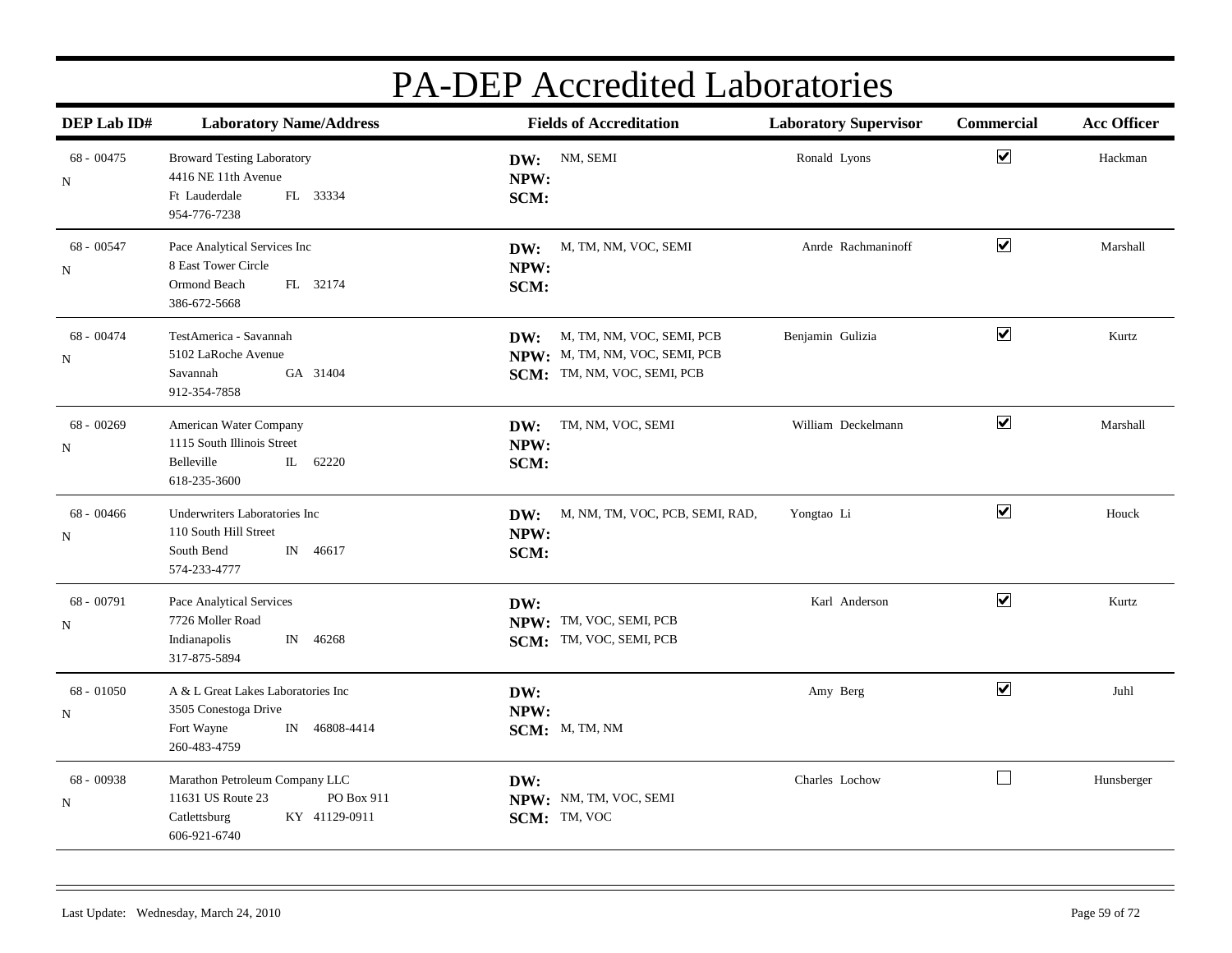| DEP Lab ID#                | <b>Laboratory Name/Address</b>                                                                                     | <b>Fields of Accreditation</b>                                                                    | <b>Laboratory Supervisor</b> | Commercial           | <b>Acc Officer</b> |
|----------------------------|--------------------------------------------------------------------------------------------------------------------|---------------------------------------------------------------------------------------------------|------------------------------|----------------------|--------------------|
| $68 - 00475$<br>N          | <b>Broward Testing Laboratory</b><br>4416 NE 11th Avenue<br>FL 33334<br>Ft Lauderdale<br>954-776-7238              | NM, SEMI<br>DW:<br>NPW:<br>SCM:                                                                   | Ronald Lyons                 | $\blacktriangledown$ | Hackman            |
| $68 - 00547$<br>N          | Pace Analytical Services Inc<br>8 East Tower Circle<br>Ormond Beach<br>FL 32174<br>386-672-5668                    | M, TM, NM, VOC, SEMI<br>DW:<br>NPW:<br>SCM:                                                       | Anrde Rachmaninoff           | $\blacktriangledown$ | Marshall           |
| $68 - 00474$<br>N          | TestAmerica - Savannah<br>5102 LaRoche Avenue<br>Savannah<br>GA 31404<br>912-354-7858                              | M, TM, NM, VOC, SEMI, PCB<br>DW:<br>NPW: M, TM, NM, VOC, SEMI, PCB<br>SCM: TM, NM, VOC, SEMI, PCB | Benjamin Gulizia             | $\blacktriangledown$ | Kurtz              |
| $68 - 00269$<br>$_{\rm N}$ | American Water Company<br>1115 South Illinois Street<br>Belleville<br>62220<br>IL.<br>618-235-3600                 | TM, NM, VOC, SEMI<br>DW:<br>NPW:<br>SCM:                                                          | William Deckelmann           | $\blacktriangledown$ | Marshall           |
| $68 - 00466$<br>N          | Underwriters Laboratories Inc<br>110 South Hill Street<br>IN 46617<br>South Bend<br>574-233-4777                   | M, NM, TM, VOC, PCB, SEMI, RAD,<br>DW:<br>NPW:<br>SCM:                                            | Yongtao Li                   | $\blacktriangledown$ | Houck              |
| 68 - 00791<br>$\, {\rm N}$ | Pace Analytical Services<br>7726 Moller Road<br>Indianapolis<br>$\mathbb N$<br>46268<br>317-875-5894               | DW:<br>NPW: TM, VOC, SEMI, PCB<br>SCM: TM, VOC, SEMI, PCB                                         | Karl Anderson                | $\blacktriangledown$ | Kurtz              |
| $68 - 01050$<br>N          | A & L Great Lakes Laboratories Inc<br>3505 Conestoga Drive<br>Fort Wayne<br>IN 46808-4414<br>260-483-4759          | DW:<br>NPW:<br>SCM: M, TM, NM                                                                     | Amy Berg                     | $\blacktriangledown$ | Juhl               |
| 68 - 00938<br>${\bf N}$    | Marathon Petroleum Company LLC<br>11631 US Route 23<br>PO Box 911<br>KY 41129-0911<br>Catlettsburg<br>606-921-6740 | DW:<br>NPW: NM, TM, VOC, SEMI<br>SCM: TM, VOC                                                     | Charles Lochow               | $\Box$               | Hunsberger         |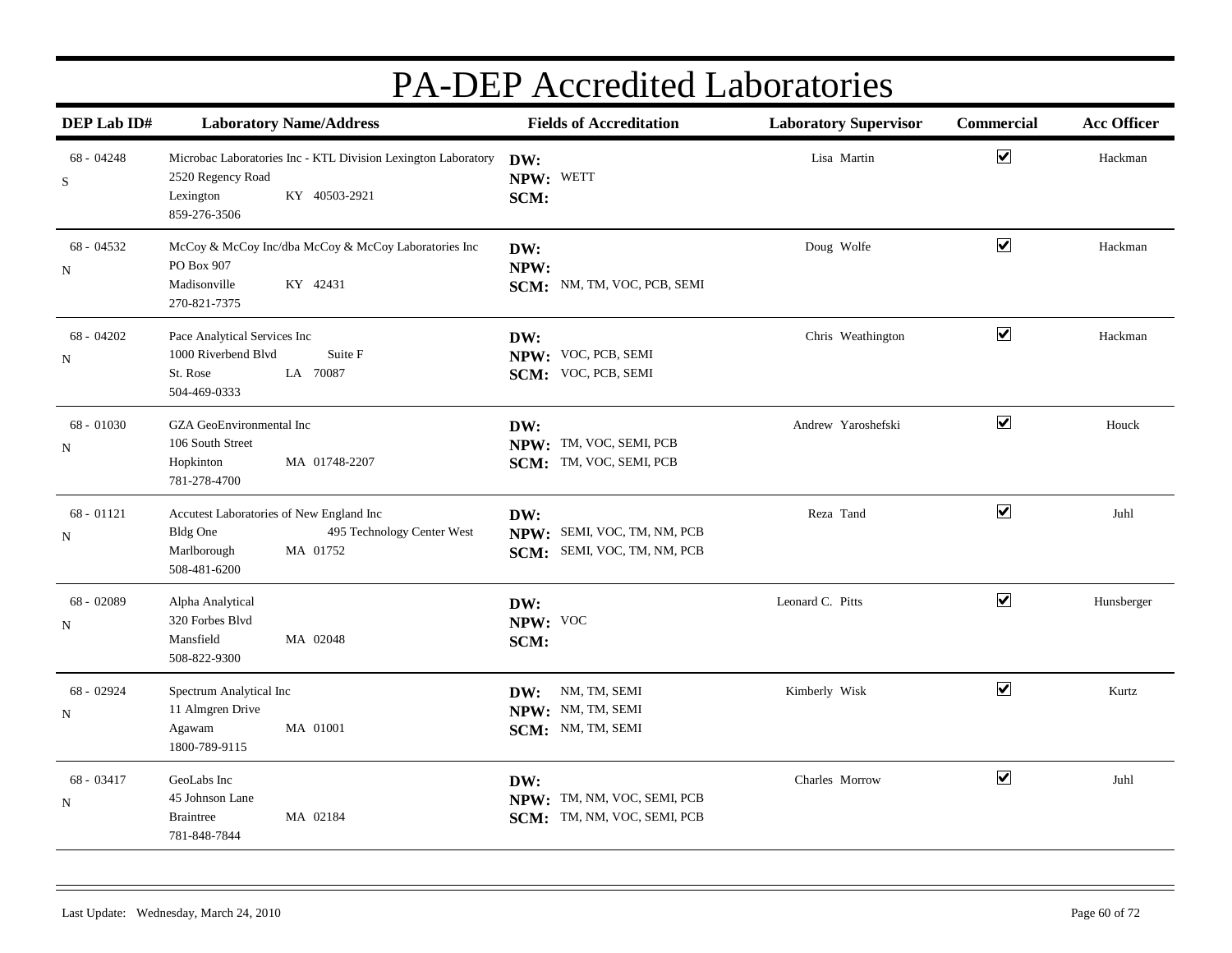| DEP Lab ID#               | <b>Laboratory Name/Address</b>                                                                                                       | <b>Fields of Accreditation</b>                                    | <b>Laboratory Supervisor</b> | Commercial                   | <b>Acc Officer</b> |
|---------------------------|--------------------------------------------------------------------------------------------------------------------------------------|-------------------------------------------------------------------|------------------------------|------------------------------|--------------------|
| 68 - 04248<br>S           | Microbac Laboratories Inc - KTL Division Lexington Laboratory<br>2520 Regency Road<br>KY 40503-2921<br>Lexington<br>859-276-3506     | DW:<br>NPW: WETT<br>SCM:                                          | Lisa Martin                  | $\blacktriangledown$         | Hackman            |
| 68 - 04532<br>$\mathbf N$ | McCoy & McCoy Inc/dba McCoy & McCoy Laboratories Inc<br>PO Box 907<br>Madisonville<br>KY 42431<br>270-821-7375                       | DW:<br>NPW:<br>SCM: NM, TM, VOC, PCB, SEMI                        | Doug Wolfe                   | $\boxed{\blacktriangledown}$ | Hackman            |
| $68 - 04202$<br>N         | Pace Analytical Services Inc<br>Suite F<br>1000 Riverbend Blvd<br>LA 70087<br>St. Rose<br>504-469-0333                               | DW:<br>NPW: VOC, PCB, SEMI<br>SCM: VOC, PCB, SEMI                 | Chris Weathington            | $\overline{\mathbf{v}}$      | Hackman            |
| 68 - 01030<br>N           | GZA GeoEnvironmental Inc<br>106 South Street<br>MA 01748-2207<br>Hopkinton<br>781-278-4700                                           | DW:<br>NPW: TM, VOC, SEMI, PCB<br>SCM: TM, VOC, SEMI, PCB         | Andrew Yaroshefski           | $\overline{\mathbf{v}}$      | Houck              |
| $68 - 01121$<br>N         | Accutest Laboratories of New England Inc<br><b>Bldg One</b><br>495 Technology Center West<br>Marlborough<br>MA 01752<br>508-481-6200 | DW:<br>NPW: SEMI, VOC, TM, NM, PCB<br>SCM: SEMI, VOC, TM, NM, PCB | Reza Tand                    | $\boxed{\blacktriangledown}$ | Juhl               |
| 68 - 02089<br>N           | Alpha Analytical<br>320 Forbes Blvd<br>Mansfield<br>MA 02048<br>508-822-9300                                                         | DW:<br>NPW: VOC<br>SCM:                                           | Leonard C. Pitts             | $\blacktriangledown$         | Hunsberger         |
| 68 - 02924<br>N           | Spectrum Analytical Inc<br>11 Almgren Drive<br>MA 01001<br>Agawam<br>1800-789-9115                                                   | NM, TM, SEMI<br>DW:<br>NPW: NM, TM, SEMI<br>SCM: NM, TM, SEMI     | Kimberly Wisk                | $\blacktriangledown$         | Kurtz              |
| 68 - 03417<br>$\mathbf N$ | GeoLabs Inc<br>45 Johnson Lane<br>MA 02184<br><b>Braintree</b><br>781-848-7844                                                       | DW:<br>NPW: TM, NM, VOC, SEMI, PCB<br>SCM: TM, NM, VOC, SEMI, PCB | Charles Morrow               | $\overline{\mathbf{v}}$      | Juhl               |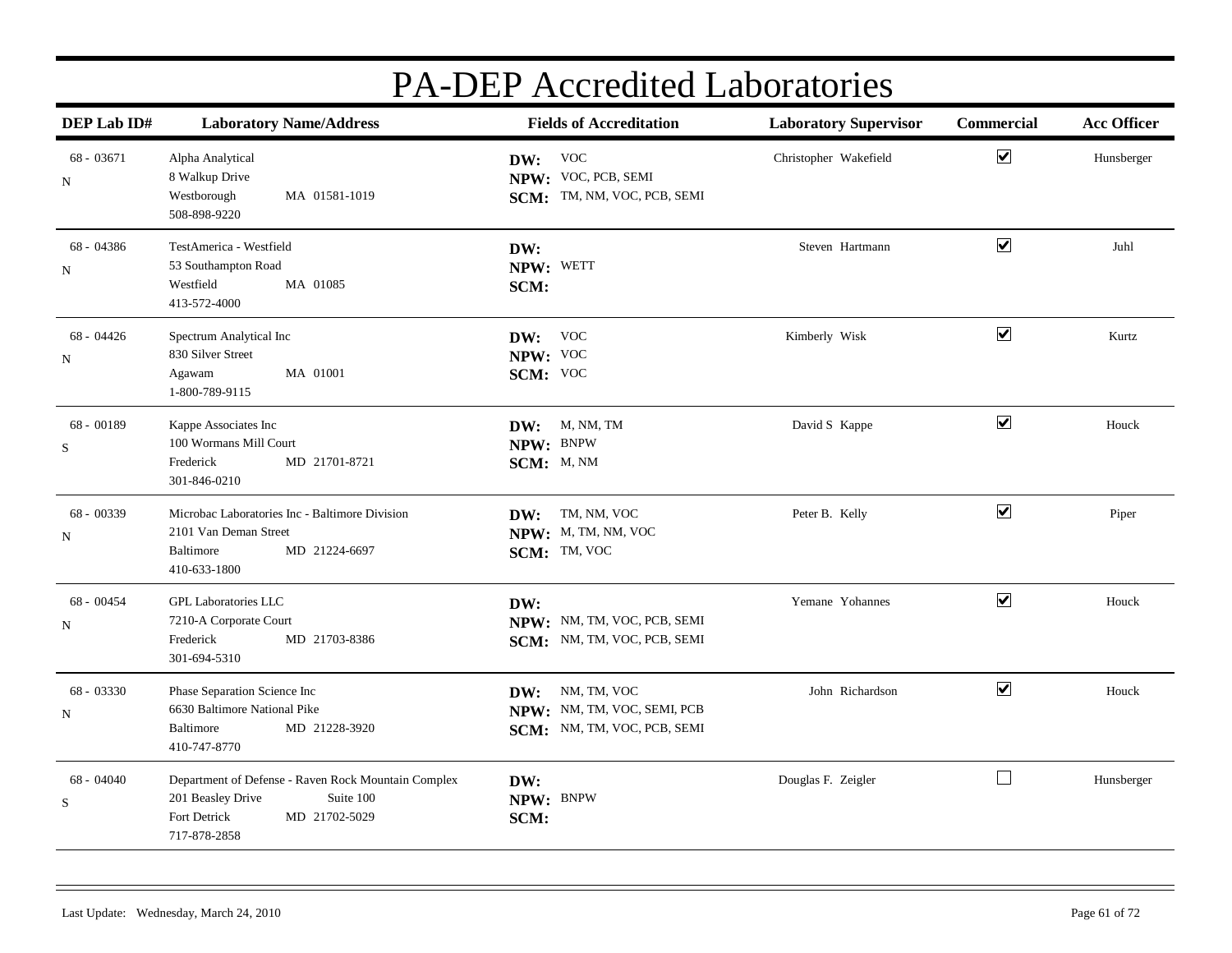| DEP Lab ID#                 | <b>Laboratory Name/Address</b>                                                                                                         | <b>Fields of Accreditation</b>                                                   | <b>Laboratory Supervisor</b> | Commercial           | <b>Acc Officer</b> |
|-----------------------------|----------------------------------------------------------------------------------------------------------------------------------------|----------------------------------------------------------------------------------|------------------------------|----------------------|--------------------|
| 68 - 03671<br>N             | Alpha Analytical<br>8 Walkup Drive<br>MA 01581-1019<br>Westborough<br>508-898-9220                                                     | DW: VOC<br>NPW: VOC, PCB, SEMI<br>SCM: TM, NM, VOC, PCB, SEMI                    | Christopher Wakefield        | $\blacktriangledown$ | Hunsberger         |
| 68 - 04386<br>N             | TestAmerica - Westfield<br>53 Southampton Road<br>Westfield<br>MA 01085<br>413-572-4000                                                | DW:<br>NPW: WETT<br>SCM:                                                         | Steven Hartmann              | $\blacktriangledown$ | Juhl               |
| $68 - 04426$<br>N           | Spectrum Analytical Inc<br>830 Silver Street<br>MA 01001<br>Agawam<br>1-800-789-9115                                                   | DW: VOC<br>NPW: VOC<br>SCM: VOC                                                  | Kimberly Wisk                | $\blacktriangledown$ | Kurtz              |
| 68 - 00189<br>S             | Kappe Associates Inc<br>100 Wormans Mill Court<br>Frederick<br>MD 21701-8721<br>301-846-0210                                           | M, NM, TM<br>DW:<br>NPW: BNPW<br>SCM: M, NM                                      | David S Kappe                | $\blacktriangledown$ | Houck              |
| 68 - 00339<br>${\bf N}$     | Microbac Laboratories Inc - Baltimore Division<br>2101 Van Deman Street<br>Baltimore<br>MD 21224-6697<br>410-633-1800                  | TM, NM, VOC<br>DW:<br>NPW: M, TM, NM, VOC<br>SCM: TM, VOC                        | Peter B. Kelly               | $\blacktriangledown$ | Piper              |
| $68 - 00454$<br>$\mathbf N$ | <b>GPL Laboratories LLC</b><br>7210-A Corporate Court<br>MD 21703-8386<br>Frederick<br>301-694-5310                                    | DW:<br>NPW: NM, TM, VOC, PCB, SEMI<br>SCM: NM, TM, VOC, PCB, SEMI                | Yemane Yohannes              | $\blacktriangledown$ | Houck              |
| 68 - 03330<br>$\mathbf N$   | Phase Separation Science Inc<br>6630 Baltimore National Pike<br>MD 21228-3920<br>Baltimore<br>410-747-8770                             | NM, TM, VOC<br>DW:<br>NPW: NM, TM, VOC, SEMI, PCB<br>SCM: NM, TM, VOC, PCB, SEMI | John Richardson              | $\blacktriangledown$ | Houck              |
| 68 - 04040<br>${\bf S}$     | Department of Defense - Raven Rock Mountain Complex<br>201 Beasley Drive<br>Suite 100<br>Fort Detrick<br>MD 21702-5029<br>717-878-2858 | DW:<br>NPW: BNPW<br>SCM:                                                         | Douglas F. Zeigler           | $\Box$               | Hunsberger         |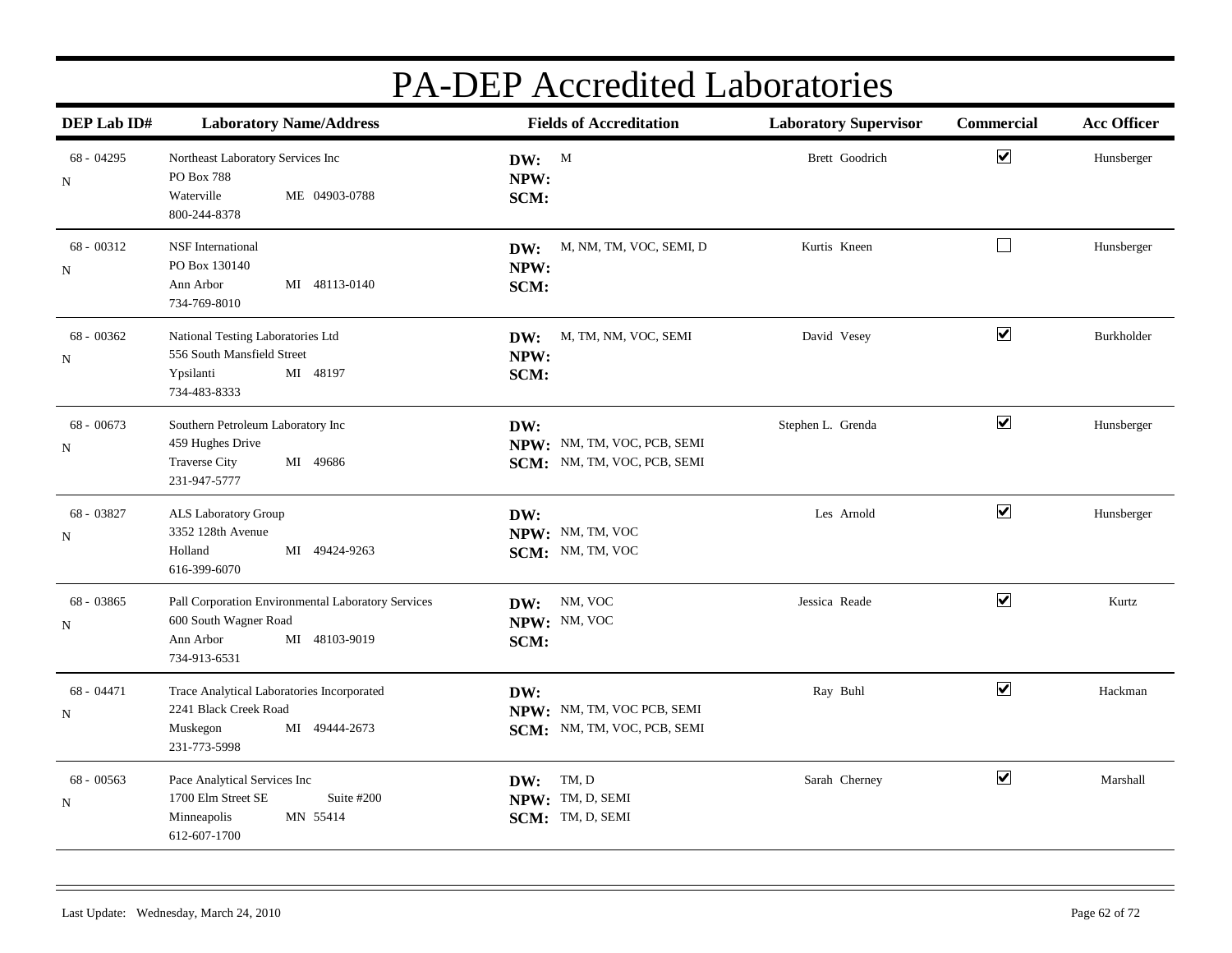| DEP Lab ID#               | <b>Laboratory Name/Address</b>                                                                                            | <b>Fields of Accreditation</b>                                    | <b>Laboratory Supervisor</b> | Commercial           | <b>Acc Officer</b> |
|---------------------------|---------------------------------------------------------------------------------------------------------------------------|-------------------------------------------------------------------|------------------------------|----------------------|--------------------|
| 68 - 04295<br>$\mathbf N$ | Northeast Laboratory Services Inc<br>PO Box 788<br>Waterville<br>ME 04903-0788<br>800-244-8378                            | DW: M<br>NPW:<br>SCM:                                             | Brett Goodrich               | $\blacktriangledown$ | Hunsberger         |
| $68 - 00312$<br>N         | <b>NSF</b> International<br>PO Box 130140<br>MI 48113-0140<br>Ann Arbor<br>734-769-8010                                   | M, NM, TM, VOC, SEMI, D<br>DW:<br>NPW:<br>SCM:                    | Kurtis Kneen                 | $\Box$               | Hunsberger         |
| $68 - 00362$<br>N         | National Testing Laboratories Ltd<br>556 South Mansfield Street<br>Ypsilanti<br>MI 48197<br>734-483-8333                  | M, TM, NM, VOC, SEMI<br>DW:<br>NPW:<br>SCM:                       | David Vesey                  | $\blacktriangledown$ | Burkholder         |
| $68 - 00673$<br>N         | Southern Petroleum Laboratory Inc<br>459 Hughes Drive<br>MI 49686<br><b>Traverse City</b><br>231-947-5777                 | DW:<br>NPW: NM, TM, VOC, PCB, SEMI<br>SCM: NM, TM, VOC, PCB, SEMI | Stephen L. Grenda            | $\blacktriangledown$ | Hunsberger         |
| 68 - 03827<br>N           | ALS Laboratory Group<br>3352 128th Avenue<br>MI 49424-9263<br>Holland<br>616-399-6070                                     | DW:<br>NPW: NM, TM, VOC<br>SCM: NM, TM, VOC                       | Les Arnold                   | $\blacktriangledown$ | Hunsberger         |
| 68 - 03865<br>N           | Pall Corporation Environmental Laboratory Services<br>600 South Wagner Road<br>MI 48103-9019<br>Ann Arbor<br>734-913-6531 | DW: NM, VOC<br>NPW: NM, VOC<br>SCM:                               | Jessica Reade                | $\blacktriangledown$ | Kurtz              |
| $68 - 04471$<br>N         | Trace Analytical Laboratories Incorporated<br>2241 Black Creek Road<br>MI 49444-2673<br>Muskegon<br>231-773-5998          | DW:<br>NPW: NM, TM, VOC PCB, SEMI<br>SCM: NM, TM, VOC, PCB, SEMI  | Ray Buhl                     | $\blacktriangledown$ | Hackman            |
| $68 - 00563$<br>N         | Pace Analytical Services Inc<br>1700 Elm Street SE<br>Suite #200<br>MN 55414<br>Minneapolis<br>612-607-1700               | TM, D<br>DW:<br>NPW: TM, D, SEMI<br>SCM: TM, D, SEMI              | Sarah Cherney                | $\blacktriangledown$ | Marshall           |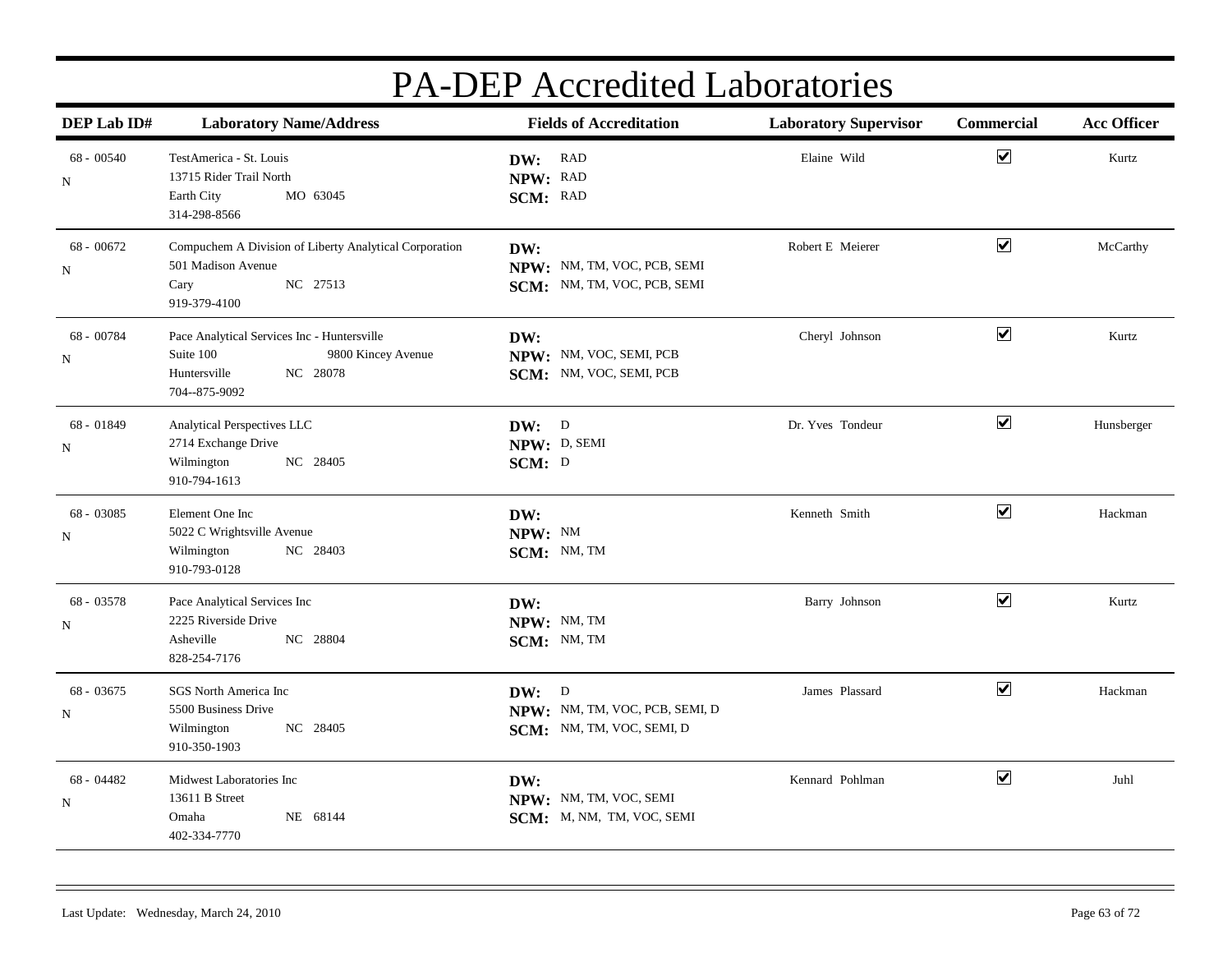| DEP Lab ID#              | <b>Laboratory Name/Address</b>                                                                                              | <b>Fields of Accreditation</b>                                       | <b>Laboratory Supervisor</b> | Commercial           | <b>Acc Officer</b> |
|--------------------------|-----------------------------------------------------------------------------------------------------------------------------|----------------------------------------------------------------------|------------------------------|----------------------|--------------------|
| 68 - 00540<br>N          | TestAmerica - St. Louis<br>13715 Rider Trail North<br>Earth City<br>MO 63045<br>314-298-8566                                | DW: RAD<br>NPW: RAD<br>SCM: RAD                                      | Elaine Wild                  | $\blacktriangledown$ | Kurtz              |
| 68 - 00672<br>N          | Compuchem A Division of Liberty Analytical Corporation<br>501 Madison Avenue<br>NC 27513<br>Cary<br>919-379-4100            | DW:<br>NPW: NM, TM, VOC, PCB, SEMI<br>SCM: NM, TM, VOC, PCB, SEMI    | Robert E Meierer             | $\blacktriangledown$ | McCarthy           |
| 68 - 00784<br>N          | Pace Analytical Services Inc - Huntersville<br>Suite 100<br>9800 Kincey Avenue<br>Huntersville<br>NC 28078<br>704--875-9092 | DW:<br>NPW: NM, VOC, SEMI, PCB<br>SCM: NM, VOC, SEMI, PCB            | Cheryl Johnson               | $\blacktriangledown$ | Kurtz              |
| 68 - 01849<br>N          | Analytical Perspectives LLC<br>2714 Exchange Drive<br>NC 28405<br>Wilmington<br>910-794-1613                                | DW: D<br>NPW: D, SEMI<br>SCM: D                                      | Dr. Yves Tondeur             | $\blacktriangledown$ | Hunsberger         |
| 68 - 03085<br>N          | Element One Inc<br>5022 C Wrightsville Avenue<br>NC 28403<br>Wilmington<br>910-793-0128                                     | DW:<br>NPW: NM<br>SCM: NM, TM                                        | Kenneth Smith                | $\blacktriangledown$ | Hackman            |
| 68 - 03578<br>N          | Pace Analytical Services Inc<br>2225 Riverside Drive<br>Asheville<br>NC 28804<br>828-254-7176                               | DW:<br>NPW: NM, TM<br>SCM: NM, TM                                    | Barry Johnson                | $\blacktriangledown$ | Kurtz              |
| 68 - 03675<br>N          | SGS North America Inc<br>5500 Business Drive<br>NC 28405<br>Wilmington<br>910-350-1903                                      | DW: D<br>NPW: NM, TM, VOC, PCB, SEMI, D<br>SCM: NM, TM, VOC, SEMI, D | James Plassard               | $\blacktriangledown$ | Hackman            |
| 68 - 04482<br>$_{\rm N}$ | Midwest Laboratories Inc<br>13611 B Street<br>NE 68144<br>Omaha<br>402-334-7770                                             | DW:<br>NPW: NM, TM, VOC, SEMI<br>SCM: M, NM, TM, VOC, SEMI           | Kennard Pohlman              | $\blacktriangledown$ | Juhl               |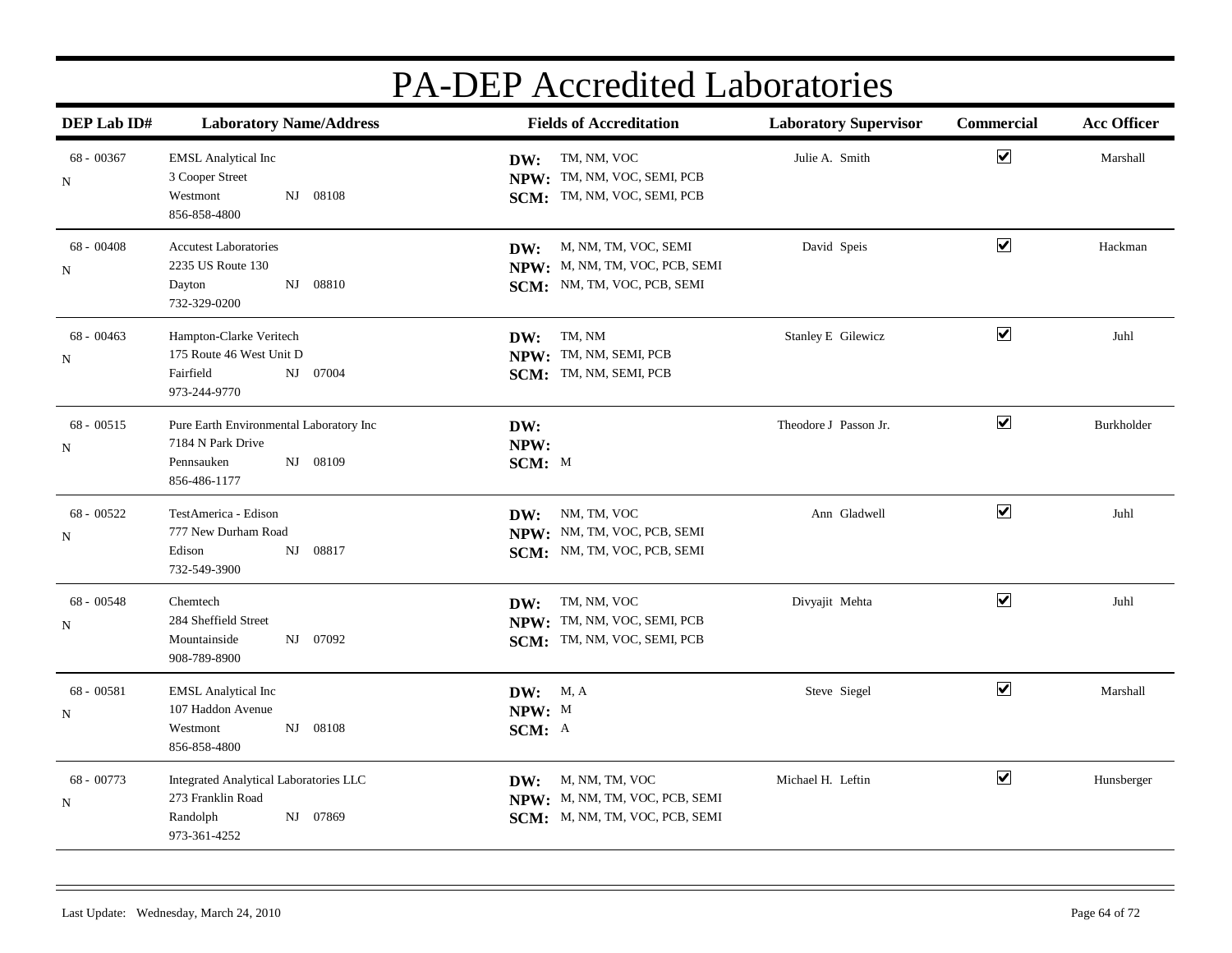| DEP Lab ID#                 | <b>Laboratory Name/Address</b>                                                                         | <b>Fields of Accreditation</b>                                                               | <b>Laboratory Supervisor</b> | <b>Commercial</b>     | <b>Acc Officer</b> |
|-----------------------------|--------------------------------------------------------------------------------------------------------|----------------------------------------------------------------------------------------------|------------------------------|-----------------------|--------------------|
| 68 - 00367<br>N             | <b>EMSL Analytical Inc</b><br>3 Cooper Street<br>08108<br>Westmont<br>NJ<br>856-858-4800               | TM, NM, VOC<br>DW:<br>NPW: TM, NM, VOC, SEMI, PCB<br>SCM: TM, NM, VOC, SEMI, PCB             | Julie A. Smith               | $\blacktriangledown$  | Marshall           |
| $68 - 00408$<br>$_{\rm N}$  | <b>Accutest Laboratories</b><br>2235 US Route 130<br>NJ 08810<br>Dayton<br>732-329-0200                | M, NM, TM, VOC, SEMI<br>DW:<br>NPW: M, NM, TM, VOC, PCB, SEMI<br>SCM: NM, TM, VOC, PCB, SEMI | David Speis                  | $\blacktriangledown$  | Hackman            |
| $68 - 00463$<br>$\mathbf N$ | Hampton-Clarke Veritech<br>175 Route 46 West Unit D<br>Fairfield<br>NJ 07004<br>973-244-9770           | TM, NM<br>DW:<br>NPW: TM, NM, SEMI, PCB<br>SCM: TM, NM, SEMI, PCB                            | Stanley E Gilewicz           | $\blacktriangledown$  | Juhl               |
| $68 - 00515$<br>${\bf N}$   | Pure Earth Environmental Laboratory Inc<br>7184 N Park Drive<br>NJ 08109<br>Pennsauken<br>856-486-1177 | DW:<br>NPW:<br>SCM: M                                                                        | Theodore J Passon Jr.        | $\blacktriangledown$  | Burkholder         |
| 68 - 00522<br>N             | TestAmerica - Edison<br>777 New Durham Road<br>08817<br>Edison<br>NJ<br>732-549-3900                   | DW: NM, TM, VOC<br>NPW: NM, TM, VOC, PCB, SEMI<br>SCM: NM, TM, VOC, PCB, SEMI                | Ann Gladwell                 | $\blacktriangledown$  | Juhl               |
| 68 - 00548<br>N             | Chemtech<br>284 Sheffield Street<br>NJ 07092<br>Mountainside<br>908-789-8900                           | TM, NM, VOC<br>DW:<br>NPW: TM, NM, VOC, SEMI, PCB<br>SCM: TM, NM, VOC, SEMI, PCB             | Divyajit Mehta               | $\blacktriangleright$ | Juhl               |
| 68 - 00581<br>N             | <b>EMSL Analytical Inc</b><br>107 Haddon Avenue<br>NJ 08108<br>Westmont<br>856-858-4800                | <b>DW:</b> M, A<br>NPW: M<br>SCM: A                                                          | Steve Siegel                 | $\blacktriangledown$  | Marshall           |
| 68 - 00773<br>${\bf N}$     | Integrated Analytical Laboratories LLC<br>273 Franklin Road<br>Randolph<br>NJ 07869<br>973-361-4252    | M, NM, TM, VOC<br>DW:<br>NPW: M, NM, TM, VOC, PCB, SEMI<br>SCM: M, NM, TM, VOC, PCB, SEMI    | Michael H. Leftin            | $\blacktriangledown$  | Hunsberger         |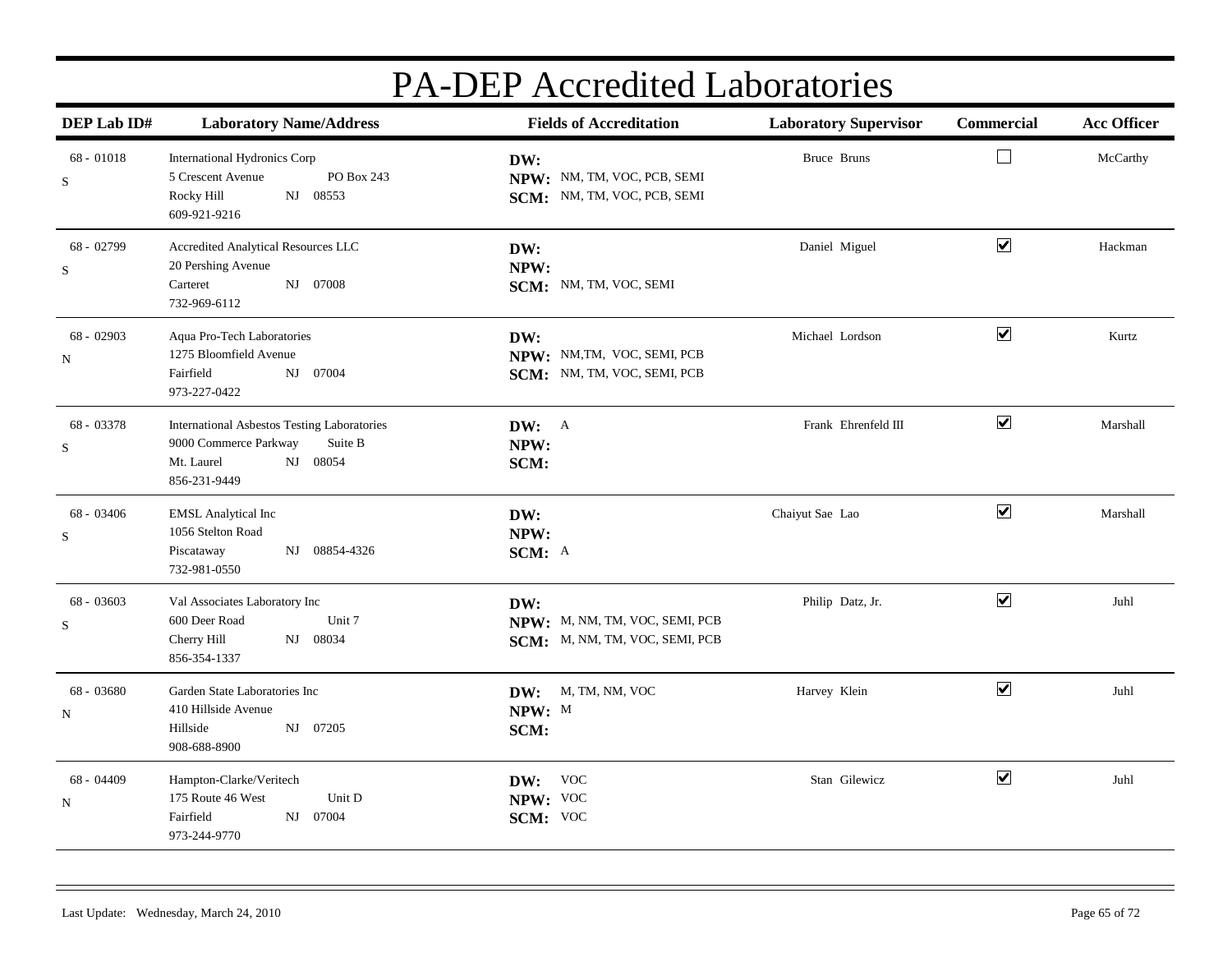| DEP Lab ID#               | <b>Laboratory Name/Address</b>                                                                                                   | <b>Fields of Accreditation</b>                                          |                     | Commercial            | <b>Acc Officer</b> |
|---------------------------|----------------------------------------------------------------------------------------------------------------------------------|-------------------------------------------------------------------------|---------------------|-----------------------|--------------------|
| $68 - 01018$<br>S         | International Hydronics Corp<br>PO Box 243<br>5 Crescent Avenue<br>NJ 08553<br>Rocky Hill<br>609-921-9216                        | DW:<br>NPW: NM, TM, VOC, PCB, SEMI<br>SCM: NM, TM, VOC, PCB, SEMI       | Bruce Bruns         | $\Box$                | McCarthy           |
| 68 - 02799<br>$\mathbf S$ | Accredited Analytical Resources LLC<br>20 Pershing Avenue<br>NJ 07008<br>Carteret<br>732-969-6112                                | DW:<br>NPW:<br>SCM: NM, TM, VOC, SEMI                                   | Daniel Miguel       | $\blacktriangledown$  | Hackman            |
| 68 - 02903<br>N           | Aqua Pro-Tech Laboratories<br>1275 Bloomfield Avenue<br>Fairfield<br>NJ 07004<br>973-227-0422                                    | DW:<br>NPW: NM, TM, VOC, SEMI, PCB<br>SCM: NM, TM, VOC, SEMI, PCB       | Michael Lordson     | $\blacktriangledown$  | Kurtz              |
| 68 - 03378<br>$\mathbf S$ | <b>International Asbestos Testing Laboratories</b><br>9000 Commerce Parkway<br>Suite B<br>NJ 08054<br>Mt. Laurel<br>856-231-9449 | DW: A<br>NPW:<br>SCM:                                                   | Frank Ehrenfeld III | $\blacktriangledown$  | Marshall           |
| $68 - 03406$<br>S         | <b>EMSL</b> Analytical Inc<br>1056 Stelton Road<br>NJ 08854-4326<br>Piscataway<br>732-981-0550                                   | DW:<br>NPW:<br>SCM: A                                                   | Chaiyut Sae Lao     | $\blacktriangleright$ | Marshall           |
| 68 - 03603<br>$\mathbf S$ | Val Associates Laboratory Inc<br>Unit 7<br>600 Deer Road<br>NJ 08034<br>Cherry Hill<br>856-354-1337                              | DW:<br>NPW: M, NM, TM, VOC, SEMI, PCB<br>SCM: M, NM, TM, VOC, SEMI, PCB | Philip Datz, Jr.    | $\blacktriangleright$ | Juhl               |
| 68 - 03680<br>${\bf N}$   | Garden State Laboratories Inc<br>410 Hillside Avenue<br>Hillside<br>NJ 07205<br>908-688-8900                                     | DW: M, TM, NM, VOC<br>NPW: M<br>SCM:                                    | Harvey Klein        | $\blacktriangledown$  | Juhl               |
| 68 - 04409<br>N           | Hampton-Clarke/Veritech<br>175 Route 46 West<br>Unit D<br>Fairfield<br>NJ 07004<br>973-244-9770                                  | DW: VOC<br>NPW: VOC<br>SCM: VOC                                         | Stan Gilewicz       | $\blacktriangledown$  | Juhl               |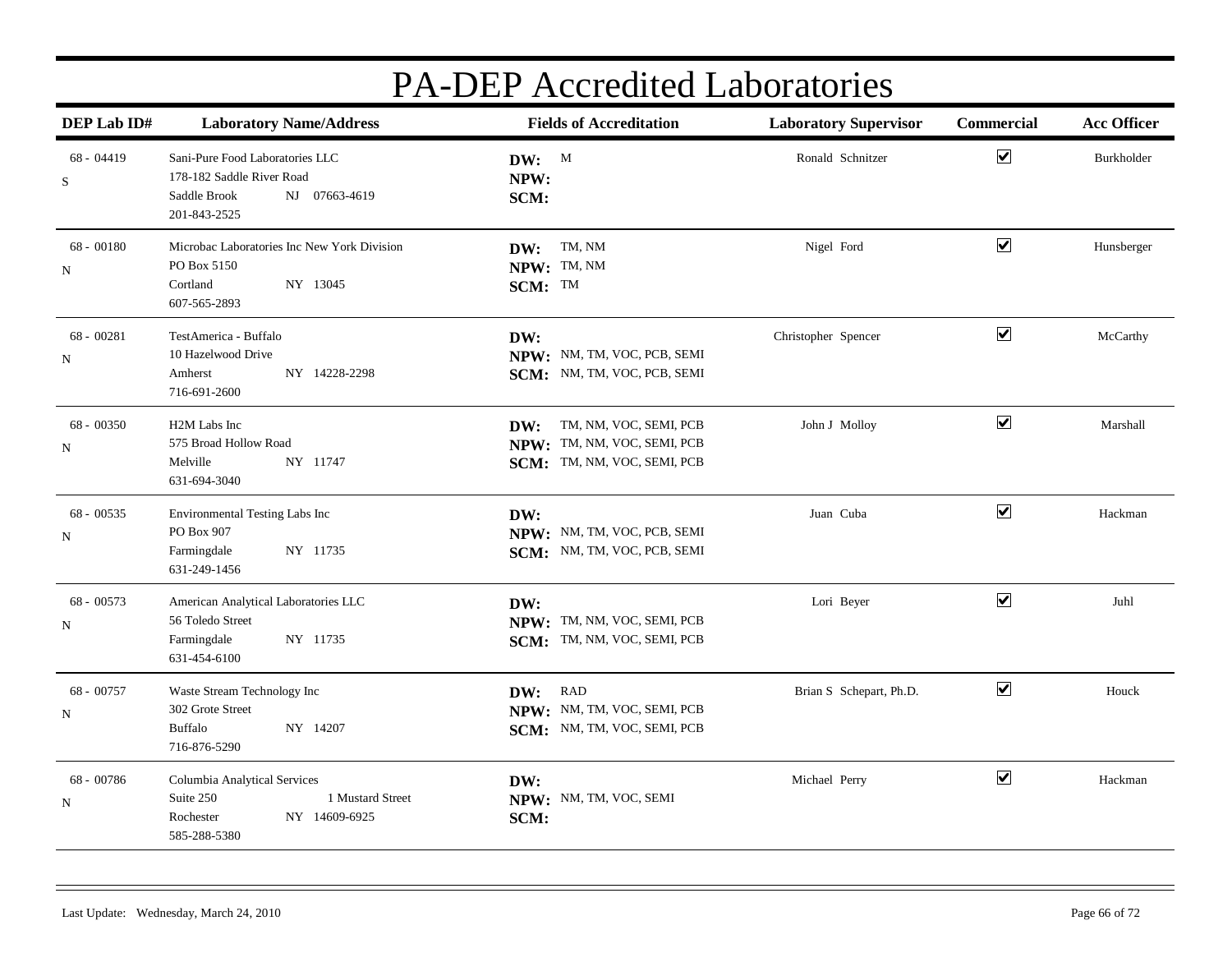| DEP Lab ID#       | <b>Laboratory Name/Address</b>                                                                                | <b>Fields of Accreditation</b>                                                              | <b>Laboratory Supervisor</b> | Commercial           | <b>Acc Officer</b> |
|-------------------|---------------------------------------------------------------------------------------------------------------|---------------------------------------------------------------------------------------------|------------------------------|----------------------|--------------------|
| $68 - 04419$<br>S | Sani-Pure Food Laboratories LLC<br>178-182 Saddle River Road<br>NJ 07663-4619<br>Saddle Brook<br>201-843-2525 | DW: M<br>NPW:<br>SCM:                                                                       | Ronald Schnitzer             | $\blacktriangledown$ | Burkholder         |
| 68 - 00180<br>N   | Microbac Laboratories Inc New York Division<br>PO Box 5150<br>Cortland<br>NY 13045<br>607-565-2893            | TM, NM<br>DW:<br>NPW: TM, NM<br>SCM: TM                                                     | Nigel Ford                   | $\blacktriangledown$ | Hunsberger         |
| $68 - 00281$<br>N | TestAmerica - Buffalo<br>10 Hazelwood Drive<br>NY 14228-2298<br>Amherst<br>716-691-2600                       | DW:<br>NPW: NM, TM, VOC, PCB, SEMI<br>SCM: NM, TM, VOC, PCB, SEMI                           | Christopher Spencer          | $\blacktriangledown$ | McCarthy           |
| 68 - 00350<br>N   | H2M Labs Inc<br>575 Broad Hollow Road<br>Melville<br>NY 11747<br>631-694-3040                                 | TM, NM, VOC, SEMI, PCB<br>DW:<br>NPW: TM, NM, VOC, SEMI, PCB<br>SCM: TM, NM, VOC, SEMI, PCB | John J Molloy                | $\blacktriangledown$ | Marshall           |
| $68 - 00535$<br>N | Environmental Testing Labs Inc<br>PO Box 907<br>NY 11735<br>Farmingdale<br>631-249-1456                       | DW:<br>NPW: NM, TM, VOC, PCB, SEMI<br>SCM: NM, TM, VOC, PCB, SEMI                           | Juan Cuba                    | $\blacktriangledown$ | Hackman            |
| $68 - 00573$<br>N | American Analytical Laboratories LLC<br>56 Toledo Street<br>NY 11735<br>Farmingdale<br>631-454-6100           | DW:<br>NPW: TM, NM, VOC, SEMI, PCB<br>SCM: TM, NM, VOC, SEMI, PCB                           | Lori Beyer                   | $\blacktriangledown$ | Juhl               |
| 68 - 00757<br>N   | Waste Stream Technology Inc<br>302 Grote Street<br>Buffalo<br>NY 14207<br>716-876-5290                        | RAD<br>DW:<br>NPW: NM, TM, VOC, SEMI, PCB<br>SCM: NM, TM, VOC, SEMI, PCB                    | Brian S Schepart, Ph.D.      | $\blacktriangledown$ | Houck              |
| 68 - 00786<br>N   | Columbia Analytical Services<br>1 Mustard Street<br>Suite 250<br>NY 14609-6925<br>Rochester<br>585-288-5380   | DW:<br>NPW: NM, TM, VOC, SEMI<br>SCM:                                                       | Michael Perry                | $\blacktriangledown$ | Hackman            |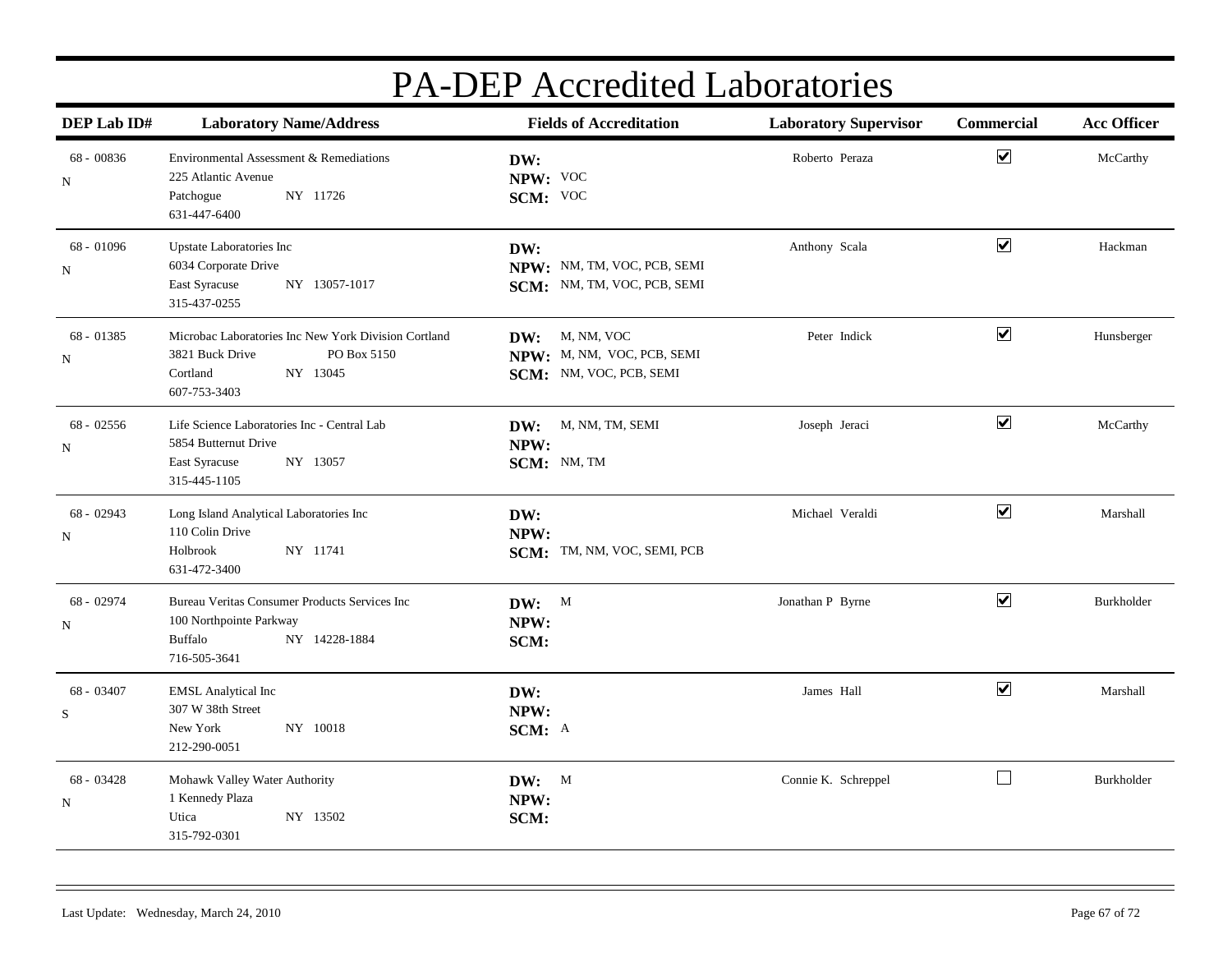| DEP Lab ID#              | <b>Laboratory Name/Address</b>                                                                                                 | <b>Fields of Accreditation</b><br><b>Laboratory Supervisor</b>          |                     | Commercial<br><b>Acc Officer</b> |            |
|--------------------------|--------------------------------------------------------------------------------------------------------------------------------|-------------------------------------------------------------------------|---------------------|----------------------------------|------------|
| $68 - 00836$<br>N        | Environmental Assessment & Remediations<br>225 Atlantic Avenue<br>NY 11726<br>Patchogue<br>631-447-6400                        | DW:<br>NPW: VOC<br>SCM: VOC                                             | Roberto Peraza      | $\blacktriangledown$             | McCarthy   |
| 68 - 01096<br>N          | Upstate Laboratories Inc<br>6034 Corporate Drive<br>East Syracuse<br>NY 13057-1017<br>315-437-0255                             | DW:<br>NPW: NM, TM, VOC, PCB, SEMI<br>SCM: NM, TM, VOC, PCB, SEMI       | Anthony Scala       | $\boxed{\blacktriangledown}$     | Hackman    |
| 68 - 01385<br>N          | Microbac Laboratories Inc New York Division Cortland<br>3821 Buck Drive<br>PO Box 5150<br>Cortland<br>NY 13045<br>607-753-3403 | DW: M, NM, VOC<br>NPW: M, NM, VOC, PCB, SEMI<br>SCM: NM, VOC, PCB, SEMI | Peter Indick        | $\blacktriangledown$             | Hunsberger |
| $68 - 02556$<br>N        | Life Science Laboratories Inc - Central Lab<br>5854 Butternut Drive<br>NY 13057<br>East Syracuse<br>315-445-1105               | DW: M, NM, TM, SEMI<br>NPW:<br>SCM: NM, TM                              | Joseph Jeraci       | $\overline{\mathbf{v}}$          | McCarthy   |
| 68 - 02943<br>N          | Long Island Analytical Laboratories Inc<br>110 Colin Drive<br>NY 11741<br>Holbrook<br>631-472-3400                             | DW:<br>NPW:<br>SCM: TM, NM, VOC, SEMI, PCB                              | Michael Veraldi     | $\blacktriangledown$             | Marshall   |
| 68 - 02974<br>$_{\rm N}$ | Bureau Veritas Consumer Products Services Inc<br>100 Northpointe Parkway<br>NY 14228-1884<br>Buffalo<br>716-505-3641           | DW: M<br>NPW:<br>SCM:                                                   | Jonathan P Byrne    | $\boxed{\blacktriangledown}$     | Burkholder |
| 68 - 03407<br>S          | <b>EMSL Analytical Inc</b><br>307 W 38th Street<br>New York<br>NY 10018<br>212-290-0051                                        | DW:<br>NPW:<br>SCM: A                                                   | James Hall          | $\blacktriangledown$             | Marshall   |
| 68 - 03428<br>$_{\rm N}$ | Mohawk Valley Water Authority<br>1 Kennedy Plaza<br>Utica<br>NY 13502<br>315-792-0301                                          | DW: M<br>NPW:<br>SCM:                                                   | Connie K. Schreppel | $\Box$                           | Burkholder |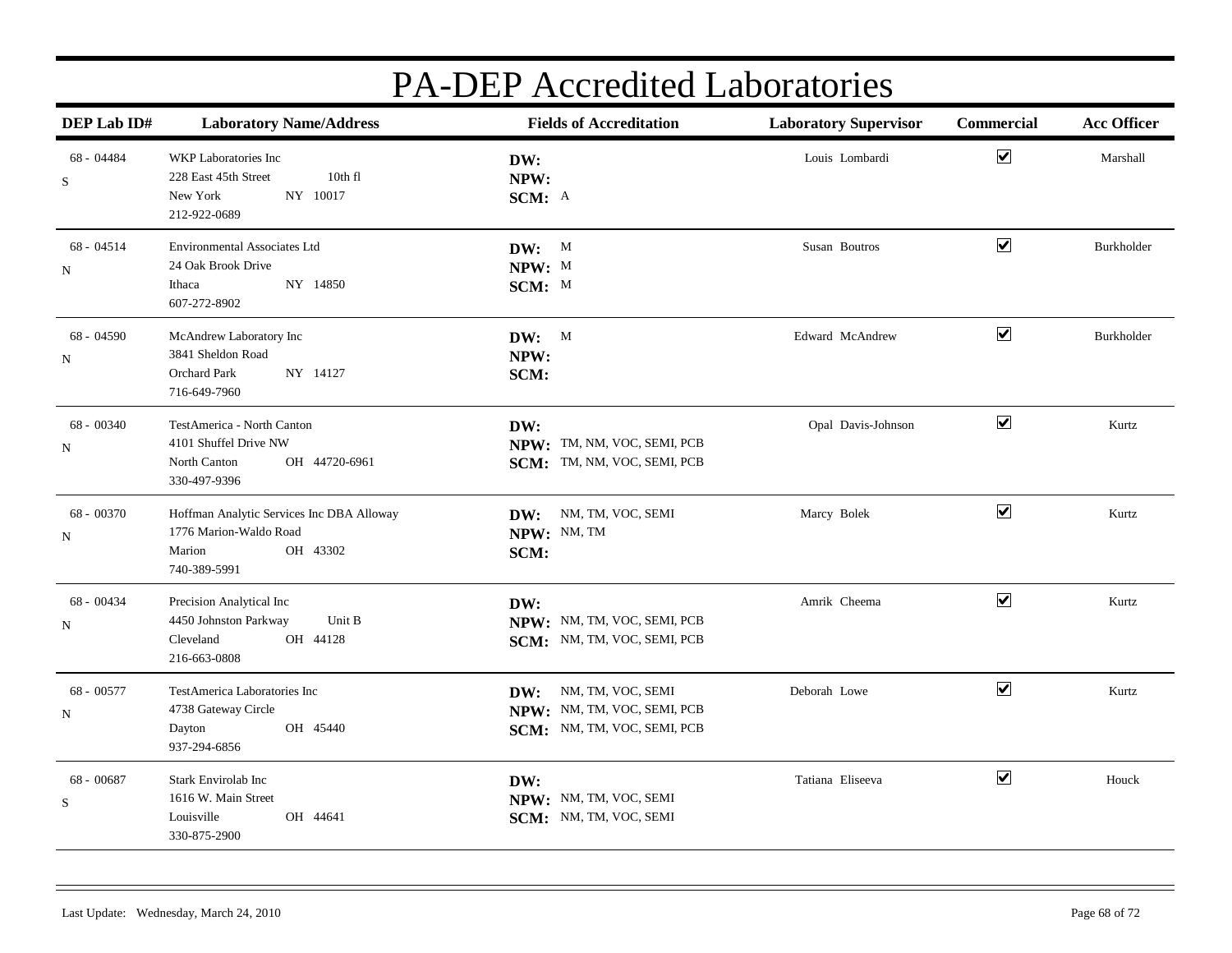| DEP Lab ID#                | <b>Laboratory Name/Address</b>                                                                            | <b>Fields of Accreditation</b>                                                         | <b>Laboratory Supervisor</b> | Commercial           | <b>Acc Officer</b> |
|----------------------------|-----------------------------------------------------------------------------------------------------------|----------------------------------------------------------------------------------------|------------------------------|----------------------|--------------------|
| 68 - 04484<br>S            | WKP Laboratories Inc<br>228 East 45th Street<br>10th fl<br>NY 10017<br>New York<br>212-922-0689           | DW:<br>NPW:<br>SCM: A                                                                  | Louis Lombardi               | $\blacktriangledown$ | Marshall           |
| 68 - 04514<br>N            | <b>Environmental Associates Ltd</b><br>24 Oak Brook Drive<br>NY 14850<br>Ithaca<br>607-272-8902           | DW: M<br>NPW: M<br>SCM: M                                                              | Susan Boutros                | $\blacktriangledown$ | Burkholder         |
| 68 - 04590<br>N            | McAndrew Laboratory Inc<br>3841 Sheldon Road<br>Orchard Park<br>NY 14127<br>716-649-7960                  | DW: M<br>NPW:<br>SCM:                                                                  | Edward McAndrew              | $\blacktriangledown$ | Burkholder         |
| 68 - 00340<br>$_{\rm N}$   | TestAmerica - North Canton<br>4101 Shuffel Drive NW<br>North Canton<br>OH 44720-6961<br>330-497-9396      | DW:<br>NPW: TM, NM, VOC, SEMI, PCB<br>SCM: TM, NM, VOC, SEMI, PCB                      | Opal Davis-Johnson           | $\blacktriangledown$ | Kurtz              |
| 68 - 00370<br>N            | Hoffman Analytic Services Inc DBA Alloway<br>1776 Marion-Waldo Road<br>OH 43302<br>Marion<br>740-389-5991 | DW: NM, TM, VOC, SEMI<br>NPW: NM, TM<br>SCM:                                           | Marcy Bolek                  | $\blacktriangledown$ | Kurtz              |
| $68 - 00434$<br>$_{\rm N}$ | Precision Analytical Inc<br>Unit B<br>4450 Johnston Parkway<br>Cleveland<br>OH 44128<br>216-663-0808      | DW:<br>NPW: NM, TM, VOC, SEMI, PCB<br>SCM: NM, TM, VOC, SEMI, PCB                      | Amrik Cheema                 | $\blacktriangledown$ | Kurtz              |
| 68 - 00577<br>$\mathbf N$  | TestAmerica Laboratories Inc<br>4738 Gateway Circle<br>OH 45440<br>Dayton<br>937-294-6856                 | NM, TM, VOC, SEMI<br>DW:<br>NPW: NM, TM, VOC, SEMI, PCB<br>SCM: NM, TM, VOC, SEMI, PCB | Deborah Lowe                 | $\blacktriangledown$ | Kurtz              |
| 68 - 00687<br>${\bf S}$    | Stark Envirolab Inc<br>1616 W. Main Street<br>Louisville<br>OH 44641<br>330-875-2900                      | DW:<br>NPW: NM, TM, VOC, SEMI<br>SCM: NM, TM, VOC, SEMI                                | Tatiana Eliseeva             | $\blacktriangledown$ | Houck              |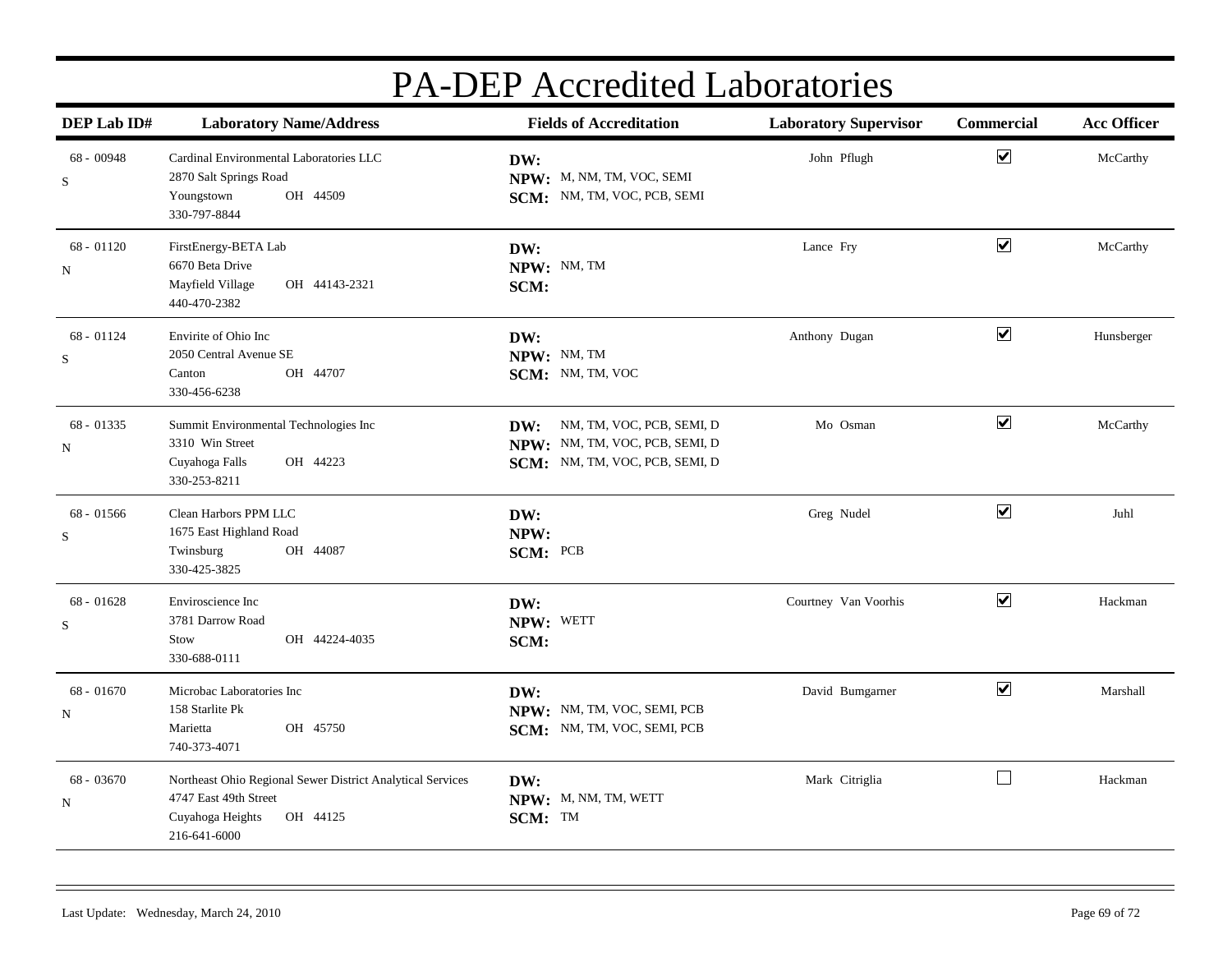| DEP Lab ID#               | <b>Laboratory Name/Address</b><br><b>Fields of Accreditation</b>                                                                    |                                                                                                      |                      |                      | <b>Laboratory Supervisor</b> | Commercial | <b>Acc Officer</b> |
|---------------------------|-------------------------------------------------------------------------------------------------------------------------------------|------------------------------------------------------------------------------------------------------|----------------------|----------------------|------------------------------|------------|--------------------|
| $68 - 00948$<br>S         | Cardinal Environmental Laboratories LLC<br>2870 Salt Springs Road<br>Youngstown<br>OH 44509<br>330-797-8844                         | DW:<br>NPW: M, NM, TM, VOC, SEMI<br>SCM: NM, TM, VOC, PCB, SEMI                                      | John Pflugh          | $\blacktriangledown$ | McCarthy                     |            |                    |
| $68 - 01120$<br>${\bf N}$ | FirstEnergy-BETA Lab<br>6670 Beta Drive<br>Mayfield Village<br>OH 44143-2321<br>440-470-2382                                        | DW:<br>NPW: NM, TM<br>SCM:                                                                           | Lance Fry            | $\blacktriangledown$ | McCarthy                     |            |                    |
| $68 - 01124$<br>S         | Envirite of Ohio Inc<br>2050 Central Avenue SE<br>OH 44707<br>Canton<br>330-456-6238                                                | DW:<br>NPW: NM, TM<br>SCM: NM, TM, VOC                                                               | Anthony Dugan        | $\blacktriangledown$ | Hunsberger                   |            |                    |
| 68 - 01335<br>${\bf N}$   | Summit Environmental Technologies Inc<br>3310 Win Street<br>Cuyahoga Falls<br>OH 44223<br>330-253-8211                              | NM, TM, VOC, PCB, SEMI, D<br>DW:<br>NPW: NM, TM, VOC, PCB, SEMI, D<br>SCM: NM, TM, VOC, PCB, SEMI, D | Mo Osman             | $\blacktriangledown$ | McCarthy                     |            |                    |
| $68 - 01566$<br>${\bf S}$ | Clean Harbors PPM LLC<br>1675 East Highland Road<br>OH 44087<br>Twinsburg<br>330-425-3825                                           | DW:<br>NPW:<br>SCM: PCB                                                                              | Greg Nudel           | $\blacktriangledown$ | Juhl                         |            |                    |
| $68 - 01628$<br>${\bf S}$ | Enviroscience Inc<br>3781 Darrow Road<br>OH 44224-4035<br>Stow<br>330-688-0111                                                      | DW:<br>NPW: WETT<br>SCM:                                                                             | Courtney Van Voorhis | $\blacktriangledown$ | Hackman                      |            |                    |
| $68 - 01670$<br>N         | Microbac Laboratories Inc<br>158 Starlite Pk<br>Marietta<br>OH 45750<br>740-373-4071                                                | DW:<br>NPW: NM, TM, VOC, SEMI, PCB<br>SCM: NM, TM, VOC, SEMI, PCB                                    | David Bumgarner      | $\blacktriangledown$ | Marshall                     |            |                    |
| 68 - 03670<br>$_{\rm N}$  | Northeast Ohio Regional Sewer District Analytical Services<br>4747 East 49th Street<br>Cuyahoga Heights<br>OH 44125<br>216-641-6000 | DW:<br>NPW: M, NM, TM, WETT<br>SCM: TM                                                               | Mark Citriglia       | $\Box$               | Hackman                      |            |                    |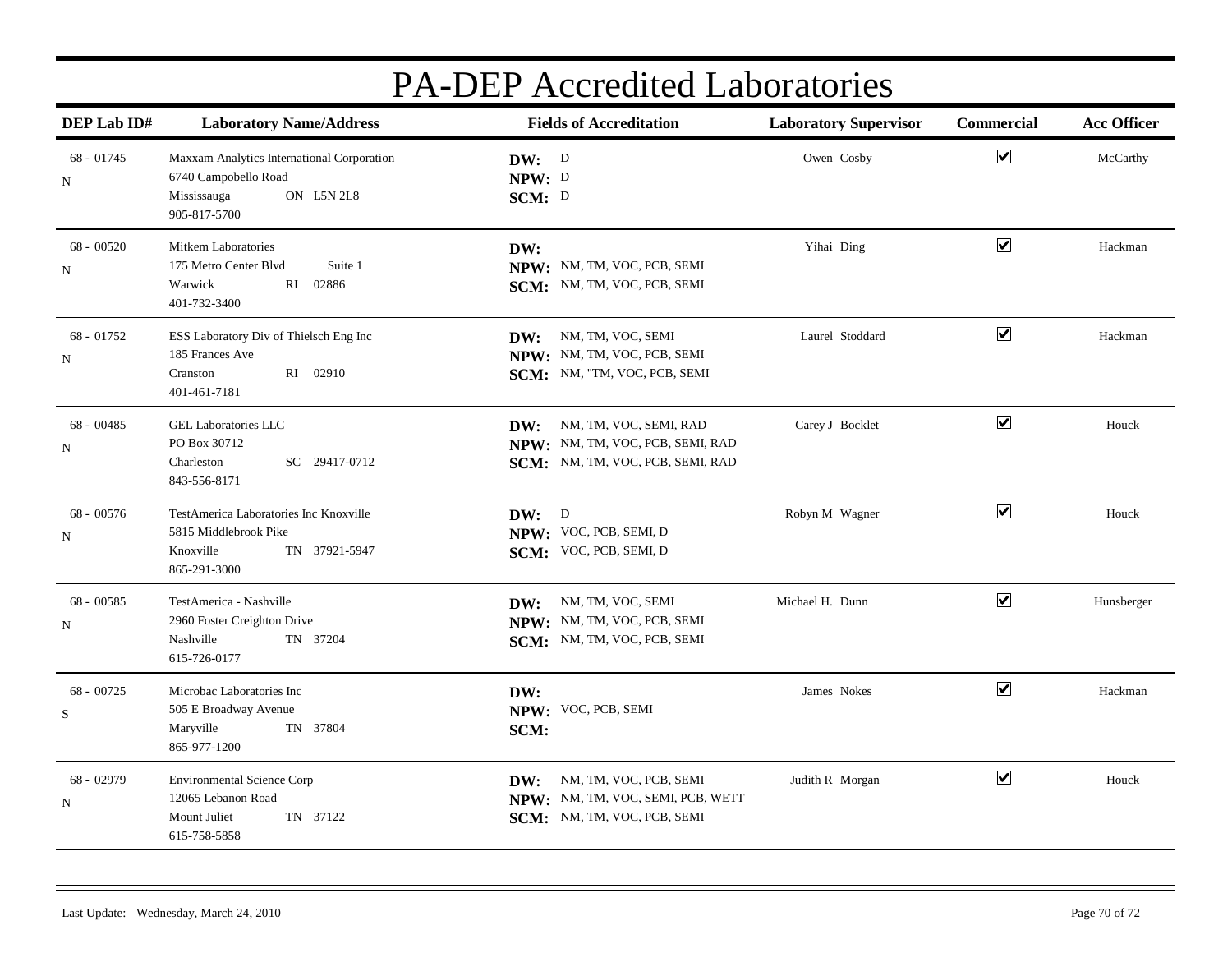| DEP Lab ID#       | <b>Fields of Accreditation</b><br><b>Laboratory Name/Address</b>                                                |                                                                                                    | <b>Laboratory Supervisor</b> | Commercial              | <b>Acc Officer</b> |  |
|-------------------|-----------------------------------------------------------------------------------------------------------------|----------------------------------------------------------------------------------------------------|------------------------------|-------------------------|--------------------|--|
| $68 - 01745$<br>N | Maxxam Analytics International Corporation<br>6740 Campobello Road<br>Mississauga<br>ON L5N 2L8<br>905-817-5700 | DW: D<br>NPW: D<br>SCM: D                                                                          | Owen Cosby                   | $\overline{\mathbf{v}}$ | McCarthy           |  |
| $68 - 00520$<br>N | Mitkem Laboratories<br>Suite 1<br>175 Metro Center Blvd<br>02886<br>Warwick<br>RI<br>401-732-3400               | DW:<br>NPW: NM, TM, VOC, PCB, SEMI<br>SCM: NM, TM, VOC, PCB, SEMI                                  | Yihai Ding                   | $\overline{\mathbf{v}}$ | Hackman            |  |
| $68 - 01752$<br>N | ESS Laboratory Div of Thielsch Eng Inc<br>185 Frances Ave<br>RI 02910<br>Cranston<br>401-461-7181               | NM, TM, VOC, SEMI<br>DW:<br>NPW: NM, TM, VOC, PCB, SEMI<br>SCM: NM, "TM, VOC, PCB, SEMI            | Laurel Stoddard              | $\overline{\mathbf{v}}$ | Hackman            |  |
| $68 - 00485$<br>N | <b>GEL Laboratories LLC</b><br>PO Box 30712<br>Charleston<br>SC 29417-0712<br>843-556-8171                      | DW: NM, TM, VOC, SEMI, RAD<br>NPW: NM, TM, VOC, PCB, SEMI, RAD<br>SCM: NM, TM, VOC, PCB, SEMI, RAD | Carey J Bocklet              | $\overline{\mathbf{v}}$ | Houck              |  |
| $68 - 00576$<br>N | TestAmerica Laboratories Inc Knoxville<br>5815 Middlebrook Pike<br>Knoxville<br>TN 37921-5947<br>865-291-3000   | DW: D<br>NPW: VOC, PCB, SEMI, D<br>SCM: VOC, PCB, SEMI, D                                          | Robyn M Wagner               | $\blacktriangledown$    | Houck              |  |
| $68 - 00585$<br>N | TestAmerica - Nashville<br>2960 Foster Creighton Drive<br>Nashville<br>TN 37204<br>615-726-0177                 | DW: NM, TM, VOC, SEMI<br>NPW: NM, TM, VOC, PCB, SEMI<br>SCM: NM, TM, VOC, PCB, SEMI                | Michael H. Dunn              | $\overline{\mathbf{v}}$ | Hunsberger         |  |
| $68 - 00725$<br>S | Microbac Laboratories Inc<br>505 E Broadway Avenue<br>Maryville<br>TN 37804<br>865-977-1200                     | DW:<br>NPW: VOC, PCB, SEMI<br>SCM:                                                                 | James Nokes                  | $\blacktriangledown$    | Hackman            |  |
| 68 - 02979<br>N   | <b>Environmental Science Corp</b><br>12065 Lebanon Road<br>Mount Juliet<br>TN 37122<br>615-758-5858             | NM, TM, VOC, PCB, SEMI<br>DW:<br>NPW: NM, TM, VOC, SEMI, PCB, WETT<br>SCM: NM, TM, VOC, PCB, SEMI  | Judith R Morgan              | $\overline{\mathbf{v}}$ | Houck              |  |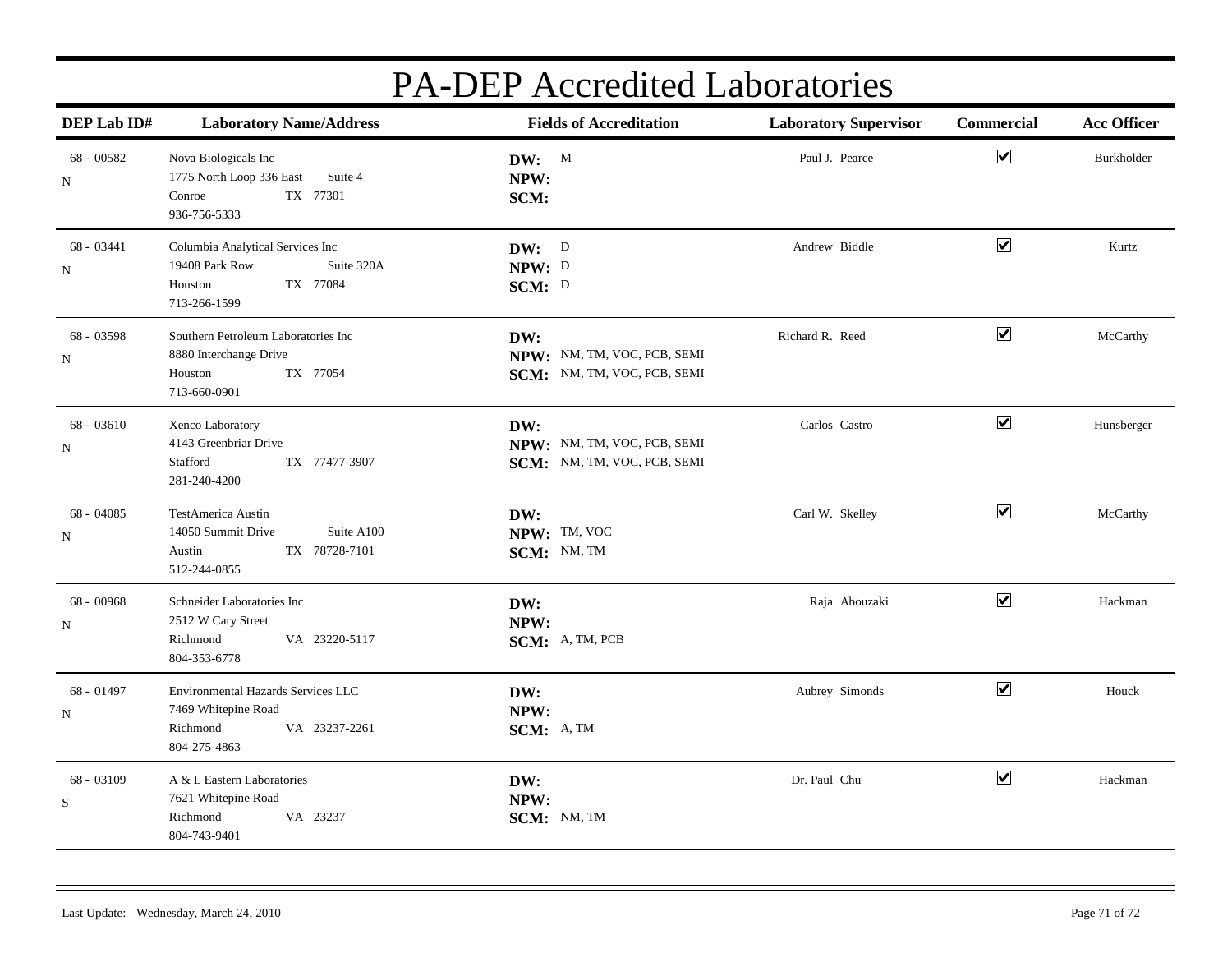| DEP Lab ID#               | <b>Laboratory Name/Address</b>                                                                           | <b>Fields of Accreditation</b>                                    | <b>Laboratory Supervisor</b> | Commercial                   | <b>Acc Officer</b> |
|---------------------------|----------------------------------------------------------------------------------------------------------|-------------------------------------------------------------------|------------------------------|------------------------------|--------------------|
| $68 - 00582$<br>N         | Nova Biologicals Inc<br>1775 North Loop 336 East<br>Suite 4<br>TX 77301<br>Conroe<br>936-756-5333        | DW: M<br>NPW:<br>SCM:                                             | Paul J. Pearce               | $\boxed{\blacktriangledown}$ | Burkholder         |
| $68 - 03441$<br>N         | Columbia Analytical Services Inc<br>19408 Park Row<br>Suite 320A<br>TX 77084<br>Houston<br>713-266-1599  | DW: D<br>NPW: D<br>SCM: D                                         | Andrew Biddle                | $\blacktriangledown$         | Kurtz              |
| 68 - 03598<br>N           | Southern Petroleum Laboratories Inc<br>8880 Interchange Drive<br>TX 77054<br>Houston<br>713-660-0901     | DW:<br>NPW: NM, TM, VOC, PCB, SEMI<br>SCM: NM, TM, VOC, PCB, SEMI | Richard R. Reed              | $\blacktriangledown$         | McCarthy           |
| $68 - 03610$<br>N         | Xenco Laboratory<br>4143 Greenbriar Drive<br>Stafford<br>TX 77477-3907<br>281-240-4200                   | DW:<br>NPW: NM, TM, VOC, PCB, SEMI<br>SCM: NM, TM, VOC, PCB, SEMI | Carlos Castro                | $\blacktriangledown$         | Hunsberger         |
| 68 - 04085<br>N           | <b>TestAmerica Austin</b><br>Suite A100<br>14050 Summit Drive<br>TX 78728-7101<br>Austin<br>512-244-0855 | DW:<br>NPW: TM, VOC<br>SCM: NM, TM                                | Carl W. Skelley              | $\overline{\mathbf{v}}$      | McCarthy           |
| 68 - 00968<br>N           | Schneider Laboratories Inc<br>2512 W Cary Street<br>VA 23220-5117<br>Richmond<br>804-353-6778            | DW:<br>NPW:<br>SCM: A, TM, PCB                                    | Raja Abouzaki                | $\overline{\mathbf{v}}$      | Hackman            |
| 68 - 01497<br>N           | Environmental Hazards Services LLC<br>7469 Whitepine Road<br>VA 23237-2261<br>Richmond<br>804-275-4863   | DW:<br>NPW:<br>SCM: A, TM                                         | Aubrey Simonds               | $\blacktriangledown$         | Houck              |
| 68 - 03109<br>$\mathbf S$ | A & L Eastern Laboratories<br>7621 Whitepine Road<br>VA 23237<br>Richmond<br>804-743-9401                | DW:<br>NPW:<br>SCM: NM, TM                                        | Dr. Paul Chu                 | $\blacktriangledown$         | Hackman            |